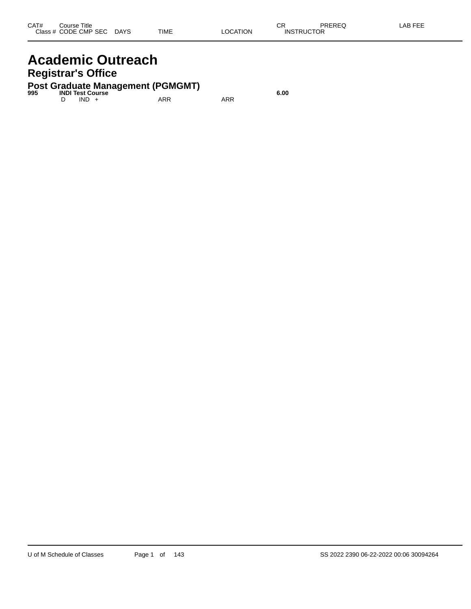# **Academic Outreach Registrar's Office**

# **Post Graduate Management (PGMGMT) 995 INDI Test Course 6.00**

D IND + ARR ARR ARR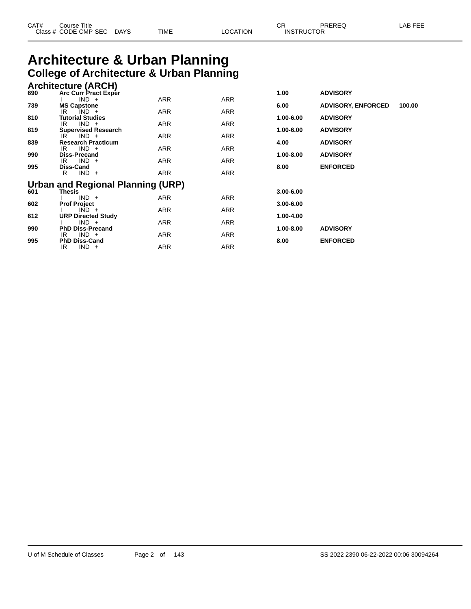| CAT# | Title<br>Course      |      |      |          | ⌒冖<br>- UN        | PREREQ | . EEF<br>A <sub>R</sub> |
|------|----------------------|------|------|----------|-------------------|--------|-------------------------|
|      | Class # CODE CMP SEC | DAYS | TIME | LOCATION | <b>INSTRUCTOR</b> |        |                         |

# **Architecture & Urban Planning College of Architecture & Urban Planning**

|     | <b>Architecture (ARCH)</b> |                 |
|-----|----------------------------|-----------------|
| 690 | Arc Curr Pract Exper       | <b>ADVISORY</b> |

| vvv | ATU VUH TTAUL LAPUT<br>$IND +$              | ARR        | ARR        | 1.vv          | <b>AD 110011</b>          |        |
|-----|---------------------------------------------|------------|------------|---------------|---------------------------|--------|
| 739 | <b>MS Capstone</b>                          |            |            | 6.00          | <b>ADVISORY, ENFORCED</b> | 100.00 |
|     | $IND +$<br>IR                               | ARR        | ARR        |               |                           |        |
| 810 | <b>Tutorial Studies</b>                     |            |            | 1.00-6.00     | <b>ADVISORY</b>           |        |
| 819 | $IND +$<br>IR<br><b>Supervised Research</b> | <b>ARR</b> | <b>ARR</b> | 1.00-6.00     | <b>ADVISORY</b>           |        |
|     | $IND +$<br>IR.                              | <b>ARR</b> | <b>ARR</b> |               |                           |        |
| 839 | <b>Research Practicum</b>                   |            |            | 4.00          | <b>ADVISORY</b>           |        |
|     | $IND +$<br>IR                               | ARR        | ARR        |               |                           |        |
| 990 | <b>Diss-Precand</b>                         |            |            | 1.00-8.00     | <b>ADVISORY</b>           |        |
| 995 | $IND +$<br>IR<br>Diss-Cand                  | <b>ARR</b> | <b>ARR</b> | 8.00          | <b>ENFORCED</b>           |        |
|     | $IND +$<br>R                                | <b>ARR</b> | <b>ARR</b> |               |                           |        |
|     | Urban and Regional Planning (URP)           |            |            |               |                           |        |
| 601 | <b>Thesis</b>                               |            |            | $3.00 - 6.00$ |                           |        |
|     | $IND +$                                     | ARR        | ARR        |               |                           |        |
| 602 | <b>Prof Project</b>                         |            |            | $3.00 - 6.00$ |                           |        |
| 612 | $IND +$<br><b>URP Directed Study</b>        | ARR        | ARR        | 1.00-4.00     |                           |        |
|     | $IND +$                                     | <b>ARR</b> | ARR        |               |                           |        |
| 990 | <b>PhD Diss-Precand</b>                     |            |            | 1.00-8.00     | <b>ADVISORY</b>           |        |
|     | $IND +$<br>IR                               | ARR        | ARR        |               |                           |        |
| 995 | <b>PhD Diss-Cand</b>                        |            |            | 8.00          | <b>ENFORCED</b>           |        |
|     | $IND +$<br>IR                               | ARR        | ARR        |               |                           |        |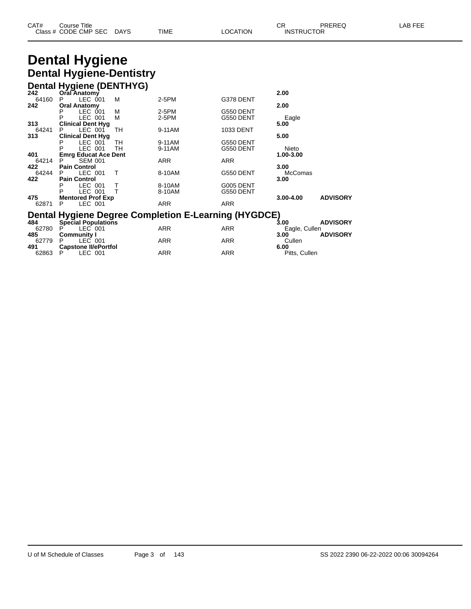#### **Dental Hygiene Dental Hygiene-Dentistry Dental Hygiene (DENTHYG)**

|       | <b>Dental Hygiene (DEN INTO)</b> |        |                                                             |            |               |                 |
|-------|----------------------------------|--------|-------------------------------------------------------------|------------|---------------|-----------------|
| 242   | Oral Anatomy                     |        |                                                             |            | 2.00          |                 |
| 64160 | LEC 001<br>P.                    | М      | $2-5PM$                                                     | G378 DENT  |               |                 |
| 242   | <b>Oral Anatomy</b>              |        |                                                             |            | 2.00          |                 |
|       | LEC 001<br>P                     | М      | 2-5PM                                                       | G550 DENT  |               |                 |
|       | LEC 001<br>P                     | М      | 2-5PM                                                       | G550 DENT  | Eagle         |                 |
| 313   | <b>Clinical Dent Hyg</b>         |        |                                                             |            | 5.00          |                 |
| 64241 | LEC 001<br>P                     | TН     | 9-11AM                                                      | 1033 DENT  |               |                 |
| 313   | <b>Clinical Dent Hyg</b>         |        |                                                             |            | 5.00          |                 |
|       | LEC 001<br>Р                     | TH     | 9-11AM                                                      | G550 DENT  |               |                 |
|       | LEC 001<br>P                     | TH     | 9-11AM                                                      | G550 DENT  | Nieto         |                 |
| 401   | <b>Emrg Educat Ace Dent</b>      |        |                                                             |            | 1.00-3.00     |                 |
| 64214 | <b>SEM 001</b><br>P              |        | <b>ARR</b>                                                  | <b>ARR</b> |               |                 |
| 422   | <b>Pain Control</b>              |        |                                                             |            | 3.00          |                 |
| 64244 | LEC 001<br>P.                    | т      | 8-10AM                                                      | G550 DENT  | McComas       |                 |
| 422   | <b>Pain Control</b>              |        |                                                             |            | 3.00          |                 |
|       | LEC 001<br>Р                     | $\top$ | 8-10AM                                                      | G005 DENT  |               |                 |
|       | P<br>LEC 001                     | T      | 8-10AM                                                      | G550 DENT  |               |                 |
| 475   | <b>Mentored Prof Exp</b>         |        |                                                             |            | $3.00 - 4.00$ | <b>ADVISORY</b> |
| 62871 | LEC 001<br>P                     |        | <b>ARR</b>                                                  | <b>ARR</b> |               |                 |
|       |                                  |        | <b>Dental Hygiene Degree Completion E-Learning (HYGDCE)</b> |            |               |                 |
| 484   | <b>Special Populations</b>       |        |                                                             |            | 3.00          | <b>ADVISORY</b> |
| 62780 | LEC 001                          |        | ARR                                                         | <b>ARR</b> | Eagle, Cullen |                 |
| 485   | <b>Community I</b>               |        |                                                             |            | 3.00          | <b>ADVISORY</b> |
| 62779 | LEC 001<br>Р                     |        | ARR                                                         | <b>ARR</b> | Cullen        |                 |

**491 Capstone II/ePortfol 6.00**

62863 P LEC 001 ARR ARR Pitts, Cullen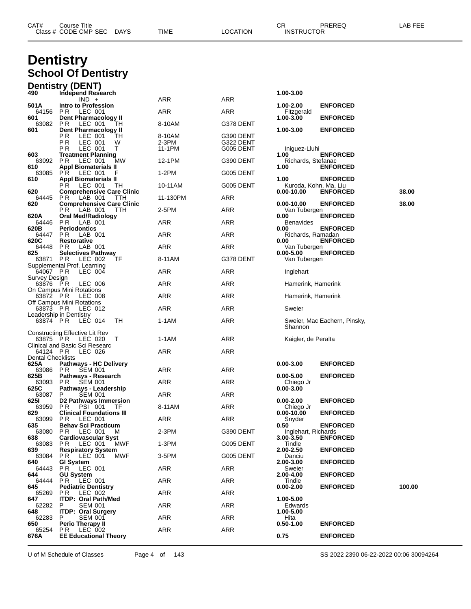| CAT# | Title<br>Course                   |                       |      |          | ⌒冖<br>◡                           | <b>PREREC</b><br>゛ | $- - -$<br>ΔP<br>-- |
|------|-----------------------------------|-----------------------|------|----------|-----------------------------------|--------------------|---------------------|
|      | Class # CODE CMP SEC<br>__<br>___ | <b>DAYS</b><br>$\sim$ | TIME | _OCATION | TRUCTOR<br><b>INS</b><br>________ |                    |                     |

# **Dentistry School Of Dentistry**

|                           | <b>Dentistry (DENT)</b>                                           |                 |                        |                                     |                                    |        |
|---------------------------|-------------------------------------------------------------------|-----------------|------------------------|-------------------------------------|------------------------------------|--------|
| 490                       | Independ Research<br>$IND +$                                      | <b>ARR</b>      | ARR                    | 1.00-3.00                           |                                    |        |
| 501 A                     | Intro to Profession                                               |                 |                        | 1.00-2.00                           | <b>ENFORCED</b>                    |        |
| 64156<br>601              | PR.<br>LEC 001<br>Dent Pharmacology II                            | ARR             | ARR                    | Fitzgerald<br>1.00-3.00             | <b>ENFORCED</b>                    |        |
| 63082<br>601              | P R<br>LEC 001<br>TН<br>Dent Pharmacology II                      | 8-10AM          | G378 DENT              | 1.00-3.00                           | <b>ENFORCED</b>                    |        |
|                           | РR<br>LEC 001<br>TН<br>W                                          | 8-10AM          | G390 DENT              |                                     |                                    |        |
|                           | РR<br>LEC 001<br>P R<br>LEC 001<br>Т                              | 2-3PM<br>11-1PM | G322 DENT<br>G005 DENT | Iniguez-Lluhi                       |                                    |        |
| 603<br>63092              | <b>Treatment Planning</b><br>P R<br>LEC 001<br>МW                 | 12-1PM          | G390 DENT              | 1.00                                | <b>ENFORCED</b>                    |        |
| 610                       | <b>Appl Biomaterials II</b>                                       |                 |                        | Richards, Stefanac<br>1.00          | <b>ENFORCED</b>                    |        |
| 63085<br>610              | P R<br>LEC 001<br>F<br><b>Appl Biomaterials II</b>                | 1-2PM           | G005 DENT              | 1.00                                | <b>ENFORCED</b>                    |        |
| 620                       | LEC 001<br>P R .<br>TH<br><b>Comprehensive Care Clinic</b>        | 10-11AM         | G005 DENT              | Kuroda, Kohn, Ma, Liu<br>0.00-10.00 | <b>ENFORCED</b>                    | 38.00  |
| 64445                     | PR.<br>LAB 001<br>TTH                                             | 11-130PM        | ARR                    |                                     |                                    |        |
| 620                       | <b>Comprehensive Care Clinic</b><br>P R .<br>LAB 001<br>TTH       | 2-5PM           | ARR                    | $0.00 - 10.00$<br>Van Tubergen      | <b>ENFORCED</b>                    | 38.00  |
| 620A<br>64446             | Oral Med/Radiology<br>PR.<br>LAB 001                              | ARR             | ARR                    | 0.00<br><b>Benavides</b>            | <b>ENFORCED</b>                    |        |
| 620B<br>64447             | Periodontics<br>P R<br>LAB 001                                    | ARR             | ARR                    | 0.00<br>Richards, Ramadan           | <b>ENFORCED</b>                    |        |
| 620C<br>64448<br>625      | <b>Restorative</b><br>PR.<br>LAB 001<br><b>Selectives Pathway</b> | ARR             | ARR                    | 0.00<br>Van Tubergen                | <b>ENFORCED</b><br><b>ENFORCED</b> |        |
| 63871 PR                  | LEC 002<br>ΤF<br>Supplemental Prof. Learning                      | 8-11AM          | G378 DENT              | $0.00 - 5.00$<br>Van Tubergen       |                                    |        |
| 64067 PR                  | LEC 004                                                           | ARR             | ARR                    | Inglehart                           |                                    |        |
| Survey Design<br>63876 PR | LEC 006                                                           | ARR             | ARR                    | Hamerink, Hamerink                  |                                    |        |
| 63872 PR                  | On Campus Mini Rotations<br>LEC 008                               | ARR             | ARR                    | Hamerink, Hamerink                  |                                    |        |
| 63873 PR                  | Off Campus Mini Rotations<br>LEC 012                              | ARR             | ARR                    | Sweier                              |                                    |        |
| 63874 PR                  | Leadership in Dentistry<br>LEC 014<br>TН                          | 1-1AM           | ARR                    | Shannon                             | Sweier, Mac Eachern, Pinsky,       |        |
| 63875 PR                  | Constructing Effective Lit Rev<br>LEC 020<br>T                    | 1-1AM           | ARR                    | Kaigler, de Peralta                 |                                    |        |
| 64124 PR                  | Clinical and Basic Sci Researc<br>LEC 026                         | ARR             | ARR                    |                                     |                                    |        |
| Dental Checklists<br>625A |                                                                   |                 |                        | $0.00 - 3.00$                       | <b>ENFORCED</b>                    |        |
| 63086                     | <b>Pathways - HC Delivery</b><br><b>SEM 001</b><br>PR             | ARR             | ARR                    |                                     |                                    |        |
| 625B<br>63093 PR          | Pathways - Research<br><b>SEM 001</b>                             | ARR             | ARR                    | $0.00 - 5.00$<br>Chiego Jr          | <b>ENFORCED</b>                    |        |
| 625C<br>63087             | Pathways - Leadership<br>P<br><b>SEM 001</b>                      | ARR             | ARR                    | 0.00-3.00                           |                                    |        |
| 625I<br>63959             | D2 Pathways Immersion<br>PSI 001                                  | 8-11AM          | ARR                    | $0.00 - 2.00$                       | <b>ENFORCED</b>                    |        |
| 629<br>63099              | PR.<br>TF<br><b>Clinical Foundations III</b><br>PR.<br>LEC 001    | ARR             | <b>ARR</b>             | Chiego Jr<br>0.00-10.00<br>Snyder   | <b>ENFORCED</b>                    |        |
| 635                       | <b>Behav Sci Practicum</b>                                        |                 |                        | 0.50                                | <b>ENFORCED</b>                    |        |
| 638                       | 63080 PR LEC 001 M<br><b>Cardiovascular Syst</b>                  | $2-3PM$         | G390 DENT              | Inglehart, Richards<br>3.00-3.50    | <b>ENFORCED</b>                    |        |
| 63083<br>639              | LEC 001<br>PR<br>MWF<br><b>Respiratory System</b>                 | $1-3PM$         | G005 DENT              | Tindle<br>2.00-2.50                 | <b>ENFORCED</b>                    |        |
| 63084<br>640.             | PR.<br>LEC 001<br>MWF<br><b>GI System</b>                         | 3-5PM           | G005 DENT              | Danciu<br>2.00-3.00                 | <b>ENFORCED</b>                    |        |
| 64443<br>644              | PR LEC 001<br><b>GU System</b>                                    | ARR             | ARR                    | Sweier<br>2.00-4.00                 | <b>ENFORCED</b>                    |        |
| 64444<br>645              | PR LEC 001<br><b>Pediatric Dentistry</b>                          | ARR             | <b>ARR</b>             | Tindle<br>$0.00 - 2.00$             | <b>ENFORCED</b>                    | 100.00 |
| 65269<br>647              | PR.<br>LEC 002<br><b>ITDP: Oral Path/Med</b>                      | ARR             | ARR                    | 1.00-5.00                           |                                    |        |
| 62282<br>648              | P<br><b>SEM 001</b><br><b>ITDP: Oral Surgery</b>                  | ARR             | <b>ARR</b>             | Edwards<br>1.00-5.00                |                                    |        |
| 62283<br>650              | <b>SEM 001</b><br>P<br>Perio Therapy II                           | ARR             | <b>ARR</b>             | Hita<br>$0.50 - 1.00$               | <b>ENFORCED</b>                    |        |
| 65254                     | PR.<br>LEC 002                                                    | <b>ARR</b>      | ARR                    |                                     |                                    |        |
| 676A                      | <b>EE Educational Theory</b>                                      |                 |                        | 0.75                                | <b>ENFORCED</b>                    |        |

U of M Schedule of Classes Page 4 of 143 <br>SS 2022 2390 06-22-2022 00:06 30094264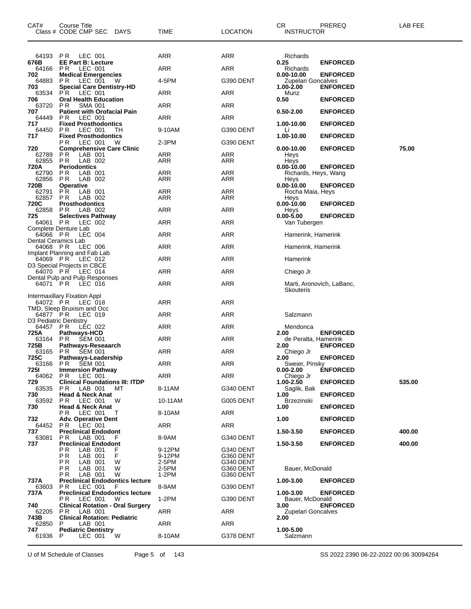| CAT#                | Course Title<br>Class # CODE CMP SEC DAYS                     | TIME            | <b>LOCATION</b>        | CR.<br><b>INSTRUCTOR</b>               | PREREQ                    | LAB FEE |
|---------------------|---------------------------------------------------------------|-----------------|------------------------|----------------------------------------|---------------------------|---------|
| 64193               | <b>PR LEC 001</b>                                             | ARR             | ARR                    | Richards                               |                           |         |
| 676B<br>64166       | <b>EE Part B: Lecture</b><br>P R<br>LEC 001                   | ARR             | ARR                    | 0.25<br>Richards                       | <b>ENFORCED</b>           |         |
| 702<br>64883        | <b>Medical Emergencies</b><br>LEC 001<br>P R<br>W             | 4-5PM           | G390 DENT              | $0.00 - 10.00$<br>Zupelari Goncalves   | <b>ENFORCED</b>           |         |
| 703                 | <b>Special Care Dentistry-HD</b>                              |                 |                        | $1.00 - 2.00$                          | <b>ENFORCED</b>           |         |
| 63534<br>706        | P R<br>LEC 001<br><b>Oral Health Education</b>                | ARR             | <b>ARR</b>             | Munz<br>0.50                           | <b>ENFORCED</b>           |         |
| 63720               | P R<br><b>SMA 001</b><br><b>Patient with Orofacial Pain</b>   | ARR             | ARR                    | $0.50 - 2.00$                          | <b>ENFORCED</b>           |         |
| 707<br>64449        | LEC 001<br>P <sub>R</sub>                                     | ARR             | <b>ARR</b>             |                                        |                           |         |
| 717<br>64450        | <b>Fixed Prosthodontics</b><br>PR.<br>LEC 001<br>TH           | 9-10AM          | G390 DENT              | 1.00-10.00<br>Li                       | <b>ENFORCED</b>           |         |
| 717                 | <b>Fixed Prosthodontics</b><br>LEC 001<br>РR<br>W             | 2-3PM           | G390 DENT              | 1.00-10.00                             | <b>ENFORCED</b>           |         |
| 720                 | <b>Comprehensive Care Clinic</b>                              |                 |                        | $0.00 - 10.00$                         | <b>ENFORCED</b>           | 75.00   |
| 62789<br>62855      | LAB 001<br>P R<br><b>PR</b><br>LAB 002                        | ARR<br>ARR      | ARR<br>ARR             | Heys<br>Heys                           |                           |         |
| 720A<br>62790       | <b>Periodontics</b><br>LAB 001<br>P R                         | ARR             | ARR                    | $0.00 - 10.00$<br>Richards, Heys, Wang | <b>ENFORCED</b>           |         |
| 62856               | P <sub>R</sub><br>LAB 002                                     | ARR             | ARR                    | Heys                                   |                           |         |
| 720B<br>62791       | <b>Operative</b><br>P R<br>LAB 001                            | ARR             | ARR                    | $0.00 - 10.00$<br>Rocha Maia, Heys     | <b>ENFORCED</b>           |         |
| 62857<br>720C       | LAB 002<br>P R<br><b>Prosthodontics</b>                       | ARR             | ARR                    | Heys<br>$0.00 - 10.00$                 | <b>ENFORCED</b>           |         |
| 62858               | LAB 002<br>P R                                                | ARR             | <b>ARR</b>             | Heys                                   |                           |         |
| 725<br>64061        | <b>Selectives Pathway</b><br>P R<br>LEC 002                   | ARR             | <b>ARR</b>             | $0.00 - 5.00$<br>Van Tubergen          | <b>ENFORCED</b>           |         |
| 64066 PR            | Complete Denture Lab<br>LEC 004                               | ARR             | <b>ARR</b>             | Hamerink, Hamerink                     |                           |         |
| Dental Ceramics Lab |                                                               |                 |                        |                                        |                           |         |
| 64068 PR            | LEC 006<br>Implant Planning and Fab Lab                       | ARR             | <b>ARR</b>             | Hamerink, Hamerink                     |                           |         |
| 64069 PR            | LEC 012<br>D3 Special Projects in CBCE                        | <b>ARR</b>      | <b>ARR</b>             | Hamerink                               |                           |         |
| 64070 PR            | LEC 014                                                       | ARR             | <b>ARR</b>             | Chiego Jr                              |                           |         |
| 64071 PR            | Dental Pulp and Pulp Responses<br>LEC 016                     | <b>ARR</b>      | <b>ARR</b>             | Skouteris                              | Marti, Aronovich, LaBanc, |         |
| 64072 PR            | Intermaxillary Fixation Appl<br>LEC 018                       | ARR             | ARR                    |                                        |                           |         |
| 64877 PR            | TMD, Sleep Bruxism and Occ<br>LEC 019                         | ARR             | <b>ARR</b>             | Salzmann                               |                           |         |
| 64457 PR            | D3 Pediatric Dentistry<br>LEC 022                             | ARR             | ARR                    | Mendonca                               |                           |         |
| 725A<br>63164       | Pathways-HCD<br>P R<br><b>SEM 001</b>                         | ARR             | ARR                    | 2.00<br>de Peralta, Hamerink           | <b>ENFORCED</b>           |         |
| 725B                | Pathways-Reseaarch                                            |                 |                        | 2.00                                   | <b>ENFORCED</b>           |         |
| 63165<br>725C       | PR.<br><b>SEM 001</b><br>Pathways-Leadership                  | ARR             | <b>ARR</b>             | Chiego Jr<br>2.00                      | <b>ENFORCED</b>           |         |
| 63166<br>725I       | PR.<br>SEM 001<br><b>Immersion Pathway</b>                    | <b>ARR</b>      | <b>ARR</b>             | Sweier, Pinsky<br>$0.00 - 2.00$        | <b>ENFORCED</b>           |         |
| 64062               | PR.<br>LEC 001                                                | ARR             | ARR                    | Chiego Jr                              |                           |         |
| 729<br>63535        | <b>Clinical Foundations III: ITDP</b><br>LAB 001<br>P R<br>MТ | 8-11AM          | G340 DENT              | 1.00-2.50<br>Saqlik, Bak               | <b>ENFORCED</b>           | 535.00  |
| 730<br>63592        | <b>Head &amp; Neck Anat</b><br>PR.<br>LEC 001<br>W            | 10-11AM         | G005 DENT              | 1.00<br><b>Brzezinski</b>              | <b>ENFORCED</b>           |         |
| 730                 | <b>Head &amp; Neck Anat</b>                                   |                 |                        | 1.00                                   | <b>ENFORCED</b>           |         |
| 732                 | РR<br>LEC 001<br>т<br><b>Adv. Operative Dent</b>              | 8-10AM          | ARR                    | 1.00                                   | <b>ENFORCED</b>           |         |
| 64452<br>737        | LEC 001<br>P R<br><b>Preclinical Endodont</b>                 | ARR             | ARR                    | 1.50-3.50                              | <b>ENFORCED</b>           | 400.00  |
| 63081               | P R<br>LAB 001<br>F                                           | 8-9AM           | G340 DENT              | 1.50-3.50                              |                           |         |
| 737                 | <b>Preclinical Endodont</b><br>РR<br>LAB 001<br>F             | 9-12PM          | G340 DENT              |                                        | <b>ENFORCED</b>           | 400.00  |
|                     | F<br>ΡR<br>LAB 001<br>РR<br>LAB 001<br>W                      | 9-12PM<br>2-5PM | G360 DENT<br>G340 DENT |                                        |                           |         |
|                     | РR<br>LAB 001<br>W<br>ΡR<br>W                                 | 2-5PM<br>1-2PM  | G360 DENT              | Bauer, McDonald                        |                           |         |
| 737A                | LAB 001<br><b>Preclinical Endodontics lecture</b>             |                 | G360 DENT              | 1.00-3.00                              | <b>ENFORCED</b>           |         |
| 63603<br>737A       | P R<br>LEC 001<br>F<br><b>Preclinical Endodontics lecture</b> | 8-9AM           | G390 DENT              | 1.00-3.00                              | <b>ENFORCED</b>           |         |
| 740                 | РR<br>LEC 001<br>W<br><b>Clinical Rotation - Oral Surgery</b> | 1-2PM           | G390 DENT              | Bauer, McDonald<br>3.00                | <b>ENFORCED</b>           |         |
| 62205               | P R<br>LAB 001                                                | ARR             | ARR                    | Zupelari Goncalves                     |                           |         |
| 743B<br>62850       | <b>Clinical Rotation: Pediatric</b><br>LAB 001<br>P           | ARR             | ARR                    | 2.00                                   |                           |         |
| 747<br>61936        | <b>Pediatric Dentistry</b><br>LEC 001<br>W<br>P               | 8-10AM          | G378 DENT              | 1.00-5.00<br>Salzmann                  |                           |         |
|                     |                                                               |                 |                        |                                        |                           |         |

U of M Schedule of Classes Page 5 of 143 <br>SS 2022 2390 06-22-2022 00:06 30094264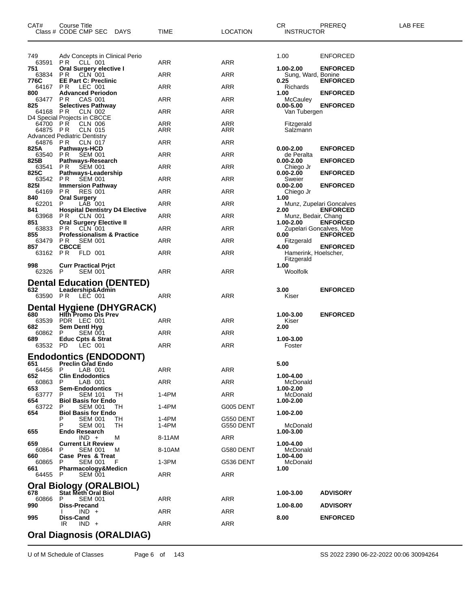| CAT#             | Course Title<br>Class # CODE CMP SEC DAYS                    | TIME    | <b>LOCATION</b> | CR.<br><b>INSTRUCTOR</b>           | PREREQ                                     | LAB FEE |
|------------------|--------------------------------------------------------------|---------|-----------------|------------------------------------|--------------------------------------------|---------|
|                  |                                                              |         |                 |                                    |                                            |         |
| 749<br>63591     | Adv Concepts in Clinical Perio<br><b>PR</b> CLL 001          | ARR     | <b>ARR</b>      | 1.00                               | <b>ENFORCED</b>                            |         |
| 751<br>63834     | Oral Surgery elective I<br><b>PR CLN 001</b>                 | ARR     | ARR             | 1.00-2.00<br>Sung, Ward, Bonine    | <b>ENFORCED</b>                            |         |
| 776C             | <b>EE Part C: Preclinic</b>                                  |         |                 | 0.25                               | <b>ENFORCED</b>                            |         |
| 64167 PR<br>800  | LEC 001<br><b>Advanced Periodon</b>                          | ARR     | ARR             | Richards<br>1.00                   | <b>ENFORCED</b>                            |         |
| 63477<br>825     | CAS 001<br>PR.<br><b>Selectives Pathway</b>                  | ARR     | ARR             | McCauley<br>$0.00 - 5.00$          | <b>ENFORCED</b>                            |         |
| 64168 PR         | <b>CLN 002</b><br>D4 Special Projects in CBCCE               | ARR     | ARR             | Van Tubergen                       |                                            |         |
| 64700 PR         | <b>CLN 006</b>                                               | ARR     | ARR             | Fitzgerald                         |                                            |         |
| 64875 PR         | <b>CLN 015</b><br><b>Advanced Pediatric Dentistry</b>        | ARR     | ARR             | Salzmann                           |                                            |         |
| 64876 PR<br>825A | <b>CLN 017</b><br>Pathways-HCD                               | ARR     | ARR             | $0.00 - 2.00$                      | <b>ENFORCED</b>                            |         |
| 63540 PR<br>825B | <b>SEM 001</b><br>Pathways-Research                          | ARR     | ARR             | de Peralta<br>$0.00 - 2.00$        | <b>ENFORCED</b>                            |         |
|                  | 63541 PR SEM 001                                             | ARR     | ARR             | Chiego Jr                          |                                            |         |
| 825C<br>63542 PR | Pathways-Leadership<br>SEM 001                               | ARR     | ARR             | $0.00 - 2.00$<br>Sweier            | <b>ENFORCED</b>                            |         |
| 8251<br>64169 PR | <b>Immersion Pathway</b><br><b>RES 001</b>                   | ARR     | ARR             | $0.00 - 2.00$<br>Chiego Jr         | <b>ENFORCED</b>                            |         |
| 840<br>62201     | <b>Oral Surgery</b><br>$LAB$ 001<br>P.                       | ARR     | ARR             | 1.00                               | Munz, Zupelari Goncalves                   |         |
| 841              | <b>Hospital Dentistry D4 Elective</b><br>63968 PR CLN 001    | ARR     | ARR             | 2.00<br>Munz, Bedair, Chang        | <b>ENFORCED</b>                            |         |
| 851              | <b>Oral Surgery Elective II</b>                              |         |                 | 1.00-2.00                          | <b>ENFORCED</b>                            |         |
| 63833<br>855     | CLN 001<br>PR.<br><b>Professionalism &amp; Practice</b>      | ARR     | ARR             | 0.00                               | Zupelari Goncalves, Moe<br><b>ENFORCED</b> |         |
| 63479<br>857     | <b>PR SEM 001</b><br><b>CBCCE</b>                            | ARR     | ARR             | Fitzgerald<br>4.00                 | <b>ENFORCED</b>                            |         |
| 63162 PR         | FLD 001                                                      | ARR     | ARR             | Hamerink, Hoelscher,<br>Fitzgerald |                                            |         |
| 998<br>62326 P   | <b>Curr Practical Prict</b><br><b>SEM 001</b>                | ARR     | ARR             | 1.00<br>Woolfolk                   |                                            |         |
|                  | <b>Dental Education (DENTED)</b>                             |         |                 |                                    |                                            |         |
| 632<br>63590 PR  | Leadership&Admin<br>LEC 001                                  | ARR     | ARR             | 3.00<br>Kiser                      | <b>ENFORCED</b>                            |         |
|                  | Dental Hygiene (DHYGRACK)                                    |         |                 |                                    |                                            |         |
| 680<br>63539     | <b>Hith Promo Dis Prev</b><br>PDR LEC 001                    | ARR     | ARR             | 1.00-3.00                          | <b>ENFORCED</b>                            |         |
| 682              | Sem Dentl Hyg                                                |         |                 | Kiser<br>2.00                      |                                            |         |
| 60862<br>689     | P<br><b>SEM 001</b><br>Educ Cpts & Strat                     | ARR     | ARR             | 1.00-3.00                          |                                            |         |
| 63532 PD         | LEC 001                                                      | ARR     | ARR             | Foster                             |                                            |         |
| 651              | <b>Endodontics (ENDODONT)</b><br><b>Preclin Grad Endo</b>    |         |                 | 5.00                               |                                            |         |
| 64456<br>652     | P<br>LAB 001                                                 | ARR     | ARR             |                                    |                                            |         |
| 60863            | <b>Clin Endodontics</b><br>Р<br>LAB 001                      | ARR     | ARR             | 1.00-4.00<br>McDonald              |                                            |         |
| 653<br>63777     | <b>Sem-Endodontics</b><br><b>SEM 101</b><br>TH.<br>Р         | 1-4PM   | ARR             | 1.00-2.00<br>McDonald              |                                            |         |
| 654<br>63722     | <b>Biol Basis for Endo</b><br><b>SEM 001</b><br>Р<br>TН      | 1-4PM   | G005 DENT       | 1.00-2.00                          |                                            |         |
| 654              | <b>Biol Basis for Endo</b><br><b>SEM 001</b><br>TН           | 1-4PM   | G550 DENT       | 1.00-2.00                          |                                            |         |
|                  | <b>SEM 001</b><br>TН                                         | 1-4PM   | G550 DENT       | McDonald                           |                                            |         |
| 655              | <b>Endo Research</b><br>IND +<br>м                           | 8-11AM  | ARR             | 1.00-3.00                          |                                            |         |
| 659<br>60864     | <b>Current Lit Review</b><br>Р<br>SEM 001<br>м               | 8-10AM  | G580 DENT       | 1.00-4.00<br>McDonald              |                                            |         |
| 660<br>60865     | Case Pres & Treat<br><b>SEM 001</b><br>P<br>F                | $1-3PM$ | G536 DENT       | 1.00-4.00<br>McDonald              |                                            |         |
| 661              | Pharmacology&Medicn                                          |         | ARR             | 1.00                               |                                            |         |
| 64455 P          | SEM 001                                                      | ARR     |                 |                                    |                                            |         |
| 678              | <b>Oral Biology (ORALBIOL)</b><br><b>Stat Meth Oral Biol</b> |         |                 | 1.00-3.00                          | <b>ADVISORY</b>                            |         |
| 60866<br>990     | P<br><b>SEM 001</b><br>Diss-Precand                          | ARR     | ARR             | 1.00-8.00                          | <b>ADVISORY</b>                            |         |
| 995              | IND +<br>Diss-Cand                                           | ARR     | ARR             | 8.00                               | <b>ENFORCED</b>                            |         |
|                  | $IND +$<br>IR                                                | ARR     | ARR             |                                    |                                            |         |
|                  | <b>Oral Diagnosis (ORALDIAG)</b>                             |         |                 |                                    |                                            |         |

U of M Schedule of Classes Page 6 of 143 SS 2022 2390 06-22-2022 00:06 30094264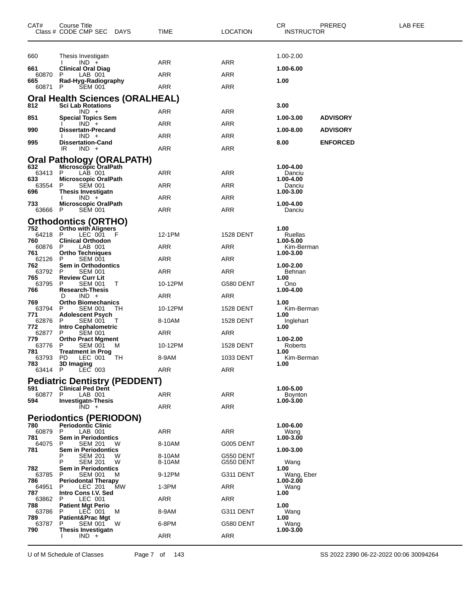| CAT#           | Course Title<br>Class # CODE CMP SEC DAYS                          | TIME             | LOCATION               | CR.<br>PREREQ<br><b>INSTRUCTOR</b> | LAB FEE |
|----------------|--------------------------------------------------------------------|------------------|------------------------|------------------------------------|---------|
| 660            | Thesis Investigatn                                                 |                  |                        | 1.00-2.00                          |         |
| 661            | $IND +$<br><b>Clinical Oral Diag</b>                               | <b>ARR</b>       | <b>ARR</b>             | 1.00-6.00                          |         |
| 60870<br>665   | P<br>LAB 001<br>Rad-Hyg-Radiography                                | ARR              | ARR                    | 1.00                               |         |
| 60871          | <b>SEM 001</b><br>P                                                | ARR              | ARR                    |                                    |         |
| 812            | <b>Oral Health Sciences (ORALHEAL)</b><br><b>Sci Lab Rotations</b> |                  |                        | 3.00                               |         |
|                | $IND +$                                                            | ARR              | ARR                    |                                    |         |
| 851            | <b>Special Topics Sem</b><br>$IND +$                               | ARR              | ARR                    | <b>ADVISORY</b><br>1.00-3.00       |         |
| 990            | <b>Dissertatn-Precand</b><br>$IND +$                               | ARR              | <b>ARR</b>             | <b>ADVISORY</b><br>1.00-8.00       |         |
| 995            | <b>Dissertation-Cand</b><br>IR<br>$IND +$                          | <b>ARR</b>       | ARR                    | 8.00<br><b>ENFORCED</b>            |         |
|                | Oral Pathology (ORALPATH)                                          |                  |                        |                                    |         |
| 632<br>63413   | <b>Microscopic OralPath</b><br>P<br>LAB 001                        | ARR              | <b>ARR</b>             | 1.00-4.00<br>Danciu                |         |
| 633            | <b>Microscopic OralPath</b>                                        |                  |                        | 1.00-4.00                          |         |
| 63554<br>696   | P<br><b>SEM 001</b><br>Thesis Investigatn                          | ARR              | ARR                    | Danciu<br>1.00-3.00                |         |
| 733            | $IND +$<br>Microscopic OralPath                                    | ARR              | ARR                    | 1.00-4.00                          |         |
| 63666          | P<br><b>SEM 001</b>                                                | ARR              | <b>ARR</b>             | Danciu                             |         |
| 752            | Orthodontics (ORTHO)<br><b>Ortho with Aligners</b>                 |                  |                        | 1.00                               |         |
| 64218 P        | LEC 001 F                                                          | 12-1PM           | <b>1528 DENT</b>       | Ruellas                            |         |
| 760<br>60876   | <b>Clinical Orthodon</b><br>P<br>LAB 001                           | ARR              | ARR                    | 1.00-5.00<br>Kim-Berman            |         |
| 761<br>62126   | <b>Ortho Techniques</b><br>P<br><b>SEM 001</b>                     | ARR              | ARR                    | 1.00-3.00                          |         |
| 762<br>63792   | <b>Sem in Orthodontics</b><br>P<br><b>SEM 001</b>                  | ARR              | ARR                    | 1.00-2.00<br>Behnan                |         |
| 765<br>63795   | <b>Review Curr Lit</b><br>Р<br><b>SEM 001</b><br>T                 | 10-12PM          | G580 DENT              | 1.00<br>Ono                        |         |
| 766            | <b>Research-Thesis</b><br>$IND +$<br>D                             | ARR              | ARR                    | 1.00-4.00                          |         |
| 769            | <b>Ortho Biomechanics</b>                                          |                  |                        | 1.00                               |         |
| 63794<br>771   | P<br><b>SEM 001</b><br>TH.<br><b>Adolescent Psych</b>              | 10-12PM          | 1528 DENT              | Kim-Berman<br>1.00                 |         |
| 62876<br>772   | <b>SEM 001</b><br>P<br>$\mathbf{I}$<br><b>Intro Cephalometric</b>  | 8-10AM           | 1528 DENT              | Inglehart<br>1.00                  |         |
| 62877<br>779   | P<br><b>SEM 001</b><br><b>Ortho Pract Mgment</b>                   | ARR              | ARR                    | 1.00-2.00                          |         |
| 63776<br>781   | P<br>SEM 001<br>M<br><b>Treatment in Prog</b>                      | 10-12PM          | 1528 DENT              | Roberts<br>1.00                    |         |
| 63793          | TH T<br>PD.<br>LEC 001                                             | 8-9AM            | 1033 DENT              | Kim-Berman                         |         |
| 783<br>63414 P | 3D Imaging<br>$LEC$ 003                                            | ARR              | ARR                    | 1.00                               |         |
|                | <b>Pediatric Dentistry (PEDDENT)</b>                               |                  |                        |                                    |         |
| 591<br>60877   | <b>Clinical Ped Dent</b><br>P<br>LAB 001                           | <b>ARR</b>       | ARR                    | 1.00-5.00<br><b>Boynton</b>        |         |
| 594            | <b>Investigatn-Thesis</b><br>$IND +$                               | <b>ARR</b>       | ARR                    | 1.00-3.00                          |         |
|                | <b>Periodontics (PERIODON)</b>                                     |                  |                        |                                    |         |
| 780<br>60879   | <b>Periodontic Clinic</b><br>P<br>LAB 001                          | <b>ARR</b>       | ARR                    | 1.00-6.00                          |         |
| 781            | <b>Sem in Periodontics</b>                                         |                  |                        | Wang<br>1.00-3.00                  |         |
| 64075<br>781   | P<br><b>SEM 201</b><br>w<br><b>Sem in Periodontics</b>             | 8-10AM           | G005 DENT              | 1.00-3.00                          |         |
|                | Р<br><b>SEM 201</b><br>w<br>Р<br><b>SEM 201</b><br>W               | 8-10AM<br>8-10AM | G550 DENT<br>G550 DENT | Wang                               |         |
| 782<br>63785   | <b>Sem in Periodontics</b><br>P<br><b>SEM 001</b><br>м             | 9-12PM           | G311 DENT              | 1.00<br>Wang, Eber                 |         |
| 786<br>64951   | <b>Periodontal Therapy</b><br>MW<br>P<br>LEC 201                   | $1-3PM$          | ARR                    | 1.00-2.00<br>Wang                  |         |
| 787            | Intro Cons I.V. Sed                                                |                  |                        | 1.00                               |         |
| 63862<br>788   | P<br>LEC 001<br><b>Patient Mgt Perio</b>                           | ARR              | ARR                    | 1.00                               |         |
| 63786<br>789   | LEC 001<br>P<br>м<br>Patient&Prac Mgt                              | 8-9AM            | G311 DENT              | Wang<br>1.00                       |         |
| 63787<br>790   | P<br>SEM 001<br>W<br>Thesis Investigatn                            | 6-8PM            | G580 DENT              | Wang<br>1.00-3.00                  |         |
|                | $IND +$                                                            | ARR              | ARR                    |                                    |         |
|                |                                                                    |                  |                        |                                    |         |

U of M Schedule of Classes Page 7 of 143 <br>SS 2022 2390 06-22-2022 00:06 30094264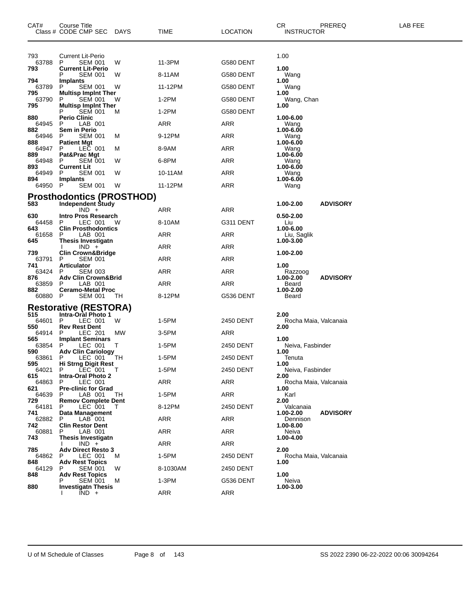| CAT#           | <b>Course Title</b><br>Class # CODE CMP SEC                  | DAYS   | TIME       | <b>LOCATION</b> | CR.<br><b>INSTRUCTOR</b>      | PREREQ          | LAB FEE |
|----------------|--------------------------------------------------------------|--------|------------|-----------------|-------------------------------|-----------------|---------|
| 793            | <b>Current Lit-Perio</b>                                     |        |            |                 | 1.00                          |                 |         |
| 63788<br>793   | P<br><b>SEM 001</b><br><b>Current Lit-Perio</b>              | W      | 11-3PM     | G580 DENT       | 1.00                          |                 |         |
| 794            | Р<br><b>SEM 001</b><br><b>Implants</b>                       | W      | 8-11AM     | G580 DENT       | Wang<br>1.00                  |                 |         |
| 63789          | P<br><b>SEM 001</b>                                          | W      | 11-12PM    | G580 DENT       | Wang                          |                 |         |
| 795<br>63790   | <b>Multisp Impint Ther</b><br>P<br><b>SEM 001</b>            | w      | $1-2PM$    | G580 DENT       | 1.00<br>Wang, Chan            |                 |         |
| 795            | <b>Multisp Implnt Ther</b><br><b>SEM 001</b><br>Р            | м      | 1-2PM      | G580 DENT       | 1.00                          |                 |         |
| 880<br>64945   | <b>Perio Clinic</b><br>LAB 001<br>P                          |        | ARR        | ARR             | 1.00-6.00<br>Wang             |                 |         |
| 882<br>64946   | Sem in Perio<br><b>SEM 001</b><br>P                          | м      | 9-12PM     | ARR             | 1.00-6.00<br>Wang             |                 |         |
| 888<br>64947   | <b>Patient Mgt</b><br>P<br>LEC 001                           | м      | 8-9AM      | ARR             | 1.00-6.00<br>Wang             |                 |         |
| 889<br>64948   | Pat&Prac Mgt<br>P<br><b>SEM 001</b>                          | W      | 6-8PM      | ARR             | 1.00-6.00<br>Wang             |                 |         |
| 893<br>64949   | <b>Current Lit</b><br><b>SEM 001</b><br>P                    | W      | 10-11AM    | ARR             | 1.00-6.00<br>Wang             |                 |         |
| 894            | <b>Implants</b>                                              |        | 11-12PM    |                 | 1.00-6.00                     |                 |         |
| 64950 P        | <b>SEM 001</b>                                               | W      |            | ARR             | Wang                          |                 |         |
| 583            | <b>Prosthodontics (PROSTHOD)</b><br><b>Independent Study</b> |        |            |                 | 1.00-2.00                     | <b>ADVISORY</b> |         |
| 630            | $IND +$<br>Intro Pros Research                               |        | ARR        | ARR             | 0.50-2.00                     |                 |         |
| 64458<br>643   | LEC 001<br>P<br><b>Clin Prosthodontics</b>                   | w      | 8-10AM     | G311 DENT       | Liu<br>1.00-6.00              |                 |         |
| 61658<br>645   | P<br>LAB 001<br>Thesis Investigatn                           |        | ARR        | ARR             | Liu, Saglik<br>1.00-3.00      |                 |         |
| 739            | $IND +$<br><b>Clin Crown&amp;Bridge</b>                      |        | ARR        | ARR             | 1.00-2.00                     |                 |         |
| 63791          | <b>SEM 001</b><br>P                                          |        | <b>ARR</b> | ARR             |                               |                 |         |
| 741<br>63424   | <b>Articulator</b><br><b>SEM 003</b><br>P                    |        | ARR        | ARR             | 1.00<br>Razzoog               |                 |         |
| 876<br>63859   | <b>Adv Clin Crown&amp;Brid</b><br>LAB 001<br>P               |        | ARR        | ARR             | 1.00-2.00<br>Beard            | <b>ADVISORY</b> |         |
| 882<br>60880 P | <b>Ceramo-Metal Proc</b><br><b>SEM 001</b>                   | TH     | 8-12PM     | G536 DENT       | 1.00-2.00<br>Beard            |                 |         |
|                | <b>Restorative (RESTORA)</b>                                 |        |            |                 |                               |                 |         |
| 515<br>64601   | <b>Intra-Oral Photo 1</b><br>LEC 001<br>P                    | W      | 1-5PM      | 2450 DENT       | 2.00<br>Rocha Maia, Valcanaia |                 |         |
| 550<br>64914   | <b>Rev Rest Dent</b><br>P<br>LEC 201                         | MW     | 3-5PM      | ARR             | 2.00                          |                 |         |
| 565<br>63854   | <b>Implant Seminars</b><br>P<br>LEC 001                      | Τ      | 1-5PM      | 2450 DENT       | 1.00<br>Neiva, Fasbinder      |                 |         |
| 590<br>63861   | <b>Adv Clin Cariology</b><br>P<br>LEC 001                    | TН     | 1-5PM      | 2450 DENT       | 1.00<br>Tenuta                |                 |         |
| 595            | <b>Hi Strng Digit Rest</b>                                   |        |            |                 | 1.00                          |                 |         |
| 64021<br>615   | P<br>LEC 001<br><b>Intra-Oral Photo 2</b>                    | $\top$ | 1-5PM      | 2450 DENT       | Neiva, Fasbinder<br>2.00      |                 |         |
| 64863<br>621   | P<br>LEC 001<br><b>Pre-clinic for Grad</b>                   |        | ARR        | ARR             | Rocha Maia, Valcanaia<br>1.00 |                 |         |
| 64639<br>729   | LAB 001<br>P<br><b>Remov Complete Dent</b>                   | TH     | 1-5PM      | ARR             | Karl<br>2.00                  |                 |         |
| 64181<br>741   | LEC 001<br>P<br>Data Management                              | T      | 8-12PM     | 2450 DENT       | Valcanaia<br>1.00-2.00        | <b>ADVISORY</b> |         |
| 62882<br>742   | $LAB$ 001<br>P<br><b>Clin Restor Dent</b>                    |        | ARR        | ARR             | Dennison<br>1.00-8.00         |                 |         |
| 60881<br>743   | LAB 001<br>P<br>Thesis Investigatn                           |        | ARR        | ARR             | Neiva<br>1.00-4.00            |                 |         |
|                | $IND +$                                                      |        | ARR        | <b>ARR</b>      |                               |                 |         |
| 785<br>64862   | <b>Adv Direct Resto 3</b><br>P<br>LEC 001                    | м      | 1-5PM      | 2450 DENT       | 2.00<br>Rocha Maia, Valcanaia |                 |         |
| 848<br>64129   | <b>Adv Rest Topics</b><br>SEM 001<br>P                       | W      | 8-1030AM   | 2450 DENT       | 1.00                          |                 |         |
| 848            | <b>Adv Rest Topics</b><br>SEM 001                            | M      | 1-3PM      | G536 DENT       | 1.00<br>Neiva                 |                 |         |
| 880            | <b>Investigatn Thesis</b><br>$IND +$                         |        | ARR        | <b>ARR</b>      | 1.00-3.00                     |                 |         |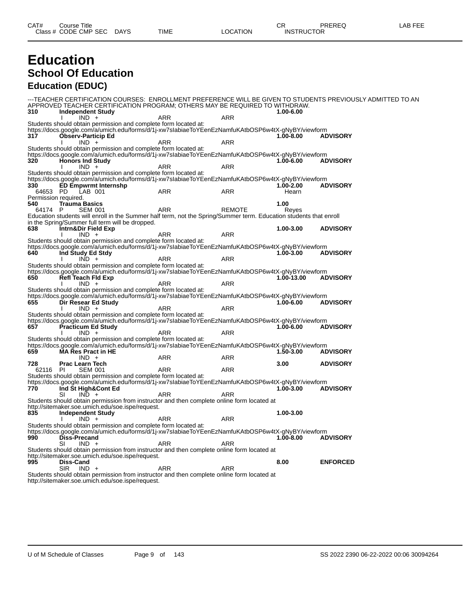### **Education School Of Education Education (EDUC)**

---TEACHER CERTIFICATION COURSES: ENROLLMENT PREFERENCE WILL BE GIVEN TO STUDENTS PREVIOUSLY ADMITTED TO AN APPROVED TEACHER CERTIFICATION PROGRAM; OTHERS MAY BE REQUIRED TO WITHDRAW.<br>310 Independent Study **310 Independent Study 1.00-6.00** I IND + ARR ARR ARR Students should obtain permission and complete form located at: https://docs.google.com/a/umich.edu/forms/d/1j-xw7sIabiaeToYEenEzNamfuKAtbOSP6w4tX-gNyBY/viewform **317 Observ-Particip Ed 1.00-8.00 ADVISORY** I IND + ARR ARR ARR Students should obtain permission and complete form located at: https://docs.google.com/a/umich.edu/forms/d/1j-xw7sIabiaeToYEenEzNamfuKAtbOSP6w4tX-gNyBY/viewform<br>320 **Honors Ind Study** (1.00-6.00 ADVISORY **320 Honors Ind Study 1.000 MB**<br>1.000 HOD + 6.000 ADRISORY I IND + ARR ARR ARR Students should obtain permission and complete form located at: https://docs.google.com/a/umich.edu/forms/d/1j-xw7sIabiaeToYEenEzNamfuKAtbOSP6w4tX-gNyBY/viewform **330 ED Empwrmt Internshp 1.00-2.00 ADVISORY** 64653 PD LAB 001 ARR ARR Hearn Permission required.<br>540 Trauma **540 Trauma Basics 1.00** 64174 P SEM 001 ARR REMOTE Reyes Education students will enroll in the Summer half term, not the Spring/Summer term. Education students that enroll in the Spring/Summer full term will be dropped.<br>638 **Intrn&Dir Field Exp 638 Intrn&Dir Field Exp 1.00-3.00 ADVISORY** I IND + ARR ARR ARR Students should obtain permission and complete form located at: https://docs.google.com/a/umich.edu/forms/d/1j-xw7sIabiaeToYEenEzNamfuKAtbOSP6w4tX-gNyBY/viewform **640 Ind Study Ed Stdy 1.00-3.00 ADVISORY** I IND + ARR ARR ARR Students should obtain permission and complete form located at: https://docs.google.com/a/umich.edu/forms/d/1j-xw7sIabiaeToYEenEzNamfuKAtbOSP6w4tX-gNyBY/viewform **650 Refl Teach Fld Exp 1.00-13.00 ADVISORY**  $IND +$  ARR ARR Students should obtain permission and complete form located at: https://docs.google.com/a/umich.edu/forms/d/1j-xw7sIabiaeToYEenEzNamfuKAtbOSP6w4tX-gNyBY/viewform<br>655 Dir Resear Ed Study **655 Dir Resear Ed Study 1.00-6.00 ADVISORY** I IND + ARR ARR ARR Students should obtain permission and complete form located at: https://docs.google.com/a/umich.edu/forms/d/1j-xw7slabiaeToYEenEzNamfuKAtbOSP6w4tX-gNyBY/viewform<br>657 Practicum Ed Study **Fracticum Ed Study 1.0000** *ADVISORY* **1.000 ADVISORY ADVISORY** I IND + ARR ARR ARR Students should obtain permission and complete form located at: https://docs.google.com/a/umich.edu/forms/d/1j-xw7sIabiaeToYEenEzNamfuKAtbOSP6w4tX-gNyBY/viewform **659 MA Res Pract in HE 1.50-3.00 ADVISORY**  $IND + ARR$  ARR ARR **728 Prac Learn Tech 3.00 ADVISORY** 62116 PI SEM 001 ARR ARR Students should obtain permission and complete form located at: https://docs.google.com/a/umich.edu/forms/d/1j-xw7sIabiaeToYEenEzNamfuKAtbOSP6w4tX-gNyBY/viewform **770 Ind St High&Cont Ed 1.00-3.00 ADVISORY** SI IND + ARR ARR ARR Students should obtain permission from instructor and then complete online form located at http://sitemaker.soe.umich.edu/soe.ispe/request. **835 Independent Study 1.00-3.00** I IND + ARR ARR ARR Students should obtain permission and complete form located at: https://docs.google.com/a/umich.edu/forms/d/1j-xw7sIabiaeToYEenEzNamfuKAtbOSP6w4tX-gNyBY/viewform **9 Diss-Precand 1.000 ADVISORY**<br> **1.000 ADVISORY**<br> **1.000 ADVISORY** SI IND + ARR ARR ARR Students should obtain permission from instructor and then complete online form located at http://sitemaker.soe.umich.edu/soe.ispe/request.<br>995 **Diss-Cand 995 Diss-Cand 8.00 ENFORCED** SIR IND + ARR ARR ARR Students should obtain permission from instructor and then complete online form located at

http://sitemaker.soe.umich.edu/soe.ispe/request.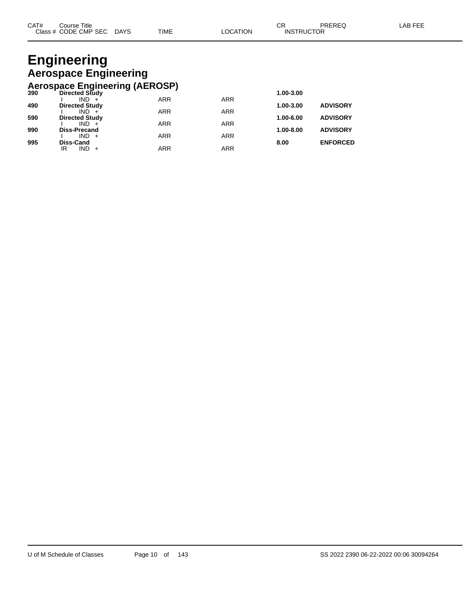#### **Engineering Aerospace Engineering Aerospace Engineering (AEROSP)**

| 390 | Directed Study        |            |            | 1.00-3.00 |                 |
|-----|-----------------------|------------|------------|-----------|-----------------|
|     | $IND +$               | <b>ARR</b> | <b>ARR</b> |           |                 |
| 490 | <b>Directed Study</b> |            |            | 1.00-3.00 | <b>ADVISORY</b> |
|     | $IND +$               | <b>ARR</b> | <b>ARR</b> |           |                 |
| 590 | <b>Directed Study</b> |            |            | 1.00-6.00 | <b>ADVISORY</b> |
|     | $IND +$               | <b>ARR</b> | <b>ARR</b> |           |                 |
| 990 | <b>Diss-Precand</b>   |            |            | 1.00-8.00 | <b>ADVISORY</b> |
|     | $IND +$               | <b>ARR</b> | <b>ARR</b> |           |                 |
| 995 | <b>Diss-Cand</b>      |            |            | 8.00      | <b>ENFORCED</b> |
|     | $IND +$<br>IR         | ARR        | <b>ARR</b> |           |                 |
|     |                       |            |            |           |                 |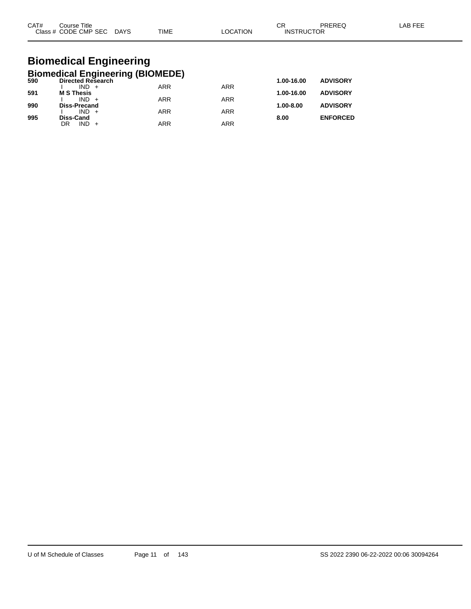| CAT#<br>C <sub>base</sub> | Title<br>Course<br>CODE CMP SEC<br>__ | <b>DAYS</b><br>$\sim$ | <b>TIME</b> | ΙOΝ | ⌒г<br>◡<br><b>CTOR</b><br>INS<br>ווקד | _____ |  |
|---------------------------|---------------------------------------|-----------------------|-------------|-----|---------------------------------------|-------|--|
|                           |                                       |                       |             |     |                                       |       |  |

#### **Biomedical Engineering Biomedical Engineering (BIOMEDE)**

| 590 | <b>Directed Research</b> |            |            | 1.00-16.00    | <b>ADVISORY</b> |
|-----|--------------------------|------------|------------|---------------|-----------------|
|     | $IND +$                  | <b>ARR</b> | <b>ARR</b> |               |                 |
| 591 | <b>M S Thesis</b>        |            |            | 1.00-16.00    | <b>ADVISORY</b> |
|     | $IND +$                  | <b>ARR</b> | <b>ARR</b> |               |                 |
| 990 | <b>Diss-Precand</b>      |            |            | $1.00 - 8.00$ | <b>ADVISORY</b> |
|     | $IND +$                  | <b>ARR</b> | <b>ARR</b> |               |                 |
| 995 | Diss-Cand                |            |            | 8.00          | <b>ENFORCED</b> |
|     | $IND +$<br>DR            | <b>ARR</b> | ARR        |               |                 |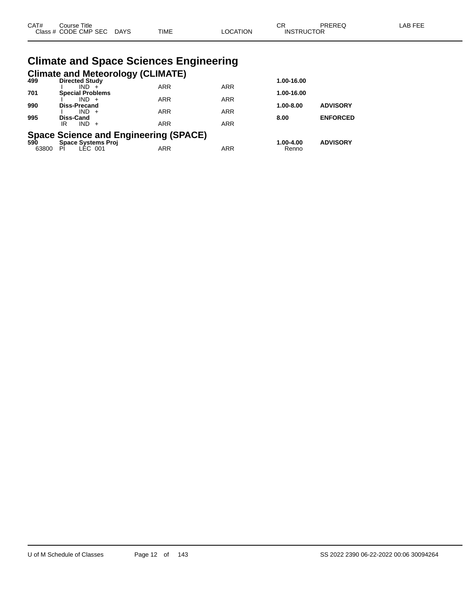| CAT# | Course Title<br>Class # CODE CMP SEC DAYS | <b>TIME</b>                                   | <b>LOCATION</b> | CR<br><b>INSTRUCTOR</b> | <b>PREREQ</b>   | <b>LAB FEE</b> |
|------|-------------------------------------------|-----------------------------------------------|-----------------|-------------------------|-----------------|----------------|
|      |                                           | <b>Climate and Space Sciences Engineering</b> |                 |                         |                 |                |
| 499  | <b>Directed Study</b>                     | <b>Climate and Meteorology (CLIMATE)</b>      |                 | 1.00-16.00              |                 |                |
| 701  | $IND +$<br><b>Special Problems</b>        | <b>ARR</b>                                    | <b>ARR</b>      | 1.00-16.00              |                 |                |
| 990  | $IND +$<br>Diss-Precand                   | <b>ARR</b>                                    | <b>ARR</b>      | $1.00 - 8.00$           | <b>ADVISORY</b> |                |
| 995  | $IND +$<br>Diss-Cand                      | <b>ARR</b>                                    | <b>ARR</b>      | 8.00                    | <b>ENFORCED</b> |                |
|      | $IND +$<br>IR                             | <b>ARR</b>                                    | <b>ARR</b>      |                         |                 |                |
| 590  | <b>Space Systems Proj</b>                 | <b>Space Science and Engineering (SPACE)</b>  |                 | 1.00-4.00               | <b>ADVISORY</b> |                |

63800 PI LEC 001 ARR ARR Renno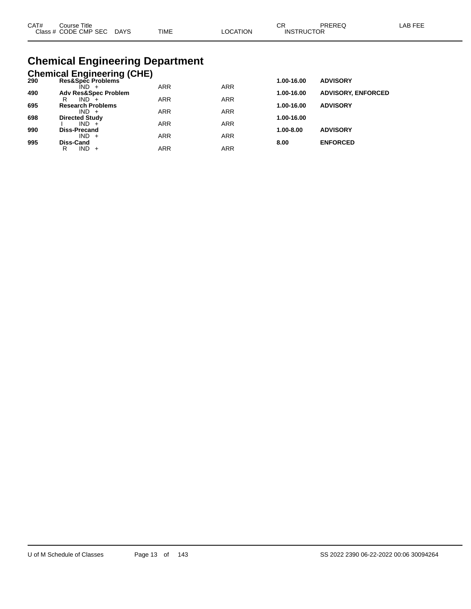| CAT# | Course Title              |             |          | ∩⊓                | PREREQ | LAB FEE |
|------|---------------------------|-------------|----------|-------------------|--------|---------|
|      | Class # CODE CMP SEC DAYS | <b>TIME</b> | ∟OCATION | <b>INSTRUCTOR</b> |        |         |

# **Chemical Engineering Department**

|     | <b>Chemical Engineering (CHE)</b>   |            |            |            |                           |
|-----|-------------------------------------|------------|------------|------------|---------------------------|
| 290 | Res&Spec Problems                   |            |            | 1.00-16.00 | <b>ADVISORY</b>           |
|     | ÎND -                               | <b>ARR</b> | <b>ARR</b> |            |                           |
| 490 | <b>Adv Res&amp;Spec Problem</b>     |            |            | 1.00-16.00 | <b>ADVISORY, ENFORCED</b> |
|     | $IND +$<br>R                        | <b>ARR</b> | <b>ARR</b> |            |                           |
| 695 | <b>Research Problems</b><br>$IND +$ | <b>ARR</b> | <b>ARR</b> | 1.00-16.00 | <b>ADVISORY</b>           |
| 698 | <b>Directed Study</b>               |            |            | 1.00-16.00 |                           |
|     | $IND +$                             | <b>ARR</b> | <b>ARR</b> |            |                           |
| 990 | <b>Diss-Precand</b>                 |            |            | 1.00-8.00  | <b>ADVISORY</b>           |
|     | $IND +$                             | <b>ARR</b> | <b>ARR</b> |            |                           |
| 995 | Diss-Cand                           |            |            | 8.00       | <b>ENFORCED</b>           |
|     | IND.<br>R<br>$+$                    | ARR        | <b>ARR</b> |            |                           |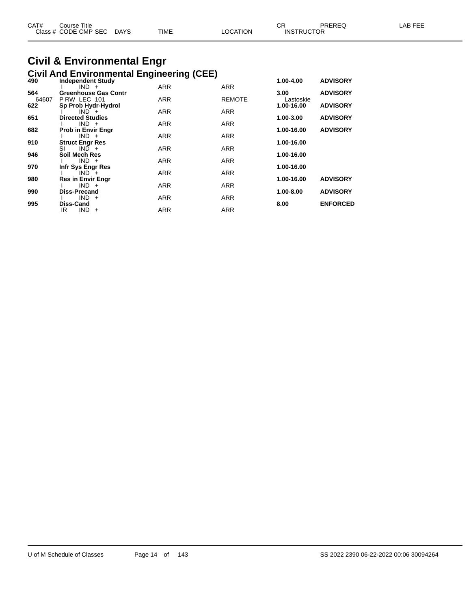| CAT# | Course Title              |             |                 | ∼⊳                | PREREQ | LAB FEE |
|------|---------------------------|-------------|-----------------|-------------------|--------|---------|
|      | Class # CODE CMP SEC DAYS | <b>TIME</b> | <b>LOCATION</b> | <b>INSTRUCTOR</b> |        |         |
|      |                           |             |                 |                   |        |         |

#### **Civil & Environmental Engr Civil And Environmental Engineering (CEE)**

| 490   | <b>Independent Study</b>  | ັ່         | ,             | 1.00-4.00         | <b>ADVISORY</b> |
|-------|---------------------------|------------|---------------|-------------------|-----------------|
|       | $IND +$                   | <b>ARR</b> | <b>ARR</b>    |                   |                 |
| 564   | Greenhouse Gas Contr      |            |               | 3.00 <sub>1</sub> | <b>ADVISORY</b> |
| 64607 | P RW LEC 101              | <b>ARR</b> | <b>REMOTE</b> | Lastoskie         |                 |
| 622   | Sp Prob Hydr-Hydrol       |            |               | 1.00-16.00        | <b>ADVISORY</b> |
|       | $IND +$                   | <b>ARR</b> | <b>ARR</b>    |                   |                 |
| 651   | <b>Directed Studies</b>   |            |               | 1.00-3.00         | <b>ADVISORY</b> |
|       | $IND +$                   | <b>ARR</b> | <b>ARR</b>    |                   |                 |
| 682   | <b>Prob in Envir Engr</b> |            |               | 1.00-16.00        | <b>ADVISORY</b> |
|       | $IND +$                   | <b>ARR</b> | <b>ARR</b>    |                   |                 |
| 910   | <b>Struct Engr Res</b>    |            |               | 1.00-16.00        |                 |
|       | SI<br>$IND +$             | <b>ARR</b> | <b>ARR</b>    |                   |                 |
| 946   | Soil Mech Res             |            |               | 1.00-16.00        |                 |
|       | $IND +$                   | <b>ARR</b> | <b>ARR</b>    |                   |                 |
| 970   | Infr Sys Engr Res         |            |               | 1.00-16.00        |                 |
|       | $IND +$                   | <b>ARR</b> | <b>ARR</b>    |                   |                 |
| 980   | <b>Res in Envir Engr</b>  |            |               | 1.00-16.00        | <b>ADVISORY</b> |
|       | $IND +$                   | <b>ARR</b> | <b>ARR</b>    |                   |                 |
| 990   | Diss-Precand              |            |               | 1.00-8.00         | <b>ADVISORY</b> |
|       | $IND +$                   | <b>ARR</b> | <b>ARR</b>    |                   |                 |
| 995   | Diss-Cand                 |            |               | 8.00              | <b>ENFORCED</b> |
|       | IR<br>$IND +$             | <b>ARR</b> | <b>ARR</b>    |                   |                 |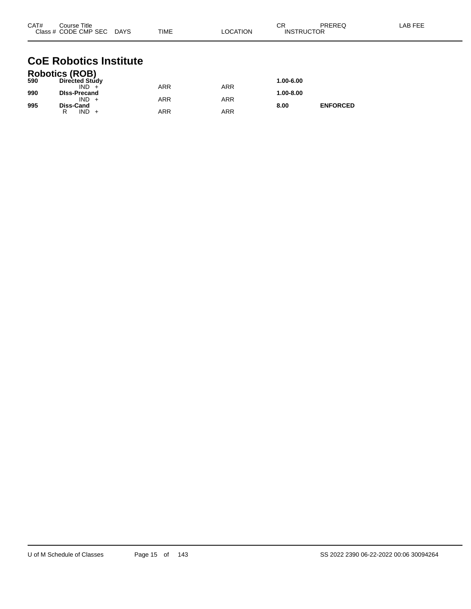| CAT# | Course Title<br>Class # CODE CMP SEC DAYS | TIME       | <b>LOCATION</b> | CR<br><b>INSTRUCTOR</b> | PREREQ          | LAB FEE |
|------|-------------------------------------------|------------|-----------------|-------------------------|-----------------|---------|
|      | <b>CoE Robotics Institute</b>             |            |                 |                         |                 |         |
| 590  | Robotics (ROB)<br>Directed Study          |            |                 | 1.00-6.00               |                 |         |
|      | $IND +$                                   | <b>ARR</b> | <b>ARR</b>      |                         |                 |         |
| 990  | <b>DIss-Precand</b>                       |            |                 | 1.00-8.00               |                 |         |
| 995  | $IND +$<br>Diss-Cand                      | <b>ARR</b> | <b>ARR</b>      | 8.00                    | <b>ENFORCED</b> |         |

R IND + ARR ARR ARR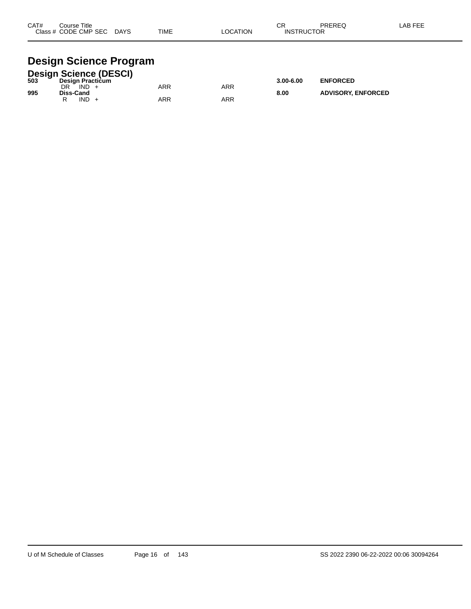| CAT# | Course Title<br>Class # CODE CMP SEC | <b>DAYS</b> | <b>TIME</b> | <b>LOCATION</b> | СR<br><b>INSTRUCTOR</b> | PREREQ | LAB FEE |
|------|--------------------------------------|-------------|-------------|-----------------|-------------------------|--------|---------|
|      |                                      |             |             |                 |                         |        |         |

### **Design Science Program**

|     |                         |      | <b>Design Science (DESCI)</b> |     |     |               |                           |
|-----|-------------------------|------|-------------------------------|-----|-----|---------------|---------------------------|
| 503 | <b>Design Practicum</b> |      |                               |     |     | $3.00 - 6.00$ | <b>ENFORCED</b>           |
|     | DR                      | IND  |                               | ARR | ARR |               |                           |
| 995 | Diss-Cand               | IND. |                               | ARR | ARR | 8.00          | <b>ADVISORY, ENFORCED</b> |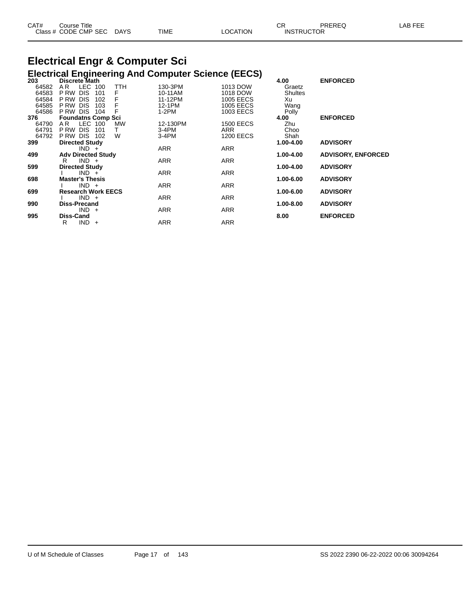| CAT# | ourse Titleٽ         |             |             |                | ົ<br>◡            | PREREC | AB FFF |
|------|----------------------|-------------|-------------|----------------|-------------------|--------|--------|
|      | Class # CODE CMP SEC | <b>DAYS</b> | <b>TIME</b> | <b>OCATION</b> | <b>INSTRUCTOR</b> |        |        |

#### **Electrical Engr & Computer Sci Electrical Engineering And Computer Science (EECS)**

| 203   | Discrete Math                        |     |            | ,                | 4.00           | <b>ENFORCED</b>           |
|-------|--------------------------------------|-----|------------|------------------|----------------|---------------------------|
| 64582 | LEC.<br>AR.<br>100                   | TTH | 130-3PM    | 1013 DOW         | Graetz         |                           |
| 64583 | <b>DIS</b><br>P RW<br>101            | F   | 10-11AM    | 1018 DOW         | <b>Shultes</b> |                           |
| 64584 | P RW<br><b>DIS</b><br>102            |     | 11-12PM    | <b>1005 EECS</b> | Xu             |                           |
| 64585 | P RW<br><b>DIS</b><br>103            |     | 12-1PM     | 1005 EECS        | Wang           |                           |
| 64586 | P RW DIS<br>104                      |     | $1-2PM$    | 1003 EECS        | Polly          |                           |
| 376   | <b>Foundatns Comp Sci</b>            |     |            |                  | 4.00           | <b>ENFORCED</b>           |
| 64790 | LEC 100<br>A R                       | MW  | 12-130PM   | <b>1500 EECS</b> | Zhu            |                           |
| 64791 | <b>DIS</b><br>P RW<br>101            | T.  | $3-4PM$    | ARR              | Choo           |                           |
| 64792 | PRW DIS<br>102                       | W   | $3-4PM$    | 1200 EECS        | Shah           |                           |
| 399   | <b>Directed Study</b>                |     |            |                  | 1.00-4.00      | <b>ADVISORY</b>           |
|       | $IND +$                              |     | <b>ARR</b> | <b>ARR</b>       |                |                           |
| 499   | <b>Adv Directed Study</b>            |     |            |                  | 1.00-4.00      | <b>ADVISORY, ENFORCED</b> |
|       | $IND +$<br>R                         |     | <b>ARR</b> | <b>ARR</b>       |                |                           |
| 599   | <b>Directed Study</b>                |     |            |                  | 1.00-4.00      | <b>ADVISORY</b>           |
|       | $IND +$                              |     | ARR        | ARR              |                |                           |
| 698   | <b>Master's Thesis</b>               |     |            |                  | 1.00-6.00      | <b>ADVISORY</b>           |
|       | $IND +$                              |     | ARR        | ARR              |                |                           |
| 699   | <b>Research Work EECS</b><br>$IND +$ |     | <b>ARR</b> |                  | 1.00-6.00      | <b>ADVISORY</b>           |
|       |                                      |     |            | ARR              |                |                           |
| 990   | <b>Diss-Precand</b><br>$IND +$       |     | ARR        | ARR              | 1.00-8.00      | <b>ADVISORY</b>           |
| 995   | <b>Diss-Cand</b>                     |     |            |                  | 8.00           | <b>ENFORCED</b>           |
|       | $IND +$<br>R                         |     | <b>ARR</b> | <b>ARR</b>       |                |                           |
|       |                                      |     |            |                  |                |                           |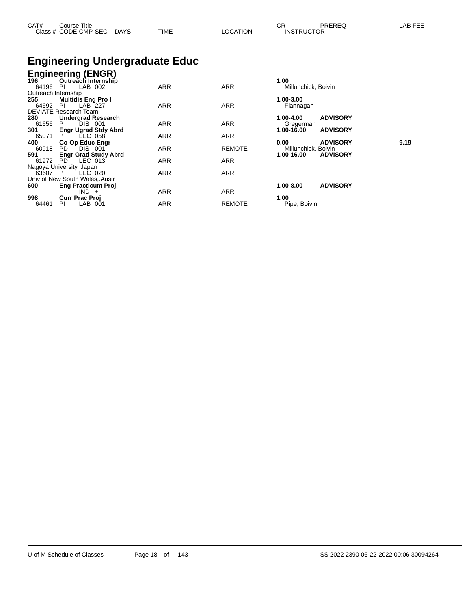| CAT#<br>Title<br>Course<br>CODE<br>Class | <b>CMP SEC</b><br>DAYS<br>__<br>$\sim$ | <b>TIME</b> | <b>OCATION</b> | ∼⊏<br>◡⊓<br>ାN.ି | <b>DDEDEC</b><br>ں ∟د،<br><b>JCTOR</b> | ----<br>$\sim$<br>LAE<br>---<br>-- |
|------------------------------------------|----------------------------------------|-------------|----------------|------------------|----------------------------------------|------------------------------------|
|                                          |                                        |             |                |                  |                                        |                                    |

# **Engineering Undergraduate Educ**

|                     | <b>Engineering (ENGR)</b>      |            |               |                               |      |
|---------------------|--------------------------------|------------|---------------|-------------------------------|------|
| 196                 | Outreach Internship            |            |               | 1.00                          |      |
| 64196               | LAB 002<br>-PI                 | <b>ARR</b> | <b>ARR</b>    | Millunchick, Boivin           |      |
| Outreach Internship |                                |            |               |                               |      |
| 255                 | <b>Multidis Eng Pro I</b>      |            |               | 1.00-3.00                     |      |
| 64692               | LAB 227<br><b>PI</b>           | ARR        | <b>ARR</b>    | Flannagan                     |      |
|                     | DEVIATE Research Team          |            |               |                               |      |
| 280                 | <b>Undergrad Research</b>      |            |               | <b>ADVISORY</b><br>1.00-4.00  |      |
| 61656               | P.<br>DIS 001                  | ARR        | <b>ARR</b>    | Gregerman                     |      |
| 301                 | <b>Engr Ugrad Stdy Abrd</b>    |            |               | <b>ADVISORY</b><br>1.00-16.00 |      |
| 65071               | $LEC$ 058<br>P.                | <b>ARR</b> | <b>ARR</b>    |                               |      |
| 400                 | <b>Co-Op Educ Engr</b>         |            |               | <b>ADVISORY</b><br>0.00       | 9.19 |
| 60918               | <b>DIS 001</b><br>PD.          | <b>ARR</b> | <b>REMOTE</b> | Millunchick, Boivin           |      |
| 591                 | <b>Engr Grad Study Abrd</b>    |            |               | 1.00-16.00<br><b>ADVISORY</b> |      |
| 61972               | $LEC$ 013<br>PD                | <b>ARR</b> | <b>ARR</b>    |                               |      |
|                     | Nagoya University, Japan       |            |               |                               |      |
| 63607 P             | LEC 020                        | <b>ARR</b> | <b>ARR</b>    |                               |      |
|                     | Univ of New South Wales, Austr |            |               |                               |      |
| 600                 | <b>Eng Practicum Proj</b>      |            |               | <b>ADVISORY</b><br>1.00-8.00  |      |
|                     | $IND +$                        | <b>ARR</b> | <b>ARR</b>    |                               |      |
| 998                 | <b>Curr Prac Proj</b>          |            |               | 1.00                          |      |
| 64461               | LAB 001<br><b>PI</b>           | <b>ARR</b> | <b>REMOTE</b> | Pipe, Boivin                  |      |
|                     |                                |            |               |                               |      |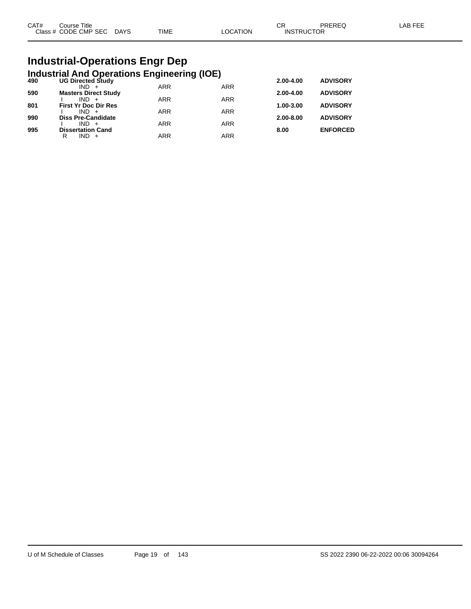| CAT# | Course Title              |      |          | rπ<br>∪N.         | PREREQ | _AB FEE |
|------|---------------------------|------|----------|-------------------|--------|---------|
|      | Class # CODE CMP SEC DAYS | TIME | LOCATION | <b>INSTRUCTOR</b> |        |         |

# **Industrial-Operations Engr Dep**

|     | <b>Industrial And Operations Engineering (IOE)</b> |            |            |           |                 |
|-----|----------------------------------------------------|------------|------------|-----------|-----------------|
| 490 | <b>UG Directed Study</b>                           |            |            | 2.00-4.00 | <b>ADVISORY</b> |
| 590 | $IND +$<br><b>Masters Direct Study</b>             | <b>ARR</b> | <b>ARR</b> | 2.00-4.00 | <b>ADVISORY</b> |
|     | $IND +$                                            | <b>ARR</b> | <b>ARR</b> |           |                 |
| 801 | <b>First Yr Doc Dir Res</b>                        |            |            | 1.00-3.00 | <b>ADVISORY</b> |
| 990 | $IND +$<br><b>Diss Pre-Candidate</b>               | <b>ARR</b> | <b>ARR</b> | 2.00-8.00 | <b>ADVISORY</b> |
|     | $IND +$                                            | <b>ARR</b> | <b>ARR</b> |           |                 |
| 995 | <b>Dissertation Cand</b>                           |            |            | 8.00      | <b>ENFORCED</b> |
|     | $IND +$<br>R                                       | ARR        | <b>ARR</b> |           |                 |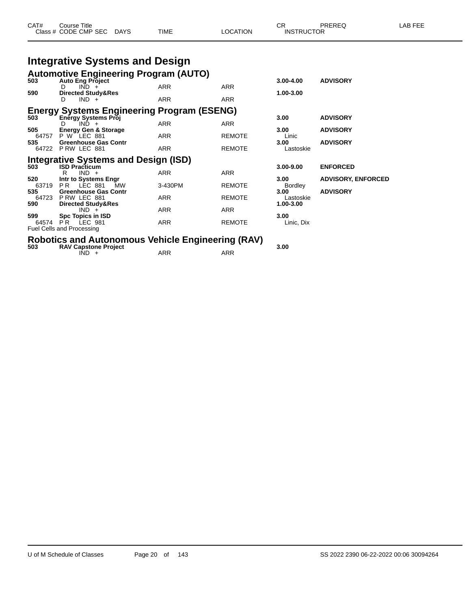| CAT#<br>$\sim$<br>ה הו' | Title<br>∶ourse<br>CMP<br><b>SEC</b><br>DF.<br>$ -$ | <b>DAYS</b><br>$\sim$ | <b>TIME</b> |  | INS<br>- | TOR<br>___ |  |
|-------------------------|-----------------------------------------------------|-----------------------|-------------|--|----------|------------|--|
|-------------------------|-----------------------------------------------------|-----------------------|-------------|--|----------|------------|--|

# **Integrative Systems and Design**

| 503          | <b>Automotive Engineering Program (AUTO)</b>        |                            |               | $3.00 - 4.00$          | <b>ADVISORY</b>           |
|--------------|-----------------------------------------------------|----------------------------|---------------|------------------------|---------------------------|
|              | <b>Auto Eng Project</b><br>$IND +$<br>D.            | <b>ARR</b>                 | <b>ARR</b>    |                        |                           |
| 590          | <b>Directed Study&amp;Res</b><br>$IND +$<br>D.      | <b>ARR</b>                 | <b>ARR</b>    | 1.00-3.00              |                           |
|              | <b>Energy Systems Engineering Program (ESENG)</b>   |                            |               |                        |                           |
| 503          | Energy Systems Proj<br>$IND +$<br>D.                | <b>ARR</b>                 | ARR           | 3.00                   | <b>ADVISORY</b>           |
| 505          | <b>Energy Gen &amp; Storage</b>                     |                            |               | 3.00                   | <b>ADVISORY</b>           |
| 64757<br>535 | P W LEC 881<br><b>Greenhouse Gas Contr</b>          | <b>ARR</b>                 | <b>REMOTE</b> | Linic<br>3.00          | <b>ADVISORY</b>           |
|              | 64722 P RW LEC 881                                  | <b>ARR</b>                 | <b>REMOTE</b> | Lastoskie              |                           |
|              | <b>Integrative Systems and Design (ISD)</b>         |                            |               |                        |                           |
| 503          | <b>ISD Practicum</b><br>$IND +$<br>R                | <b>ARR</b>                 | <b>ARR</b>    | 3.00-9.00              | <b>ENFORCED</b>           |
| 520          | Intr to Systems Engr                                |                            |               | 3.00                   | <b>ADVISORY, ENFORCED</b> |
| 63719<br>535 | LEC 881<br>PR.<br>МW<br><b>Greenhouse Gas Contr</b> | 3-430PM                    | <b>REMOTE</b> | <b>Bordley</b><br>3.00 | <b>ADVISORY</b>           |
| 64723        | PRW LEC 881                                         | <b>ARR</b>                 | <b>REMOTE</b> | Lastoskie              |                           |
| 590          | <b>Directed Study&amp;Res</b><br>$IND +$            | <b>ARR</b>                 | <b>ARR</b>    | 1.00-3.00              |                           |
| 599          | Spc Topics in ISD                                   |                            |               | 3.00                   |                           |
| 64574        | <b>PR LEC 981</b><br>Fuel Cells and Processing      | <b>ARR</b>                 | <b>REMOTE</b> | Linic, Dix             |                           |
|              | Delettee en 1 Autonomoni                            | . Valiata Espinario e GAVA |               |                        |                           |

# **Robotics and Autonomous Vehicle Engineering (RAV) 503 RAV Capstone Project 3.00**

| 503 | <b>RAV Capstone Project</b> |     |     |
|-----|-----------------------------|-----|-----|
|     | IND.                        | ARR | ARR |
|     |                             |     |     |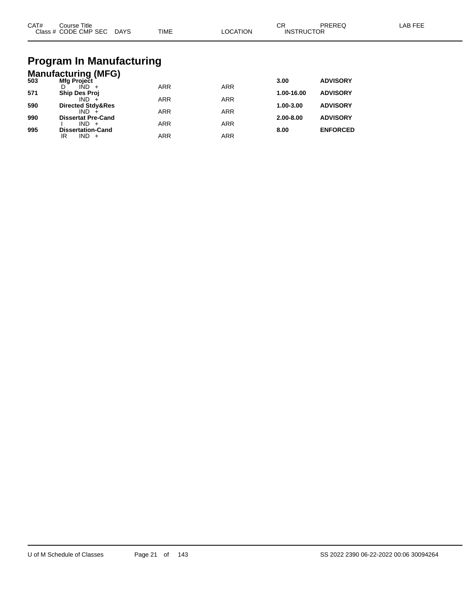| CAT#<br>Course Title<br>Class # CODE CMP SEC DAYS | TIME | LOCATION | СR<br>PREREQ<br><b>INSTRUCTOR</b> | ∟AB FEE |
|---------------------------------------------------|------|----------|-----------------------------------|---------|
| <b>Drogram In Manufacturing</b>                   |      |          |                                   |         |

#### **Program In Manufacturing Manufacturing (MFG)**

| Mfg Project               |                              |                          | 3.00              | <b>ADVISORY</b> |
|---------------------------|------------------------------|--------------------------|-------------------|-----------------|
| $IND +$                   | <b>ARR</b>                   | <b>ARR</b>               |                   |                 |
| <b>Ship Des Proj</b>      |                              |                          | 1.00-16.00        | <b>ADVISORY</b> |
| $IND +$                   |                              |                          |                   |                 |
|                           |                              |                          |                   | <b>ADVISORY</b> |
| $IND +$                   |                              |                          |                   |                 |
| <b>Dissertat Pre-Cand</b> |                              |                          | 2.00-8.00         | <b>ADVISORY</b> |
| $IND +$                   | <b>ARR</b>                   | ARR                      |                   |                 |
| <b>Dissertation-Cand</b>  |                              |                          | 8.00              | <b>ENFORCED</b> |
| IND.<br>IR                | ARR                          | ARR                      |                   |                 |
|                           | <b>Directed Stdy&amp;Res</b> | <b>ARR</b><br><b>ARR</b> | <b>ARR</b><br>ARR | 1.00-3.00       |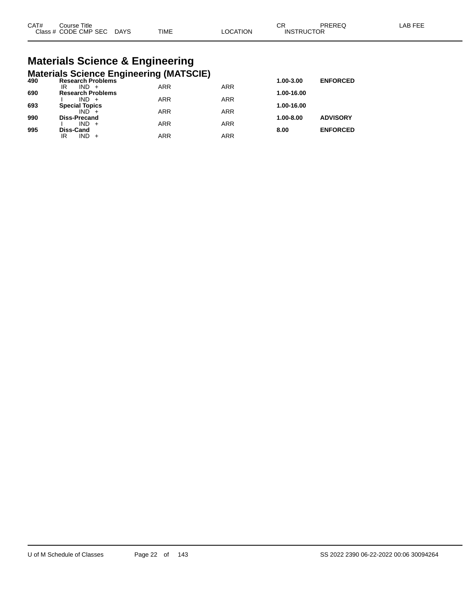# **Materials Science & Engineering**

|     | <b>Materials Science Engineering (MATSCIE)</b> |            |            |            |                 |
|-----|------------------------------------------------|------------|------------|------------|-----------------|
| 490 | <b>Research Problems</b>                       |            |            | 1.00-3.00  | <b>ENFORCED</b> |
| 690 | $IND +$<br>IR<br><b>Research Problems</b>      | <b>ARR</b> | <b>ARR</b> | 1.00-16.00 |                 |
|     | $IND +$                                        | <b>ARR</b> | <b>ARR</b> |            |                 |
| 693 | <b>Special Topics</b><br>$IND +$               | <b>ARR</b> | <b>ARR</b> | 1.00-16.00 |                 |
| 990 | <b>Diss-Precand</b>                            |            |            | 1.00-8.00  | <b>ADVISORY</b> |
|     | $IND +$                                        | <b>ARR</b> | <b>ARR</b> |            |                 |
| 995 | <b>Diss-Cand</b><br>$IND +$<br>IR              | ARR        | <b>ARR</b> | 8.00       | <b>ENFORCED</b> |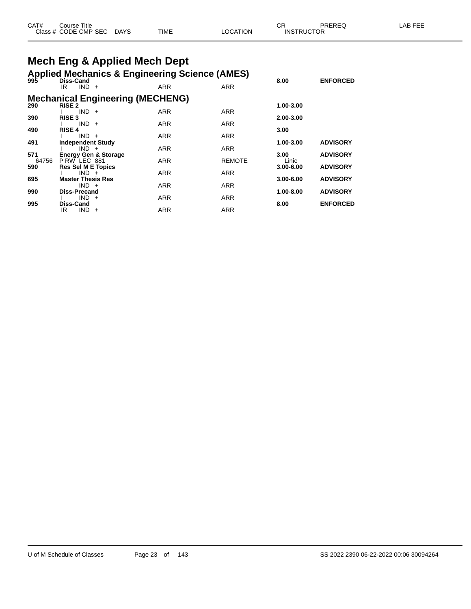| CAT# | Title<br>ڪourse      |             |             |          | СF                | PREREQ | AB FFF |
|------|----------------------|-------------|-------------|----------|-------------------|--------|--------|
|      | Class # CODE CMP SEC | <b>DAYS</b> | <b>TIME</b> | _OCATION | <b>INSTRUCTOR</b> |        |        |

# **Mech Eng & Applied Mech Dept**

#### **Applied Mechanics & Engineering Science (AMES)**

| 995          | <b>Diss-Cand</b>                                         |            |               | 8.00                   | <b>ENFORCED</b> |
|--------------|----------------------------------------------------------|------------|---------------|------------------------|-----------------|
|              | $IND +$<br>IR                                            | <b>ARR</b> | <b>ARR</b>    |                        |                 |
| 290          | <b>Mechanical Engineering (MECHENG)</b><br><b>RISE 2</b> |            |               | 1.00-3.00              |                 |
|              | $IND +$                                                  | <b>ARR</b> | <b>ARR</b>    |                        |                 |
| 390          | <b>RISE 3</b><br>$IND +$                                 | <b>ARR</b> | <b>ARR</b>    | 2.00-3.00              |                 |
| 490          | <b>RISE 4</b><br>$IND +$                                 | <b>ARR</b> | <b>ARR</b>    | 3.00                   |                 |
| 491          | <b>Independent Study</b>                                 |            |               | 1.00-3.00              | <b>ADVISORY</b> |
| 571          | $IND +$<br><b>Energy Gen &amp; Storage</b>               | <b>ARR</b> | <b>ARR</b>    | 3.00                   | <b>ADVISORY</b> |
| 64756<br>590 | P RW LEC 881<br><b>Res Sel M E Topics</b>                | <b>ARR</b> | <b>REMOTE</b> | Linic<br>$3.00 - 6.00$ | <b>ADVISORY</b> |
|              | $IND +$                                                  | <b>ARR</b> | <b>ARR</b>    |                        |                 |
| 695          | <b>Master Thesis Res</b><br>$IND +$                      | <b>ARR</b> | <b>ARR</b>    | $3.00 - 6.00$          | <b>ADVISORY</b> |
| 990          | Diss-Precand<br>$IND +$                                  | <b>ARR</b> | <b>ARR</b>    | 1.00-8.00              | <b>ADVISORY</b> |
| 995          | <b>Diss-Cand</b>                                         |            |               | 8.00                   | <b>ENFORCED</b> |
|              | <b>IND</b><br>IR<br>$+$                                  | <b>ARR</b> | <b>ARR</b>    |                        |                 |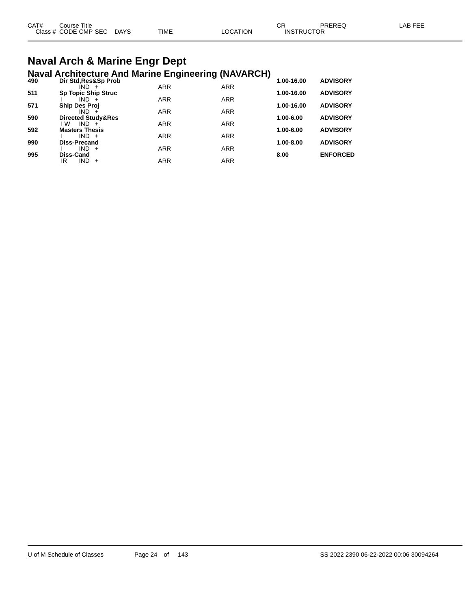| CAT# | Course Title              |             |          | ◠◻<br>◡◚          | PREREQ | LAB FEE |
|------|---------------------------|-------------|----------|-------------------|--------|---------|
|      | Class # CODE CMP SEC DAYS | <b>TIME</b> | LOCATION | <b>INSTRUCTOR</b> |        |         |
|      |                           |             |          |                   |        |         |

#### **Naval Arch & Marine Engr Dept Naval Architecture And Marine Engineering (NAVARCH)**

| 490 | $\cdots$<br>Dir Std, Res&Sp Prob |            |            | 1.00-16.00    | <b>ADVISORY</b> |
|-----|----------------------------------|------------|------------|---------------|-----------------|
|     | IND +                            | <b>ARR</b> | <b>ARR</b> |               |                 |
| 511 | <b>Sp Topic Ship Struc</b>       |            |            | 1.00-16.00    | <b>ADVISORY</b> |
|     | $IND +$                          | <b>ARR</b> | <b>ARR</b> |               |                 |
| 571 | <b>Ship Des Proj</b>             |            |            | 1.00-16.00    | <b>ADVISORY</b> |
|     | $IND +$                          | <b>ARR</b> | <b>ARR</b> |               |                 |
| 590 | <b>Directed Study&amp;Res</b>    |            |            | 1.00-6.00     | <b>ADVISORY</b> |
|     | l W<br>$IND +$                   | <b>ARR</b> | <b>ARR</b> |               |                 |
| 592 | <b>Masters Thesis</b>            |            |            | 1.00-6.00     | <b>ADVISORY</b> |
|     | $IND +$                          | <b>ARR</b> | <b>ARR</b> | $1.00 - 8.00$ |                 |
| 990 | <b>Diss-Precand</b><br>$IND +$   | <b>ARR</b> | <b>ARR</b> |               | <b>ADVISORY</b> |
| 995 | Diss-Cand                        |            |            | 8.00          | <b>ENFORCED</b> |
|     | $IND +$<br>IR                    | ARR        | <b>ARR</b> |               |                 |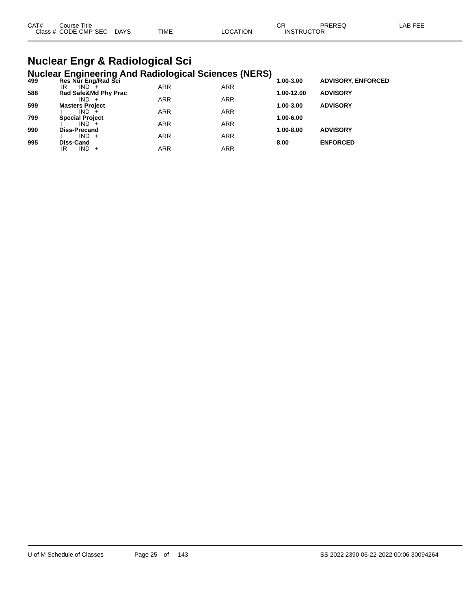| CAT#<br>Course Title |      |             |                | ⌒冖 | PREREC            | LAB FEF |
|----------------------|------|-------------|----------------|----|-------------------|---------|
| Class # CODE CMP SEC | DAYS | <b>TIME</b> | <b>OCATION</b> |    | <b>INSTRUCTOR</b> |         |

#### **Nuclear Engr & Radiological Sci Nuclear Engineering And Radiological Sciences (NERS)**

| 499 | Res Nur Eng/Rad Sci    |            |            | - 1<br>1.00-3.00 | <b>ADVISORY, ENFORCED</b> |  |
|-----|------------------------|------------|------------|------------------|---------------------------|--|
|     | $IND +$<br>IR          | <b>ARR</b> | <b>ARR</b> |                  |                           |  |
| 588 | Rad Safe&Md Phy Prac   |            |            | 1.00-12.00       | <b>ADVISORY</b>           |  |
|     | $IND +$                | <b>ARR</b> | <b>ARR</b> |                  |                           |  |
| 599 | <b>Masters Project</b> |            |            | 1.00-3.00        | <b>ADVISORY</b>           |  |
|     | $IND +$                | <b>ARR</b> | <b>ARR</b> |                  |                           |  |
| 799 | <b>Special Project</b> |            |            | 1.00-6.00        |                           |  |
|     | $IND +$                | <b>ARR</b> | <b>ARR</b> |                  |                           |  |
| 990 | <b>Diss-Precand</b>    |            |            | 1.00-8.00        | <b>ADVISORY</b>           |  |
|     | $IND +$                | <b>ARR</b> | <b>ARR</b> |                  |                           |  |
| 995 | Diss-Cand              |            |            | 8.00             | <b>ENFORCED</b>           |  |
|     | $IND +$<br>IR          | ARR        | ARR        |                  |                           |  |
|     |                        |            |            |                  |                           |  |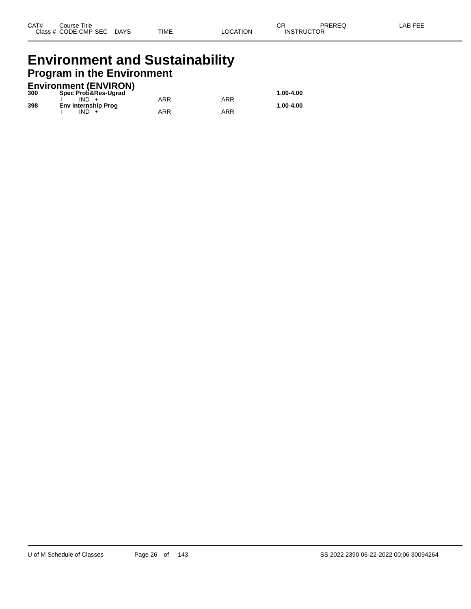## **Environment and Sustainability Program in the Environment**

|     | <b>Environment (ENVIRON)</b> |     |     |           |
|-----|------------------------------|-----|-----|-----------|
| 300 | Spec Prob&Res-Ugrad          |     |     | 1.00-4.00 |
|     | $IND +$                      | ARR | ARR |           |
| 398 | <b>Env Internship Prog</b>   |     |     | 1.00-4.00 |
|     | IND.                         | ARR | ARR |           |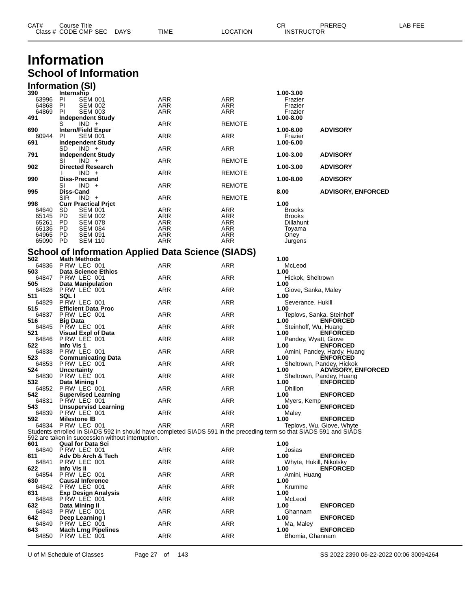|                | Class # CODE CMP SEC<br><b>DAYS</b>                                                                                 | TIME       | LOCATION          | <b>INSTRUCTOR</b>              |                                                       |  |
|----------------|---------------------------------------------------------------------------------------------------------------------|------------|-------------------|--------------------------------|-------------------------------------------------------|--|
|                | Information                                                                                                         |            |                   |                                |                                                       |  |
|                | <b>School of Information</b>                                                                                        |            |                   |                                |                                                       |  |
|                | <b>Information (SI)</b>                                                                                             |            |                   |                                |                                                       |  |
| 390            | Internship                                                                                                          |            |                   | 1.00-3.00                      |                                                       |  |
| 63996<br>64868 | PI<br><b>SEM 001</b><br>PI<br><b>SEM 002</b>                                                                        | ARR<br>ARR | <b>ARR</b><br>ARR | Frazier<br>Frazier             |                                                       |  |
| 64869          | PI<br><b>SEM 003</b>                                                                                                | ARR        | ARR               | Frazier                        |                                                       |  |
| 491            | <b>Independent Study</b><br>$IND +$<br>S                                                                            | ARR        | REMOTE            | 1.00-8.00                      |                                                       |  |
| 690            | <b>Intern/Field Exper</b>                                                                                           |            |                   | 1.00-6.00                      | <b>ADVISORY</b>                                       |  |
| 60944<br>691   | <b>SEM 001</b><br>PI.<br><b>Independent Study</b>                                                                   | ARR        | <b>ARR</b>        | Frazier<br>1.00-6.00           |                                                       |  |
|                | SD<br>$IND +$                                                                                                       | ARR        | ARR               |                                |                                                       |  |
| 791            | <b>Independent Study</b><br>$IND +$<br>SI                                                                           | ARR        | REMOTE            | 1.00-3.00                      | <b>ADVISORY</b>                                       |  |
| 902            | <b>Directed Research</b>                                                                                            |            |                   | 1.00-3.00                      | <b>ADVISORY</b>                                       |  |
| 990            | $IND +$<br><b>Diss-Precand</b>                                                                                      | ARR        | <b>REMOTE</b>     | 1.00-8.00                      | <b>ADVISORY</b>                                       |  |
|                | $IND +$<br>SI                                                                                                       | ARR        | REMOTE            |                                |                                                       |  |
| 995            | Diss-Cand<br>$IND +$<br><b>SIR</b>                                                                                  | ARR        | REMOTE            | 8.00                           | <b>ADVISORY, ENFORCED</b>                             |  |
| 998            | <b>Curr Practical Prict</b>                                                                                         |            |                   | 1.00                           |                                                       |  |
| 64640<br>65145 | <b>SEM 001</b><br>SD.<br>PD.<br><b>SEM 002</b>                                                                      | ARR<br>ARR | ARR<br>ARR        | <b>Brooks</b><br><b>Brooks</b> |                                                       |  |
| 65261          | PD.<br><b>SEM 078</b>                                                                                               | ARR        | ARR               | <b>Dillahunt</b>               |                                                       |  |
| 65136<br>64965 | PD.<br><b>SEM 084</b><br>PD.<br><b>SEM 091</b>                                                                      | ARR<br>ARR | <b>ARR</b><br>ARR | Toyama<br>Oney                 |                                                       |  |
| 65090          | PD.<br><b>SEM 110</b>                                                                                               | ARR        | ARR               | Jurgens                        |                                                       |  |
|                | <b>School of Information Applied Data Science (SIADS)</b>                                                           |            |                   |                                |                                                       |  |
| 502            | <b>Math Methods</b>                                                                                                 |            |                   | 1.00                           |                                                       |  |
| 64836<br>503   | P RW LEC 001<br><b>Data Science Ethics</b>                                                                          | ARR        | ARR               | McLeod<br>1.00                 |                                                       |  |
| 64847          | P RW LEC 001                                                                                                        | <b>ARR</b> | <b>ARR</b>        | Hickok, Sheltrown              |                                                       |  |
| 505<br>64828   | <b>Data Manipulation</b><br>PRW LEC 001                                                                             | ARR        | ARR               | 1.00<br>Giove, Sanka, Maley    |                                                       |  |
| 511<br>64829   | <b>SQLI</b><br>PRW LEC 001                                                                                          | ARR        | <b>ARR</b>        | 1.00<br>Severance, Hukill      |                                                       |  |
| 515            | <b>Efficient Data Proc</b>                                                                                          |            |                   | 1.00                           |                                                       |  |
| 64837<br>516   | P RW LEC 001<br><b>Big Data</b>                                                                                     | ARR        | ARR               | 1.00                           | Teplovs, Sanka, Steinhoff<br><b>ENFORCED</b>          |  |
| 64845          | <b>P RW LEC 001</b>                                                                                                 | ARR        | ARR               | Steinhoff, Wu, Huang           |                                                       |  |
| 521<br>64846   | <b>Visual Expl of Data</b><br>P RW LEC 001                                                                          | ARR        | <b>ARR</b>        | 1.00                           | <b>ENFORCED</b><br>Pandey, Wyatt, Giove               |  |
| 522            | Info Vis 1                                                                                                          |            |                   | 1.00                           | <b>ENFORCED</b>                                       |  |
| 64838<br>523   | P RW LEC 001<br><b>Communicating Data</b>                                                                           | ARR        | ARR               | 1.00                           | Amini, Pandey, Hardy, Huang<br><b>ENFORCED</b>        |  |
| 64853<br>524   | PRW LEC 001                                                                                                         | ARR        | ARR               |                                | Sheltrown, Pandey, Hickok                             |  |
| 64830          | <b>Uncertainty</b><br>PRW LEC 001                                                                                   | ARR        | ARR               | 1.00                           | <b>ADVISORY, ENFORCED</b><br>Sheltrown, Pandey, Huang |  |
| 532<br>64852   | Data Mining I<br>P RW LEC 001                                                                                       | ARR        | ARR               | 1.00<br><b>Dhillon</b>         | <b>ENFORCED</b>                                       |  |
| 542            | <b>Supervised Learning</b>                                                                                          |            |                   | 1.00                           | <b>ENFORCED</b>                                       |  |
| 64831<br>543   | PRW LEC 001<br><b>Unsupervisd Learning</b>                                                                          | ARR        | <b>ARR</b>        | Myers, Kemp<br>1.00            | <b>ENFORCED</b>                                       |  |
| 64839          | P RW LEC 001                                                                                                        | ARR        | <b>ARR</b>        | Maley                          |                                                       |  |
| 592<br>64834   | <b>Milestone IB</b><br>PRW LEC 001                                                                                  | <b>ARR</b> | <b>ARR</b>        | 1.00                           | <b>ENFORCED</b><br>Teplovs, Wu, Giove, Whyte          |  |
|                | Students enrolled in SIADS 592 in should have completed SIADS 591 in the preceding term so that SIADS 591 and SIADS |            |                   |                                |                                                       |  |
| 601            | 592 are taken in succession without interruption.<br><b>Qual for Data Sci</b>                                       |            |                   | 1.00                           |                                                       |  |
| 64840          | PRW LEC 001                                                                                                         | ARR        | <b>ARR</b>        | Josias                         |                                                       |  |
| 611<br>64841   | Adv Db Arch & Tech<br>P RW LEC 001                                                                                  | ARR        | ARR               | 1.00                           | <b>ENFORCED</b><br>Whyte, Hukill, Nikolsky            |  |
| 622            | Info Vis II                                                                                                         |            |                   | 1.00                           | <b>ENFORCED</b>                                       |  |
| 64854<br>630   | PRW LEC 001<br><b>Causal Inference</b>                                                                              | ARR        | <b>ARR</b>        | Amini, Huang<br>1.00           |                                                       |  |
| 64842          | PRW LEC 001                                                                                                         | ARR        | <b>ARR</b>        | Krumme                         |                                                       |  |
| 631<br>64848   | <b>Exp Design Analysis</b><br>P RW LEC 001                                                                          | ARR        | ARR               | 1.00<br>McLeod                 |                                                       |  |
| 632            | Data Mining II                                                                                                      |            |                   | 1.00                           | <b>ENFORCED</b>                                       |  |
| 64843<br>642   | PRW LEC 001<br>Deep Learning I                                                                                      | ARR        | <b>ARR</b>        | Ghannam<br>1.00                | <b>ENFORCED</b>                                       |  |
| 64849          | P RW LEC 001                                                                                                        | <b>ARR</b> | <b>ARR</b>        | Ma, Maley                      |                                                       |  |
| 643<br>64850   | <b>Mach Lrng Pipelines</b><br>P RW LEC 001                                                                          | <b>ARR</b> | <b>ARR</b>        | 1.00<br>Bhomia, Ghannam        | <b>ENFORCED</b>                                       |  |

CAT# Course Title Case CR PREREQ LAB FEE

U of M Schedule of Classes Page 27 of 143 SS 2022 2390 06-22-2022 00:06 30094264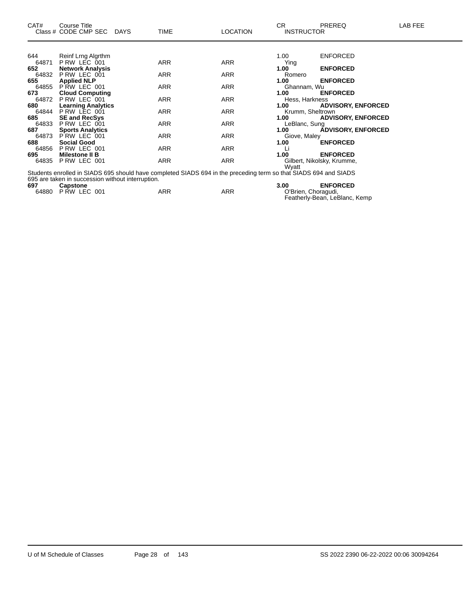| CAT#  | Course Title<br>Class # CODE CMP SEC DAYS         | <b>TIME</b> | <b>LOCATION</b>                                                                                                  | CR.<br><b>INSTRUCTOR</b> | <b>PREREQ</b>              | LAB FEE |
|-------|---------------------------------------------------|-------------|------------------------------------------------------------------------------------------------------------------|--------------------------|----------------------------|---------|
|       |                                                   |             |                                                                                                                  |                          |                            |         |
| 644   | Reinf Lrng Algrthm                                |             |                                                                                                                  | 1.00                     | <b>ENFORCED</b>            |         |
| 64871 | P RW LEC 001                                      | ARR         | ARR                                                                                                              | Ying                     |                            |         |
| 652   | <b>Network Analysis</b>                           |             |                                                                                                                  | 1.00                     | <b>ENFORCED</b>            |         |
| 64832 | PRW LEC 001                                       | ARR         | ARR                                                                                                              | Romero                   |                            |         |
| 655   | <b>Applied NLP</b>                                |             |                                                                                                                  | 1.00                     | <b>ENFORCED</b>            |         |
| 64855 | PRW LEC 001                                       | ARR         | ARR                                                                                                              | Ghannam, Wu              |                            |         |
| 673   | <b>Cloud Computing</b>                            |             |                                                                                                                  | 1.00                     | <b>ENFORCED</b>            |         |
| 64872 | P RW LEC 001                                      | ARR         | ARR                                                                                                              | Hess, Harkness           |                            |         |
| 680   | <b>Learning Analytics</b>                         |             |                                                                                                                  | 1.00                     | <b>ADVISORY, ENFORCED</b>  |         |
| 64844 | P RW LEC 001                                      | ARR         | ARR                                                                                                              | Krumm, Sheltrown         |                            |         |
| 685   | <b>SE and RecSys</b>                              |             |                                                                                                                  | 1.00                     | <b>ADVISORY, ENFORCED</b>  |         |
| 64833 | P RW LEC 001                                      | ARR         | ARR                                                                                                              | LeBlanc, Sung            |                            |         |
| 687   | <b>Sports Analytics</b>                           |             |                                                                                                                  | 1.00                     | <b>ADVISORY, ENFORCED</b>  |         |
| 64873 | PRW LEC 001                                       | ARR         | ARR                                                                                                              | Giove, Maley             |                            |         |
| 688   | <b>Social Good</b>                                |             |                                                                                                                  | 1.00                     | <b>ENFORCED</b>            |         |
| 64856 | P RW LEC 001                                      | <b>ARR</b>  | <b>ARR</b>                                                                                                       |                          |                            |         |
| 695   | <b>Milestone II B</b>                             |             |                                                                                                                  | 1.00                     | <b>ENFORCED</b>            |         |
| 64835 | PRW LEC 001                                       | ARR         | ARR                                                                                                              |                          | Gilbert, Nikolsky, Krumme, |         |
|       |                                                   |             |                                                                                                                  | Wyatt                    |                            |         |
|       |                                                   |             | Students enrolled in SIADS 695 should have completed SIADS 694 in the preceding term so that SIADS 694 and SIADS |                          |                            |         |
|       | 695 are taken in succession without interruption. |             |                                                                                                                  |                          |                            |         |
| 697   | <b>Capstone</b>                                   |             |                                                                                                                  | 3.00                     | <b>ENFORCED</b>            |         |
| 64880 | PRW LEC 001                                       | ARR         | ARR                                                                                                              | O'Brien, Choragudi,      |                            |         |

Featherly-Bean, LeBlanc, Kemp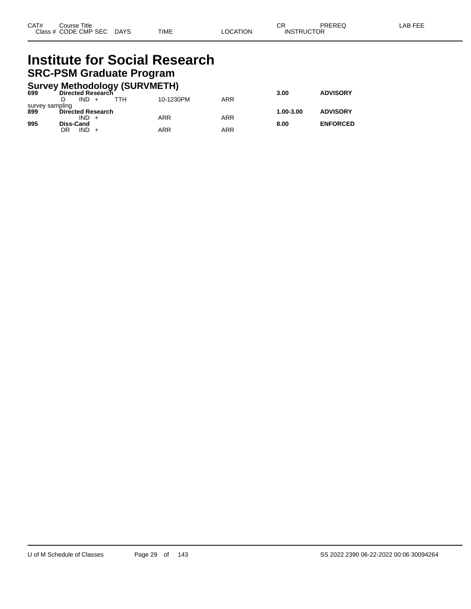# **Institute for Social Research SRC-PSM Graduate Program**

|                 | <b>Survey Methodology (SURVMETH)</b> |           |     |           |                 |
|-----------------|--------------------------------------|-----------|-----|-----------|-----------------|
| 699             | Directed Research                    |           |     | 3.00      | <b>ADVISORY</b> |
|                 | $IND +$<br>ттн                       | 10-1230PM | ARR |           |                 |
| survey sampling |                                      |           |     |           |                 |
| 899             | <b>Directed Research</b>             |           |     | 1.00-3.00 | <b>ADVISORY</b> |
|                 | $IND +$                              | ARR       | ARR |           |                 |
| 995             | <b>Diss-Cand</b>                     |           |     | 8.00      | <b>ENFORCED</b> |
|                 | $IND +$<br>DR                        | ARR       | ARR |           |                 |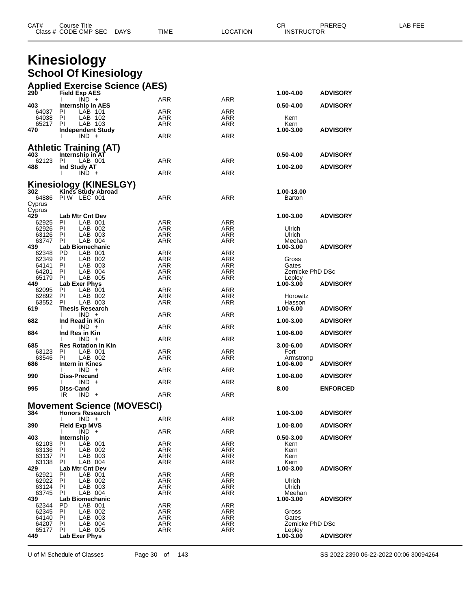| CAT# | Title<br>∴ourse      |      |      |          | Ωm<br><b>UN</b> | PREREC            | ---<br>ΔR<br>--- |
|------|----------------------|------|------|----------|-----------------|-------------------|------------------|
|      | Class # CODE CMP SEC | DAYS | TIME | LOCATION |                 | <b>INSTRUCTOR</b> |                  |

# **Kinesiology School Of Kinesiology**

|                      |                                                   | <b>Applied Exercise Science (AES)</b> |                          |                   |                 |
|----------------------|---------------------------------------------------|---------------------------------------|--------------------------|-------------------|-----------------|
| <b>290</b>           | <b>Field Exp AES</b><br>$IND +$                   |                                       |                          | 1.00-4.00         | <b>ADVISORY</b> |
| 403                  | Ι.<br><b>Internship in AES</b>                    | ARR                                   | <b>ARR</b>               | $0.50 - 4.00$     | <b>ADVISORY</b> |
| 64037 PI             | LAB 101                                           | ARR                                   | ARR                      |                   |                 |
| 64038                | - PI<br>LAB 102<br>LAB 103                        | ARR                                   | ARR<br><b>ARR</b>        | Kern              |                 |
| 65217<br>470         | PI<br><b>Independent Study</b>                    | ARR                                   |                          | Kern<br>1.00-3.00 | <b>ADVISORY</b> |
|                      | I.<br>$IND +$                                     | ARR                                   | <b>ARR</b>               |                   |                 |
|                      |                                                   |                                       |                          |                   |                 |
| 403                  | <b>Athletic Training (AT)</b><br>Internship in AT |                                       |                          | $0.50 - 4.00$     | <b>ADVISORY</b> |
| 62123 PI             | LAB 001                                           | ARR                                   | ARR                      |                   |                 |
| 488                  | Ind Study AT                                      |                                       |                          | 1.00-2.00         | <b>ADVISORY</b> |
|                      | $IND +$                                           | <b>ARR</b>                            | ARR                      |                   |                 |
|                      | Kinesiology (KINESLGY)                            |                                       |                          |                   |                 |
| 302                  | Kines Study Abroad<br>64886 PIW LEC 001           |                                       |                          | 1.00-18.00        |                 |
| Cyprus               |                                                   | ARR                                   | ARR                      | Barton            |                 |
| Cyprus               |                                                   |                                       |                          |                   |                 |
| 429                  | <b>Lab Mtr Cnt Dev</b>                            |                                       |                          | 1.00-3.00         | <b>ADVISORY</b> |
| 62925 PI<br>62926 PI | LAB 001<br>LAB 002                                | ARR<br>ARR                            | ARR<br>ARR               | Ulrich            |                 |
| 63126                | P1<br>LAB 003                                     | ARR                                   | ARR                      | Ulrich            |                 |
| 63747                | - PI<br>LAB 004                                   | <b>ARR</b>                            | ARR                      | Meehan            |                 |
| 439                  | Lab Biomechanic                                   |                                       |                          | 1.00-3.00         | <b>ADVISORY</b> |
| 62348<br>62349 PI    | LAB 001<br>- PD<br>LAB 002                        | ARR<br><b>ARR</b>                     | ARR<br>ARR               | Gross             |                 |
| 64141 PI             | LAB 003                                           | ARR                                   | ARR                      | Gates             |                 |
| 64201                | PI<br>LAB 004                                     | ARR                                   | ARR                      | Zernicke PhD DSc  |                 |
| 65179 PI             | LAB 005                                           | <b>ARR</b>                            | ARR                      | Lepley            |                 |
| 449<br>62095         | Lab Exer Phys<br>PI<br>LAB 001                    | ARR                                   | ARR                      | 1.00-3.00         | <b>ADVISORY</b> |
| 62892                | PI<br>LAB 002                                     | ARR                                   | ARR                      | Horowitz          |                 |
| 63552 PI             | LAB 003                                           | ARR                                   | <b>ARR</b>               | Hasson            |                 |
| 619                  | <b>Thesis Research</b><br>$IND +$<br>Ι.           | <b>ARR</b>                            | ARR                      | 1.00-6.00         | <b>ADVISORY</b> |
| 682                  | Ind Read in Kin                                   |                                       |                          | 1.00-3.00         | <b>ADVISORY</b> |
|                      | $IND +$<br>$\mathbf{I}$                           | ARR                                   | ARR                      |                   |                 |
| 684                  | Ind Res in Kin                                    |                                       |                          | 1.00-6.00         | <b>ADVISORY</b> |
| 685                  | $IND +$<br>Ι.<br><b>Res Rotation in Kin</b>       | <b>ARR</b>                            | ARR                      | $3.00 - 6.00$     | <b>ADVISORY</b> |
| 63123                | - PI<br>LAB 001                                   | ARR                                   | ARR                      | Fort              |                 |
| 63546 PI             | LAB 002                                           | ARR                                   | ARR                      | Armstrong         |                 |
| 686                  | Intern in Kines<br>$IND +$<br>Ι.                  | <b>ARR</b>                            | ARR                      | 1.00-6.00         | <b>ADVISORY</b> |
| 990                  | <b>Diss-Precand</b>                               |                                       |                          | 1.00-8.00         | <b>ADVISORY</b> |
|                      | $IND +$                                           | ARR                                   | ARR                      |                   |                 |
| 995                  | <b>Diss-Cand</b>                                  | <b>ARR</b>                            |                          | 8.00              | <b>ENFORCED</b> |
|                      | IR<br>$IND +$                                     |                                       | ARR                      |                   |                 |
|                      | <b>Movement Science (MOVESCI)</b>                 |                                       |                          |                   |                 |
| 384                  | <b>Honors Research</b>                            |                                       |                          | 1.00-3.00         | <b>ADVISORY</b> |
| 390                  | $IND +$<br>I.<br><b>Field Exp MVS</b>             | ARR                                   | <b>ARR</b>               | 1.00-8.00         | <b>ADVISORY</b> |
|                      | $\overline{IND}$ +<br>$\mathbf{I}$                | <b>ARR</b>                            | <b>ARR</b>               |                   |                 |
| 403                  | Internship                                        |                                       |                          | $0.50 - 3.00$     | <b>ADVISORY</b> |
| 62103                | LAB 001<br>PI<br>-PI                              | <b>ARR</b><br><b>ARR</b>              | <b>ARR</b>               | Kern              |                 |
| 63136<br>63137       | LAB 002<br>PI<br>LAB 003                          | ARR                                   | ARR<br>ARR               | Kern<br>Kern      |                 |
| 63138                | PI<br>LAB 004                                     | <b>ARR</b>                            | <b>ARR</b>               | Kern              |                 |
| 429                  | <b>Lab Mtr Cnt Dev</b>                            |                                       |                          | 1.00-3.00         | <b>ADVISORY</b> |
| 62921<br>62922       | LAB 001<br>ΡI<br>PI<br>LAB 002                    | ARR<br>ARR                            | ARR<br><b>ARR</b>        | Ulrich            |                 |
| 63124                | PI<br>LAB 003                                     | ARR                                   | <b>ARR</b>               | Ulrich            |                 |
| 63745                | LAB 004<br>ΡI                                     | ARR                                   | <b>ARR</b>               | Meehan            |                 |
| 439                  | Lab Biomechanic                                   |                                       |                          | 1.00-3.00         | <b>ADVISORY</b> |
| 62344<br>62345       | PD<br>LAB 001<br>PI<br>LAB 002                    | <b>ARR</b><br>ARR                     | <b>ARR</b><br><b>ARR</b> | Gross             |                 |
| 64140                | PI<br>LAB 003                                     | ARR                                   | <b>ARR</b>               | Gates             |                 |
| 64207                | ΡI<br>LAB 004                                     | ARR                                   | <b>ARR</b>               | Zernicke PhD DSc  |                 |
| 65177                | ΡI<br>LAB 005                                     | ARR                                   | <b>ARR</b>               | Lepley            |                 |
| 449                  | Lab Exer Phys                                     |                                       |                          | 1.00-3.00         | <b>ADVISORY</b> |

U of M Schedule of Classes Page 30 of 143 SS 2022 2390 06-22-2022 00:06 30094264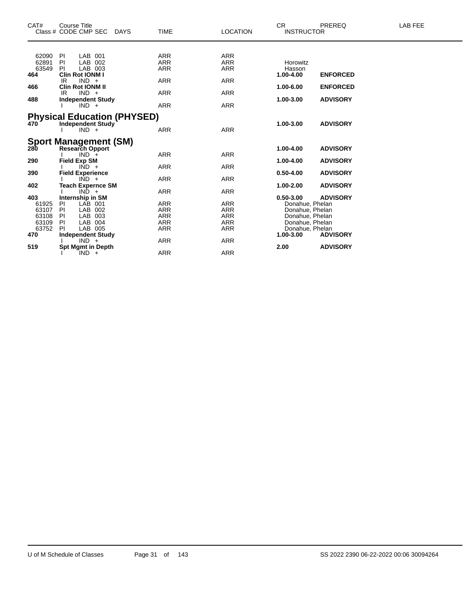| CAT#           | <b>Course Title</b>                      |                          |                   | <b>CR</b>                          | PREREQ          | <b>LAB FEE</b> |
|----------------|------------------------------------------|--------------------------|-------------------|------------------------------------|-----------------|----------------|
|                | Class # CODE CMP SEC DAYS                | <b>TIME</b>              | <b>LOCATION</b>   | <b>INSTRUCTOR</b>                  |                 |                |
| 62090 PI       | LAB 001                                  | ARR                      | ARR               |                                    |                 |                |
| 62891          | LAB 002<br>PI                            | <b>ARR</b>               | ARR               | Horowitz                           |                 |                |
| 63549          | LAB 003<br><b>PI</b>                     | <b>ARR</b>               | <b>ARR</b>        | Hasson                             |                 |                |
| 464            | <b>Clin Rot IONM I</b>                   |                          |                   | 1.00-4.00                          | <b>ENFORCED</b> |                |
| 466            | $IND +$<br>IR<br><b>Clin Rot IONM II</b> | <b>ARR</b>               | <b>ARR</b>        | 1.00-6.00                          | <b>ENFORCED</b> |                |
|                | $IND +$<br>IR                            | ARR                      | ARR               |                                    |                 |                |
| 488            | <b>Independent Study</b>                 |                          |                   | 1.00-3.00                          | <b>ADVISORY</b> |                |
|                | $IND +$                                  | <b>ARR</b>               | <b>ARR</b>        |                                    |                 |                |
|                |                                          |                          |                   |                                    |                 |                |
|                | <b>Physical Education (PHYSED)</b>       |                          |                   |                                    |                 |                |
| 470            | <b>Independent Study</b>                 |                          |                   | 1.00-3.00                          | <b>ADVISORY</b> |                |
|                | $IND +$                                  | <b>ARR</b>               | <b>ARR</b>        |                                    |                 |                |
|                | <b>Sport Management (SM)</b>             |                          |                   |                                    |                 |                |
| 280            | <b>Research Opport</b>                   |                          |                   | 1.00-4.00                          | <b>ADVISORY</b> |                |
|                | $IND +$                                  | <b>ARR</b>               | <b>ARR</b>        |                                    |                 |                |
| 290            | <b>Field Exp SM</b>                      |                          |                   | 1.00-4.00                          | <b>ADVISORY</b> |                |
|                | $IND +$                                  | <b>ARR</b>               | <b>ARR</b>        |                                    |                 |                |
| 390            | <b>Field Experience</b>                  |                          |                   | $0.50 - 4.00$                      | <b>ADVISORY</b> |                |
|                | $IND +$                                  | <b>ARR</b>               | <b>ARR</b>        |                                    |                 |                |
| 402            | <b>Teach Expernce SM</b>                 |                          |                   | 1.00-2.00                          | <b>ADVISORY</b> |                |
|                | $IND +$                                  | <b>ARR</b>               | ARR               |                                    |                 |                |
| 403            | Internship in SM                         |                          |                   | $0.50 - 3.00$                      | <b>ADVISORY</b> |                |
| 61925          | LAB 001<br>PI                            | ARR                      | ARR               | Donahue, Phelan                    |                 |                |
| 63107<br>63108 | LAB 002<br>PI<br>LAB 003<br>PI           | <b>ARR</b><br><b>ARR</b> | ARR<br><b>ARR</b> | Donahue, Phelan<br>Donahue, Phelan |                 |                |
| 63109          | LAB 004<br>PI                            | ARR                      | ARR               | Donahue, Phelan                    |                 |                |
| 63752          | LAB 005<br>PI.                           | <b>ARR</b>               | <b>ARR</b>        | Donahue, Phelan                    |                 |                |
| 470            | <b>Independent Study</b>                 |                          |                   | 1.00-3.00                          | <b>ADVISORY</b> |                |
|                | $IND +$                                  | ARR                      | ARR               |                                    |                 |                |
| 519            | <b>Spt Mgmt in Depth</b>                 |                          |                   | 2.00                               | <b>ADVISORY</b> |                |
|                | $IND +$                                  | <b>ARR</b>               | <b>ARR</b>        |                                    |                 |                |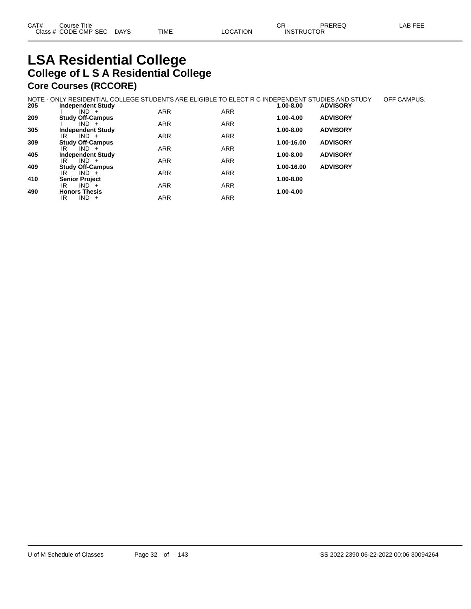# **LSA Residential College College of L S A Residential College Core Courses (RCCORE)**

|     | NOTE - ONLY RESIDENTIAL COLLEGE STUDENTS ARE ELIGIBLE TO ELECT R C INDEPENDENT STUDIES AND STUDY |            |            |               |                 | OFF CAMPUS. |
|-----|--------------------------------------------------------------------------------------------------|------------|------------|---------------|-----------------|-------------|
| 205 | <b>Independent Study</b>                                                                         |            |            | 1.00-8.00     | <b>ADVISORY</b> |             |
|     | $IND +$                                                                                          | <b>ARR</b> | <b>ARR</b> |               |                 |             |
| 209 | <b>Study Off-Campus</b>                                                                          |            |            | 1.00-4.00     | <b>ADVISORY</b> |             |
|     | $IND +$                                                                                          | <b>ARR</b> | <b>ARR</b> |               |                 |             |
| 305 | <b>Independent Study</b>                                                                         |            |            | $1.00 - 8.00$ | <b>ADVISORY</b> |             |
|     | $IND +$<br>IR                                                                                    | <b>ARR</b> | <b>ARR</b> |               |                 |             |
| 309 | <b>Study Off-Campus</b>                                                                          |            |            | 1.00-16.00    | <b>ADVISORY</b> |             |
|     | $IND +$<br>IR                                                                                    | <b>ARR</b> | <b>ARR</b> |               |                 |             |
| 405 | <b>Independent Study</b>                                                                         |            |            | $1.00 - 8.00$ | <b>ADVISORY</b> |             |
|     | $IND +$<br>IR                                                                                    | <b>ARR</b> | <b>ARR</b> |               |                 |             |
| 409 | <b>Study Off-Campus</b>                                                                          |            |            | 1.00-16.00    | <b>ADVISORY</b> |             |
|     | $IND +$<br>IR                                                                                    | <b>ARR</b> | <b>ARR</b> |               |                 |             |
| 410 | <b>Senior Project</b>                                                                            |            |            | 1.00-8.00     |                 |             |
|     | $IND +$<br>IR                                                                                    | <b>ARR</b> | <b>ARR</b> |               |                 |             |
| 490 | <b>Honors Thesis</b>                                                                             |            |            | $1.00 - 4.00$ |                 |             |
|     | $IND +$<br>IR                                                                                    | <b>ARR</b> | <b>ARR</b> |               |                 |             |
|     |                                                                                                  |            |            |               |                 |             |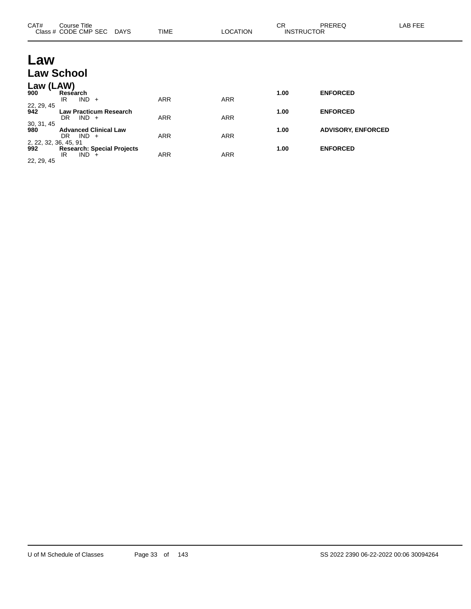| CAT#                         | Course Title<br>Class # CODE CMP SEC DAYS              | <b>TIME</b> | <b>LOCATION</b> | <b>CR</b><br><b>INSTRUCTOR</b> | PREREQ                    | LAB FEE |
|------------------------------|--------------------------------------------------------|-------------|-----------------|--------------------------------|---------------------------|---------|
| Law                          |                                                        |             |                 |                                |                           |         |
|                              | <b>Law School</b>                                      |             |                 |                                |                           |         |
| Law (LAW)<br>900             | Research<br>$IND +$<br>IR                              | <b>ARR</b>  | <b>ARR</b>      | 1.00                           | <b>ENFORCED</b>           |         |
| 22, 29, 45<br>942            | <b>Law Practicum Research</b><br>$IND +$<br>DR.        | <b>ARR</b>  | <b>ARR</b>      | 1.00                           | <b>ENFORCED</b>           |         |
| 30, 31, 45<br>980            | <b>Advanced Clinical Law</b><br>$IND +$<br>DR.         | <b>ARR</b>  | <b>ARR</b>      | 1.00                           | <b>ADVISORY, ENFORCED</b> |         |
| 2, 22, 32, 36, 45, 91<br>992 | <b>Research: Special Projects</b><br>IND.<br>IR<br>$+$ | <b>ARR</b>  | <b>ARR</b>      | 1.00                           | <b>ENFORCED</b>           |         |

22, 29, 45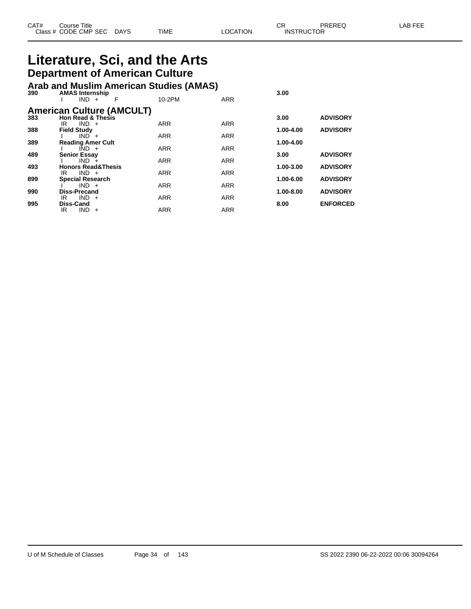| CAT# | Title<br>Course      |      |      |          | Ωn<br>◡∩          | PREREQ | . EEF<br>AR. |
|------|----------------------|------|------|----------|-------------------|--------|--------------|
|      | Class # CODE CMP SEC | DAYS | TIME | LOCATION | <b>INSTRUCTOR</b> |        |              |

## **Literature, Sci, and the Arts Department of American Culture**

#### **Arab and Muslim American Studies (AMAS)**

| 390 | <b>AMAS Internship</b><br>$IND +$<br>F                    | 10-2PM     | <b>ARR</b> | 3.00      |                 |
|-----|-----------------------------------------------------------|------------|------------|-----------|-----------------|
|     | <b>American Culture (AMCULT)</b><br>383 Hon Read & Thesis |            |            |           |                 |
|     |                                                           |            |            | 3.00      | <b>ADVISORY</b> |
|     | $IND +$<br>IR                                             | <b>ARR</b> | <b>ARR</b> |           |                 |
| 388 | <b>Field Study</b>                                        |            |            | 1.00-4.00 | <b>ADVISORY</b> |
| 389 | $IND +$<br><b>Reading Amer Cult</b>                       | <b>ARR</b> | <b>ARR</b> | 1.00-4.00 |                 |
|     | $IND +$                                                   | <b>ARR</b> | <b>ARR</b> |           |                 |
| 489 | <b>Senior Essay</b>                                       |            |            | 3.00      | <b>ADVISORY</b> |
|     | $IND +$                                                   | <b>ARR</b> | <b>ARR</b> |           |                 |
| 493 | <b>Honors Read&amp;Thesis</b>                             |            |            | 1.00-3.00 | <b>ADVISORY</b> |
|     | $IND +$<br>IR                                             | <b>ARR</b> | <b>ARR</b> |           |                 |
| 899 | <b>Special Research</b>                                   |            |            | 1.00-6.00 | <b>ADVISORY</b> |
|     | $IND +$                                                   | <b>ARR</b> | <b>ARR</b> |           |                 |
| 990 | <b>Diss-Precand</b><br>$IND +$<br>IR                      | <b>ARR</b> | <b>ARR</b> | 1.00-8.00 | <b>ADVISORY</b> |
| 995 | <b>Diss-Cand</b>                                          |            |            | 8.00      | <b>ENFORCED</b> |
|     | $IND +$<br>IR                                             | <b>ARR</b> | <b>ARR</b> |           |                 |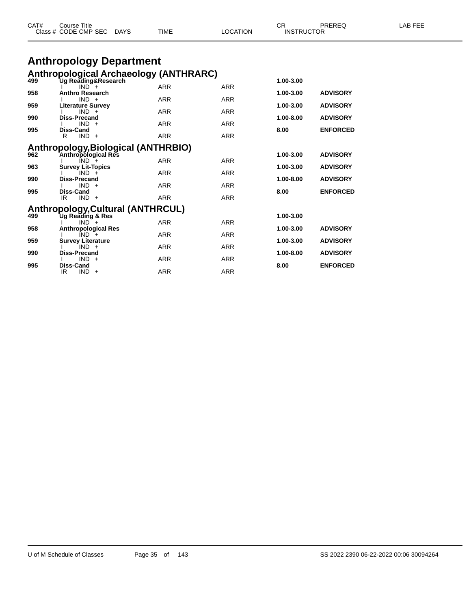|     | Class # CODE CMP SEC DAYS                                            | TIME       | LOCATION   | <b>INSTRUCTOR</b> |                 |  |
|-----|----------------------------------------------------------------------|------------|------------|-------------------|-----------------|--|
|     | <b>Anthropology Department</b>                                       |            |            |                   |                 |  |
|     |                                                                      |            |            |                   |                 |  |
| 499 | <b>Anthropological Archaeology (ANTHRARC)</b><br>Ug Reading&Research |            |            | 1.00-3.00         |                 |  |
|     | $IND^-$ +                                                            | <b>ARR</b> | <b>ARR</b> |                   |                 |  |
| 958 | <b>Anthro Research</b><br>$IND +$                                    |            |            | 1.00-3.00         | <b>ADVISORY</b> |  |
| 959 | <b>Literature Survey</b>                                             | <b>ARR</b> | <b>ARR</b> | 1.00-3.00         | <b>ADVISORY</b> |  |
|     | $IND +$                                                              | <b>ARR</b> | <b>ARR</b> |                   |                 |  |
| 990 | Diss-Precand<br>$IND +$                                              | <b>ARR</b> | <b>ARR</b> | 1.00-8.00         | <b>ADVISORY</b> |  |
| 995 | Diss-Cand                                                            |            |            | 8.00              | <b>ENFORCED</b> |  |
|     | $IND +$<br>R                                                         | <b>ARR</b> | <b>ARR</b> |                   |                 |  |
|     | Anthropology, Biological (ANTHRBIO)                                  |            |            |                   |                 |  |
| 962 | Anthropological Res                                                  |            |            | 1.00-3.00         | <b>ADVISORY</b> |  |
|     | $IND +$                                                              | <b>ARR</b> | <b>ARR</b> |                   |                 |  |
| 963 | <b>Survey Lit-Topics</b><br>$IND +$                                  | <b>ARR</b> | <b>ARR</b> | 1.00-3.00         | <b>ADVISORY</b> |  |
| 990 | Diss-Precand                                                         |            |            | 1.00-8.00         | <b>ADVISORY</b> |  |
|     | $IND +$                                                              | <b>ARR</b> | <b>ARR</b> |                   |                 |  |
| 995 | Diss-Cand<br>$IND +$<br>IR.                                          | <b>ARR</b> | <b>ARR</b> | 8.00              | <b>ENFORCED</b> |  |
|     |                                                                      |            |            |                   |                 |  |
|     | Anthropology, Cultural (ANTHRCUL)                                    |            |            |                   |                 |  |
| 499 | Ug Reading & Res<br>$IND +$                                          | <b>ARR</b> | <b>ARR</b> | 1.00-3.00         |                 |  |
| 958 | <b>Anthropological Res</b>                                           |            |            | 1.00-3.00         | <b>ADVISORY</b> |  |
|     | $IND +$                                                              | <b>ARR</b> | <b>ARR</b> |                   |                 |  |
| 959 | <b>Survey Literature</b><br>$IND +$                                  | <b>ARR</b> | <b>ARR</b> | 1.00-3.00         | <b>ADVISORY</b> |  |
| 990 | <b>Diss-Precand</b>                                                  |            |            | 1.00-8.00         | <b>ADVISORY</b> |  |
|     | $IND +$                                                              | <b>ARR</b> | <b>ARR</b> |                   |                 |  |

CAT# Course Title Case CR PREREQ LAB FEE

I IND + ARR ARR ARR

IR IND + ARR ARR ARR

**995 Diss-Cand 8.00 ENFORCED**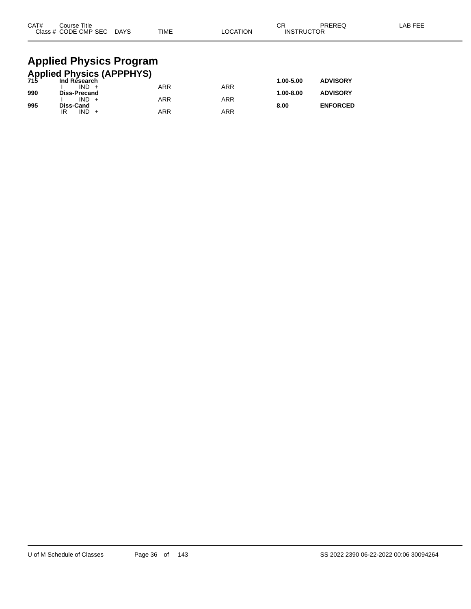| CAT#                                                 | Course Title<br>Class # CODE CMP SEC DAYS |  | <b>TIME</b> | <b>LOCATION</b> | СR<br><b>INSTRUCTOR</b> | PREREQ          | LAB FEE |  |  |
|------------------------------------------------------|-------------------------------------------|--|-------------|-----------------|-------------------------|-----------------|---------|--|--|
|                                                      | <b>Applied Physics Program</b>            |  |             |                 |                         |                 |         |  |  |
| <b>Applied Physics (APPPHYS)</b><br>715 Ind Research |                                           |  |             |                 |                         |                 |         |  |  |
|                                                      | $IND +$                                   |  | <b>ARR</b>  | <b>ARR</b>      | 1.00-5.00               | <b>ADVISORY</b> |         |  |  |
| 990                                                  | <b>Diss-Precand</b>                       |  |             |                 | 1.00-8.00               | <b>ADVISORY</b> |         |  |  |
|                                                      | $IND +$                                   |  | ARR         | <b>ARR</b>      |                         |                 |         |  |  |

**995 Diss-Cand 8.00 ENFORCED**

IR IND + ARR ARR ARR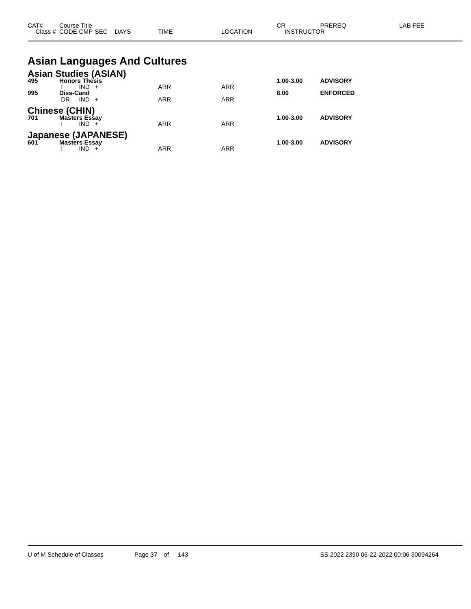| CAT# | Course Title<br>Class # CODE CMP SEC DAYS                                               | <b>TIME</b>                         | <b>LOCATION</b> | CR<br><b>INSTRUCTOR</b> | PREREQ                             | LAB FEE |
|------|-----------------------------------------------------------------------------------------|-------------------------------------|-----------------|-------------------------|------------------------------------|---------|
|      |                                                                                         | <b>Asian Languages And Cultures</b> |                 |                         |                                    |         |
| 995  | <b>Asian Studies (ASIAN)</b><br>495 <b>Honors Thesis</b><br>$IND +$<br><b>Diss-Cand</b> | <b>ARR</b>                          | <b>ARR</b>      | 1.00-3.00<br>8.00       | <b>ADVISORY</b><br><b>ENFORCED</b> |         |
|      | $IND +$<br>DR.                                                                          | <b>ARR</b>                          | <b>ARR</b>      |                         |                                    |         |
| 701  | <b>Chinese (CHIN)</b><br><b>Masters Essay</b><br>$IND +$                                | <b>ARR</b>                          | <b>ARR</b>      | 1.00-3.00               | <b>ADVISORY</b>                    |         |
|      | Japanese (JAPANESE)<br>601 Masters Essav<br><b>Masters Essay</b><br>$IND +$             | <b>ARR</b>                          | <b>ARR</b>      | 1.00-3.00               | <b>ADVISORY</b>                    |         |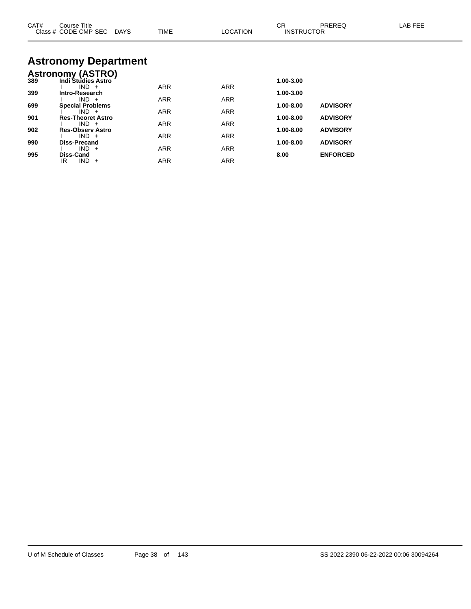| CAT# | Course Title<br>Class # CODE CMP SEC DAYS | <b>TIME</b> | LOCATION   | CR.<br><b>INSTRUCTOR</b> | <b>PREREQ</b>   | LAB FEE |
|------|-------------------------------------------|-------------|------------|--------------------------|-----------------|---------|
|      | <b>Astronomy Department</b>               |             |            |                          |                 |         |
|      | <b>Astronomy (ASTRO)</b>                  |             |            |                          |                 |         |
| 389  | Indi Studies Astro                        |             |            | 1.00-3.00                |                 |         |
| 399  | $IND +$<br>Intro-Research                 | <b>ARR</b>  | <b>ARR</b> | 1.00-3.00                |                 |         |
|      | $IND +$                                   | ARR         | <b>ARR</b> |                          |                 |         |
| 699  | <b>Special Problems</b>                   |             |            | 1.00-8.00                | <b>ADVISORY</b> |         |
|      | $IND +$                                   | <b>ARR</b>  | <b>ARR</b> |                          |                 |         |
| 901  | <b>Res-Theoret Astro</b><br>$IND +$       | <b>ARR</b>  | <b>ARR</b> | 1.00-8.00                | <b>ADVISORY</b> |         |
| 902  | <b>Res-Observ Astro</b>                   |             |            | 1.00-8.00                | <b>ADVISORY</b> |         |
|      | $IND +$                                   | <b>ARR</b>  | <b>ARR</b> |                          |                 |         |
| 990  | Diss-Precand<br>$IND +$                   | <b>ARR</b>  | <b>ARR</b> | 1.00-8.00                | <b>ADVISORY</b> |         |
| 995  | Diss-Cand                                 |             |            | 8.00                     | <b>ENFORCED</b> |         |
|      | $IND +$<br>IR.                            | <b>ARR</b>  | <b>ARR</b> |                          |                 |         |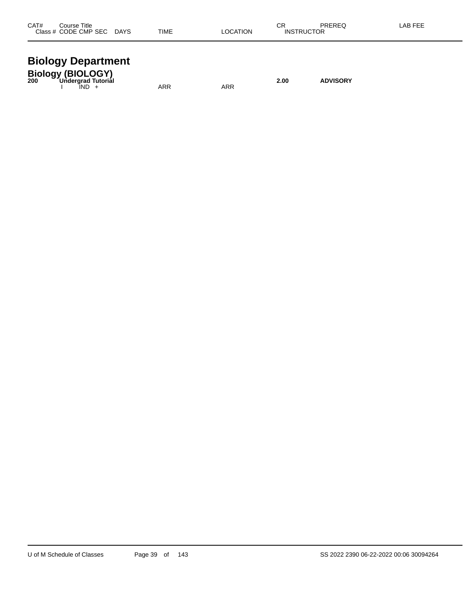| CAT#<br>Title<br>`ourse                                |                              |      |            | CR  | <b>DDEDEC</b> | ΑP |
|--------------------------------------------------------|------------------------------|------|------------|-----|---------------|----|
| ODE<br><b>CMP SEC</b><br>5E (<br>$\sim$ $\sim$<br>$ -$ | <b>DAYS</b><br>$\sim$ $\sim$ | TIME | TION<br>ΩC | ıN۶ | או<br>.       |    |
|                                                        |                              |      |            |     |               |    |

#### **Biology Department**

| <b>Biology (BIOLOGY)</b><br>Undergrad Tutorial<br>200 |            |     | 2.00 | <b>ADVISORY</b> |
|-------------------------------------------------------|------------|-----|------|-----------------|
| IND -                                                 | <b>ARR</b> | ARR |      |                 |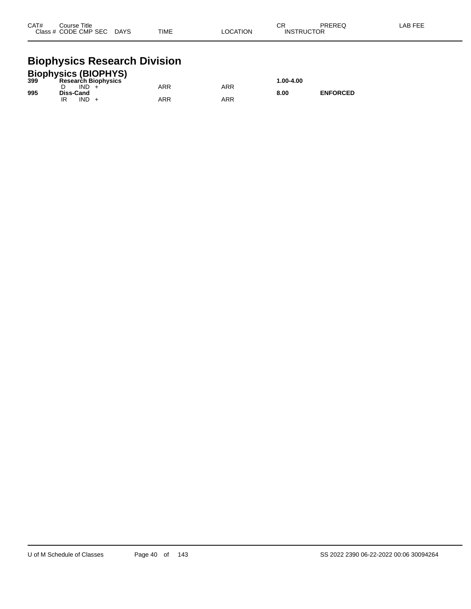| CAT#<br>Course Title |      |             |                 | ⌒冖<br>◡ | PREREQ            | LAB FEE |
|----------------------|------|-------------|-----------------|---------|-------------------|---------|
| Class # CODE CMP SEC | DAYS | <b>TIME</b> | <b>LOCATION</b> |         | <b>INSTRUCTOR</b> |         |

#### **Biophysics Research Division**

|     | <b>Biophysics (BIOPHYS)</b> |     |     |           |                 |
|-----|-----------------------------|-----|-----|-----------|-----------------|
| 399 | <b>Research Biophysics</b>  |     |     | 1.00-4.00 |                 |
|     | IND.                        | ARR | ARR |           |                 |
| 995 | Diss-Cand                   |     |     | 8.00      | <b>ENFORCED</b> |
|     | IND                         | ARR | ARR |           |                 |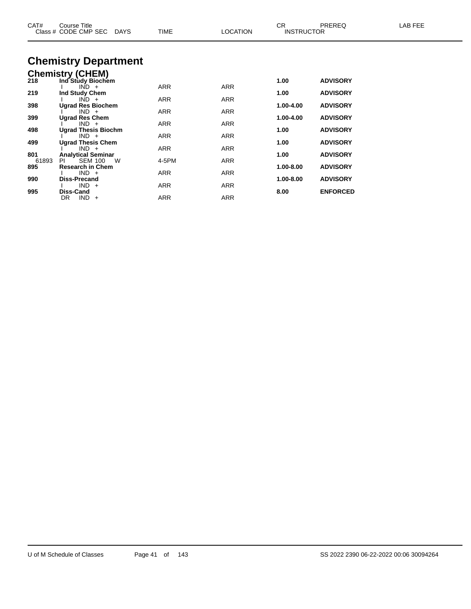| Course Title<br>Class # CODE CMP SEC<br>DAYS | TIME                                                                                                                                                                                                                                                                | <b>LOCATION</b>                                 |                                        |                                                                            | LAB FEE                                                                                                                                                          |
|----------------------------------------------|---------------------------------------------------------------------------------------------------------------------------------------------------------------------------------------------------------------------------------------------------------------------|-------------------------------------------------|----------------------------------------|----------------------------------------------------------------------------|------------------------------------------------------------------------------------------------------------------------------------------------------------------|
| <b>Chemistry Department</b>                  |                                                                                                                                                                                                                                                                     |                                                 |                                        |                                                                            |                                                                                                                                                                  |
|                                              |                                                                                                                                                                                                                                                                     |                                                 |                                        |                                                                            |                                                                                                                                                                  |
| Ind Study Biochem                            |                                                                                                                                                                                                                                                                     |                                                 | 1.00                                   | <b>ADVISORY</b>                                                            |                                                                                                                                                                  |
|                                              |                                                                                                                                                                                                                                                                     |                                                 |                                        |                                                                            |                                                                                                                                                                  |
| $IND +$                                      | ARR                                                                                                                                                                                                                                                                 | ARR                                             |                                        |                                                                            |                                                                                                                                                                  |
| <b>Ugrad Res Biochem</b>                     |                                                                                                                                                                                                                                                                     |                                                 | 1.00-4.00                              | <b>ADVISORY</b>                                                            |                                                                                                                                                                  |
|                                              |                                                                                                                                                                                                                                                                     |                                                 |                                        |                                                                            |                                                                                                                                                                  |
| $IND +$                                      | ARR                                                                                                                                                                                                                                                                 | ARR                                             |                                        |                                                                            |                                                                                                                                                                  |
| <b>Ugrad Thesis Biochm</b>                   |                                                                                                                                                                                                                                                                     |                                                 | 1.00                                   | <b>ADVISORY</b>                                                            |                                                                                                                                                                  |
|                                              |                                                                                                                                                                                                                                                                     |                                                 |                                        |                                                                            |                                                                                                                                                                  |
| $IND +$                                      | <b>ARR</b>                                                                                                                                                                                                                                                          | ARR                                             |                                        |                                                                            |                                                                                                                                                                  |
|                                              |                                                                                                                                                                                                                                                                     |                                                 |                                        |                                                                            |                                                                                                                                                                  |
|                                              |                                                                                                                                                                                                                                                                     |                                                 |                                        |                                                                            |                                                                                                                                                                  |
| $IND +$                                      | <b>ARR</b>                                                                                                                                                                                                                                                          | <b>ARR</b>                                      |                                        |                                                                            |                                                                                                                                                                  |
|                                              |                                                                                                                                                                                                                                                                     |                                                 |                                        |                                                                            |                                                                                                                                                                  |
|                                              |                                                                                                                                                                                                                                                                     |                                                 |                                        |                                                                            |                                                                                                                                                                  |
| $IND +$<br>DR                                | ARR                                                                                                                                                                                                                                                                 | <b>ARR</b>                                      |                                        |                                                                            |                                                                                                                                                                  |
|                                              | <b>Chemistry (CHEM)</b><br>$IND +$<br>Ind Study Chem<br>$IND +$<br><b>Ugrad Res Chem</b><br>$IND +$<br><b>Ugrad Thesis Chem</b><br><b>Analytical Seminar</b><br>PI<br><b>SEM 100</b><br>W<br><b>Research in Chem</b><br><b>Diss-Precand</b><br>$IND +$<br>Diss-Cand | <b>ARR</b><br>ARR<br>ARR<br>4-5PM<br><b>ARR</b> | ARR<br>ARR<br>ARR<br><b>ARR</b><br>ARR | CR.<br>1.00<br>1.00-4.00<br>1.00<br>1.00<br>1.00-8.00<br>1.00-8.00<br>8.00 | PREREQ<br><b>INSTRUCTOR</b><br><b>ADVISORY</b><br><b>ADVISORY</b><br><b>ADVISORY</b><br><b>ADVISORY</b><br><b>ADVISORY</b><br><b>ADVISORY</b><br><b>ENFORCED</b> |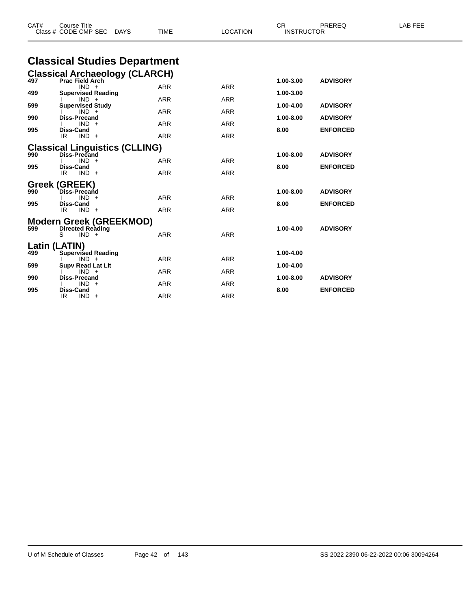| CAT# | <b>Course Title</b><br>Class # CODE CMP SEC<br><b>DAYS</b> | <b>TIME</b> | <b>LOCATION</b> | CR.<br><b>INSTRUCTOR</b> | PREREQ          | LAB FEE |
|------|------------------------------------------------------------|-------------|-----------------|--------------------------|-----------------|---------|
|      | <b>Classical Studies Department</b>                        |             |                 |                          |                 |         |
|      | <b>Classical Archaeology (CLARCH)</b>                      |             |                 |                          |                 |         |
| 497  | <b>Prac Field Arch</b><br>$IND +$                          | ARR         | <b>ARR</b>      | 1.00-3.00                | <b>ADVISORY</b> |         |
| 499  | <b>Supervised Reading</b>                                  |             |                 | 1.00-3.00                |                 |         |
| 599  | $IND +$<br><b>Supervised Study</b>                         | ARR         | <b>ARR</b>      | 1.00-4.00                | <b>ADVISORY</b> |         |
| 990  | $IND +$<br><b>Diss-Precand</b>                             | ARR         | <b>ARR</b>      | 1.00-8.00                | <b>ADVISORY</b> |         |
|      | $IND +$                                                    | ARR         | <b>ARR</b>      |                          |                 |         |
| 995  | Diss-Cand<br>IR<br>$IND +$                                 | ARR         | <b>ARR</b>      | 8.00                     | <b>ENFORCED</b> |         |
|      |                                                            |             |                 |                          |                 |         |
| 990  | <b>Classical Linguistics (CLLING)</b><br>Diss-Precand      |             |                 | 1.00-8.00                | <b>ADVISORY</b> |         |
| 995  | $IND +$<br><b>Diss-Cand</b>                                | <b>ARR</b>  | <b>ARR</b>      | 8.00                     | <b>ENFORCED</b> |         |
|      | IR.<br>$IND +$                                             | <b>ARR</b>  | <b>ARR</b>      |                          |                 |         |
|      | Greek (GREEK)                                              |             |                 |                          |                 |         |
| 990  | <b>Diss-Precand</b><br>$IND +$                             | <b>ARR</b>  | <b>ARR</b>      | 1.00-8.00                | <b>ADVISORY</b> |         |
| 995  | Diss-Cand                                                  |             |                 | 8.00                     | <b>ENFORCED</b> |         |
|      | IR.<br>$IND +$                                             | <b>ARR</b>  | <b>ARR</b>      |                          |                 |         |
|      | Modern Greek (GREEKMOD)                                    |             |                 |                          |                 |         |
| 599  | <b>Directed Reading</b><br>$IND +$<br>S                    | <b>ARR</b>  | <b>ARR</b>      | 1.00-4.00                | <b>ADVISORY</b> |         |
|      | Latin (LATIN)                                              |             |                 |                          |                 |         |
| 499  | <b>Supervised Reading</b>                                  |             |                 | 1.00-4.00                |                 |         |
| 599  | $IND +$<br><b>Supv Read Lat Lit</b>                        | <b>ARR</b>  | <b>ARR</b>      | 1.00-4.00                |                 |         |
| 990  | $IND +$<br><b>Diss-Precand</b>                             | <b>ARR</b>  | <b>ARR</b>      | 1.00-8.00                | <b>ADVISORY</b> |         |
|      | $IND +$                                                    | ARR         | <b>ARR</b>      |                          |                 |         |
| 995  | <b>Diss-Cand</b><br>IR.<br>$IND +$                         | <b>ARR</b>  | <b>ARR</b>      | 8.00                     | <b>ENFORCED</b> |         |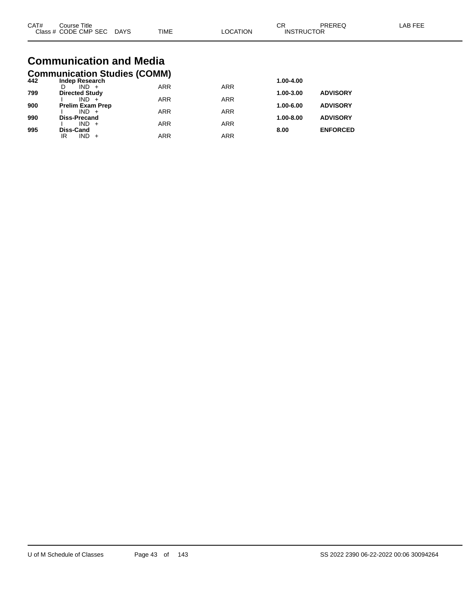| CAT# | Course Title<br>Class # CODE CMP SEC DAYS  | <b>TIME</b> | LOCATION   | СR<br><b>INSTRUCTOR</b> | PREREQ          | LAB FEE |
|------|--------------------------------------------|-------------|------------|-------------------------|-----------------|---------|
|      | <b>Communication and Media</b>             |             |            |                         |                 |         |
|      | <b>Communication Studies (COMM)</b>        |             |            |                         |                 |         |
| 442  | Indep Research<br>$IND +$<br>D.            | <b>ARR</b>  | <b>ARR</b> | 1.00-4.00               |                 |         |
| 799  | <b>Directed Study</b>                      |             |            | 1.00-3.00               | <b>ADVISORY</b> |         |
|      | IND                                        | <b>ARR</b>  | <b>ARR</b> |                         |                 |         |
| 900  | <b>Prelim Exam Prep</b><br>IND -<br>$\div$ | <b>ARR</b>  | <b>ARR</b> | 1.00-6.00               | <b>ADVISORY</b> |         |

**990 Diss-Precand 1.00-8.00 ADVISORY**

**995 Diss-Cand 8.00 ENFORCED**

I IND + ARR ARR ARR

IR IND + ARR ARR ARR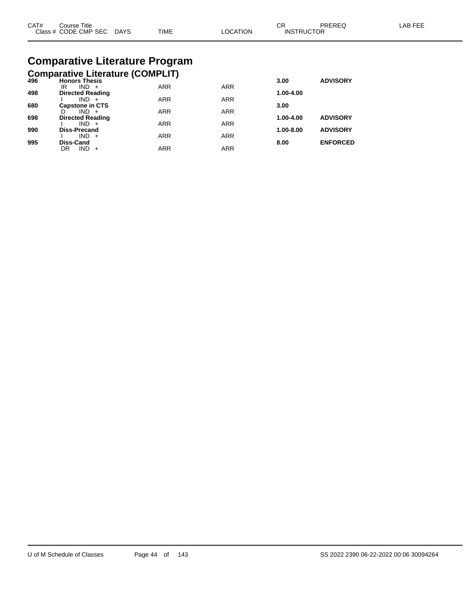| CAT#<br>Course Title |             |             |                | ⌒冖 | PREREC            | AB FFF |
|----------------------|-------------|-------------|----------------|----|-------------------|--------|
| Class # CODE CMP SEC | <b>DAYS</b> | <b>TIME</b> | <b>OCATION</b> |    | <b>INSTRUCTOR</b> |        |

## **Comparative Literature Program**

| <b>Comparative Literature (COMPLIT)</b>          |  |  |
|--------------------------------------------------|--|--|
| $\sim$ $\sim$ $\sim$ $\sim$ $\sim$ $\sim$ $\sim$ |  |  |

| 496 | <b>Honors Thesis</b>               |            |            | 3.00      | <b>ADVISORY</b> |
|-----|------------------------------------|------------|------------|-----------|-----------------|
|     | IR<br>$IND +$                      | <b>ARR</b> | <b>ARR</b> |           |                 |
| 498 | <b>Directed Reading</b>            |            |            | 1.00-4.00 |                 |
|     | $IND +$                            | <b>ARR</b> | <b>ARR</b> |           |                 |
| 680 | <b>Capstone in CTS</b>             |            |            | 3.00      |                 |
|     | $IND +$<br>D                       | <b>ARR</b> | <b>ARR</b> |           |                 |
| 698 | <b>Directed Reading</b><br>$IND +$ | <b>ARR</b> | <b>ARR</b> | 1.00-4.00 | <b>ADVISORY</b> |
|     |                                    |            |            |           |                 |
| 990 | <b>Diss-Precand</b>                |            |            | 1.00-8.00 | <b>ADVISORY</b> |
| 995 | $IND +$<br><b>Diss-Cand</b>        | <b>ARR</b> | <b>ARR</b> |           | <b>ENFORCED</b> |
|     |                                    |            |            | 8.00      |                 |
|     | $IND +$<br>DR                      | <b>ARR</b> | <b>ARR</b> |           |                 |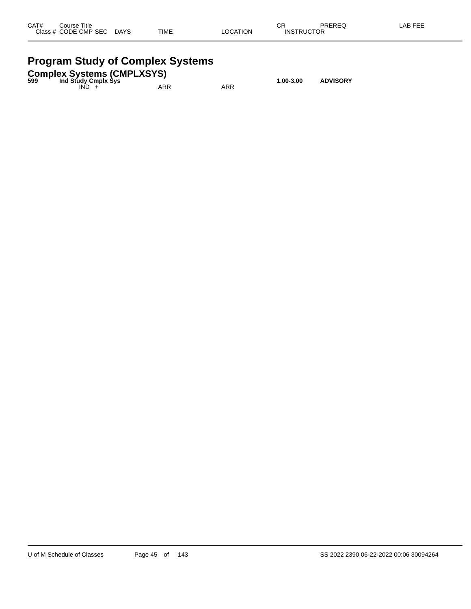| CAT#      | Title<br>Course     |             |             |                 | СR                                   | <b>DDEDEA</b> | AB FFF |
|-----------|---------------------|-------------|-------------|-----------------|--------------------------------------|---------------|--------|
| Class $#$ | <b>CODE CMP SEC</b> | <b>DAYS</b> | <b>TIME</b> | `ATION<br>_OCA` | <b>TDI ICTOD</b><br>INS <sup>-</sup> | UΚ            |        |
|           |                     |             |             |                 |                                      |               |        |

### **Program Study of Complex Systems**

| 599 | Ind Study Cmplx Sys | <b>Complex Systems (CMPLXSYS)</b> |     | 1.00-3.00 | <b>ADVISORY</b> |
|-----|---------------------|-----------------------------------|-----|-----------|-----------------|
|     | IND.                | ARR                               | ARR |           |                 |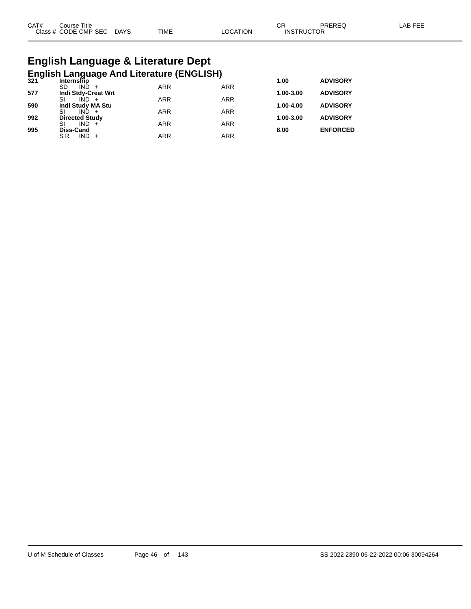| CAT# | Course Title              |      |          | СR                | PREREQ | LAB FEE |
|------|---------------------------|------|----------|-------------------|--------|---------|
|      | Class # CODE CMP SEC DAYS | TIME | LOCATION | <b>INSTRUCTOR</b> |        |         |

## **English Language & Literature Dept English Language And Literature (ENGLISH) 321 Internship 1.00 ADVISORY**

| JZ I | 11161115111 <b>0</b><br>$IND +$<br>SD | <b>ARR</b> | <b>ARR</b> | 1.VV          | ADVIJUNI        |
|------|---------------------------------------|------------|------------|---------------|-----------------|
| 577  | <b>Indi Stdy-Creat Wrt</b>            |            |            | $1.00 - 3.00$ | <b>ADVISORY</b> |
|      | $IND +$                               | <b>ARR</b> | <b>ARR</b> |               |                 |
| 590  | Indi Study MA Stu                     |            |            | 1.00-4.00     | <b>ADVISORY</b> |
| 992  | $IND +$<br><b>Directed Study</b>      | <b>ARR</b> | <b>ARR</b> | 1.00-3.00     | <b>ADVISORY</b> |
|      | SI<br>$IND +$                         | <b>ARR</b> | <b>ARR</b> |               |                 |
| 995  | <b>Diss-Cand</b>                      |            |            | 8.00          | <b>ENFORCED</b> |
|      | $IND +$<br>S R                        | <b>ARR</b> | ARR        |               |                 |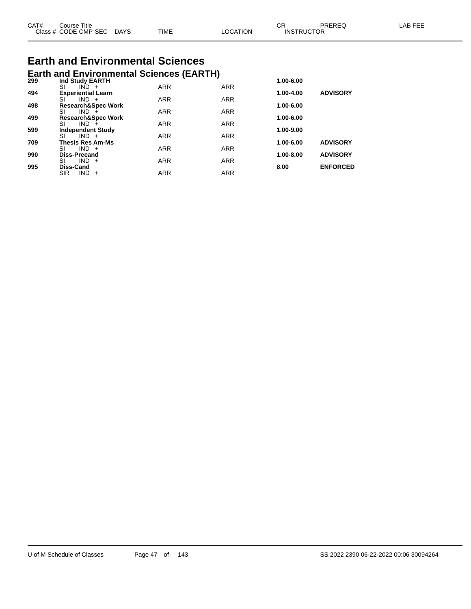| CAT# | Course Title              |      |          | ◡ド                | PREREQ | LAB FEE |
|------|---------------------------|------|----------|-------------------|--------|---------|
|      | Class # CODE CMP SEC DAYS | TIME | ∟OCATION | <b>INSTRUCTOR</b> |        |         |

# **Earth and Environmental Sciences**

|     | <b>Earth and Environmental Sciences (EARTH)</b> |            |            |           |                 |
|-----|-------------------------------------------------|------------|------------|-----------|-----------------|
| 299 | Ind Study EARTH                                 | <b>ARR</b> | <b>ARR</b> | 1.00-6.00 |                 |
| 494 | SI<br>$IND +$<br><b>Experiential Learn</b>      |            |            | 1.00-4.00 | <b>ADVISORY</b> |
|     | SI<br>$IND +$                                   | <b>ARR</b> | <b>ARR</b> |           |                 |
| 498 | <b>Research&amp;Spec Work</b>                   |            |            | 1.00-6.00 |                 |
|     | SI<br>$IND +$                                   | <b>ARR</b> | <b>ARR</b> |           |                 |
| 499 | <b>Research&amp;Spec Work</b>                   |            |            | 1.00-6.00 |                 |
|     | SI<br>$IND +$                                   | <b>ARR</b> | <b>ARR</b> |           |                 |
| 599 | <b>Independent Study</b>                        |            |            | 1.00-9.00 |                 |
|     | SI<br>$IND +$                                   | <b>ARR</b> | <b>ARR</b> |           |                 |
| 709 | <b>Thesis Res Am-Ms</b>                         |            |            | 1.00-6.00 | <b>ADVISORY</b> |
|     | SI<br>$IND +$                                   | <b>ARR</b> | <b>ARR</b> |           |                 |
| 990 | <b>Diss-Precand</b><br>SI<br>$IND +$            | <b>ARR</b> | <b>ARR</b> | 1.00-8.00 | <b>ADVISORY</b> |
| 995 | <b>Diss-Cand</b>                                |            |            | 8.00      | <b>ENFORCED</b> |
|     | <b>SIR</b><br>$IND +$                           | <b>ARR</b> | <b>ARR</b> |           |                 |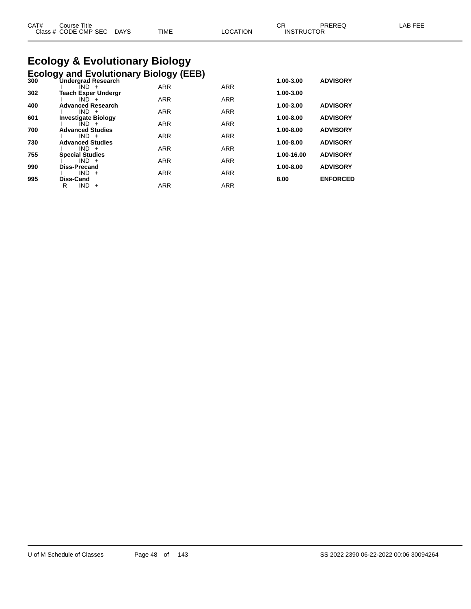| CAT# | ourse Titleٽ              |             |                 | ∼י<br>◡┍          | PREREQ | LAB FEE |
|------|---------------------------|-------------|-----------------|-------------------|--------|---------|
|      | Class # CODE CMP SEC DAYS | <b>TIME</b> | <b>LOCATION</b> | <b>INSTRUCTOR</b> |        |         |

# **Ecology & Evolutionary Biology**

|     | <b>Ecology and Evolutionary Biology (EEB)</b> |            |            |            |                 |
|-----|-----------------------------------------------|------------|------------|------------|-----------------|
| 300 | <b>Undergrad Research</b><br>IND +            | <b>ARR</b> | <b>ARR</b> | 1.00-3.00  | <b>ADVISORY</b> |
| 302 | <b>Teach Exper Undergr</b>                    |            |            | 1.00-3.00  |                 |
|     | $IND +$                                       | <b>ARR</b> | <b>ARR</b> |            |                 |
| 400 | <b>Advanced Research</b><br>$IND +$           | <b>ARR</b> | <b>ARR</b> | 1.00-3.00  | <b>ADVISORY</b> |
| 601 | <b>Investigate Biology</b>                    |            |            | 1.00-8.00  | <b>ADVISORY</b> |
|     | $IND +$                                       | <b>ARR</b> | <b>ARR</b> |            |                 |
| 700 | <b>Advanced Studies</b><br>$IND +$            | <b>ARR</b> | <b>ARR</b> | 1.00-8.00  | <b>ADVISORY</b> |
| 730 | <b>Advanced Studies</b>                       |            |            | 1.00-8.00  | <b>ADVISORY</b> |
|     | $IND +$                                       | <b>ARR</b> | <b>ARR</b> |            |                 |
| 755 | <b>Special Studies</b><br>$IND +$             | <b>ARR</b> | <b>ARR</b> | 1.00-16.00 | <b>ADVISORY</b> |
| 990 | <b>Diss-Precand</b>                           |            |            | 1.00-8.00  | <b>ADVISORY</b> |
|     | $IND +$                                       | <b>ARR</b> | <b>ARR</b> |            |                 |
| 995 | Diss-Cand                                     |            |            | 8.00       | <b>ENFORCED</b> |
|     | R<br><b>IND</b><br>$+$                        | <b>ARR</b> | <b>ARR</b> |            |                 |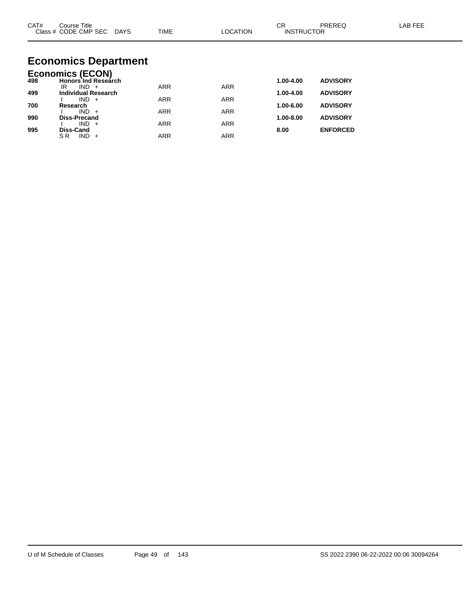| CAT#       | Course Title<br>Class # CODE CMP SEC DAYS                        | TIME       | <b>LOCATION</b> | <b>CR</b><br><b>INSTRUCTOR</b> | <b>PREREQ</b>                      | LAB FEE |
|------------|------------------------------------------------------------------|------------|-----------------|--------------------------------|------------------------------------|---------|
|            | <b>Economics Department</b>                                      |            |                 |                                |                                    |         |
| 498        | <b>Economics (ECON)</b><br><b>Honors Ind Research</b><br>$IND +$ | <b>ARR</b> | <b>ARR</b>      | 1.00-4.00                      | <b>ADVISORY</b>                    |         |
| 499        | IR.<br><b>Individual Research</b><br>$IND +$                     | <b>ARR</b> | <b>ARR</b>      | 1.00-4.00                      | <b>ADVISORY</b>                    |         |
| 700        | Research<br>$IND +$                                              | <b>ARR</b> | <b>ARR</b>      | 1.00-6.00                      | <b>ADVISORY</b>                    |         |
| 990<br>995 | <b>Diss-Precand</b><br>$IND +$<br>Diss-Cand                      | <b>ARR</b> | <b>ARR</b>      | 1.00-8.00<br>8.00              | <b>ADVISORY</b><br><b>ENFORCED</b> |         |

SR IND + ARR ARR ARR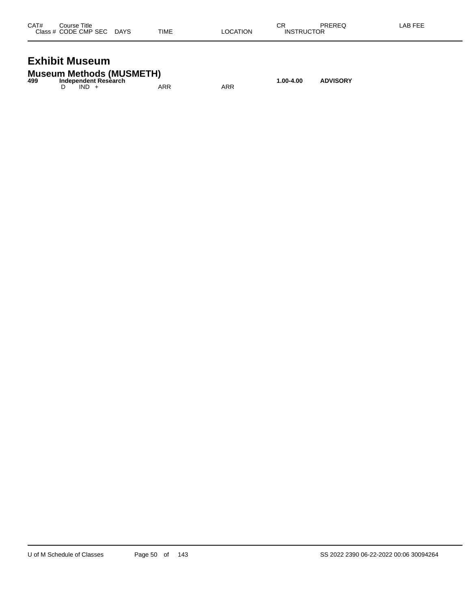| CAT# | Course Title              |      |          | СR                | PREREQ | LAB FEE |
|------|---------------------------|------|----------|-------------------|--------|---------|
|      | Class # CODE CMP SEC DAYS | TIME | LOCATION | <b>INSTRUCTOR</b> |        |         |
|      |                           |      |          |                   |        |         |

#### **Exhibit Museum**

|     | <b>Museum Methods (MUSMETH)</b> |     |     |           |                 |
|-----|---------------------------------|-----|-----|-----------|-----------------|
| 499 | Independent Research            |     |     | 1.00-4.00 | <b>ADVISORY</b> |
|     | $IND +$                         | ARR | ARR |           |                 |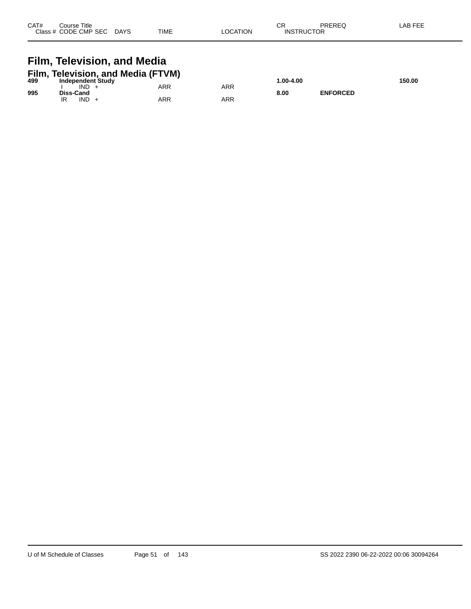| CAT# | Course Title<br>Class # CODE CMP SEC | <b>DAYS</b> | <b>TIME</b> | <b>OCATION</b> | СR<br><b>INSTRUCTOR</b> | PREREQ | AB FEE |
|------|--------------------------------------|-------------|-------------|----------------|-------------------------|--------|--------|
|      |                                      |             |             |                |                         |        |        |

## **Film, Television, and Media**

|     | Film, Television, and Media (FTVM) |     |     |            |                 |        |
|-----|------------------------------------|-----|-----|------------|-----------------|--------|
| 499 | Independent Study                  |     |     | 00-4.00. ا |                 | 150.00 |
|     | IND                                | ARR | ARR |            |                 |        |
| 995 | Diss-Cand                          |     |     | 8.00       | <b>ENFORCED</b> |        |
|     | <b>IND</b>                         | ARR | ARR |            |                 |        |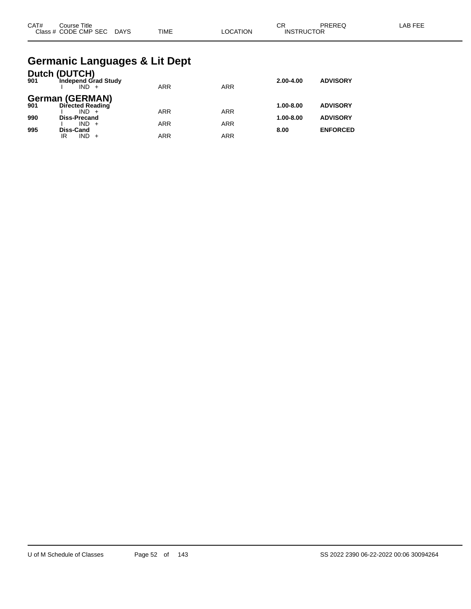| CAT# | . Title<br>Course    |             |             |                | <b>CC</b><br>◡◠   | PREREQ | $AP$ $EF'$<br><b>NL</b> |
|------|----------------------|-------------|-------------|----------------|-------------------|--------|-------------------------|
|      | Class # CODE CMP SEC | <b>DAYS</b> | <b>TIME</b> | <b>OCATION</b> | <b>INSTRUCTOR</b> |        |                         |

#### **Germanic Languages & Lit Dept**

| 901 | Dutch (DUTCH)<br>Independ Grad Study<br>$IND +$ | <b>ARR</b> | <b>ARR</b> | $2.00 - 4.00$ | <b>ADVISORY</b> |
|-----|-------------------------------------------------|------------|------------|---------------|-----------------|
| 901 | <b>German (GERMAN)</b><br>Directed Reading      |            |            | $1.00 - 8.00$ | <b>ADVISORY</b> |
| 990 | $IND +$<br><b>Diss-Precand</b>                  | <b>ARR</b> | <b>ARR</b> | $1.00 - 8.00$ | <b>ADVISORY</b> |
| 995 | $IND +$<br><b>Diss-Cand</b>                     | <b>ARR</b> | <b>ARR</b> | 8.00          | <b>ENFORCED</b> |
|     | IND.<br>IR                                      | <b>ARR</b> | ARR        |               |                 |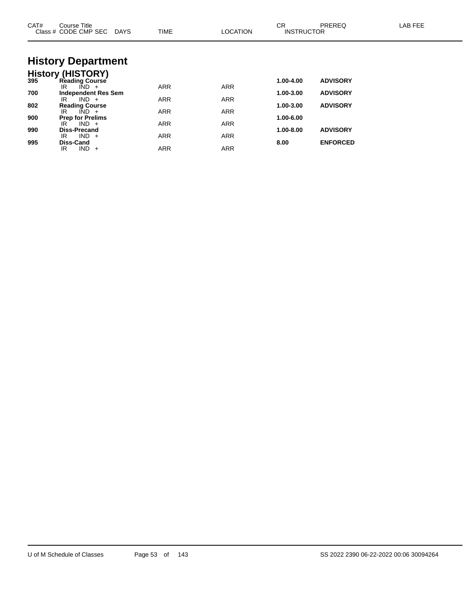| CAT# | Course Title<br>Class # CODE CMP SEC DAYS              | <b>TIME</b> | <b>LOCATION</b> | <b>CR</b><br><b>INSTRUCTOR</b> | <b>PREREQ</b>   | LAB FEE |
|------|--------------------------------------------------------|-------------|-----------------|--------------------------------|-----------------|---------|
|      | <b>History Department</b>                              |             |                 |                                |                 |         |
|      | <b>History (HISTORY)</b><br>395 Reading Course         |             |                 |                                |                 |         |
|      |                                                        |             |                 | 1.00-4.00                      | <b>ADVISORY</b> |         |
| 700  | $\overline{IND}$ +<br>IR<br><b>Independent Res Sem</b> | <b>ARR</b>  | <b>ARR</b>      | 1.00-3.00                      | <b>ADVISORY</b> |         |
|      | $IND +$<br>IR                                          | <b>ARR</b>  | <b>ARR</b>      |                                |                 |         |
| 802  | <b>Reading Course</b>                                  |             |                 | 1.00-3.00                      | <b>ADVISORY</b> |         |
|      | $\overline{IND}$ +<br>IR                               | <b>ARR</b>  | <b>ARR</b>      |                                |                 |         |
| 900  | <b>Prep for Prelims</b><br>$IND +$<br>IR               | <b>ARR</b>  | <b>ARR</b>      | 1.00-6.00                      |                 |         |
| 990  | Diss-Precand                                           |             |                 | 1.00-8.00                      | <b>ADVISORY</b> |         |
|      | $IND +$<br>IR                                          | <b>ARR</b>  | <b>ARR</b>      |                                |                 |         |
| 995  | Diss-Cand<br>$IND +$<br>IR.                            | <b>ARR</b>  | <b>ARR</b>      | 8.00                           | <b>ENFORCED</b> |         |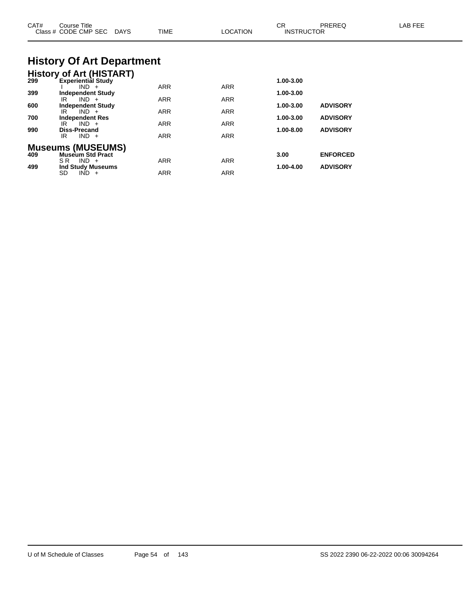| CAT#       | Course Title<br>Class # CODE CMP SEC DAYS                               | TIME              | <b>LOCATION</b> | CR.<br><b>INSTRUCTOR</b> | <b>PREREQ</b>   | LAB FEE |
|------------|-------------------------------------------------------------------------|-------------------|-----------------|--------------------------|-----------------|---------|
|            | <b>History Of Art Department</b>                                        |                   |                 |                          |                 |         |
| 299        | <b>History of Art (HISTART)</b><br><b>Experiential Study</b><br>$IND +$ | <b>ARR</b>        | ARR             | 1.00-3.00                |                 |         |
| 399<br>600 | <b>Independent Study</b><br>$IND +$<br>IR.<br><b>Independent Study</b>  | <b>ARR</b>        | ARR             | 1.00-3.00<br>1.00-3.00   | <b>ADVISORY</b> |         |
| 700        | $IND +$<br>IR.<br>Independent Res<br>$IND +$<br>IR.                     | <b>ARR</b><br>ARR | ARR<br>ARR      | 1.00-3.00                | <b>ADVISORY</b> |         |
| 990        | <b>Diss-Precand</b><br>$IND +$<br>IR                                    | <b>ARR</b>        | ARR             | 1.00-8.00                | <b>ADVISORY</b> |         |
| 409        | <b>Museums (MUSEUMS)</b><br><b>Museum Std Pract</b><br>$IND +$<br>SR.   | <b>ARR</b>        | ARR             | 3.00                     | <b>ENFORCED</b> |         |
| 499        | <b>Ind Study Museums</b><br>SD<br>$IND +$                               | <b>ARR</b>        | ARR             | 1.00-4.00                | <b>ADVISORY</b> |         |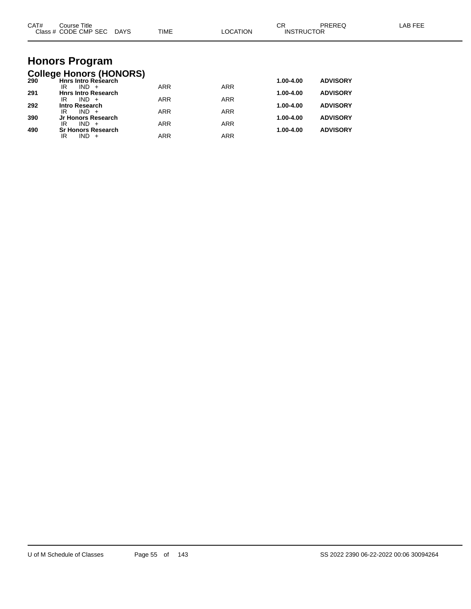| CAT# | Course Title<br>Class # CODE CMP SEC DAYS                    | TIME       | <b>LOCATION</b> | <b>CR</b><br><b>INSTRUCTOR</b> | PREREQ          | <b>LAB FEE</b> |
|------|--------------------------------------------------------------|------------|-----------------|--------------------------------|-----------------|----------------|
|      |                                                              |            |                 |                                |                 |                |
|      | <b>Honors Program</b>                                        |            |                 |                                |                 |                |
| 290  | <b>College Honors (HONORS)</b><br><b>Hnrs Intro Research</b> |            |                 | 1.00-4.00                      | <b>ADVISORY</b> |                |
| 291  | $IND +$<br>IR<br><b>Hnrs Intro Research</b>                  | <b>ARR</b> | <b>ARR</b>      | 1.00-4.00                      | <b>ADVISORY</b> |                |
| 292  | $IND +$<br>IR<br><b>Intro Research</b>                       | <b>ARR</b> | <b>ARR</b>      | 1.00-4.00                      | <b>ADVISORY</b> |                |
|      | $IND +$<br>IR                                                | <b>ARR</b> | <b>ARR</b>      |                                |                 |                |
| 390  | Jr Honors Research<br>$IND +$<br>IR                          | <b>ARR</b> | <b>ARR</b>      | 1.00-4.00                      | <b>ADVISORY</b> |                |
| 490  | <b>Sr Honors Research</b><br>$IND +$<br>IR                   | <b>ARR</b> | <b>ARR</b>      | 1.00-4.00                      | <b>ADVISORY</b> |                |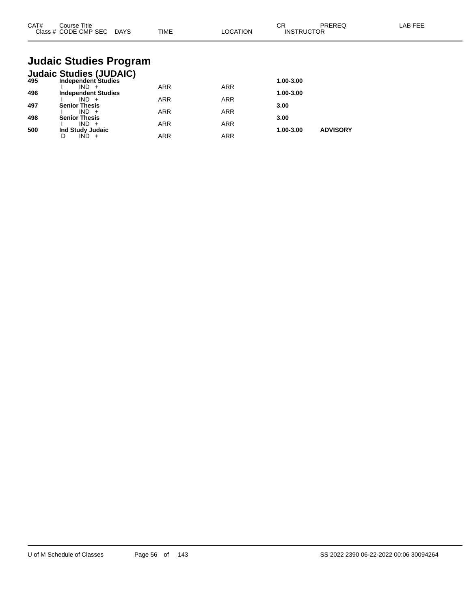| CAT#<br>Class $#$ | Course Title<br>CODE CMP SEC | <b>DAYS</b> | <b>TIME</b> | <b>NOIT'</b><br>ററ | ◠⊏<br>◡<br><b>INSTRUCTOR</b> | <b>DDEDEC</b><br>'NL.<br>⊾∟ו | <b>AB FEF</b> |
|-------------------|------------------------------|-------------|-------------|--------------------|------------------------------|------------------------------|---------------|
|                   |                              |             |             |                    |                              |                              |               |

## **Judaic Studies Program**

|     | <b>Judaic Studies (JUDAIC)</b> |            |            |           |                 |
|-----|--------------------------------|------------|------------|-----------|-----------------|
| 495 | <b>Independent Studies</b>     |            |            | 1.00-3.00 |                 |
|     | IND.                           | ARR        | <b>ARR</b> |           |                 |
| 496 | <b>Independent Studies</b>     |            |            | 1.00-3.00 |                 |
|     | $IND +$                        | ARR        | <b>ARR</b> |           |                 |
| 497 | <b>Senior Thesis</b>           |            |            | 3.00      |                 |
|     | $IND +$                        | <b>ARR</b> | <b>ARR</b> |           |                 |
| 498 | <b>Senior Thesis</b>           |            |            | 3.00      |                 |
|     | $IND +$                        | ARR        | <b>ARR</b> |           |                 |
| 500 | Ind Study Judaic               |            |            | 1.00-3.00 | <b>ADVISORY</b> |
|     |                                | <b>ARR</b> | <b>ARR</b> |           |                 |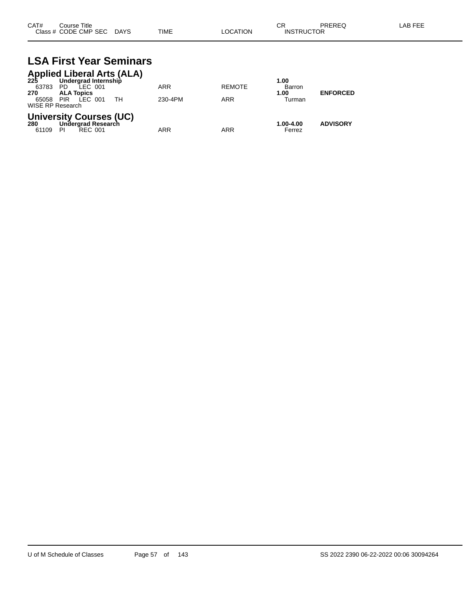| CAT# | Course Title              |             |          | ∼⊏                | PREREQ | LAB FEE |
|------|---------------------------|-------------|----------|-------------------|--------|---------|
|      | Class # CODE CMP SEC DAYS | <b>TIME</b> | LOCATION | <b>INSTRUCTOR</b> |        |         |

#### **LSA First Year Seminars Applied Liberal Arts (ALA)**

|                  | Applied Liberal Arts (ALA)<br>225 Undergrad Internship |            |               |           |                 |  |  |  |  |
|------------------|--------------------------------------------------------|------------|---------------|-----------|-----------------|--|--|--|--|
|                  | Undergrad Internship                                   |            |               | 1.00      |                 |  |  |  |  |
| 63783            | LEC 001<br>PD.                                         | <b>ARR</b> | <b>REMOTE</b> | Barron    |                 |  |  |  |  |
| 270              | <b>ALA Topics</b>                                      |            |               | 1.00      | <b>ENFORCED</b> |  |  |  |  |
|                  | 65058 PIR LEC 001<br>- TH                              | 230-4PM    | ARR           | Turman    |                 |  |  |  |  |
| WISE RP Research |                                                        |            |               |           |                 |  |  |  |  |
|                  | <b>University Courses (UC)</b>                         |            |               |           |                 |  |  |  |  |
| 280              | Undergrad Research                                     |            |               | 1.00-4.00 | <b>ADVISORY</b> |  |  |  |  |
| 61109            | -PI<br>REC 001                                         | ARR        | <b>ARR</b>    | Ferrez    |                 |  |  |  |  |
|                  |                                                        |            |               |           |                 |  |  |  |  |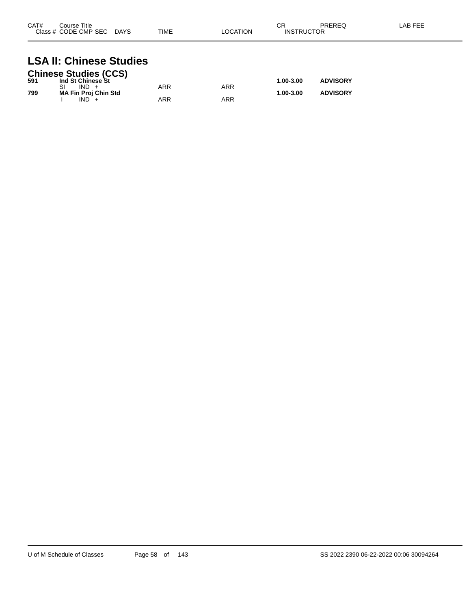| CAT#<br>Class # | Course Title<br>CODE CMP SEC | <b>DAYS</b> | <b>TIME</b> | ` OCATION | ∼⊏<br>◡∩<br>ICTOR<br>″D′<br>INS⊤"<br>ιк | <b>DDEDEA</b><br><b>INCINCY</b> | AR FFF |
|-----------------|------------------------------|-------------|-------------|-----------|-----------------------------------------|---------------------------------|--------|
|                 |                              |             |             |           |                                         |                                 |        |

## **LSA II: Chinese Studies**

|     | <b>Chinese Studies (CCS)</b> |     |     |           |                 |
|-----|------------------------------|-----|-----|-----------|-----------------|
| 591 | Ind St Chinese St            |     |     | 1.00-3.00 | <b>ADVISORY</b> |
|     | $IND +$                      | ARR | ARR |           |                 |
| 799 | <b>MA Fin Proj Chin Std</b>  |     |     | 1.00-3.00 | <b>ADVISORY</b> |
|     | $IND +$                      | ARR | ARR |           |                 |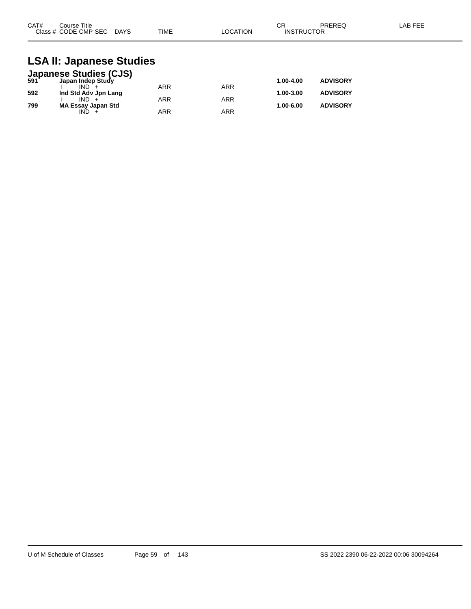| CAT#<br>Course Title      |             | ⌒冖<br>◡┍ |                   | PREREQ | LAB FEE |
|---------------------------|-------------|----------|-------------------|--------|---------|
| Class # CODE CMP SEC DAYS | <b>TIME</b> | LOCATION | <b>INSTRUCTOR</b> |        |         |

#### **LSA II: Japanese Studies**

|     | <b>Japanese Studies (CJS)</b><br>591 Japan Indep Study |            |            |           |                 |
|-----|--------------------------------------------------------|------------|------------|-----------|-----------------|
|     |                                                        |            |            | 1.00-4.00 | <b>ADVISORY</b> |
|     | $IND +$                                                | <b>ARR</b> | ARR        |           |                 |
| 592 | Ind Std Adv Jpn Lang                                   |            |            | 1.00-3.00 | <b>ADVISORY</b> |
|     | $IND +$                                                | <b>ARR</b> | <b>ARR</b> |           |                 |
| 799 | <b>MA Essay Japan Std</b>                              |            |            | 1.00-6.00 | <b>ADVISORY</b> |
|     | IND.                                                   | <b>ARR</b> | ARR        |           |                 |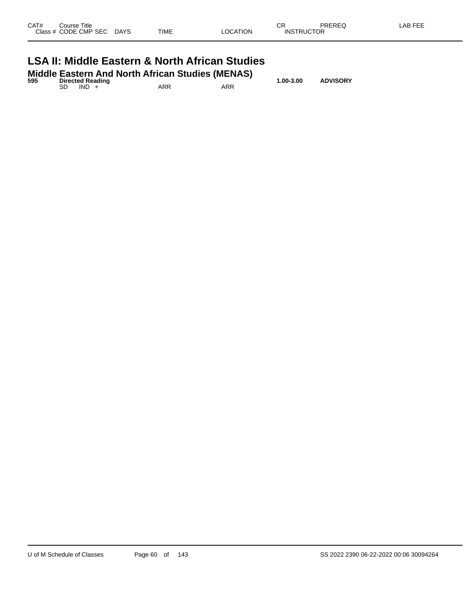| Class # CODE CMP SEC DAYS                                 |  | TIME | LOCATION | <b>INSTRUCTOR</b> |  |  |  |
|-----------------------------------------------------------|--|------|----------|-------------------|--|--|--|
| <b>LSA II: Middle Eastern &amp; North African Studies</b> |  |      |          |                   |  |  |  |

| 595 |    |         | <b>Directed Reading</b> | <b>Middle Eastern And North African Studies (MENAS)</b> |     | $1.00 - 3.00$ | <b>ADVISORY</b> |
|-----|----|---------|-------------------------|---------------------------------------------------------|-----|---------------|-----------------|
|     | SD | $IND +$ |                         | ARR                                                     | ARR |               |                 |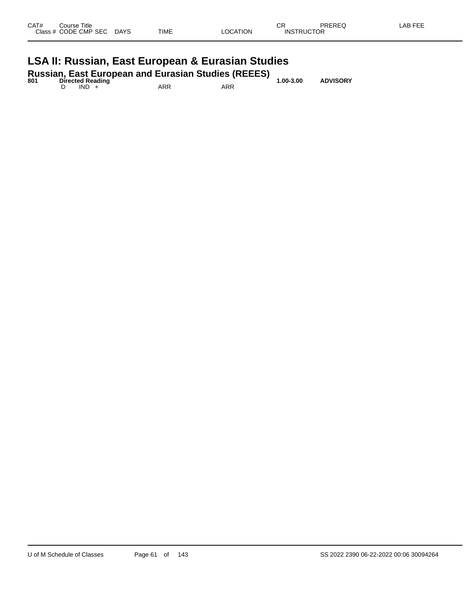|   | Class # CODE CMP SEC | DAYS     | <b>TIME</b> | LOCATION             | <b>INSTRUCTOR</b> |  |
|---|----------------------|----------|-------------|----------------------|-------------------|--|
| . |                      | - -<br>_ |             | - -<br>$\sim$ $\sim$ |                   |  |

#### **LSA II: Russian, East European & Eurasian Studies**

| 801 | <b>Directed Reading</b> |     | <b>Russian, East European and Eurasian Studies (REEES)</b> | $1.00 - 3.00$ | <b>ADVISORY</b> |
|-----|-------------------------|-----|------------------------------------------------------------|---------------|-----------------|
|     | $IND +$                 | ARR | ARR                                                        |               |                 |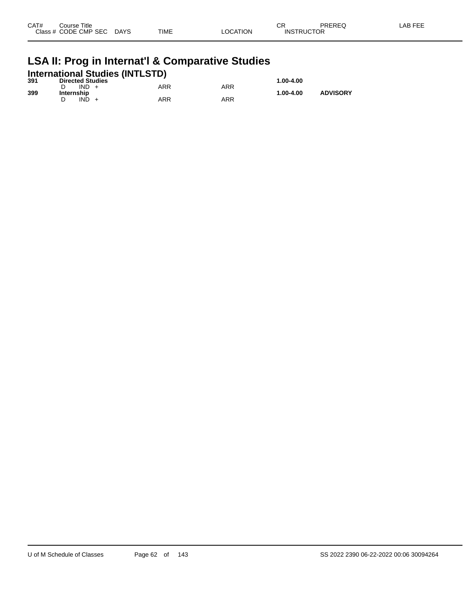| CAT#      | Course Title |             |             |          | СR                | PREREQ | AB FEE |
|-----------|--------------|-------------|-------------|----------|-------------------|--------|--------|
| Class $#$ | CODE CMP SEC | <b>DAYS</b> | <b>TIME</b> | LOCATION | <b>INSTRUCTOR</b> |        |        |
|           |              |             |             |          |                   |        |        |

## **LSA II: Prog in Internat'l & Comparative Studies International Studies (INTLSTD) 391 Directed Studies 1.00-4.00**

| 391 | <b>Directed Studies</b> |     |     | 1.00-4.00 |                 |
|-----|-------------------------|-----|-----|-----------|-----------------|
|     | IND.                    | ARR | ARR |           |                 |
| 399 | Internship              |     |     | 1.00-4.00 | <b>ADVISORY</b> |
|     | ind                     | ARR | ARR |           |                 |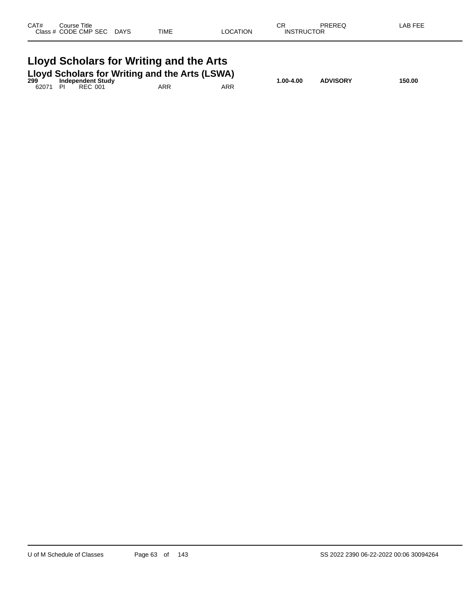| CAT#<br>Course Title<br>Class # CODE CMP SEC DAYS | TIME                                                                                                                                        | LOCATION   | СR<br><b>INSTRUCTOR</b> | PREREQ          | LAB FEE |
|---------------------------------------------------|---------------------------------------------------------------------------------------------------------------------------------------------|------------|-------------------------|-----------------|---------|
| 62071<br>PI<br>REC 001                            | Lloyd Scholars for Writing and the Arts<br><b>Lloyd Scholars for Writing and the Arts (LSWA)</b><br><sup>299</sup> Independent Study<br>ARR | <b>ARR</b> | 1.00-4.00               | <b>ADVISORY</b> | 150.00  |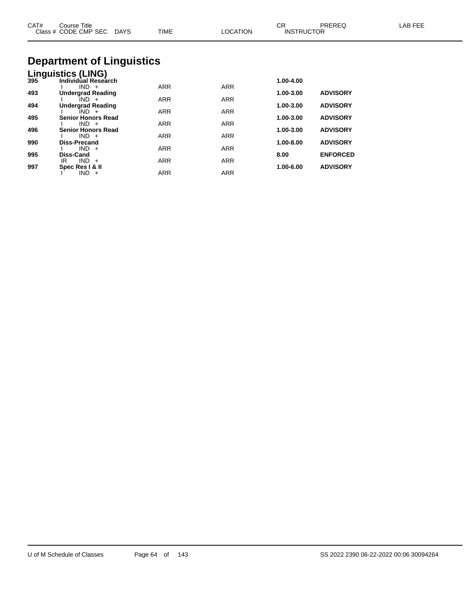| CAT# | Course Title<br>Class # CODE CMP SEC DAYS | <b>TIME</b> | <b>LOCATION</b> | CR<br><b>INSTRUCTOR</b> | <b>PREREQ</b>   | LAB FEE |
|------|-------------------------------------------|-------------|-----------------|-------------------------|-----------------|---------|
|      | <b>Department of Linguistics</b>          |             |                 |                         |                 |         |
|      | Linguistics (LING)                        |             |                 |                         |                 |         |
| 395  | Individual Research                       |             |                 | 1.00-4.00               |                 |         |
| 493  | $IND +$<br><b>Undergrad Reading</b>       | <b>ARR</b>  | <b>ARR</b>      | 1.00-3.00               | <b>ADVISORY</b> |         |
|      | $IND +$                                   | <b>ARR</b>  | <b>ARR</b>      |                         |                 |         |
| 494  | <b>Undergrad Reading</b>                  |             |                 | 1.00-3.00               | <b>ADVISORY</b> |         |
|      | $IND +$                                   | <b>ARR</b>  | <b>ARR</b>      |                         |                 |         |
| 495  | <b>Senior Honors Read</b><br>$IND +$      | <b>ARR</b>  | <b>ARR</b>      | 1.00-3.00               | <b>ADVISORY</b> |         |
| 496  | <b>Senior Honors Read</b>                 |             |                 | 1.00-3.00               | <b>ADVISORY</b> |         |
|      | $IND +$                                   | <b>ARR</b>  | <b>ARR</b>      |                         |                 |         |
| 990  | <b>Diss-Precand</b>                       | <b>ARR</b>  | <b>ARR</b>      | 1.00-8.00               | <b>ADVISORY</b> |         |
| 995  | $IND +$<br>Diss-Cand                      |             |                 | 8.00                    | <b>ENFORCED</b> |         |

IR IND + ARR ARR ARR

I IND + ARR ARR

**997 Spec Res I & II 1.00-6.00 ADVISORY**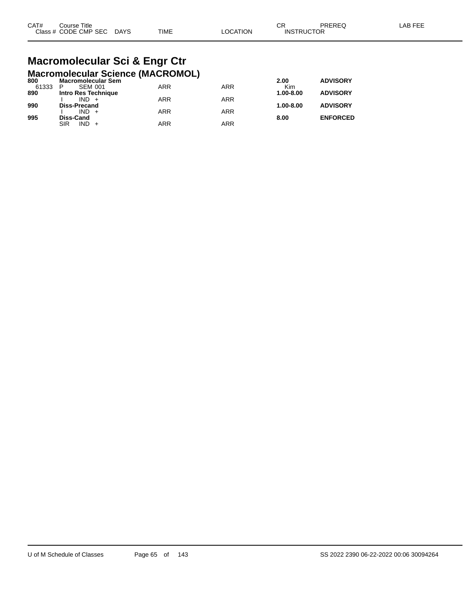| CAT# | Course Title              |      |          | СR                | PREREQ | LAB FEE |
|------|---------------------------|------|----------|-------------------|--------|---------|
|      | Class # CODE CMP SEC DAYS | TIME | LOCATION | <b>INSTRUCTOR</b> |        |         |

#### **Macromolecular Sci & Engr Ctr Macromolecular Science (MACROMOL)**

|                     |                           |     | 2.00          | <b>ADVISORY</b> |
|---------------------|---------------------------|-----|---------------|-----------------|
| <b>SEM 001</b><br>P | <b>ARR</b>                | ARR | Kim           |                 |
| Intro Res Technique |                           |     | 1.00-8.00     | <b>ADVISORY</b> |
| $IND +$             | <b>ARR</b>                | ARR |               |                 |
| <b>Diss-Precand</b> |                           |     | $1.00 - 8.00$ | <b>ADVISORY</b> |
| $IND +$             | <b>ARR</b>                | ARR |               |                 |
| <b>Diss-Cand</b>    |                           |     | 8.00          | <b>ENFORCED</b> |
| $IND +$<br>SIR      | <b>ARR</b>                | ARR |               |                 |
|                     | <b>Macromolecular Sem</b> |     |               |                 |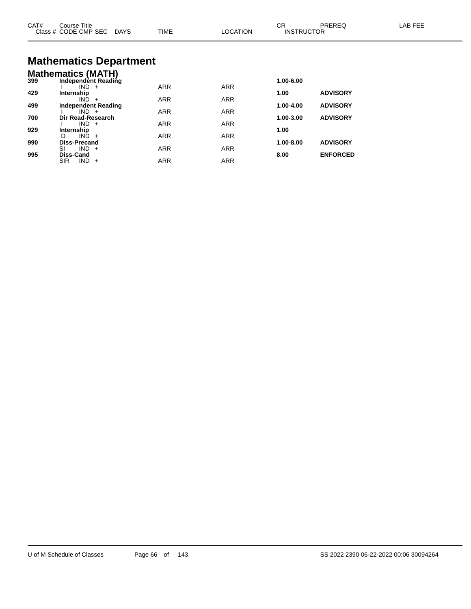| CAT# | Course Title<br>Class # CODE CMP SEC DAYS                   | TIME       | <b>LOCATION</b> | CR<br><b>INSTRUCTOR</b> | PREREQ          | LAB FEE |
|------|-------------------------------------------------------------|------------|-----------------|-------------------------|-----------------|---------|
|      | <b>Mathematics Department</b>                               |            |                 |                         |                 |         |
| 399  | <b>Mathematics (MATH)</b><br>Independent Reading<br>$IND +$ | <b>ARR</b> | <b>ARR</b>      | 1.00-6.00               |                 |         |
| 429  | Internship<br>$IND +$                                       | <b>ARR</b> | ARR             | 1.00                    | <b>ADVISORY</b> |         |
| 499  | <b>Independent Reading</b><br>$IND +$                       | <b>ARR</b> | <b>ARR</b>      | 1.00-4.00               | <b>ADVISORY</b> |         |
| 700  | Dir Read-Research<br>$IND +$                                | <b>ARR</b> | <b>ARR</b>      | 1.00-3.00               | <b>ADVISORY</b> |         |
| 929  | Internship<br>$IND +$<br>D.                                 |            |                 | 1.00                    |                 |         |
| 990  | <b>Diss-Precand</b>                                         | <b>ARR</b> | <b>ARR</b>      | 1.00-8.00               | <b>ADVISORY</b> |         |
| 995  | $IND +$<br>SI<br>Diss-Cand                                  | <b>ARR</b> | <b>ARR</b>      | 8.00                    | <b>ENFORCED</b> |         |

SIR IND + ARR ARR ARR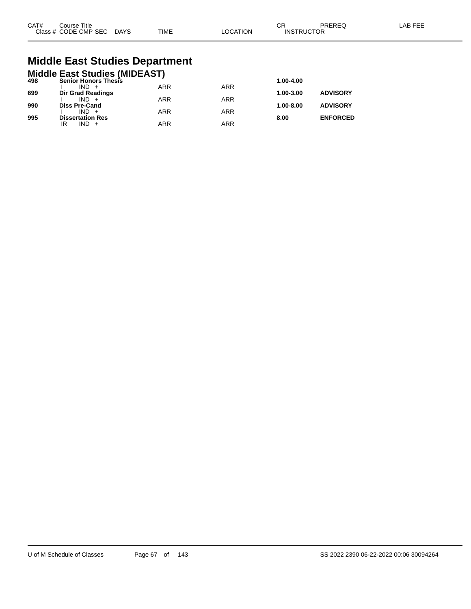| CAT# | Course Title         |             |             |         | СR                | PREREC | AB FFF |
|------|----------------------|-------------|-------------|---------|-------------------|--------|--------|
|      | Class # CODE CMP SEC | <b>DAYS</b> | <b>TIME</b> | OCATION | <b>INSTRUCTOR</b> |        |        |

## **Middle East Studies Department**

|     | <b>Middle East Studies (MIDEAST)</b> |            |            |               |                 |
|-----|--------------------------------------|------------|------------|---------------|-----------------|
| 498 | <b>Senior Honors Thesis</b>          |            |            | 1.00-4.00     |                 |
|     | $IND +$                              | <b>ARR</b> | <b>ARR</b> |               |                 |
| 699 | Dir Grad Readings<br>$IND +$         | <b>ARR</b> | <b>ARR</b> | 1.00-3.00     | <b>ADVISORY</b> |
| 990 | <b>Diss Pre-Cand</b>                 |            |            | $1.00 - 8.00$ | <b>ADVISORY</b> |
|     | $IND +$                              | <b>ARR</b> | <b>ARR</b> |               |                 |
| 995 | <b>Dissertation Res</b>              |            |            | 8.00          | <b>ENFORCED</b> |
|     | $IND +$<br>IR                        | <b>ARR</b> | ARR        |               |                 |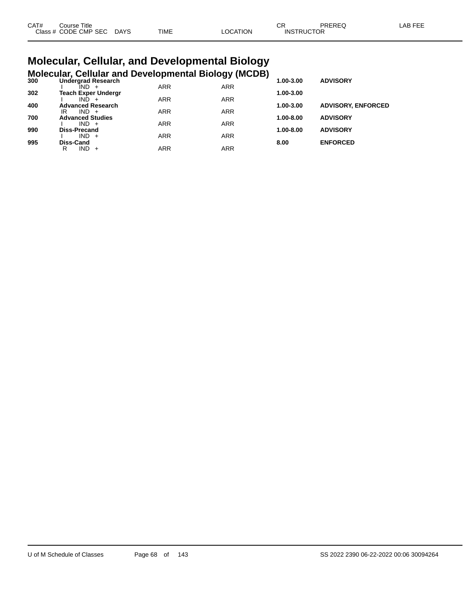| CAT# | Course Title              |      |                 | Ωn<br>◡◚          | PREREQ | LAB FEE |
|------|---------------------------|------|-----------------|-------------------|--------|---------|
|      | Class # CODE CMP SEC DAYS | TIME | <b>LOCATION</b> | <b>INSTRUCTOR</b> |        |         |

#### **Molecular, Cellular, and Developmental Biology Molecular, Cellular and Developmental Biology (MCDB)**

| 300 | <b>Undergrad Research</b>  |            | - ־ייי נכ  | 1.00-3.00 | <b>ADVISORY</b>           |
|-----|----------------------------|------------|------------|-----------|---------------------------|
|     | IND.                       | <b>ARR</b> | <b>ARR</b> |           |                           |
| 302 | <b>Teach Exper Undergr</b> |            |            | 1.00-3.00 |                           |
|     | IND.                       | <b>ARR</b> | <b>ARR</b> |           |                           |
| 400 | <b>Advanced Research</b>   |            |            | 1.00-3.00 | <b>ADVISORY, ENFORCED</b> |
|     | $IND +$<br>IR              | <b>ARR</b> | <b>ARR</b> |           |                           |
| 700 | <b>Advanced Studies</b>    |            |            | 1.00-8.00 | <b>ADVISORY</b>           |
|     | $IND +$                    | <b>ARR</b> | <b>ARR</b> |           |                           |
| 990 | <b>Diss-Precand</b>        |            |            | 1.00-8.00 | <b>ADVISORY</b>           |
|     | $IND +$                    | <b>ARR</b> | <b>ARR</b> |           |                           |
| 995 | Diss-Cand                  |            |            | 8.00      | <b>ENFORCED</b>           |
|     | IND -<br>R<br>$+$          | ARR        | ARR        |           |                           |
|     |                            |            |            |           |                           |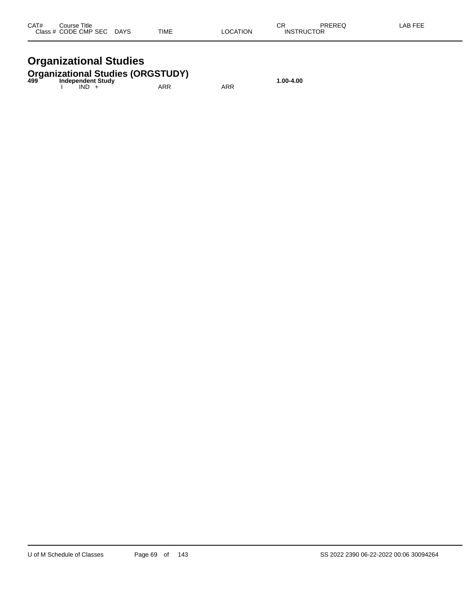| CAT# | Course Title              |      |          | ΩD                | PREREQ | -AB FEE |
|------|---------------------------|------|----------|-------------------|--------|---------|
|      | Class # CODE CMP SEC DAYS | TIME | LOCATION | <b>INSTRUCTOR</b> |        |         |

### **Organizational Studies**

## **Organizational Studies (ORGSTUDY) 499 Independent Study 1.00-4.00**

| 499 | <b>INVERSIGATE</b><br>IND. | ARR | ARR |
|-----|----------------------------|-----|-----|
|     |                            |     |     |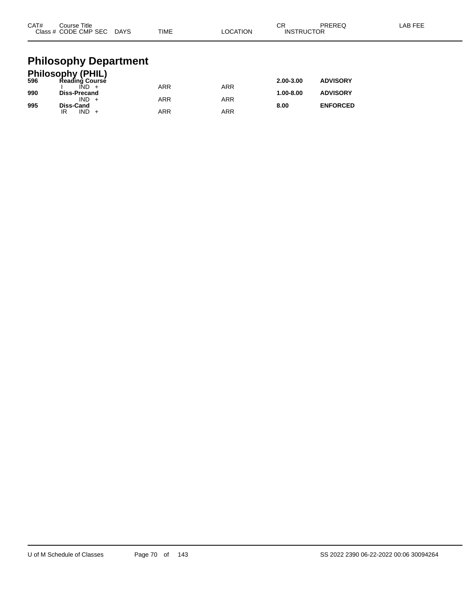| CAT#       | Course Title<br>Class # CODE CMP SEC DAYS                                                                               | TIME | <b>LOCATION</b> | CR<br><b>INSTRUCTOR</b> | <b>PREREQ</b>                      | LAB FEE |
|------------|-------------------------------------------------------------------------------------------------------------------------|------|-----------------|-------------------------|------------------------------------|---------|
| 596<br>990 | <b>Philosophy Department</b><br><b>Philosophy (PHIL)</b><br>Reading Course<br>$\overline{IND}$ +<br><b>Diss-Precand</b> | ARR  | <b>ARR</b>      | 2.00-3.00<br>1.00-8.00  | <b>ADVISORY</b><br><b>ADVISORY</b> |         |
|            | $IND +$                                                                                                                 | ARR  | <b>ARR</b>      |                         |                                    |         |

**995 Diss-Cand 8.00 ENFORCED**

IR IND + ARR ARR ARR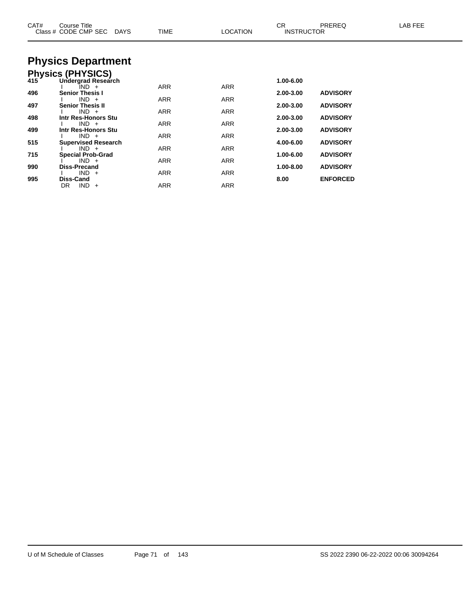| CAT# | Course Title<br>Class # CODE CMP SEC<br>DAYS | TIME       | <b>LOCATION</b> | CR<br><b>INSTRUCTOR</b> | <b>PREREQ</b>   | LAB FEE |
|------|----------------------------------------------|------------|-----------------|-------------------------|-----------------|---------|
|      | <b>Physics Department</b>                    |            |                 |                         |                 |         |
|      | Physics (PHYSICS)<br>415 Undergrad Researd   |            |                 |                         |                 |         |
|      | Undergrad Research                           |            |                 | 1.00-6.00               |                 |         |
| 496  | IND +<br><b>Senior Thesis I</b>              | <b>ARR</b> | <b>ARR</b>      | 2.00-3.00               | <b>ADVISORY</b> |         |
|      | $IND +$                                      | ARR        | ARR             |                         |                 |         |
| 497  | <b>Senior Thesis II</b><br>$IND +$           | ARR        | ARR             | 2.00-3.00               | <b>ADVISORY</b> |         |
| 498  | Intr Res-Honors Stu                          |            |                 | 2.00-3.00               | <b>ADVISORY</b> |         |
| 499  | $IND +$<br>Intr Res-Honors Stu               | <b>ARR</b> | <b>ARR</b>      | 2.00-3.00               | <b>ADVISORY</b> |         |
|      | $IND +$                                      | <b>ARR</b> | <b>ARR</b>      |                         |                 |         |
| 515  | <b>Supervised Research</b><br>$IND +$        | ARR        | ARR             | 4.00-6.00               | <b>ADVISORY</b> |         |
| 715  | <b>Special Prob-Grad</b>                     |            |                 | 1.00-6.00               | <b>ADVISORY</b> |         |
| 990  | $IND +$<br><b>Diss-Precand</b>               | ARR        | ARR             | 1.00-8.00               | <b>ADVISORY</b> |         |
|      | $IND +$                                      | ARR        | ARR             |                         |                 |         |
| 995  | <b>Diss-Cand</b>                             |            |                 | 8.00                    | <b>ENFORCED</b> |         |
|      | $IND +$<br>DR                                | ARR        | <b>ARR</b>      |                         |                 |         |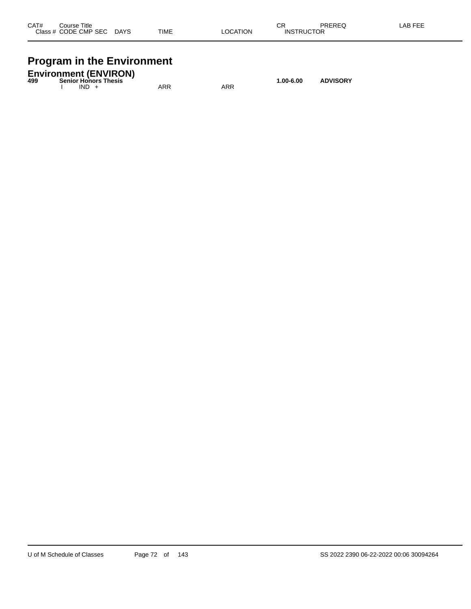| CAT#    | Title<br>Course     |             |             |          | ⌒冖<br>◡                                       | PREREQ | AB FFF |
|---------|---------------------|-------------|-------------|----------|-----------------------------------------------|--------|--------|
| Class # | <b>CODE CMP SEC</b> | <b>DAYS</b> | <b>TIME</b> | LOCATION | <b>UCTOR</b><br><b>INS<sup>T</sup></b><br>וסז |        |        |
|         |                     |             |             |          |                                               |        |        |

## **Program in the Environment**

| 499 |         | <b>Environment (ENVIRON)</b><br><b>Senior Honors Thesis</b> |     |     | $1.00 - 6.00$ | <b>ADVISORY</b> |
|-----|---------|-------------------------------------------------------------|-----|-----|---------------|-----------------|
|     | $IND +$ |                                                             | ARR | ARR |               |                 |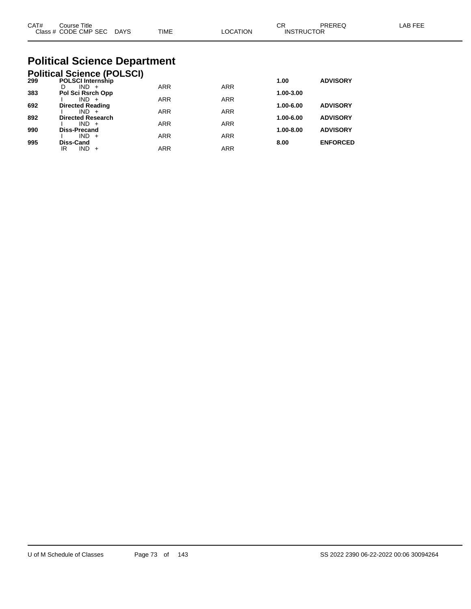| CAT#<br>Course Title<br>Class # CODE CMP SEC DAYS                    | TIME | <b>LOCATION</b> | CR<br><b>INSTRUCTOR</b> | PRERFO          | I AB FFF |  |  |
|----------------------------------------------------------------------|------|-----------------|-------------------------|-----------------|----------|--|--|
| <b>Political Science Department</b>                                  |      |                 |                         |                 |          |  |  |
| <b>Political Science (POLSCI)</b><br><b>POLSCI Internship</b><br>299 |      |                 | 1.00                    | <b>ADVISORY</b> |          |  |  |

| 299 | <b>PULSUI INTERNATION</b> |            |            | טט. ו     | <b>ADVISURT</b> |
|-----|---------------------------|------------|------------|-----------|-----------------|
|     | $IND +$<br>D              | <b>ARR</b> | <b>ARR</b> |           |                 |
| 383 | Pol Sci Rsrch Opp         |            |            | 1.00-3.00 |                 |
|     | $IND +$                   | <b>ARR</b> | <b>ARR</b> |           |                 |
| 692 | <b>Directed Reading</b>   |            |            | 1.00-6.00 | <b>ADVISORY</b> |
|     | $IND +$                   | <b>ARR</b> | <b>ARR</b> |           |                 |
| 892 | <b>Directed Research</b>  |            |            | 1.00-6.00 | <b>ADVISORY</b> |
|     | $IND +$                   | <b>ARR</b> | <b>ARR</b> |           |                 |
| 990 | <b>Diss-Precand</b>       |            |            | 1.00-8.00 | <b>ADVISORY</b> |
|     | $IND +$                   | <b>ARR</b> | <b>ARR</b> |           |                 |
| 995 | <b>Diss-Cand</b>          |            |            | 8.00      | <b>ENFORCED</b> |
|     | <b>IND</b><br>IR<br>$+$   | ARR        | ARR        |           |                 |
|     |                           |            |            |           |                 |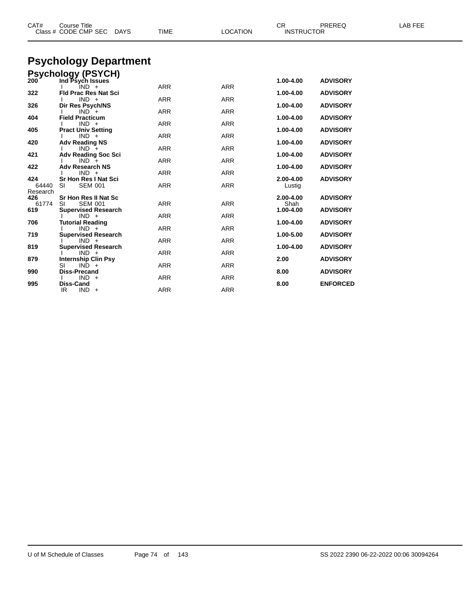| CAT#       | <b>Course Title</b><br>Class # CODE CMP SEC<br><b>DAYS</b>                                 | <b>TIME</b>              | <b>LOCATION</b>          | CR.<br><b>INSTRUCTOR</b> | PREREQ                             | <b>LAB FEE</b> |
|------------|--------------------------------------------------------------------------------------------|--------------------------|--------------------------|--------------------------|------------------------------------|----------------|
|            | <b>Psychology Department</b>                                                               |                          |                          |                          |                                    |                |
|            |                                                                                            |                          |                          |                          |                                    |                |
|            | <b>Psychology (PSYCH)</b>                                                                  |                          |                          |                          |                                    |                |
| 200        | Ind Psych Issues                                                                           | <b>ARR</b>               | <b>ARR</b>               | 1.00-4.00                | <b>ADVISORY</b>                    |                |
| 322        | IND +<br><b>Fld Prac Res Nat Sci</b>                                                       |                          |                          | 1.00-4.00                | <b>ADVISORY</b>                    |                |
|            | $IND +$                                                                                    | <b>ARR</b>               | <b>ARR</b>               |                          |                                    |                |
| 326        | Dir Res Psych/NS                                                                           |                          |                          | 1.00-4.00                | <b>ADVISORY</b>                    |                |
|            | $IND +$                                                                                    | <b>ARR</b>               | <b>ARR</b>               |                          |                                    |                |
| 404        | <b>Field Practicum</b>                                                                     |                          |                          | 1.00-4.00                | <b>ADVISORY</b>                    |                |
|            | $IND +$                                                                                    | <b>ARR</b>               | <b>ARR</b>               |                          |                                    |                |
| 405        | <b>Pract Univ Setting</b><br>$IND +$                                                       | <b>ARR</b>               | <b>ARR</b>               | 1.00-4.00                | <b>ADVISORY</b>                    |                |
| 420        | <b>Adv Reading NS</b>                                                                      |                          |                          | 1.00-4.00                | <b>ADVISORY</b>                    |                |
|            | $IND +$                                                                                    | ARR                      | <b>ARR</b>               |                          |                                    |                |
| 421        | <b>Adv Reading Soc Sci</b>                                                                 |                          |                          | 1.00-4.00                | <b>ADVISORY</b>                    |                |
|            | $IND +$                                                                                    | <b>ARR</b>               | <b>ARR</b>               |                          |                                    |                |
| 422        | <b>Adv Research NS</b>                                                                     |                          |                          | 1.00-4.00                | <b>ADVISORY</b>                    |                |
| 424        | $IND +$                                                                                    | <b>ARR</b>               | <b>ARR</b>               |                          |                                    |                |
| 64440      | <b>Sr Hon Res I Nat Sci</b><br>SI<br><b>SEM 001</b>                                        | <b>ARR</b>               | <b>ARR</b>               | 2.00-4.00<br>Lustig      | <b>ADVISORY</b>                    |                |
| Research   |                                                                                            |                          |                          |                          |                                    |                |
| 426        | Sr Hon Res II Nat Sc                                                                       |                          |                          | 2.00-4.00                | <b>ADVISORY</b>                    |                |
| 61774      | <b>SEM 001</b><br>SI                                                                       | <b>ARR</b>               | <b>ARR</b>               | Shah                     |                                    |                |
| 619        | <b>Supervised Research</b>                                                                 |                          |                          | 1.00-4.00                | <b>ADVISORY</b>                    |                |
|            | $IND +$                                                                                    | <b>ARR</b>               | <b>ARR</b>               |                          |                                    |                |
| 706        | <b>Tutorial Reading</b>                                                                    |                          |                          | 1.00-4.00                | <b>ADVISORY</b>                    |                |
| 719        | $IND +$<br><b>Supervised Research</b>                                                      | <b>ARR</b>               | <b>ARR</b>               | 1.00-5.00                | <b>ADVISORY</b>                    |                |
|            | $IND +$                                                                                    | ARR                      | <b>ARR</b>               |                          |                                    |                |
| 819        |                                                                                            |                          |                          | 1.00-4.00                | <b>ADVISORY</b>                    |                |
|            | $IND +$                                                                                    | <b>ARR</b>               | <b>ARR</b>               |                          |                                    |                |
| 879        | <b>Internship Clin Psy</b>                                                                 |                          |                          | 2.00                     | <b>ADVISORY</b>                    |                |
|            |                                                                                            |                          |                          |                          |                                    |                |
|            |                                                                                            |                          |                          |                          |                                    |                |
|            |                                                                                            |                          |                          |                          |                                    |                |
|            | IR<br>$IND +$                                                                              | <b>ARR</b>               | <b>ARR</b>               |                          |                                    |                |
| 990<br>995 | <b>Supervised Research</b><br>$IND +$<br>SI<br><b>Diss-Precand</b><br>$IND +$<br>Diss-Cand | <b>ARR</b><br><b>ARR</b> | <b>ARR</b><br><b>ARR</b> | 8.00<br>8.00             | <b>ADVISORY</b><br><b>ENFORCED</b> |                |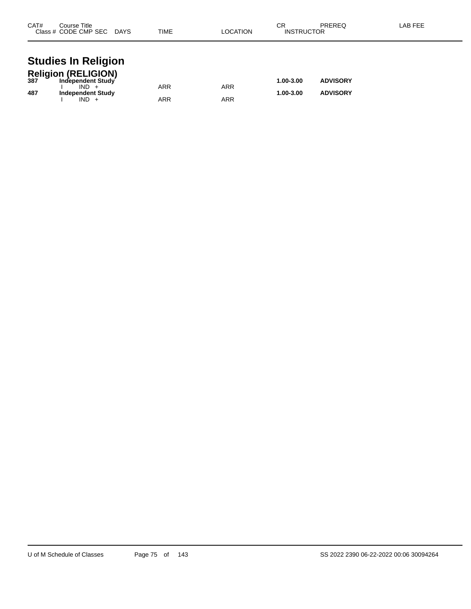| CAT# | Course Title<br>Class # CODE CMP SEC DAYS                         | TIME       | <b>LOCATION</b> | СR<br><b>INSTRUCTOR</b> | <b>PREREQ</b>   | LAB FEE |
|------|-------------------------------------------------------------------|------------|-----------------|-------------------------|-----------------|---------|
|      | <b>Studies In Religion</b>                                        |            |                 |                         |                 |         |
|      | Religion (RELIGION)<br>387 Independent Study<br>Independent Study |            |                 | 1.00-3.00               | <b>ADVISORY</b> |         |
| 487  | $IND +$<br><b>Independent Study</b>                               | <b>ARR</b> | <b>ARR</b>      | 1.00-3.00               | <b>ADVISORY</b> |         |
|      | $IND +$                                                           | ARR        | ARR             |                         |                 |         |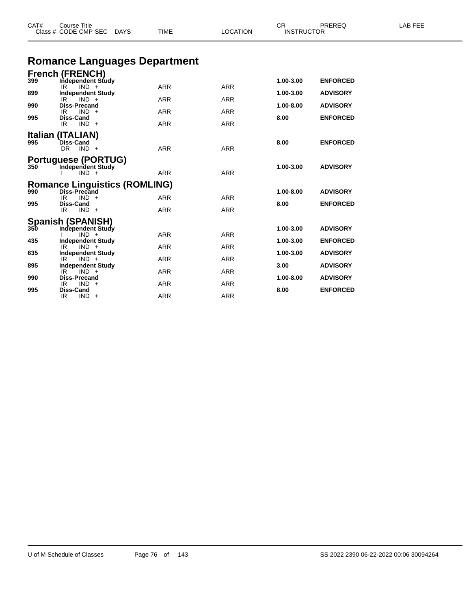| Class # CODE CMP SEC DAYS |                                                        | TIME<br>LOCATION |            | <b>INSTRUCTOR</b> |                 |  |
|---------------------------|--------------------------------------------------------|------------------|------------|-------------------|-----------------|--|
|                           | <b>Romance Languages Department</b>                    |                  |            |                   |                 |  |
|                           | <b>French (FRENCH)</b>                                 |                  |            |                   |                 |  |
| 399                       | Independent Study<br>$IND +$<br>IR.                    | <b>ARR</b>       | <b>ARR</b> | 1.00-3.00         | <b>ENFORCED</b> |  |
| 899                       | <b>Independent Study</b>                               |                  |            | 1.00-3.00         | <b>ADVISORY</b> |  |
| 990                       | IR.<br>$IND +$<br><b>Diss-Precand</b>                  | <b>ARR</b>       | <b>ARR</b> | 1.00-8.00         | <b>ADVISORY</b> |  |
|                           | $IND +$<br>IR.                                         | ARR              | ARR        |                   |                 |  |
| 995                       | <b>Diss-Cand</b><br>$IND +$<br>IR.                     | <b>ARR</b>       | <b>ARR</b> | 8.00              | <b>ENFORCED</b> |  |
|                           | Italian (ITALIAN)                                      |                  |            |                   |                 |  |
| 995                       | <b>Diss-Cand</b>                                       |                  |            | 8.00              | <b>ENFORCED</b> |  |
|                           | $DR$ $IND +$                                           | <b>ARR</b>       | <b>ARR</b> |                   |                 |  |
| 350                       | <b>Portuguese (PORTUG)</b><br><b>Independent Study</b> |                  |            | 1.00-3.00         | <b>ADVISORY</b> |  |
|                           | $IND +$                                                | <b>ARR</b>       | <b>ARR</b> |                   |                 |  |
|                           | <b>Romance Linguistics (ROMLING)</b>                   |                  |            |                   |                 |  |
| 990                       | Diss-Precand<br>IR<br>$IND +$                          | <b>ARR</b>       | <b>ARR</b> | 1.00-8.00         | <b>ADVISORY</b> |  |
| 995                       | <b>Diss-Cand</b>                                       |                  |            | 8.00              | <b>ENFORCED</b> |  |
|                           | IR.<br>$IND +$                                         | <b>ARR</b>       | <b>ARR</b> |                   |                 |  |
|                           | Spanish (SPANISH)<br>350 Independent Study             |                  |            | 1.00-3.00         | <b>ADVISORY</b> |  |
|                           | Independent Study<br>$IND +$                           | <b>ARR</b>       | <b>ARR</b> |                   |                 |  |
| 435                       | <b>Independent Study</b><br>IR<br>$IND +$              | <b>ARR</b>       | <b>ARR</b> | 1.00-3.00         | <b>ENFORCED</b> |  |
| 635                       | <b>Independent Study</b>                               |                  |            | 1.00-3.00         | <b>ADVISORY</b> |  |
| 895                       | $IND +$<br>IR.<br><b>Independent Study</b>             | ARR              | ARR        | 3.00              | <b>ADVISORY</b> |  |
| 990                       | $IND +$<br>IR.<br><b>Diss-Precand</b>                  | ARR              | ARR        | 1.00-8.00         | <b>ADVISORY</b> |  |
|                           | $IND +$<br>IR                                          | <b>ARR</b>       | <b>ARR</b> |                   |                 |  |
| 995                       | <b>Diss-Cand</b>                                       |                  |            | 8.00              | <b>ENFORCED</b> |  |

CAT# Course Title Case CR PREREQ LAB FEE

IR IND + ARR ARR ARR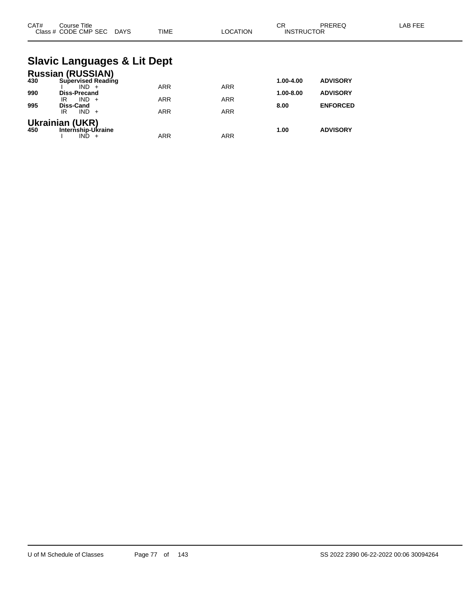| CAT# | Course Title<br>Class # CODE CMP SEC DAYS                        | <b>TIME</b> | <b>LOCATION</b> | <b>CR</b><br><b>INSTRUCTOR</b> | PREREQ          | <b>LAB FEE</b> |
|------|------------------------------------------------------------------|-------------|-----------------|--------------------------------|-----------------|----------------|
|      | <b>Slavic Languages &amp; Lit Dept</b>                           |             |                 |                                |                 |                |
| 430  | <b>Russian (RUSSIAN)</b><br><b>Supervised Reading</b><br>$IND +$ | <b>ARR</b>  | <b>ARR</b>      | 1.00-4.00                      | <b>ADVISORY</b> |                |
| 990  | Diss-Precand<br>$IND +$<br>IR                                    | <b>ARR</b>  | <b>ARR</b>      | 1.00-8.00                      | <b>ADVISORY</b> |                |
| 995  | <b>Diss-Cand</b><br>$IND +$<br>IR                                | <b>ARR</b>  | <b>ARR</b>      | 8.00                           | <b>ENFORCED</b> |                |
| 450  | <b>Ukrainian (UKR)</b><br>Internship-Ukraine<br>$IND +$          | <b>ARR</b>  | <b>ARR</b>      | 1.00                           | <b>ADVISORY</b> |                |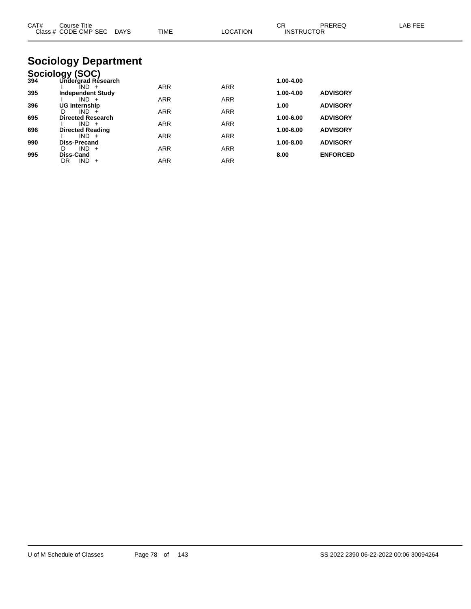| CAT# | Course Title<br>Class # CODE CMP SEC DAYS | <b>TIME</b> | LOCATION   | CR.<br><b>INSTRUCTOR</b> | PREREQ          | LAB FEE |
|------|-------------------------------------------|-------------|------------|--------------------------|-----------------|---------|
|      | <b>Sociology Department</b>               |             |            |                          |                 |         |
|      | Sociology (SOC)                           |             |            |                          |                 |         |
| 394  | Undergrad Research                        |             |            | 1.00-4.00                |                 |         |
| 395  | IND +<br><b>Independent Study</b>         | <b>ARR</b>  | <b>ARR</b> | 1.00-4.00                | <b>ADVISORY</b> |         |
|      | $IND +$                                   | <b>ARR</b>  | <b>ARR</b> |                          |                 |         |
| 396  | UG Internship                             |             |            | 1.00                     | <b>ADVISORY</b> |         |
| 695  | $IND +$<br>D.<br><b>Directed Research</b> | <b>ARR</b>  | <b>ARR</b> | 1.00-6.00                | <b>ADVISORY</b> |         |
|      | $IND +$                                   | ARR         | ARR        |                          |                 |         |
| 696  | <b>Directed Reading</b>                   |             |            | 1.00-6.00                | <b>ADVISORY</b> |         |
|      | $IND +$                                   | <b>ARR</b>  | <b>ARR</b> |                          |                 |         |
| 990  | Diss-Precand<br>$IND +$<br>D.             | <b>ARR</b>  | <b>ARR</b> | 1.00-8.00                | <b>ADVISORY</b> |         |
| 995  | Diss-Cand                                 |             |            | 8.00                     | <b>ENFORCED</b> |         |
|      | $IND +$<br>DR.                            | <b>ARR</b>  | <b>ARR</b> |                          |                 |         |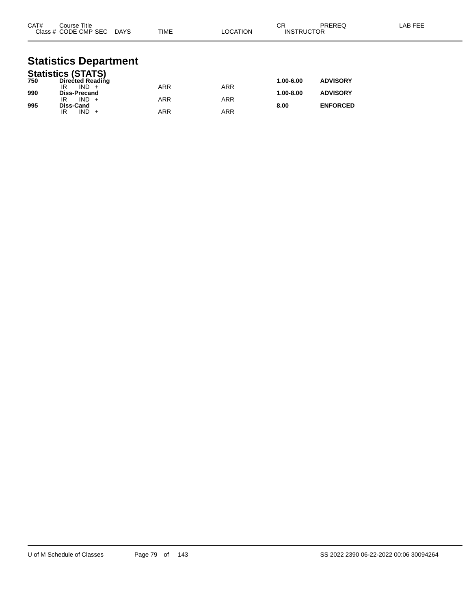| CAT# | Course Title<br>Class # CODE CMP SEC DAYS | TIME       | LOCATION   | <b>CR</b><br><b>INSTRUCTOR</b> | PREREQ          | LAB FEE |
|------|-------------------------------------------|------------|------------|--------------------------------|-----------------|---------|
|      | <b>Statistics Department</b>              |            |            |                                |                 |         |
|      | <b>Statistics (STATS)</b>                 |            |            |                                |                 |         |
| 750  | <b>Directed Reading</b>                   |            |            | 1.00-6.00                      | <b>ADVISORY</b> |         |
|      | $IND +$<br>IR                             | <b>ARR</b> | <b>ARR</b> |                                |                 |         |
| 990  | <b>Diss-Precand</b><br>$IND +$            |            |            | 1.00-8.00                      | <b>ADVISORY</b> |         |
| 995  | IR<br>Diss-Cand                           | <b>ARR</b> | <b>ARR</b> | 8.00                           | <b>ENFORCED</b> |         |
|      | $IND +$<br>IR                             | <b>ARR</b> | <b>ARR</b> |                                |                 |         |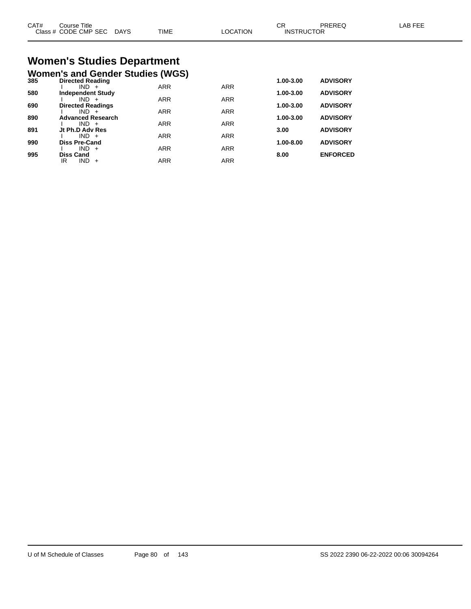| CAT#<br>Class | Title<br>Course<br>CODE CMP SEC | <b>DAYS</b> | <b>TIME</b> | <b>ATION</b><br>ገCA. | ◠⊏<br>◡<br>JCTOR<br>INSTRI | <b>DDEDEC</b> | AB FFF |
|---------------|---------------------------------|-------------|-------------|----------------------|----------------------------|---------------|--------|
|               |                                 |             |             |                      |                            |               |        |

# **Women's Studies Department**

|     | <b>Women's and Gender Studies (WGS)</b> |            |            |           |                 |
|-----|-----------------------------------------|------------|------------|-----------|-----------------|
| 385 | <b>Directed Reading</b>                 |            |            | 1.00-3.00 | <b>ADVISORY</b> |
|     | $IND +$                                 | <b>ARR</b> | <b>ARR</b> |           |                 |
| 580 | <b>Independent Study</b>                |            |            | 1.00-3.00 | <b>ADVISORY</b> |
|     | $IND +$                                 | <b>ARR</b> | <b>ARR</b> |           |                 |
| 690 | <b>Directed Readings</b>                |            |            | 1.00-3.00 | <b>ADVISORY</b> |
|     | $IND +$                                 | <b>ARR</b> | <b>ARR</b> |           |                 |
| 890 | <b>Advanced Research</b>                |            |            | 1.00-3.00 | <b>ADVISORY</b> |
|     | $IND +$                                 | <b>ARR</b> | <b>ARR</b> |           |                 |
| 891 | Jt Ph.D Adv Res                         |            |            | 3.00      | <b>ADVISORY</b> |
|     | $IND +$                                 | <b>ARR</b> | <b>ARR</b> |           |                 |
| 990 | <b>Diss Pre-Cand</b>                    |            |            | 1.00-8.00 | <b>ADVISORY</b> |
|     | IND.<br>$+$                             | <b>ARR</b> | <b>ARR</b> |           |                 |
| 995 | <b>Diss Cand</b>                        |            |            | 8.00      | <b>ENFORCED</b> |
|     | <b>IND</b><br>IR<br>$+$                 | <b>ARR</b> | <b>ARR</b> |           |                 |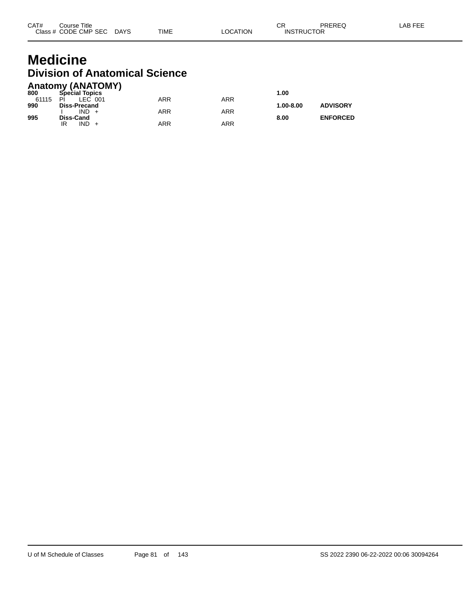## **Medicine Division of Anatomical Science**

| <b>Anatomy (ANATOMY)</b> |                       |            |     |               |                 |  |  |  |
|--------------------------|-----------------------|------------|-----|---------------|-----------------|--|--|--|
| 800                      | <b>Special Topics</b> |            |     | 1.00          |                 |  |  |  |
| 61115                    | LEC 001<br>PI         | <b>ARR</b> | ARR |               |                 |  |  |  |
| 990                      | <b>Diss-Precand</b>   |            |     | $1.00 - 8.00$ | <b>ADVISORY</b> |  |  |  |
|                          | $IND +$               | <b>ARR</b> | ARR |               |                 |  |  |  |
| 995                      | Diss-Cand             |            |     | 8.00          | <b>ENFORCED</b> |  |  |  |
|                          | $IND +$<br>IR         | ARR        | ARR |               |                 |  |  |  |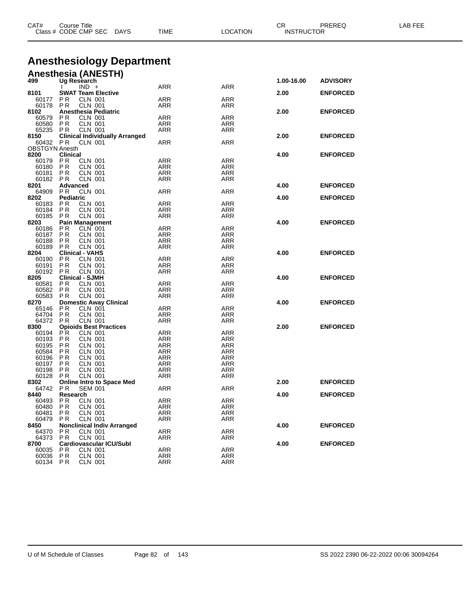| CAT#                  | Course Title<br>Class # CODE CMP SEC DAYS                       | TIME                             | <b>LOCATION</b>   | PREREQ<br>CR<br><b>INSTRUCTOR</b> |                 | LAB FEE |
|-----------------------|-----------------------------------------------------------------|----------------------------------|-------------------|-----------------------------------|-----------------|---------|
|                       |                                                                 | <b>Anesthesiology Department</b> |                   |                                   |                 |         |
|                       | <b>Anesthesia (ANESTH)</b>                                      |                                  |                   |                                   |                 |         |
| 499                   | Ug Research                                                     |                                  |                   | 1.00-16.00                        | <b>ADVISORY</b> |         |
|                       | $IND +$                                                         | ARR                              | ARR               |                                   |                 |         |
| 8101<br>60177 PR      | <b>SWAT Team Elective</b><br><b>CLN 001</b>                     | ARR                              | ARR               | 2.00                              | <b>ENFORCED</b> |         |
| 60178                 | PR<br><b>CLN 001</b>                                            | ARR                              | ARR               |                                   |                 |         |
| 8102                  | <b>Anesthesia Pediatric</b>                                     |                                  |                   | 2.00                              | <b>ENFORCED</b> |         |
| 60579                 | <b>CLN 001</b><br>P R                                           | ARR                              | ARR               |                                   |                 |         |
| 60580<br>65235 PR     | PR<br><b>CLN 001</b><br><b>CLN 001</b>                          | ARR<br>ARR                       | ARR<br>ARR        |                                   |                 |         |
| 8150                  | <b>Clinical Individually Arranged</b>                           |                                  |                   | 2.00                              | <b>ENFORCED</b> |         |
| 60432 PR              | <b>CLN 001</b>                                                  | ARR                              | ARR               |                                   |                 |         |
| <b>OBSTGYN Anesth</b> |                                                                 |                                  |                   |                                   |                 |         |
| 8200<br>60179         | <b>Clinical</b><br>P R<br>CLN 001                               | ARR                              | ARR               | 4.00                              | <b>ENFORCED</b> |         |
| 60180                 | PR<br><b>CLN 001</b>                                            | ARR                              | ARR               |                                   |                 |         |
| 60181                 | <b>CLN 001</b><br>P R                                           | ARR                              | <b>ARR</b>        |                                   |                 |         |
| 60182                 | P R<br><b>CLN 001</b>                                           | ARR                              | ARR               |                                   |                 |         |
| 8201                  | Advanced                                                        |                                  |                   | 4.00                              | <b>ENFORCED</b> |         |
| 64909 PR              | <b>CLN 001</b><br><b>Pediatric</b>                              | ARR                              | <b>ARR</b>        |                                   |                 |         |
| 8202<br>60183         | <b>PR</b><br><b>CLN 001</b>                                     | ARR                              | ARR               | 4.00                              | <b>ENFORCED</b> |         |
| 60184                 | <b>PR</b><br><b>CLN 001</b>                                     | ARR                              | ARR               |                                   |                 |         |
| 60185                 | PR<br><b>CLN 001</b>                                            | ARR                              | ARR               |                                   |                 |         |
| 8203                  | <b>Pain Management</b>                                          |                                  |                   | 4.00                              | <b>ENFORCED</b> |         |
| 60186                 | <b>CLN</b> 001<br>P <sub>R</sub>                                | ARR                              | ARR               |                                   |                 |         |
| 60187<br>60188        | PR<br><b>CLN 001</b><br>P <sub>R</sub><br><b>CLN 001</b>        | ARR<br>ARR                       | ARR<br>ARR        |                                   |                 |         |
| 60189                 | <b>CLN 001</b><br>P R                                           | ARR                              | <b>ARR</b>        |                                   |                 |         |
| 8204                  | <b>Clinical - VAHS</b>                                          |                                  |                   | 4.00                              | <b>ENFORCED</b> |         |
| 60190                 | <b>PR</b><br><b>CLN 001</b>                                     | ARR                              | ARR               |                                   |                 |         |
| 60191                 | PR<br><b>CLN 001</b>                                            | ARR                              | ARR               |                                   |                 |         |
| 60192 PR<br>8205      | <b>CLN 001</b><br><b>Clinical - SJMH</b>                        | ARR                              | ARR               | 4.00                              | <b>ENFORCED</b> |         |
| 60581                 | <b>CLN 001</b><br>ΡR                                            | ARR                              | ARR               |                                   |                 |         |
| 60582                 | PR<br><b>CLN 001</b>                                            | ARR                              | ARR               |                                   |                 |         |
| 60583                 | <b>PR</b><br><b>CLN 001</b>                                     | ARR                              | ARR               |                                   |                 |         |
| 8270                  | <b>Domestic Away Clinical</b>                                   |                                  |                   | 4.00                              | <b>ENFORCED</b> |         |
| 65146<br>64704        | PR<br>CLN 001<br><b>PR</b><br><b>CLN 001</b>                    | ARR<br>ARR                       | ARR<br>ARR        |                                   |                 |         |
| 64372                 | <b>CLN 001</b><br>PR                                            | ARR                              | ARR               |                                   |                 |         |
| 8300                  | <b>Opioids Best Practices</b>                                   |                                  |                   | 2.00                              | <b>ENFORCED</b> |         |
| 60194                 | <b>PR</b><br><b>CLN 001</b>                                     | ARR                              | ARR               |                                   |                 |         |
| 60193                 | <b>CLN 001</b><br>ΡR                                            | ARR                              | ARR               |                                   |                 |         |
| 60195<br>60584        | <b>PR</b><br><b>CLN 001</b><br>P <sub>R</sub><br><b>CLN 001</b> | ARR<br>ARR                       | ARR<br><b>ARR</b> |                                   |                 |         |
| 60196                 | <b>CLN 001</b><br>ΡR                                            | <b>ARR</b>                       | ARR               |                                   |                 |         |
| 60197                 | <b>CLN 001</b><br>P R                                           | ARR                              | <b>ARR</b>        |                                   |                 |         |
| 60198                 | P R<br><b>CLN 001</b>                                           | ARR                              | ARR               |                                   |                 |         |
| 60128                 | P R<br><b>CLN 001</b>                                           | ARR                              | ARR               |                                   |                 |         |
| 8302                  | <b>Online Intro to Space Med</b><br><b>SEM 001</b>              | ARR                              | ARR               | 2.00                              | <b>ENFORCED</b> |         |
| 64742<br>8440         | P R<br>Research                                                 |                                  |                   | 4.00                              | <b>ENFORCED</b> |         |
| 60493                 | PR<br><b>CLN 001</b>                                            | ARR                              | ARR               |                                   |                 |         |
| 60480                 | P R<br><b>CLN 001</b>                                           | ARR                              | ARR               |                                   |                 |         |
| 60481                 | <b>CLN 001</b><br>P R                                           | ARR                              | ARR               |                                   |                 |         |
| 60479                 | <b>CLN 001</b><br>P R                                           | ARR                              | ARR               |                                   |                 |         |
| 8450<br>64370         | <b>Nonclinical Indiv Arranged</b><br>РR<br>CLN 001              | ARR                              | ARR               | 4.00                              | <b>ENFORCED</b> |         |
| 64373                 | <b>CLN 001</b><br>P R                                           | ARR                              | ARR               |                                   |                 |         |
| 8700                  | <b>Cardiovascular ICU/Subl</b>                                  |                                  |                   | 4.00                              | <b>ENFORCED</b> |         |
| 60035                 | <b>CLN 001</b><br>ΡR                                            | ARR                              | <b>ARR</b>        |                                   |                 |         |
| 60036                 | <b>PR</b><br><b>CLN 001</b>                                     | ARR                              | ARR               |                                   |                 |         |
| 60134                 | <b>CLN 001</b><br>PR                                            | ARR                              | <b>ARR</b>        |                                   |                 |         |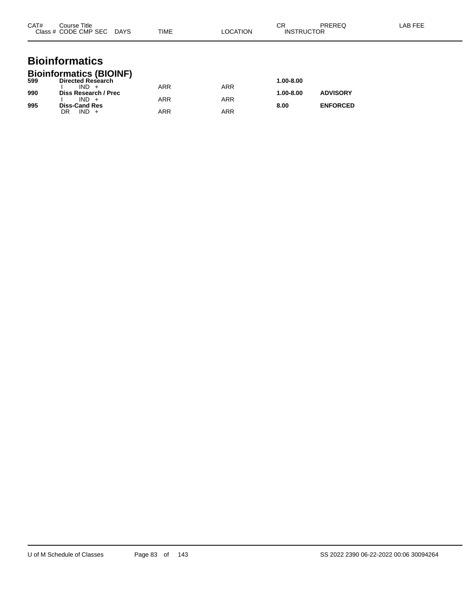| CAT# | Course Title<br>Class # CODE CMP SEC DAYS                             | <b>TIME</b> | <b>LOCATION</b> | CR<br><b>INSTRUCTOR</b> | <b>PREREQ</b>   | LAB FEE |
|------|-----------------------------------------------------------------------|-------------|-----------------|-------------------------|-----------------|---------|
|      | <b>Bioinformatics</b>                                                 |             |                 |                         |                 |         |
| 599  | <b>Bioinformatics (BIOINF)</b><br><b>Directed Research</b><br>$IND +$ | <b>ARR</b>  | <b>ARR</b>      | 1.00-8.00               |                 |         |
| 990  | Diss Research / Prec<br>$IND +$                                       | ARR         | <b>ARR</b>      | 1.00-8.00               | <b>ADVISORY</b> |         |
| 995  | <b>Diss-Cand Res</b><br>$IND +$<br>DR                                 | <b>ARR</b>  | <b>ARR</b>      | 8.00                    | <b>ENFORCED</b> |         |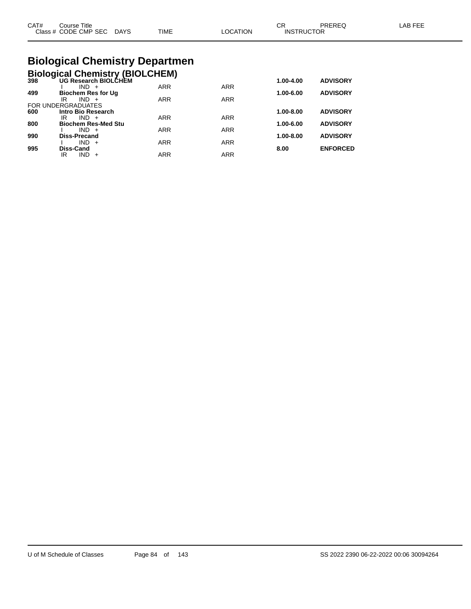|  | CAT#<br>⌒冖<br>PREREQ<br>LAB FEE<br>Course Title<br>◡<br>Class # CODE CMP SEC<br><b>TIME</b><br>LOCATION<br><b>INSTRUCTOR</b><br><b>DAYS</b> |
|--|---------------------------------------------------------------------------------------------------------------------------------------------|
|--|---------------------------------------------------------------------------------------------------------------------------------------------|

## **Biological Chemistry Departmen**

|  |  | Biological Chemistry (BIOLCHEM) |
|--|--|---------------------------------|
|  |  |                                 |

| 398 | <b>UG Research BIOLCHEM</b> |            |            | 1.00-4.00     | <b>ADVISORY</b> |
|-----|-----------------------------|------------|------------|---------------|-----------------|
|     | $IND +$                     | <b>ARR</b> | <b>ARR</b> |               |                 |
| 499 | <b>Biochem Res for Ug</b>   |            |            | 1.00-6.00     | <b>ADVISORY</b> |
|     | $IND +$<br>IR               | <b>ARR</b> | <b>ARR</b> |               |                 |
|     | FOR UNDERGRADUATES          |            |            |               |                 |
| 600 | Intro Bio Research          |            |            | $1.00 - 8.00$ | <b>ADVISORY</b> |
|     | IR<br>$IND +$               | <b>ARR</b> | <b>ARR</b> |               |                 |
| 800 | <b>Biochem Res-Med Stu</b>  |            |            | 1.00-6.00     | <b>ADVISORY</b> |
|     | $IND +$                     | <b>ARR</b> | <b>ARR</b> |               |                 |
| 990 | <b>Diss-Precand</b>         |            |            | $1.00 - 8.00$ | <b>ADVISORY</b> |
|     | $IND +$                     | <b>ARR</b> | <b>ARR</b> |               |                 |
| 995 | Diss-Cand                   |            |            | 8.00          | <b>ENFORCED</b> |
|     | <b>IND</b><br>IR<br>$+$     | <b>ARR</b> | <b>ARR</b> |               |                 |
|     |                             |            |            |               |                 |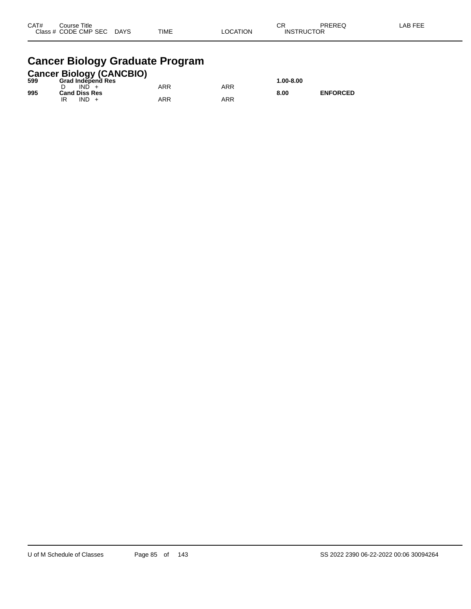| CAT# | Title<br>Course      |             |             |          | $\cap$<br>ັບເ     | PREREQ | _AB FEF |
|------|----------------------|-------------|-------------|----------|-------------------|--------|---------|
|      | Class # CODE CMP SEC | <b>DAYS</b> | <b>TIME</b> | _OCATION | <b>INSTRUCTOR</b> |        |         |

## **Cancer Biology Graduate Program**

|     |                      |      | <b>Cancer Biology (CANCBIO)</b> |     |     |               |                 |
|-----|----------------------|------|---------------------------------|-----|-----|---------------|-----------------|
| 599 |                      |      | <b>Grad Independ Res</b>        |     |     | $1.00 - 8.00$ |                 |
|     |                      | IND. |                                 | ARR | ARR |               |                 |
| 995 | <b>Cand Diss Res</b> |      |                                 |     |     | 8.00          | <b>ENFORCED</b> |
|     |                      | IND. |                                 | ARR | ARR |               |                 |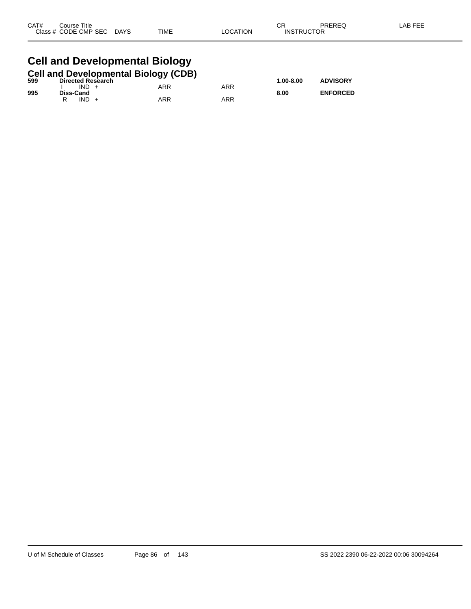| CAT# | Course Title              |      |          | ⌒冖<br>UΚ          | PREREQ | LAB FEE |
|------|---------------------------|------|----------|-------------------|--------|---------|
|      | Class # CODE CMP SEC DAYS | TIME | LOCATION | <b>INSTRUCTOR</b> |        |         |
|      |                           |      |          |                   |        |         |

### **Cell and Developmental Biology**

|     |           |                          | <b>Cell and Developmental Biology (CDB)</b> |     |               |                 |
|-----|-----------|--------------------------|---------------------------------------------|-----|---------------|-----------------|
| 599 |           | <b>Directed Research</b> |                                             |     | $1.00 - 8.00$ | <b>ADVISORY</b> |
|     | $IND +$   |                          | ARR                                         | ARR |               |                 |
| 995 | Diss-Cand |                          |                                             |     | 8.00          | <b>ENFORCED</b> |
|     | $IND +$   |                          | ARR                                         | ARR |               |                 |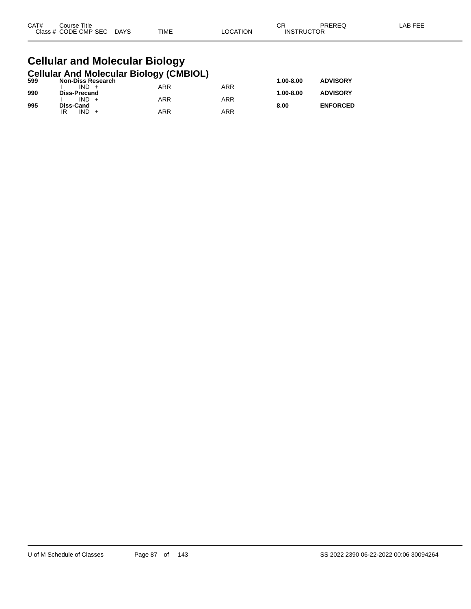| CAT# | Title<br>Course      |                       |             |          | СR                | PREREQ | LAB FEF |
|------|----------------------|-----------------------|-------------|----------|-------------------|--------|---------|
|      | Class # CODE CMP SEC | <b>DAYS</b><br>$\sim$ | <b>TIME</b> | _OCATION | <b>INSTRUCTOR</b> |        |         |

#### **Cellular and Molecular Biology Cellular And Molecular Biology (CMBIOL)**

| 599 | <b>Non-Diss Research</b> | . . |            | $1.00 - 8.00$ | <b>ADVISORY</b> |
|-----|--------------------------|-----|------------|---------------|-----------------|
|     | $IND +$                  | ARR | ARR        |               |                 |
| 990 | Diss-Precand             |     |            | $1.00 - 8.00$ | <b>ADVISORY</b> |
|     | $IND +$                  | ARR | <b>ARR</b> |               |                 |
| 995 | Diss-Cand                |     |            | 8.00          | <b>ENFORCED</b> |
|     | IND.<br>IR               | ARR | ARR        |               |                 |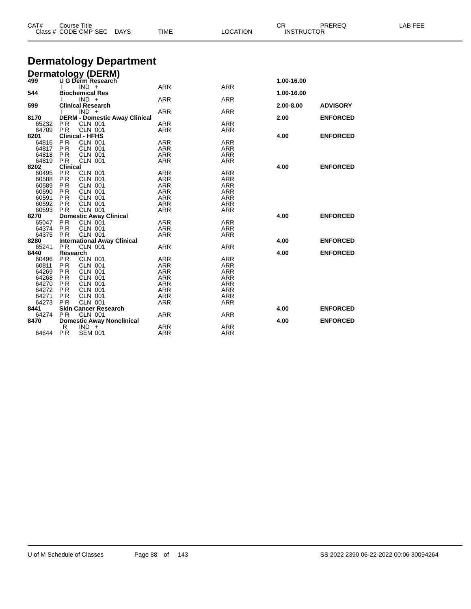| CAT# |                                          | <b>Course Title</b><br>Class # CODE CMP SEC |                                  | <b>DAYS</b>                          | <b>TIME</b>              | <b>LOCATION</b>          | CR<br><b>INSTRUCTOR</b> | PREREQ          | LAB FEE |
|------|------------------------------------------|---------------------------------------------|----------------------------------|--------------------------------------|--------------------------|--------------------------|-------------------------|-----------------|---------|
|      |                                          |                                             |                                  | <b>Dermatology Department</b>        |                          |                          |                         |                 |         |
|      |                                          |                                             |                                  |                                      |                          |                          |                         |                 |         |
|      |                                          | Dermatology (DERM)                          |                                  |                                      |                          |                          |                         |                 |         |
| 499  |                                          | U G Derm Research                           |                                  |                                      |                          |                          | 1.00-16.00              |                 |         |
|      |                                          | $IND +$                                     |                                  |                                      | <b>ARR</b>               | <b>ARR</b>               |                         |                 |         |
| 544  |                                          | <b>Biochemical Res</b>                      |                                  |                                      |                          |                          | 1.00-16.00              |                 |         |
|      |                                          | $IND +$                                     |                                  |                                      | <b>ARR</b>               | <b>ARR</b>               |                         |                 |         |
| 599  |                                          | <b>Clinical Research</b>                    |                                  |                                      |                          |                          | 2.00-8.00               | <b>ADVISORY</b> |         |
|      |                                          | $IND +$                                     |                                  |                                      | <b>ARR</b>               | <b>ARR</b>               |                         |                 |         |
| 8170 |                                          |                                             |                                  | <b>DERM - Domestic Away Clinical</b> |                          |                          | 2.00                    | <b>ENFORCED</b> |         |
|      | PR<br>65232<br>64709                     |                                             | <b>CLN 001</b>                   |                                      | ARR                      | <b>ARR</b>               |                         |                 |         |
|      | <b>PR</b>                                |                                             | <b>CLN 001</b>                   |                                      | <b>ARR</b>               | <b>ARR</b>               |                         |                 |         |
| 8201 |                                          | <b>Clinical - HFHS</b>                      |                                  |                                      |                          |                          | 4.00                    | <b>ENFORCED</b> |         |
|      | <b>PR</b><br>64816                       |                                             | <b>CLN 001</b>                   |                                      | <b>ARR</b>               | <b>ARR</b>               |                         |                 |         |
|      | 64817<br><b>PR</b>                       |                                             | <b>CLN 001</b>                   |                                      | <b>ARR</b>               | <b>ARR</b>               |                         |                 |         |
|      | 64818<br><b>PR</b>                       |                                             | <b>CLN 001</b>                   |                                      | <b>ARR</b>               | <b>ARR</b>               |                         |                 |         |
|      | 64819<br>PR.                             |                                             | <b>CLN 001</b>                   |                                      | <b>ARR</b>               | ARR                      |                         |                 |         |
| 8202 |                                          | <b>Clinical</b>                             |                                  |                                      |                          |                          | 4.00                    | <b>ENFORCED</b> |         |
|      | <b>PR</b><br>60495<br>60588<br><b>PR</b> |                                             | <b>CLN 001</b>                   |                                      | ARR<br><b>ARR</b>        | <b>ARR</b><br><b>ARR</b> |                         |                 |         |
|      |                                          |                                             | <b>CLN 001</b><br><b>CLN 001</b> |                                      |                          |                          |                         |                 |         |
|      | 60589<br><b>PR</b>                       |                                             |                                  |                                      | <b>ARR</b>               | <b>ARR</b>               |                         |                 |         |
|      | 60590<br><b>PR</b><br>60591              |                                             | <b>CLN 001</b><br><b>CLN 001</b> |                                      | <b>ARR</b>               | <b>ARR</b>               |                         |                 |         |
|      | P <sub>R</sub><br>60592                  |                                             | <b>CLN 001</b>                   |                                      | <b>ARR</b>               | ARR                      |                         |                 |         |
|      | <b>PR</b><br>60593<br>PR                 |                                             | <b>CLN 001</b>                   |                                      | <b>ARR</b><br><b>ARR</b> | <b>ARR</b><br><b>ARR</b> |                         |                 |         |
| 8270 |                                          | <b>Domestic Away Clinical</b>               |                                  |                                      |                          |                          | 4.00                    | <b>ENFORCED</b> |         |
|      | <b>PR</b><br>65047                       |                                             | <b>CLN 001</b>                   |                                      | <b>ARR</b>               | <b>ARR</b>               |                         |                 |         |
|      | 64374<br><b>PR</b>                       |                                             | <b>CLN 001</b>                   |                                      | <b>ARR</b>               | <b>ARR</b>               |                         |                 |         |
|      | 64375<br>PR                              |                                             | <b>CLN 001</b>                   |                                      | <b>ARR</b>               | <b>ARR</b>               |                         |                 |         |
| 8280 |                                          |                                             |                                  | <b>International Away Clinical</b>   |                          |                          | 4.00                    | <b>ENFORCED</b> |         |
|      | <b>PR</b><br>65241                       |                                             | <b>CLN 001</b>                   |                                      | <b>ARR</b>               | <b>ARR</b>               |                         |                 |         |
| 8440 |                                          | Research                                    |                                  |                                      |                          |                          | 4.00                    | <b>ENFORCED</b> |         |
|      | <b>PR</b><br>60496                       |                                             | <b>CLN 001</b>                   |                                      | <b>ARR</b>               | <b>ARR</b>               |                         |                 |         |
|      | 60811<br>P R                             |                                             | CLN 001                          |                                      | ARR                      | <b>ARR</b>               |                         |                 |         |
|      | 64269<br><b>PR</b>                       |                                             | <b>CLN 001</b>                   |                                      | <b>ARR</b>               | <b>ARR</b>               |                         |                 |         |
|      | 64268<br><b>PR</b>                       |                                             | <b>CLN 001</b>                   |                                      | <b>ARR</b>               | <b>ARR</b>               |                         |                 |         |
|      | 64270<br><b>PR</b>                       |                                             | <b>CLN 001</b>                   |                                      | <b>ARR</b>               | <b>ARR</b>               |                         |                 |         |
|      | 64272<br><b>PR</b>                       |                                             | <b>CLN 001</b>                   |                                      | <b>ARR</b>               | <b>ARR</b>               |                         |                 |         |
|      | 64271<br>P <sub>R</sub>                  |                                             | CLN 001                          |                                      | <b>ARR</b>               | <b>ARR</b>               |                         |                 |         |
|      | 64273<br><b>PR</b>                       |                                             | <b>CLN 001</b>                   |                                      | <b>ARR</b>               | <b>ARR</b>               |                         |                 |         |
| 8441 |                                          | <b>Skin Cancer Research</b>                 |                                  |                                      |                          |                          | 4.00                    | <b>ENFORCED</b> |         |
|      | <b>PR</b><br>64274                       |                                             | <b>CLN 001</b>                   |                                      | ARR                      | <b>ARR</b>               |                         |                 |         |
| 8470 |                                          |                                             |                                  | <b>Domestic Away Nonclinical</b>     |                          |                          | 4.00                    | <b>ENFORCED</b> |         |
|      | R                                        | $IND +$                                     |                                  |                                      | <b>ARR</b>               | <b>ARR</b>               |                         |                 |         |
|      | <b>PR</b><br>64644                       |                                             | <b>SEM 001</b>                   |                                      | <b>ARR</b>               | <b>ARR</b>               |                         |                 |         |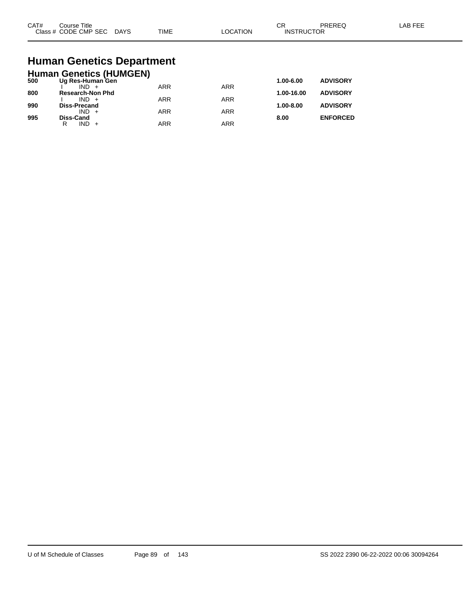| CAT#<br>$2\sqrt{2}$ | Title<br>ourse<br>CMP SEC<br>חר∈<br>$ -$ | DAYS<br>$\sim$ | <b>TIME</b> | ורו | $\sim$<br>UΗ<br>⊣N.S<br>₽ | ____ |  |
|---------------------|------------------------------------------|----------------|-------------|-----|---------------------------|------|--|
|---------------------|------------------------------------------|----------------|-------------|-----|---------------------------|------|--|

## **Human Genetics Department**

|     | <b>Human Genetics (HUMGEN)</b> |            |            |               |                 |
|-----|--------------------------------|------------|------------|---------------|-----------------|
| 500 | Ug Res-Human Gen               |            |            | 1.00-6.00     | <b>ADVISORY</b> |
|     |                                | <b>ARR</b> | <b>ARR</b> |               |                 |
| 800 | <b>Research-Non Phd</b>        |            |            | 1.00-16.00    | <b>ADVISORY</b> |
| 990 | $IND +$                        | <b>ARR</b> | ARR        | $1.00 - 8.00$ | <b>ADVISORY</b> |
|     | <b>Diss-Precand</b><br>$IND +$ | <b>ARR</b> | ARR        |               |                 |
| 995 | <b>Diss-Cand</b>               |            |            | 8.00          | <b>ENFORCED</b> |
|     | $IND +$<br>R                   | <b>ARR</b> | ARR        |               |                 |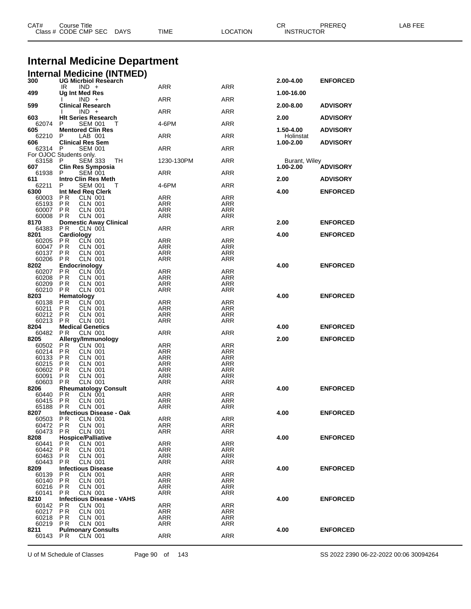| CAT#              | Course Title<br>Class # CODE CMP SEC DAYS                     | TIME                     | <b>LOCATION</b>          | CR<br><b>INSTRUCTOR</b>    | PREREQ          | LAB FEE |
|-------------------|---------------------------------------------------------------|--------------------------|--------------------------|----------------------------|-----------------|---------|
|                   | <b>Internal Medicine Department</b>                           |                          |                          |                            |                 |         |
|                   | <b>Internal Medicine (INTMED)</b><br>300 UG Micrbiol Research |                          |                          |                            |                 |         |
|                   | $IND +$<br>IR                                                 | ARR                      | ARR                      | 2.00-4.00                  | <b>ENFORCED</b> |         |
| 499               | Ug Int Med Res                                                |                          |                          | 1.00-16.00                 |                 |         |
| 599               | $IND +$<br><b>Clinical Research</b>                           | ARR                      | ARR                      | 2.00-8.00                  | <b>ADVISORY</b> |         |
| 603               | $IND +$<br><b>HIt Series Research</b>                         | ARR                      | ARR                      | 2.00                       | <b>ADVISORY</b> |         |
| 62074 P           | <b>SEM 001</b>                                                | 4-6PM                    | <b>ARR</b>               |                            |                 |         |
| 605<br>62210      | <b>Mentored Clin Res</b><br>LAB 001<br>P                      | ARR                      | ARR                      | 1.50-4.00<br>Holinstat     | <b>ADVISORY</b> |         |
| 606               | <b>Clinical Res Sem</b>                                       |                          |                          | 1.00-2.00                  | <b>ADVISORY</b> |         |
| 62314 P           | <b>SEM 001</b><br>For OJOC Students only.                     | ARR                      | ARR                      |                            |                 |         |
| 63158 P<br>607    | <b>SEM 333</b><br>TH.<br><b>Clin Res Symposia</b>             | 1230-130PM               | <b>ARR</b>               | Burant, Wiley<br>1.00-2.00 |                 |         |
| 61938             | <b>SEM 001</b><br>P                                           | ARR                      | ARR                      |                            | <b>ADVISORY</b> |         |
| 611<br>62211      | Intro Clin Res Meth<br>P<br><b>SEM 001</b><br>т               | 4-6PM                    | ARR                      | 2.00                       | <b>ADVISORY</b> |         |
| 6300              | Int Med Req Clerk                                             |                          |                          | 4.00                       | <b>ENFORCED</b> |         |
| 60003<br>65193    | P R<br><b>CLN 001</b><br>PR<br>CLN 001                        | ARR<br>ARR               | <b>ARR</b><br>ARR        |                            |                 |         |
| 60007             | P <sub>R</sub><br><b>CLN 001</b>                              | <b>ARR</b>               | <b>ARR</b>               |                            |                 |         |
| 60008             | <b>CLN 001</b><br>PR                                          | <b>ARR</b>               | <b>ARR</b>               |                            |                 |         |
| 8170<br>64383     | <b>Domestic Away Clinical</b><br>P <sub>R</sub><br>CLN 001    | ARR                      | ARR                      | 2.00                       | <b>ENFORCED</b> |         |
| 8201              | Cardiology                                                    |                          |                          | 4.00                       | <b>ENFORCED</b> |         |
| 60205<br>60047    | <b>CLN 001</b><br>PR<br>P <sub>R</sub><br>CLN 001             | ARR<br><b>ARR</b>        | ARR<br><b>ARR</b>        |                            |                 |         |
| 60137             | PR<br><b>CLN 001</b>                                          | <b>ARR</b>               | <b>ARR</b>               |                            |                 |         |
| 60206             | P R<br>CLN 001                                                | ARR                      | ARR                      |                            |                 |         |
| 8202              | Endocrinology<br>CLN 001                                      |                          | <b>ARR</b>               | 4.00                       | <b>ENFORCED</b> |         |
| 60207 PR<br>60208 | PR<br>CLN 001                                                 | ARR<br>ARR               | ARR                      |                            |                 |         |
| 60209             | P <sub>R</sub><br><b>CLN 001</b>                              | <b>ARR</b>               | <b>ARR</b>               |                            |                 |         |
| 60210             | PR<br><b>CLN 001</b>                                          | <b>ARR</b>               | <b>ARR</b>               |                            |                 |         |
| 8203<br>60138     | Hematology<br>P <sub>R</sub><br>CLN 001                       | ARR                      | <b>ARR</b>               | 4.00                       | <b>ENFORCED</b> |         |
| 60211             | P R<br>CLN 001                                                | <b>ARR</b>               | <b>ARR</b>               |                            |                 |         |
| 60212             | P R<br>CLN 001                                                | ARR                      | ARR                      |                            |                 |         |
| 60213<br>8204     | <b>PR</b><br><b>CLN 001</b><br><b>Medical Genetics</b>        | <b>ARR</b>               | ARR                      | 4.00                       | <b>ENFORCED</b> |         |
| 60482             | PR<br><b>CLN 001</b>                                          | ARR                      | ARR                      |                            |                 |         |
| 8205              | Allergy/Immunology                                            |                          |                          | 2.00                       | <b>ENFORCED</b> |         |
| 60502<br>60214    | CLN 001<br>P R<br>PR<br><b>CLN 001</b>                        | ARR<br><b>ARR</b>        | <b>ARR</b><br>ARR        |                            |                 |         |
| 60133             | P <sub>R</sub><br><b>CLN 001</b>                              | <b>ARR</b>               | ARR                      |                            |                 |         |
| 60215             | PR<br><b>CLN 001</b>                                          | <b>ARR</b>               | ARR                      |                            |                 |         |
| 60602<br>60091    | <b>CLN 001</b><br>P R<br>P <sub>R</sub><br><b>CLN 001</b>     | <b>ARR</b><br><b>ARR</b> | <b>ARR</b><br><b>ARR</b> |                            |                 |         |
| 60603             | <b>CLN 001</b><br>PR                                          | <b>ARR</b>               | <b>ARR</b>               |                            |                 |         |
| 8206              | <b>Rheumatology Consult</b>                                   |                          |                          | 4.00                       | <b>ENFORCED</b> |         |
| 60440<br>60415    | PR<br>CLN 001<br>PR<br><b>CLN 001</b>                         | <b>ARR</b><br><b>ARR</b> | ARR<br><b>ARR</b>        |                            |                 |         |
| 65188             | <b>CLN 001</b><br>P R                                         | ARR                      | ARR                      |                            |                 |         |
| 8207              | <b>Infectious Disease - Oak</b>                               |                          |                          | 4.00                       | <b>ENFORCED</b> |         |
| 60503<br>60472    | <b>PR</b><br><b>CLN 001</b><br><b>PR</b><br><b>CLN 001</b>    | <b>ARR</b><br><b>ARR</b> | <b>ARR</b><br><b>ARR</b> |                            |                 |         |
| 60473             | PR<br><b>CLN 001</b>                                          | ARR                      | ARR                      |                            |                 |         |
| 8208              | <b>Hospice/Palliative</b>                                     |                          |                          | 4.00                       | <b>ENFORCED</b> |         |
| 60441<br>60442    | <b>CLN 001</b><br>P R<br><b>PR</b><br><b>CLN 001</b>          | ARR<br><b>ARR</b>        | <b>ARR</b><br><b>ARR</b> |                            |                 |         |
| 60463             | <b>PR</b><br><b>CLN 001</b>                                   | <b>ARR</b>               | <b>ARR</b>               |                            |                 |         |
| 60443             | <b>CLN 001</b><br>P R                                         | ARR                      | <b>ARR</b>               |                            |                 |         |
| 8209<br>60139     | <b>Infectious Disease</b><br><b>PR</b><br><b>CLN 001</b>      | <b>ARR</b>               | <b>ARR</b>               | 4.00                       | <b>ENFORCED</b> |         |
| 60140             | P R<br>CLN 001                                                | ARR                      | <b>ARR</b>               |                            |                 |         |
| 60216             | <b>PR</b><br><b>CLN 001</b>                                   | <b>ARR</b>               | ARR                      |                            |                 |         |
| 60141             | <b>CLN 001</b><br>P R                                         | <b>ARR</b>               | <b>ARR</b>               |                            |                 |         |
| 8210<br>60142     | <b>Infectious Disease - VAHS</b><br><b>CLN 001</b><br>P R     | <b>ARR</b>               | ARR                      | 4.00                       | <b>ENFORCED</b> |         |
| 60217             | PR<br><b>CLN 001</b>                                          | <b>ARR</b>               | <b>ARR</b>               |                            |                 |         |
| 60218             | P R<br>CLN 001                                                | ARR                      | ARR                      |                            |                 |         |
| 60219<br>8211     | P <sub>R</sub><br><b>CLN 001</b><br><b>Pulmonary Consults</b> | <b>ARR</b>               | <b>ARR</b>               | 4.00                       | <b>ENFORCED</b> |         |
| 60143 PR          | CLN 001                                                       | ARR                      | <b>ARR</b>               |                            |                 |         |
|                   |                                                               |                          |                          |                            |                 |         |

U of M Schedule of Classes Page 90 of 143 SS 2022 2390 06-22-2022 00:06 30094264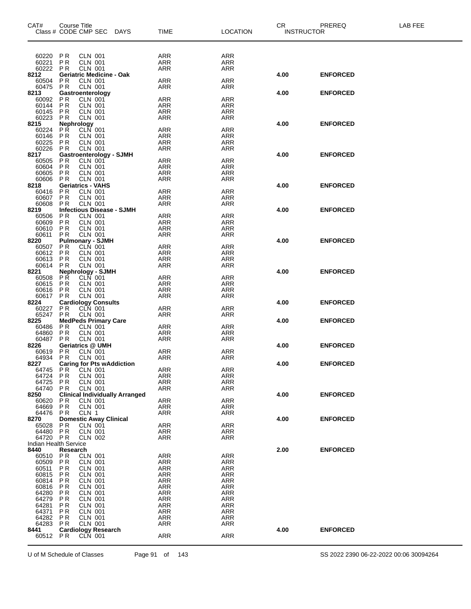| CAT#<br>Class # CODE CMP SEC | <b>Course Title</b>                   |                                  |                                    | DAYS                                  | <b>TIME</b>              | <b>LOCATION</b>          | CR.<br><b>INSTRUCTOR</b> | PREREQ          | LAB FEE |
|------------------------------|---------------------------------------|----------------------------------|------------------------------------|---------------------------------------|--------------------------|--------------------------|--------------------------|-----------------|---------|
| 60220                        | P R                                   | CLN 001                          |                                    |                                       | ARR                      | ARR                      |                          |                 |         |
| 60221                        | P <sub>R</sub>                        | <b>CLN 001</b>                   |                                    |                                       | ARR                      | <b>ARR</b>               |                          |                 |         |
| 60222<br>8212                | <b>PR</b>                             | <b>CLN 001</b>                   | <b>Geriatric Medicine - Oak</b>    |                                       | ARR                      | ARR                      | 4.00                     | <b>ENFORCED</b> |         |
| 60504                        | P R                                   | <b>CLN 001</b>                   |                                    |                                       | <b>ARR</b>               | <b>ARR</b>               |                          |                 |         |
| 60475                        | PR                                    | CLN 001                          |                                    |                                       | ARR                      | ARR                      |                          |                 |         |
| 8213<br>60092                | Gastroenterology                      | <b>CLN 001</b>                   |                                    |                                       | <b>ARR</b>               | <b>ARR</b>               | 4.00                     | <b>ENFORCED</b> |         |
| 60144                        | PR<br>PR                              | CLN 001                          |                                    |                                       | <b>ARR</b>               | <b>ARR</b>               |                          |                 |         |
| 60145<br>60223               | <b>PR</b><br><b>PR</b>                | <b>CLN 001</b><br><b>CLN 001</b> |                                    |                                       | <b>ARR</b><br>ARR        | <b>ARR</b><br>ARR        |                          |                 |         |
| 8215                         | Nephrology                            |                                  |                                    |                                       |                          |                          | 4.00                     | <b>ENFORCED</b> |         |
| 60224                        | PŔ                                    | CLN 001                          |                                    |                                       | ARR                      | <b>ARR</b>               |                          |                 |         |
| 60146<br>60225               | <b>PR</b><br><b>PR</b>                | CLN 001<br><b>CLN 001</b>        |                                    |                                       | ARR<br><b>ARR</b>        | <b>ARR</b><br><b>ARR</b> |                          |                 |         |
| 60226                        | <b>PR</b>                             | <b>CLN 001</b>                   |                                    |                                       | <b>ARR</b>               | <b>ARR</b>               |                          |                 |         |
| 8217                         |                                       | <b>CLN 001</b>                   | <b>Gastroenterology - SJMH</b>     |                                       | <b>ARR</b>               | <b>ARR</b>               | 4.00                     | <b>ENFORCED</b> |         |
| 60505<br>60604               | PR<br><b>PR</b>                       | <b>CLN 001</b>                   |                                    |                                       | <b>ARR</b>               | ARR                      |                          |                 |         |
| 60605                        | PR                                    | <b>CLN 001</b>                   |                                    |                                       | ARR                      | <b>ARR</b>               |                          |                 |         |
| 60606<br>8218                | <b>PR</b><br><b>Geriatrics - VAHS</b> | <b>CLN 001</b>                   |                                    |                                       | ARR                      | ARR                      | 4.00                     | <b>ENFORCED</b> |         |
| 60416                        | <b>PR</b>                             | CLN 001                          |                                    |                                       | <b>ARR</b>               | <b>ARR</b>               |                          |                 |         |
| 60607                        | $\overline{PR}$                       | <b>CLN 001</b>                   |                                    |                                       | ARR                      | <b>ARR</b>               |                          |                 |         |
| 60608<br>8219                | P <sub>R</sub>                        | <b>CLN 001</b>                   |                                    | <b>Infectious Disease - SJMH</b>      | ARR                      | <b>ARR</b>               | 4.00                     | <b>ENFORCED</b> |         |
| 60506                        | <b>PR</b>                             | <b>CLN 001</b>                   |                                    |                                       | ARR                      | <b>ARR</b>               |                          |                 |         |
| 60609                        | <b>PR</b>                             | <b>CLN 001</b>                   |                                    |                                       | <b>ARR</b>               | ARR                      |                          |                 |         |
| 60610<br>60611               | PR<br>P <sub>R</sub>                  | CLN 001<br>CLN 001               |                                    |                                       | ARR<br><b>ARR</b>        | <b>ARR</b><br>ARR        |                          |                 |         |
| 8220                         |                                       |                                  | <b>Pulmonary - SJMH</b>            |                                       |                          |                          | 4.00                     | <b>ENFORCED</b> |         |
| 60507<br>60612               | <b>PR</b><br>PR                       | CLN 001<br><b>CLN 001</b>        |                                    |                                       | <b>ARR</b><br><b>ARR</b> | <b>ARR</b><br><b>ARR</b> |                          |                 |         |
| 60613                        | <b>PR</b>                             | <b>CLN 001</b>                   |                                    |                                       | <b>ARR</b>               | <b>ARR</b>               |                          |                 |         |
| 60614                        | PR                                    | <b>CLN 001</b>                   |                                    |                                       | ARR                      | ARR                      |                          |                 |         |
| 8221<br>60508                | <b>PR</b>                             | CLN 001                          | <b>Nephrology - SJMH</b>           |                                       | ARR                      | <b>ARR</b>               | 4.00                     | <b>ENFORCED</b> |         |
| 60615                        | PR                                    | CLN 001                          |                                    |                                       | ARR                      | <b>ARR</b>               |                          |                 |         |
| 60616                        | <b>PR</b>                             | <b>CLN 001</b>                   |                                    |                                       | <b>ARR</b>               | <b>ARR</b>               |                          |                 |         |
| 60617<br>8224                | <b>PR</b>                             | <b>CLN 001</b>                   |                                    |                                       | <b>ARR</b>               | <b>ARR</b>               | 4.00                     | <b>ENFORCED</b> |         |
| 60227                        | <b>PR</b>                             |                                  | Cardiology Consults<br>P R CLN 001 |                                       | ARR                      | ARR                      |                          |                 |         |
| 65247<br>8225                | PR                                    | <b>CLN 001</b>                   |                                    |                                       | <b>ARR</b>               | <b>ARR</b>               |                          |                 |         |
| 60486                        | PR                                    | <b>CLN 001</b>                   | <b>MedPeds Primary Care</b>        |                                       | <b>ARR</b>               | <b>ARR</b>               | 4.00                     | <b>ENFORCED</b> |         |
| 64860                        | <b>PR</b>                             | <b>CLN 001</b>                   |                                    |                                       | <b>ARR</b>               | ARR                      |                          |                 |         |
| 60487<br>8226                | <b>PR</b><br>Geriatrics @ UMH         | <b>CLN 001</b>                   |                                    |                                       | ARR                      | <b>ARR</b>               | 4.00                     | <b>ENFORCED</b> |         |
| 60619                        | <b>PR</b>                             | <b>CLN 001</b>                   |                                    |                                       | ARR                      | ARR                      |                          |                 |         |
| 64934                        | <b>PR</b>                             | CLN 001                          |                                    |                                       | ARR                      | ARR                      |                          | <b>ENFORCED</b> |         |
| 8227<br>64745                | P R                                   | CLN 001                          |                                    | <b>Caring for Pts wAddiction</b>      | <b>ARR</b>               | <b>ARR</b>               | 4.00                     |                 |         |
| 64724                        | P R                                   | <b>CLN 001</b>                   |                                    |                                       | ARR                      | <b>ARR</b>               |                          |                 |         |
| 64725<br>64740               | <b>PR</b><br><b>PR</b>                | <b>CLN 001</b><br><b>CLN 001</b> |                                    |                                       | <b>ARR</b><br><b>ARR</b> | ARR<br>ARR               |                          |                 |         |
| 8250                         |                                       |                                  |                                    | <b>Clinical Individually Arranged</b> |                          |                          | 4.00                     | <b>ENFORCED</b> |         |
| 60620                        | <b>PR</b>                             | CLN 001                          |                                    |                                       | <b>ARR</b>               | <b>ARR</b>               |                          |                 |         |
| 64669<br>64476               | <b>PR</b><br><b>PR</b>                | <b>CLN 001</b><br>CLN 1          |                                    |                                       | ARR<br>ARR               | <b>ARR</b><br><b>ARR</b> |                          |                 |         |
| 8270                         |                                       |                                  | <b>Domestic Away Clinical</b>      |                                       |                          |                          | 4.00                     | <b>ENFORCED</b> |         |
| 65028                        | <b>PR</b>                             | CLN 001                          |                                    |                                       | ARR                      | <b>ARR</b>               |                          |                 |         |
| 64480<br>64720 PR            | <b>PR</b>                             | <b>CLN 001</b><br><b>CLN 002</b> |                                    |                                       | ARR<br>ARR               | <b>ARR</b><br>ARR        |                          |                 |         |
| <b>Indian Health Service</b> |                                       |                                  |                                    |                                       |                          |                          |                          |                 |         |
| 8440<br>60510 PR             | Research                              | CLN 001                          |                                    |                                       | ARR                      | ARR                      | 2.00                     | <b>ENFORCED</b> |         |
| 60509                        | P R                                   | <b>CLN 001</b>                   |                                    |                                       | ARR                      | ARR                      |                          |                 |         |
| 60511                        | P R                                   | CLN 001                          |                                    |                                       | ARR                      | <b>ARR</b>               |                          |                 |         |
| 60815<br>60814               | PR<br>P <sub>R</sub>                  | <b>CLN 001</b><br>CLN 001        |                                    |                                       | <b>ARR</b><br><b>ARR</b> | <b>ARR</b><br>ARR        |                          |                 |         |
| 60816                        | P R                                   | CLN 001                          |                                    |                                       | ARR                      | <b>ARR</b>               |                          |                 |         |
| 64280                        | PR                                    | <b>CLN 001</b>                   |                                    |                                       | <b>ARR</b>               | <b>ARR</b>               |                          |                 |         |
| 64279<br>64281               | PR<br>P R                             | CLN 001<br>CLN 001               |                                    |                                       | <b>ARR</b><br>ARR        | ARR<br><b>ARR</b>        |                          |                 |         |
| 64371                        | <b>PR</b>                             | <b>CLN 001</b>                   |                                    |                                       | ARR                      | <b>ARR</b>               |                          |                 |         |
| 64282                        | <b>PR</b>                             | <b>CLN 001</b>                   |                                    |                                       | <b>ARR</b>               | <b>ARR</b>               |                          |                 |         |
| 64283<br>8441                | <b>PR</b>                             | CLN 001                          | <b>Cardiology Research</b>         |                                       | ARR                      | <b>ARR</b>               | 4.00                     | <b>ENFORCED</b> |         |
| 60512                        | P R                                   | CLN 001                          |                                    |                                       | ARR                      | <b>ARR</b>               |                          |                 |         |

U of M Schedule of Classes Page 91 of 143 SS 2022 2390 06-22-2022 00:06 30094264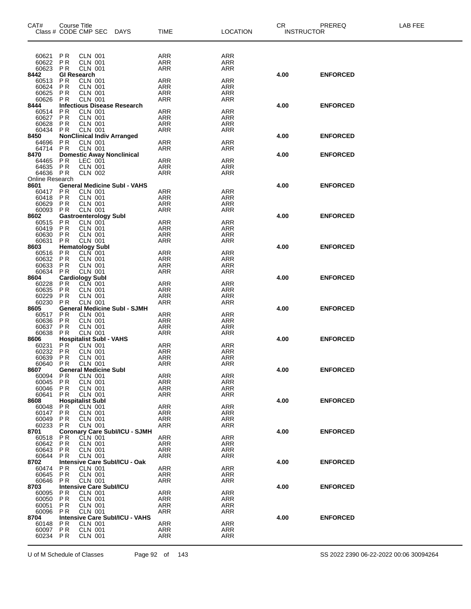| CAT#                 | Course Title           |                                                | Class # CODE CMP SEC DAYS                | <b>TIME</b>              | <b>LOCATION</b>   | CR.<br><b>INSTRUCTOR</b> | PREREQ          | LAB FEE |
|----------------------|------------------------|------------------------------------------------|------------------------------------------|--------------------------|-------------------|--------------------------|-----------------|---------|
|                      |                        |                                                |                                          |                          |                   |                          |                 |         |
| 60621 PR             |                        | CLN 001                                        |                                          | ARR                      | ARR               |                          |                 |         |
| 60622<br>60623       | PR<br>P R              | <b>CLN 001</b><br><b>CLN 001</b>               |                                          | <b>ARR</b><br>ARR        | ARR<br>ARR        |                          |                 |         |
| 8442                 | <b>GI Research</b>     |                                                |                                          |                          |                   | 4.00                     | <b>ENFORCED</b> |         |
| 60513                | P <sub>R</sub>         | <b>CLN 001</b>                                 |                                          | <b>ARR</b>               | ARR               |                          |                 |         |
| 60624<br>60625       | <b>PR</b><br><b>PR</b> | <b>CLN 001</b><br><b>CLN 001</b>               |                                          | ARR<br>ARR               | ARR<br>ARR        |                          |                 |         |
| 60626                | <b>PR</b>              | <b>CLN 001</b>                                 |                                          | <b>ARR</b>               | ARR               |                          |                 |         |
| 8444                 |                        |                                                | <b>Infectious Disease Research</b>       |                          |                   | 4.00                     | <b>ENFORCED</b> |         |
| 60514<br>60627       | <b>PR</b><br><b>PR</b> | <b>CLN 001</b><br><b>CLN 001</b>               |                                          | <b>ARR</b><br><b>ARR</b> | ARR<br>ARR        |                          |                 |         |
| 60628                | <b>PR</b>              | CLN 001                                        |                                          | ARR                      | ARR               |                          |                 |         |
| 60434                | PR                     |                                                | PR CLN 001<br>NonClinical Indiv Arranged | ARR                      | ARR               |                          |                 |         |
| 8450<br>64696 PR     |                        | <b>CLN 001</b>                                 |                                          | <b>ARR</b>               | ARR               | 4.00                     | <b>ENFORCED</b> |         |
| 64714 PR             |                        | <b>CLN 001</b>                                 |                                          | ARR                      | ARR               |                          |                 |         |
| 8470                 |                        |                                                | <b>Domestic Away Nonclinical</b>         |                          |                   | 4.00                     | <b>ENFORCED</b> |         |
| 64465 PR             |                        | LEC 001<br><b>CLN 001</b>                      |                                          | <b>ARR</b><br><b>ARR</b> | ARR               |                          |                 |         |
| 64635 PR<br>64636 PR |                        | <b>CLN 002</b>                                 |                                          | <b>ARR</b>               | ARR<br>ARR        |                          |                 |         |
| Online Research      |                        |                                                |                                          |                          |                   |                          |                 |         |
| 8601                 |                        |                                                | <b>General Medicine Subl - VAHS</b>      |                          |                   | 4.00                     | <b>ENFORCED</b> |         |
| 60417 PR<br>60418 PR |                        | <b>CLN 001</b><br><b>CLN 001</b>               |                                          | <b>ARR</b><br>ARR        | ARR<br>ARR        |                          |                 |         |
| 60629                | <b>PR</b>              | <b>CLN 001</b>                                 |                                          | ARR                      | ARR               |                          |                 |         |
| 60093                | PR                     | <b>CLN 001</b>                                 |                                          | <b>ARR</b>               | ARR               |                          |                 |         |
| 8602<br>60515        |                        | <b>Gastroenterology Subl</b><br><b>CLN 001</b> |                                          |                          |                   | 4.00                     | <b>ENFORCED</b> |         |
| 60419 PR             | PR                     | <b>CLN 001</b>                                 |                                          | ARR<br><b>ARR</b>        | ARR<br>ARR        |                          |                 |         |
| 60630 PR             |                        | <b>CLN 001</b>                                 |                                          | ARR                      | ARR               |                          |                 |         |
| 60631 PR             |                        | <b>CLN 001</b>                                 |                                          | ARR                      | ARR               |                          |                 |         |
| 8603<br>60516 PR     |                        | <b>Hematology Subl</b><br><b>CLN</b> 001       |                                          | <b>ARR</b>               | ARR               | 4.00                     | <b>ENFORCED</b> |         |
| 60632 PR             |                        | <b>CLN 001</b>                                 |                                          | <b>ARR</b>               | ARR               |                          |                 |         |
| 60633                | PR                     | <b>CLN 001</b>                                 |                                          | ARR                      | ARR               |                          |                 |         |
| 60634<br>8604        | PR                     | <b>CLN 001</b><br><b>Cardiology Subl</b>       |                                          | ARR                      | ARR               | 4.00                     | <b>ENFORCED</b> |         |
| 60228                | PR                     | CLN 001                                        |                                          | <b>ARR</b>               | ARR               |                          |                 |         |
| 60635                | <b>PR</b>              | <b>CLN 001</b>                                 |                                          | ARR                      | ARR               |                          |                 |         |
| 60229<br>60230       | <b>PR</b><br><b>PR</b> | <b>CLN 001</b><br><b>CLN 001</b>               |                                          | ARR<br><b>ARR</b>        | ARR<br>ARR        |                          |                 |         |
| 8605                 |                        |                                                | <b>General Medicine Subl - SJMH</b>      |                          |                   | 4.00                     | <b>ENFORCED</b> |         |
| 60517                | PR                     | <b>CLN 001</b>                                 |                                          | ARR                      | ARR               |                          |                 |         |
| 60636<br>60637       | PR<br><b>PR</b>        | <b>CLN 001</b><br>CLN 001                      |                                          | <b>ARR</b>               | ARR<br>ARR        |                          |                 |         |
| 60638                | <b>PR</b>              | <b>CLN 001</b>                                 |                                          | ARR<br><b>ARR</b>        | ARR               |                          |                 |         |
| 8606                 |                        |                                                | <b>Hospitalist Subl - VAHS</b>           |                          |                   | 4.00                     | <b>ENFORCED</b> |         |
| 60231                | PR                     | <b>CLN 001</b>                                 |                                          | ARR                      | ARR               |                          |                 |         |
| 60232<br>60639 PR    | PR                     | <b>CLN 001</b><br><b>CLN 001</b>               |                                          | ARR<br><b>ARR</b>        | ARR<br><b>ARR</b> |                          |                 |         |
| 60640 PR             |                        | <b>CLN 001</b>                                 |                                          | <b>ARR</b>               | ARR               |                          |                 |         |
| 8607                 |                        | <b>General Medicine Subl</b>                   |                                          |                          |                   | 4.00                     | <b>ENFORCED</b> |         |
| 60094<br>60045       | P R<br>P R             | CLN 001<br><b>CLN 001</b>                      |                                          | <b>ARR</b><br>ARR        | ARR<br>ARR        |                          |                 |         |
| 60046                | P R                    | <b>CLN 001</b>                                 |                                          | ARR                      | ARR               |                          |                 |         |
| 60641                | PR.                    | <b>CLN 001</b>                                 |                                          | <b>ARR</b>               | ARR               |                          |                 |         |
| 8608                 |                        | <b>Hospitalist Subl</b>                        |                                          |                          |                   | 4.00                     | <b>ENFORCED</b> |         |
| 60048<br>60147       | PR<br>P <sub>R</sub>   | <b>CLN 001</b><br><b>CLN 001</b>               |                                          | ARR<br>ARR               | ARR<br>ARR        |                          |                 |         |
| 60049                | P R                    | CLN 001                                        |                                          | ARR                      | ARR               |                          |                 |         |
| 60233                | P R                    | <b>CLN 001</b>                                 |                                          | ARR                      | ARR               |                          |                 |         |
| 8701<br>60518        | P R                    | CLN 001                                        | <b>Coronary Care Subl/ICU - SJMH</b>     | <b>ARR</b>               | ARR               | 4.00                     | <b>ENFORCED</b> |         |
| 60642                | <b>PR</b>              | <b>CLN 001</b>                                 |                                          | ARR                      | ARR               |                          |                 |         |
| 60643                | P R                    | CLN 001                                        |                                          | <b>ARR</b>               | ARR               |                          |                 |         |
| 60644<br>8702        | P R                    | <b>CLN 001</b>                                 | Intensive Care Subl/ICU - Oak            | ARR                      | ARR               | 4.00                     | <b>ENFORCED</b> |         |
| 60474                | P R                    | CLN 001                                        |                                          | <b>ARR</b>               | ARR               |                          |                 |         |
| 60645                | P R                    | <b>CLN 001</b>                                 |                                          | ARR                      | ARR               |                          |                 |         |
| 60646                | P R                    | <b>CLN 001</b>                                 |                                          | ARR                      | ARR               |                          |                 |         |
| 8703<br>60095        | P R                    | CLN 001                                        | <b>Intensive Care Subl/ICU</b>           | <b>ARR</b>               | ARR               | 4.00                     | <b>ENFORCED</b> |         |
| 60050                | <b>PR</b>              | <b>CLN 001</b>                                 |                                          | ARR                      | ARR               |                          |                 |         |
| 60051                | P R                    | CLN 001                                        |                                          | <b>ARR</b>               | ARR               |                          |                 |         |
| 60096                | P R                    | CLN 001                                        | <b>Intensive Care Subl/ICU - VAHS</b>    | ARR                      | ARR               |                          |                 |         |
| 8704<br>60148        | P R                    | CLN 001                                        |                                          | <b>ARR</b>               | ARR               | 4.00                     | <b>ENFORCED</b> |         |
| 60097                | P R                    | CLN 001                                        |                                          | ARR                      | ARR               |                          |                 |         |
| 60234 PR             |                        | <b>CLN 001</b>                                 |                                          | ARR                      | ARR               |                          |                 |         |
|                      |                        |                                                |                                          |                          |                   |                          |                 |         |

U of M Schedule of Classes Page 92 of 143 SS 2022 2390 06-22-2022 00:06 30094264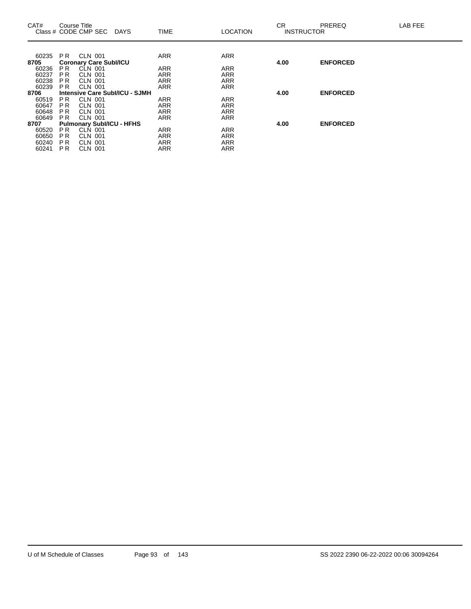| CAT#  |                | Course Title<br>Class # CODE CMP SEC | <b>DAYS</b>                    | <b>TIME</b> | <b>LOCATION</b> | CR.  | PREREQ<br><b>INSTRUCTOR</b> | LAB FEE |
|-------|----------------|--------------------------------------|--------------------------------|-------------|-----------------|------|-----------------------------|---------|
| 60235 | PR.            | CLN 001                              |                                | <b>ARR</b>  | <b>ARR</b>      |      |                             |         |
| 8705  |                | <b>Coronary Care Subl/ICU</b>        |                                |             |                 | 4.00 | <b>ENFORCED</b>             |         |
| 60236 | PR.            | CLN 001                              |                                | <b>ARR</b>  | <b>ARR</b>      |      |                             |         |
| 60237 | P <sub>R</sub> | <b>CLN 001</b>                       |                                | <b>ARR</b>  | <b>ARR</b>      |      |                             |         |
| 60238 | <b>PR</b>      | <b>CLN 001</b>                       |                                | <b>ARR</b>  | <b>ARR</b>      |      |                             |         |
| 60239 | PR.            | <b>CLN 001</b>                       |                                | <b>ARR</b>  | <b>ARR</b>      |      |                             |         |
| 8706  |                |                                      | Intensive Care Subl/ICU - SJMH |             |                 | 4.00 | <b>ENFORCED</b>             |         |
| 60519 | PR.            | CLN 001                              |                                | <b>ARR</b>  | <b>ARR</b>      |      |                             |         |
| 60647 | P <sub>R</sub> | CLN 001                              |                                | <b>ARR</b>  | <b>ARR</b>      |      |                             |         |
| 60648 | P <sub>R</sub> | <b>CLN 001</b>                       |                                | <b>ARR</b>  | <b>ARR</b>      |      |                             |         |
| 60649 | <b>PR</b>      | CLN 001                              |                                | <b>ARR</b>  | <b>ARR</b>      |      |                             |         |
| 8707  |                | <b>Pulmonary SubI/ICU - HFHS</b>     |                                |             |                 | 4.00 | <b>ENFORCED</b>             |         |
| 60520 | <b>PR</b>      | <b>CLN 001</b>                       |                                | <b>ARR</b>  | <b>ARR</b>      |      |                             |         |
| 60650 | P <sub>R</sub> | <b>CLN 001</b>                       |                                | <b>ARR</b>  | <b>ARR</b>      |      |                             |         |
| 60240 | P <sub>R</sub> | CLN 001                              |                                | <b>ARR</b>  | <b>ARR</b>      |      |                             |         |
| 60241 | P <sub>R</sub> | <b>CLN 001</b>                       |                                | <b>ARR</b>  | <b>ARR</b>      |      |                             |         |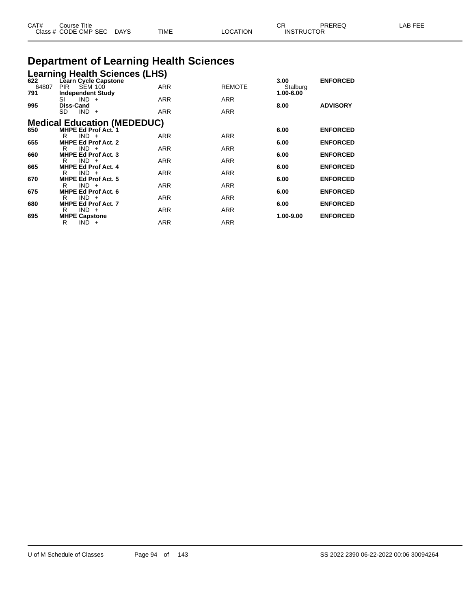| CAT# | ourse Titleٽ              |             |                 | ∼⊏                | PREREQ | LAB FEE |
|------|---------------------------|-------------|-----------------|-------------------|--------|---------|
|      | Class # CODE CMP SEC DAYS | <b>TIME</b> | <b>_OCATION</b> | <b>INSTRUCTOR</b> |        |         |

## **Department of Learning Health Sciences**

| 64807<br>791<br>995 | <b>SEM 100</b><br>PIR<br><b>Independent Study</b><br>$IND +$<br>SI<br><b>Diss-Cand</b><br><b>SD</b><br>$IND +$ | Learning Health Sciences (LHS)<br>622 Learn Cycle Capstone | <b>ARR</b><br><b>ARR</b><br><b>ARR</b> | <b>REMOTE</b><br><b>ARR</b><br><b>ARR</b> | 3.00<br>Stalburg<br>1.00-6.00<br>8.00 | <b>ENFORCED</b><br><b>ADVISORY</b> |
|---------------------|----------------------------------------------------------------------------------------------------------------|------------------------------------------------------------|----------------------------------------|-------------------------------------------|---------------------------------------|------------------------------------|
|                     |                                                                                                                | <b>Medical Education (MEDEDUC)</b>                         |                                        |                                           |                                       |                                    |
| 650                 | <b>MHPE Ed Prof Act. 1</b>                                                                                     |                                                            |                                        |                                           | 6.00                                  | <b>ENFORCED</b>                    |
|                     | $IND +$<br>R                                                                                                   |                                                            | <b>ARR</b>                             | <b>ARR</b>                                |                                       |                                    |
| 655                 | <b>MHPE Ed Prof Act. 2</b><br>$IND +$<br>R                                                                     |                                                            | <b>ARR</b>                             | <b>ARR</b>                                | 6.00                                  | <b>ENFORCED</b>                    |
| 660                 | <b>MHPE Ed Prof Act. 3</b>                                                                                     |                                                            |                                        |                                           | 6.00                                  | <b>ENFORCED</b>                    |
|                     | $IND +$<br>R                                                                                                   |                                                            | <b>ARR</b>                             | <b>ARR</b>                                |                                       |                                    |
| 665                 | <b>MHPE Ed Prof Act. 4</b>                                                                                     |                                                            |                                        |                                           | 6.00                                  | <b>ENFORCED</b>                    |
|                     | $IND +$<br>R                                                                                                   |                                                            | <b>ARR</b>                             | <b>ARR</b>                                |                                       |                                    |
| 670                 | <b>MHPE Ed Prof Act. 5</b><br>$IND +$<br>R                                                                     |                                                            | <b>ARR</b>                             | <b>ARR</b>                                | 6.00                                  | <b>ENFORCED</b>                    |
| 675                 | MHPE Ed Prof Act. 6                                                                                            |                                                            |                                        |                                           | 6.00                                  | <b>ENFORCED</b>                    |
|                     | $IND +$<br>R                                                                                                   |                                                            | <b>ARR</b>                             | <b>ARR</b>                                |                                       |                                    |
| 680                 | <b>MHPE Ed Prof Act. 7</b>                                                                                     |                                                            |                                        |                                           | 6.00                                  | <b>ENFORCED</b>                    |
|                     | $IND +$<br>R                                                                                                   |                                                            | <b>ARR</b>                             | <b>ARR</b>                                |                                       |                                    |
| 695                 | <b>MHPE Capstone</b><br>R<br>$IND +$                                                                           |                                                            | <b>ARR</b>                             | <b>ARR</b>                                | 1.00-9.00                             | <b>ENFORCED</b>                    |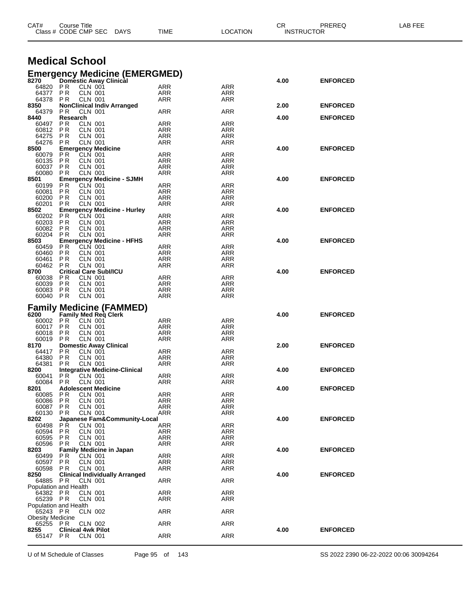|                                     | Class # CODE CMP SEC                                           | <b>DAYS</b> | TIME              | LOCATION          |      | <b>INSTRUCTOR</b> |  |
|-------------------------------------|----------------------------------------------------------------|-------------|-------------------|-------------------|------|-------------------|--|
|                                     |                                                                |             |                   |                   |      |                   |  |
|                                     | <b>Medical School</b>                                          |             |                   |                   |      |                   |  |
|                                     | <b>Emergency Medicine (EMERGMED)</b>                           |             |                   |                   |      |                   |  |
| 8270                                | <b>Domestic Away Clinical</b>                                  |             |                   |                   | 4.00 | <b>ENFORCED</b>   |  |
| 64820 PR<br>64377                   | CLN 001<br>P <sub>R</sub><br><b>CLN 001</b>                    |             | ARR<br>ARR        | ARR<br>ARR        |      |                   |  |
| 64378                               | P R<br><b>CLN 001</b>                                          |             | ARR               | ARR               |      |                   |  |
| 8350<br>64379                       | <b>NonClinical Indiv Arranged</b><br>PR.<br>CLN 001            |             | ARR               | ARR               | 2.00 | <b>ENFORCED</b>   |  |
| 8440                                | Research                                                       |             |                   |                   | 4.00 | <b>ENFORCED</b>   |  |
| 60497                               | P R<br><b>CLN 001</b>                                          |             | ARR               | ARR               |      |                   |  |
| 60812<br>64275                      | P R<br>CLN 001<br>P R<br>CLN 001                               |             | ARR<br><b>ARR</b> | ARR<br>ARR        |      |                   |  |
| 64276                               | <b>CLN 001</b><br>P R                                          |             | ARR               | ARR               |      |                   |  |
| 8500<br>60079                       | <b>Emergency Medicine</b><br>P R<br>CLN 001                    |             | ARR               | ARR               | 4.00 | <b>ENFORCED</b>   |  |
| 60135                               | P R<br>CLN 001                                                 |             | ARR               | ARR               |      |                   |  |
| 60037                               | P R<br>CLN 001                                                 |             | ARR               | ARR               |      |                   |  |
| 60080<br>8501                       | P <sub>R</sub><br>CLN 001<br><b>Emergency Medicine - SJMH</b>  |             | <b>ARR</b>        | ARR               | 4.00 | <b>ENFORCED</b>   |  |
| 60199                               | P R<br>CLN 001                                                 |             | ARR               | ARR               |      |                   |  |
| 60081                               | P <sub>R</sub><br>CLN 001                                      |             | <b>ARR</b>        | ARR               |      |                   |  |
| 60200<br>60201                      | P R<br><b>CLN 001</b><br>P R<br>CLN 001                        |             | ARR<br>ARR        | ARR<br>ARR        |      |                   |  |
| 8502                                | <b>Emergency Medicine - Hurley</b>                             |             |                   |                   | 4.00 | <b>ENFORCED</b>   |  |
| 60202                               | P R<br>CLN 001                                                 |             | ARR               | ARR               |      |                   |  |
| 60203<br>60082                      | <b>CLN 001</b><br>P R<br><b>PR</b><br>CLN 001                  |             | ARR<br><b>ARR</b> | ARR<br>ARR        |      |                   |  |
| 60204                               | <b>CLN 001</b><br>P R                                          |             | ARR               | ARR               |      |                   |  |
| 8503                                | <b>Emergency Medicine - HFHS</b><br>CLN 001                    |             |                   |                   | 4.00 | <b>ENFORCED</b>   |  |
| 60459<br>60460                      | P R<br>P R<br>CLN 001                                          |             | <b>ARR</b><br>ARR | <b>ARR</b><br>ARR |      |                   |  |
| 60461                               | <b>CLN 001</b><br>P <sub>R</sub>                               |             | ARR               | ARR               |      |                   |  |
| 60462<br>8700                       | <b>PR</b><br>CLN 001<br><b>Critical Care Subl/ICU</b>          |             | <b>ARR</b>        | ARR               | 4.00 | <b>ENFORCED</b>   |  |
| 60038                               | <b>CLN 001</b><br>PR.                                          |             | ARR               | ARR               |      |                   |  |
| 60039                               | P <sub>R</sub><br>CLN 001                                      |             | <b>ARR</b>        | ARR               |      |                   |  |
| 60083<br>60040 PR                   | P R<br>CLN 001<br>CLN 001                                      |             | ARR<br>ARR        | ARR<br>ARR        |      |                   |  |
|                                     |                                                                |             |                   |                   |      |                   |  |
| 6200                                | <b>Family Medicine (FAMMED)</b><br><b>Family Med Reg Clerk</b> |             |                   |                   | 4.00 | <b>ENFORCED</b>   |  |
| 60002                               | P R<br>CLN 001                                                 |             | <b>ARR</b>        | ARR               |      |                   |  |
| 60017                               | P R<br>CLN 001                                                 |             | ARR               | ARR               |      |                   |  |
| 60018<br>60019                      | P R<br>CLN 001<br>P R<br>CLN 001                               |             | ARR<br><b>ARR</b> | ARR<br>ARR        |      |                   |  |
| 8170                                | <b>Domestic Away Clinical</b>                                  |             |                   |                   | 2.00 | <b>ENFORCED</b>   |  |
| 64417                               | <b>PR</b><br>CLN 001                                           |             | ARR               | ARR               |      |                   |  |
| 64380<br>64381                      | P <sub>R</sub><br>CLN 001<br>CLN 001<br>P R                    |             | ARR<br>ARR        | ARR<br>ARR        |      |                   |  |
| 8200                                | <b>Integrative Medicine-Clinical</b>                           |             |                   |                   | 4.00 | <b>ENFORCED</b>   |  |
| 60041<br>60084 PR                   | PR<br><b>CLN 001</b><br>CLN 001                                |             | ARR<br>ARR        | $\sf{ARR}$<br>ARR |      |                   |  |
| 8201                                | <b>Adolescent Medicine</b>                                     |             |                   |                   | 4.00 | <b>ENFORCED</b>   |  |
| 60085                               | P R<br><b>CLN 001</b>                                          |             | ARR               | ARR               |      |                   |  |
| 60086<br>60087                      | <b>CLN 001</b><br>P R<br><b>CLN 001</b><br>P <sub>R</sub>      |             | ARR<br>ARR        | ARR<br>ARR        |      |                   |  |
| 60130                               | <b>PR</b><br><b>CLN 001</b>                                    |             | ARR               | ARR               |      |                   |  |
| 8202                                | Japanese Fam&Community-Local                                   |             |                   |                   | 4.00 | <b>ENFORCED</b>   |  |
| 60498<br>60594                      | PR.<br><b>CLN 001</b><br><b>PR</b><br><b>CLN 001</b>           |             | ARR<br>ARR        | <b>ARR</b><br>ARR |      |                   |  |
| 60595                               | <b>CLN 001</b><br>P R                                          |             | ARR               | ARR               |      |                   |  |
| 60596<br>8203                       | <b>CLN 001</b><br>P R                                          |             | ARR               | ARR               | 4.00 |                   |  |
| 60499                               | <b>Family Medicine in Japan</b><br>P R<br><b>CLN 001</b>       |             | <b>ARR</b>        | <b>ARR</b>        |      | <b>ENFORCED</b>   |  |
| 60597                               | P <sub>R</sub><br><b>CLN 001</b>                               |             | ARR               | ARR               |      |                   |  |
| 60598<br>8250                       | PR.<br>CLN 001<br><b>Clinical Individually Arranged</b>        |             | <b>ARR</b>        | ARR               | 4.00 | <b>ENFORCED</b>   |  |
| 64885                               | PR.<br>CLN 001                                                 |             | ARR               | <b>ARR</b>        |      |                   |  |
|                                     | Population and Health                                          |             |                   |                   |      |                   |  |
| 64382 PR<br>65239 PR                | CLN 001<br>CLN 001                                             |             | <b>ARR</b><br>ARR | ARR<br>ARR        |      |                   |  |
|                                     | Population and Health                                          |             |                   |                   |      |                   |  |
| 65243 PR                            | CLN 002                                                        |             | <b>ARR</b>        | <b>ARR</b>        |      |                   |  |
| <b>Obesity Medicine</b><br>65255 PR | CLN 002                                                        |             | ARR               | <b>ARR</b>        |      |                   |  |
| 8255                                | <b>Clinical 4wk Pilot</b>                                      |             |                   |                   | 4.00 | <b>ENFORCED</b>   |  |
| 65147 PR                            | CLN 001                                                        |             | ARR               | <b>ARR</b>        |      |                   |  |
|                                     |                                                                |             |                   |                   |      |                   |  |

CAT# Course Title Case CR PREREQ LAB FEE

U of M Schedule of Classes Page 95 of 143 SS 2022 2390 06-22-2022 00:06 30094264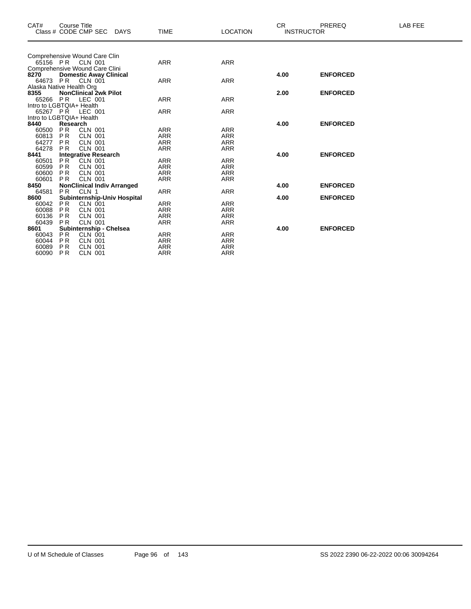| CAT#                     |                | <b>Course Title</b>               |             |             |                 | <b>CR</b> | PREREQ            | LAB FEE |
|--------------------------|----------------|-----------------------------------|-------------|-------------|-----------------|-----------|-------------------|---------|
|                          |                | Class # CODE CMP SEC              | <b>DAYS</b> | <b>TIME</b> | <b>LOCATION</b> |           | <b>INSTRUCTOR</b> |         |
|                          |                |                                   |             |             |                 |           |                   |         |
|                          |                | Comprehensive Wound Care Clin     |             |             |                 |           |                   |         |
|                          |                | 65156 PR CLN 001                  |             | <b>ARR</b>  | <b>ARR</b>      |           |                   |         |
|                          |                | Comprehensive Wound Care Clini    |             |             |                 |           |                   |         |
| 8270                     |                | <b>Domestic Away Clinical</b>     |             |             |                 | 4.00      | <b>ENFORCED</b>   |         |
| 64673 PR                 |                | CLN 001                           |             | <b>ARR</b>  | <b>ARR</b>      |           |                   |         |
| Alaska Native Health Org |                |                                   |             |             |                 |           |                   |         |
| 8355                     |                | <b>NonClinical 2wk Pilot</b>      |             |             |                 | 2.00      | <b>ENFORCED</b>   |         |
| 65266                    | PR             | LEC 001                           |             | <b>ARR</b>  | <b>ARR</b>      |           |                   |         |
| Intro to LGBTQIA+ Health |                |                                   |             |             |                 |           |                   |         |
| 65267 PR                 |                | LEC 001                           |             | ARR         | <b>ARR</b>      |           |                   |         |
| Intro to LGBTQIA+ Health |                |                                   |             |             |                 |           |                   |         |
| 8440                     | Research       |                                   |             |             |                 | 4.00      | <b>ENFORCED</b>   |         |
| 60500                    | <b>PR</b>      | <b>CLN 001</b>                    |             | ARR         | <b>ARR</b>      |           |                   |         |
| 60813                    | <b>PR</b>      | <b>CLN 001</b>                    |             | <b>ARR</b>  | <b>ARR</b>      |           |                   |         |
| 64277                    | <b>PR</b>      | <b>CLN 001</b>                    |             | <b>ARR</b>  | <b>ARR</b>      |           |                   |         |
| 64278                    | <b>PR</b>      | <b>CLN 001</b>                    |             | <b>ARR</b>  | <b>ARR</b>      |           |                   |         |
| 8441                     |                | <b>Integrative Research</b>       |             |             |                 | 4.00      | <b>ENFORCED</b>   |         |
| 60501                    | P <sub>R</sub> | CLN 001                           |             | <b>ARR</b>  | <b>ARR</b>      |           |                   |         |
| 60599                    | P <sub>R</sub> | <b>CLN 001</b>                    |             | <b>ARR</b>  | <b>ARR</b>      |           |                   |         |
| 60600                    | P <sub>R</sub> | <b>CLN 001</b>                    |             | <b>ARR</b>  | <b>ARR</b>      |           |                   |         |
| 60601                    | <b>PR</b>      | <b>CLN 001</b>                    |             | <b>ARR</b>  | <b>ARR</b>      |           |                   |         |
| 8450                     |                | <b>NonClinical Indiv Arranged</b> |             |             |                 | 4.00      | <b>ENFORCED</b>   |         |
| 64581                    | <b>PR</b>      | CLN 1                             |             | <b>ARR</b>  | <b>ARR</b>      |           |                   |         |
| 8600                     |                | Subinternship-Univ Hospital       |             |             |                 | 4.00      | <b>ENFORCED</b>   |         |
| 60042                    | <b>PR</b>      | <b>CLN 001</b>                    |             | <b>ARR</b>  | <b>ARR</b>      |           |                   |         |
| 60088                    | <b>PR</b>      | <b>CLN 001</b>                    |             | <b>ARR</b>  | <b>ARR</b>      |           |                   |         |
| 60136                    | <b>PR</b>      | <b>CLN 001</b>                    |             | <b>ARR</b>  | <b>ARR</b>      |           |                   |         |
| 60439                    | <b>PR</b>      | <b>CLN 001</b>                    |             | <b>ARR</b>  | <b>ARR</b>      |           |                   |         |
| 8601                     |                | Subinternship - Chelsea           |             |             |                 | 4.00      | <b>ENFORCED</b>   |         |
| 60043                    | <b>PR</b>      | CLN 001                           |             | <b>ARR</b>  | <b>ARR</b>      |           |                   |         |
| 60044                    | P <sub>R</sub> | <b>CLN 001</b>                    |             | ARR         | <b>ARR</b>      |           |                   |         |
| 60089                    | P <sub>R</sub> | <b>CLN 001</b>                    |             | <b>ARR</b>  | <b>ARR</b>      |           |                   |         |
| 60090                    | P <sub>R</sub> | <b>CLN 001</b>                    |             | ARR         | ARR             |           |                   |         |
|                          |                |                                   |             |             |                 |           |                   |         |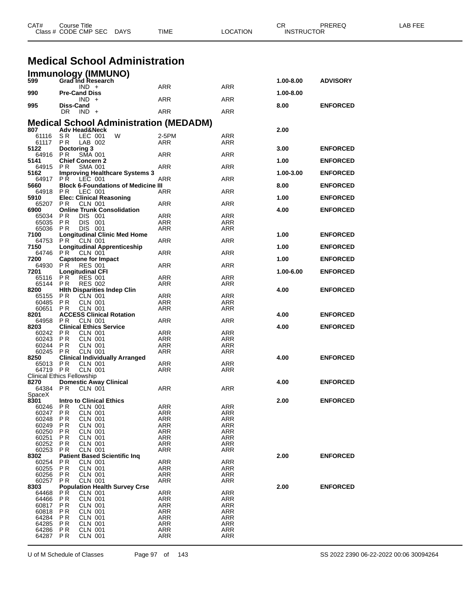|                      | Class # CODE CMP SEC<br><b>DAYS</b>                            | TIME                     | LOCATION                 | <b>INSTRUCTOR</b> |                 |  |
|----------------------|----------------------------------------------------------------|--------------------------|--------------------------|-------------------|-----------------|--|
|                      |                                                                |                          |                          |                   |                 |  |
|                      | <b>Medical School Administration</b>                           |                          |                          |                   |                 |  |
|                      | Immunology (IMMUNO)                                            |                          |                          |                   |                 |  |
| 599                  | Grad Ind Research<br>$IND +$                                   | ARR                      | ARR                      | 1.00-8.00         | <b>ADVISORY</b> |  |
| 990                  | <b>Pre-Cand Diss</b>                                           |                          |                          | 1.00-8.00         |                 |  |
| 995                  | $IND +$<br><b>Diss-Cand</b>                                    | ARR                      | ARR                      | 8.00              | <b>ENFORCED</b> |  |
|                      | DR $IND +$                                                     | ARR                      | ARR                      |                   |                 |  |
|                      | <b>Medical School Administration (MEDADM)</b>                  |                          |                          |                   |                 |  |
| 807<br>61116         | <b>Adv Head&amp;Neck</b><br>LEC 001<br>W<br>S R                | 2-5PM                    | ARR                      | 2.00              |                 |  |
| 61117 PR<br>5122     | LAB 002<br>Doctoring 3                                         | ARR                      | ARR                      | 3.00              | <b>ENFORCED</b> |  |
| 64916                | P R<br><b>SMA 001</b>                                          | ARR                      | ARR                      |                   |                 |  |
| 5141<br>64915        | <b>Chief Concern 2</b><br>PR.<br><b>SMA 001</b>                | ARR                      | ARR                      | 1.00              | <b>ENFORCED</b> |  |
| 5162<br>64917        | <b>Improving Healthcare Systems 3</b><br><b>PR LEC 001</b>     | ARR                      | ARR                      | 1.00-3.00         | <b>ENFORCED</b> |  |
| 5660                 | <b>Block 6-Foundations of Medicine III</b>                     |                          |                          | 8.00              | <b>ENFORCED</b> |  |
| 64918<br>5910        | P R<br>LEC 001<br><b>Elec: Clinical Reasoning</b>              | ARR                      | ARR                      | 1.00              | <b>ENFORCED</b> |  |
| 65207<br>6900        | PR.<br>CLN 001<br><b>Online Trunk Consolidation</b>            | ARR                      | ARR                      | 4.00              | <b>ENFORCED</b> |  |
| 65034                | P R<br>DIS 001                                                 | ARR                      | ARR                      |                   |                 |  |
| 65035<br>65036 PR    | DIS 001<br>P R<br>DIS 001                                      | ARR<br><b>ARR</b>        | ARR<br>ARR               |                   |                 |  |
| 7100                 | <b>Longitudinal Clinic Med Home</b>                            |                          |                          | 1.00              | <b>ENFORCED</b> |  |
| 64753 PR<br>7150     | CLN 001<br><b>Longitudinal Apprenticeship</b>                  | ARR                      | ARR                      | 1.00              | <b>ENFORCED</b> |  |
| 64746 PR<br>7200     | CLN 001<br><b>Capstone for Impact</b>                          | ARR                      | ARR                      | 1.00              | <b>ENFORCED</b> |  |
| 64930                | <b>RES 001</b><br>PR.                                          | ARR                      | ARR                      |                   |                 |  |
| 7201<br>65116        | <b>Longitudinal CFI</b><br>PR<br><b>RES 001</b>                | ARR                      | ARR                      | 1.00-6.00         | <b>ENFORCED</b> |  |
| 65144 PR<br>8200     | <b>RES 002</b><br><b>Hith Disparities Indep Clin</b>           | ARR                      | ARR                      | 4.00              | <b>ENFORCED</b> |  |
| 65155                | PR<br>CLN 001                                                  | ARR                      | ARR                      |                   |                 |  |
| 60485<br>60651       | P R<br>CLN 001<br>CLN 001<br>P R                               | ARR<br>ARR               | ARR<br>ARR               |                   |                 |  |
| 8201<br>64958        | <b>ACCESS Clinical Rotation</b><br>P <sub>R</sub><br>CLN 001   | ARR                      | ARR                      | 4.00              | <b>ENFORCED</b> |  |
| 8203                 | <b>Clinical Ethics Service</b>                                 |                          |                          | 4.00              | <b>ENFORCED</b> |  |
| 60242<br>60243       | P R<br>CLN 001<br>P R<br><b>CLN 001</b>                        | ARR<br>ARR               | ARR<br>ARR               |                   |                 |  |
| 60244 PR             | CLN 001                                                        | ARR                      | ARR                      |                   |                 |  |
| 60245<br>8250        | P R<br><b>CLN 001</b><br><b>Clinical Individually Arranged</b> | ARR                      | ARR                      | 4.00              | <b>ENFORCED</b> |  |
| 65013 PR<br>64719 PR | CLN 001<br>CLN 001                                             | ARR<br>ARR               | ARR<br>ARR               |                   |                 |  |
|                      | <b>Clinical Ethics Fellowship</b>                              |                          |                          |                   |                 |  |
| 8270<br>64384        | <b>Domestic Away Clinical</b><br>PR.<br>CLN 001                | ARR                      | <b>ARR</b>               | 4.00              | <b>ENFORCED</b> |  |
| SpaceX<br>8301       | <b>Intro to Clinical Ethics</b>                                |                          |                          | 2.00              | <b>ENFORCED</b> |  |
| 60246                | <b>PR</b><br>CLN 001                                           | <b>ARR</b>               | ARR                      |                   |                 |  |
| 60247<br>60248       | P <sub>R</sub><br><b>CLN 001</b><br>P R<br>CLN 001             | <b>ARR</b><br><b>ARR</b> | <b>ARR</b><br>ARR        |                   |                 |  |
| 60249<br>60250       | P R<br>CLN 001<br>P R<br><b>CLN 001</b>                        | <b>ARR</b><br><b>ARR</b> | <b>ARR</b><br><b>ARR</b> |                   |                 |  |
| 60251                | P R<br>CLN 001                                                 | <b>ARR</b>               | ARR                      |                   |                 |  |
| 60252<br>60253       | PR<br><b>CLN 001</b><br>PR<br>CLN 001                          | ARR<br><b>ARR</b>        | <b>ARR</b><br><b>ARR</b> |                   |                 |  |
| 8302                 | <b>Patient Based Scientific Ing</b>                            |                          |                          | 2.00              | <b>ENFORCED</b> |  |
| 60254<br>60255       | PR<br>CLN 001<br>PR<br>CLN 001                                 | ARR<br><b>ARR</b>        | ARR<br><b>ARR</b>        |                   |                 |  |
| 60256<br>60257       | <b>CLN 001</b><br>P R<br><b>PR</b><br><b>CLN 001</b>           | <b>ARR</b><br><b>ARR</b> | ARR<br>ARR               |                   |                 |  |
| 8303                 | <b>Population Health Survey Crse</b>                           |                          |                          | 2.00              | <b>ENFORCED</b> |  |
| 64468<br>64466       | P R<br>CLN 001<br><b>PR</b><br><b>CLN 001</b>                  | ARR<br>ARR               | ARR<br>ARR               |                   |                 |  |
| 60817<br>60818       | <b>PR</b><br>CLN 001<br>P R<br>CLN 001                         | <b>ARR</b><br>ARR        | <b>ARR</b><br>ARR        |                   |                 |  |
| 64284                | P R<br>CLN 001                                                 | <b>ARR</b>               | ARR                      |                   |                 |  |
| 64285<br>64286       | P R<br><b>CLN 001</b><br>PR<br>CLN 001                         | <b>ARR</b><br>ARR        | <b>ARR</b><br>ARR        |                   |                 |  |
| 64287 PR             | <b>CLN 001</b>                                                 | <b>ARR</b>               | <b>ARR</b>               |                   |                 |  |
|                      |                                                                |                          |                          |                   |                 |  |

CAT# Course Title Case CR PREREQ LAB FEE

U of M Schedule of Classes Page 97 of 143 SS 2022 2390 06-22-2022 00:06 30094264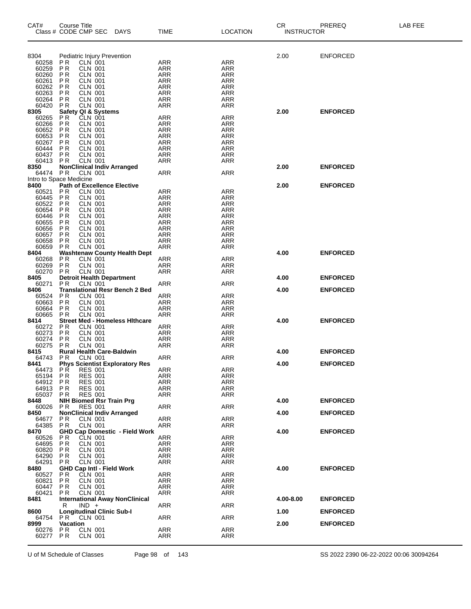| CAT#<br>Class # CODE CMP SEC DAYS | Course Title                          |                                  |                                       | TIME                     | <b>LOCATION</b>          | CR<br>INSTRUCTOR | PREREQ          | LAB FEE |
|-----------------------------------|---------------------------------------|----------------------------------|---------------------------------------|--------------------------|--------------------------|------------------|-----------------|---------|
|                                   |                                       |                                  |                                       |                          |                          |                  |                 |         |
| 8304                              | Pediatric Injury Prevention           |                                  |                                       |                          |                          | 2.00             | ENFORCED        |         |
| 60258<br>60259                    | P <sub>R</sub><br><b>PR</b>           | CLN 001<br><b>CLN 001</b>        |                                       | ARR                      | <b>ARR</b><br><b>ARR</b> |                  |                 |         |
| 60260                             | <b>PR</b>                             | <b>CLN 001</b>                   |                                       | ARR<br><b>ARR</b>        | <b>ARR</b>               |                  |                 |         |
| 60261                             | P <sub>R</sub>                        | CLN 001                          |                                       | <b>ARR</b>               | <b>ARR</b>               |                  |                 |         |
| 60262                             | <b>PR</b>                             | <b>CLN 001</b>                   |                                       | <b>ARR</b>               | <b>ARR</b>               |                  |                 |         |
| 60263                             | <b>PR</b>                             | <b>CLN 001</b>                   |                                       | <b>ARR</b>               | <b>ARR</b>               |                  |                 |         |
| 60264<br>60420                    | <b>PR</b><br>P <sub>R</sub>           | <b>CLN 001</b><br><b>CLN 001</b> |                                       | <b>ARR</b><br><b>ARR</b> | <b>ARR</b><br>ARR        |                  |                 |         |
| 8305                              | <b>Safety QI &amp; Systems</b>        |                                  |                                       |                          |                          | 2.00             | <b>ENFORCED</b> |         |
| 60265                             | ΡR                                    | <b>CLN 001</b>                   |                                       | <b>ARR</b>               | <b>ARR</b>               |                  |                 |         |
| 60266                             | <b>PR</b>                             | <b>CLN 001</b>                   |                                       | ARR                      | ARR                      |                  |                 |         |
| 60652                             | <b>PR</b><br><b>PR</b>                | <b>CLN 001</b>                   |                                       | <b>ARR</b><br><b>ARR</b> | ARR<br><b>ARR</b>        |                  |                 |         |
| 60653<br>60267                    | <b>PR</b>                             | <b>CLN 001</b><br><b>CLN 001</b> |                                       | <b>ARR</b>               | ARR                      |                  |                 |         |
| 60444                             | PR                                    | <b>CLN 001</b>                   |                                       | <b>ARR</b>               | ARR                      |                  |                 |         |
| 60437                             | PR                                    | CLN 001                          |                                       | <b>ARR</b>               | <b>ARR</b>               |                  |                 |         |
| 60413                             | <b>PR</b>                             | <b>CLN 001</b>                   |                                       | <b>ARR</b>               | ARR                      |                  |                 |         |
| 8350<br>64474                     | <b>PR</b>                             | CLN 001                          | <b>NonClinical Indiv Arranged</b>     | <b>ARR</b>               | <b>ARR</b>               | 2.00             | <b>ENFORCED</b> |         |
| Intro to Space Medicine           |                                       |                                  |                                       |                          |                          |                  |                 |         |
| 8400                              |                                       |                                  | <b>Path of Excellence Elective</b>    |                          |                          | 2.00             | <b>ENFORCED</b> |         |
| 60521                             | P R                                   | <b>CLN 001</b>                   |                                       | ARR                      | <b>ARR</b>               |                  |                 |         |
| 60445<br>60522                    | PR<br><b>PR</b>                       | <b>CLN 001</b><br><b>CLN 001</b> |                                       | ARR<br><b>ARR</b>        | <b>ARR</b><br>ARR        |                  |                 |         |
| 60654                             | <b>PR</b>                             | <b>CLN 001</b>                   |                                       | <b>ARR</b>               | <b>ARR</b>               |                  |                 |         |
| 60446                             | <b>PR</b>                             | <b>CLN 001</b>                   |                                       | <b>ARR</b>               | <b>ARR</b>               |                  |                 |         |
| 60655                             | <b>PR</b>                             | <b>CLN 001</b>                   |                                       | <b>ARR</b>               | ARR                      |                  |                 |         |
| 60656<br>60657                    | <b>PR</b><br><b>PR</b>                | <b>CLN 001</b><br><b>CLN 001</b> |                                       | <b>ARR</b><br><b>ARR</b> | <b>ARR</b><br>ARR        |                  |                 |         |
| 60658                             | <b>PR</b>                             | <b>CLN 001</b>                   |                                       | <b>ARR</b>               | <b>ARR</b>               |                  |                 |         |
| 60659                             | <b>PR</b>                             | <b>CLN 001</b>                   |                                       | <b>ARR</b>               | <b>ARR</b>               |                  |                 |         |
| 8404                              |                                       |                                  | <b>Washtenaw County Health Dept</b>   |                          |                          | 4.00             | <b>ENFORCED</b> |         |
| 60268<br>60269                    | <b>PR</b><br><b>PR</b>                | <b>CLN 001</b><br><b>CLN 001</b> |                                       | ARR<br>ARR               | <b>ARR</b><br><b>ARR</b> |                  |                 |         |
| 60270                             | <b>PR</b>                             | <b>CLN 001</b>                   |                                       | <b>ARR</b>               | ARR                      |                  |                 |         |
| 8405                              |                                       |                                  | <b>Detroit Health Department</b>      |                          |                          | 4.00             | <b>ENFORCED</b> |         |
| 60271                             | P <sub>R</sub>                        | CLN 001                          |                                       | <b>ARR</b>               | <b>ARR</b>               |                  |                 |         |
| 8406<br>60524                     | P <sub>R</sub>                        | <b>CLN 001</b>                   | <b>Translational Resr Bench 2 Bed</b> | ARR                      | <b>ARR</b>               | 4.00             | <b>ENFORCED</b> |         |
| 60663                             | P <sub>R</sub>                        | <b>CLN 001</b>                   |                                       | <b>ARR</b>               | <b>ARR</b>               |                  |                 |         |
| 60664                             | P R                                   | <b>CLN 001</b>                   |                                       | ARR                      | ARR                      |                  |                 |         |
| 60665                             | <b>PR</b>                             | <b>CLN 001</b>                   |                                       | <b>ARR</b>               | <b>ARR</b>               |                  |                 |         |
| 8414<br>60272                     | <b>PR</b>                             | <b>CLN 001</b>                   | <b>Street Med - Homeless Hithcare</b> | ARR                      | <b>ARR</b>               | 4.00             | <b>ENFORCED</b> |         |
| 60273                             | <b>PR</b>                             | <b>CLN 001</b>                   |                                       | <b>ARR</b>               | <b>ARR</b>               |                  |                 |         |
| 60274                             | <b>PR</b>                             | CLN 001                          |                                       | ARR                      | ARR                      |                  |                 |         |
| 60275                             | P R                                   | <b>CLN 001</b>                   |                                       | ARR                      | ARR                      |                  |                 |         |
| 8415<br>64743                     | P R                                   | CLN 001                          | <b>Rural Health Care-Baldwin</b>      | <b>ARR</b>               | <b>ARR</b>               | 4.00             | <b>ENFORCED</b> |         |
| 8441                              |                                       |                                  | <b>Phys Scientist Exploratory Res</b> |                          |                          | 4.00             | <b>ENFORCED</b> |         |
| 64473 PR                          |                                       | <b>RES 001</b>                   |                                       | ARR                      | <b>ARR</b>               |                  |                 |         |
| 65194                             | P R                                   | <b>RES 001</b>                   |                                       | <b>ARR</b>               | ARR                      |                  |                 |         |
| 64912 PR<br>64913                 | <b>PR</b>                             | <b>RES 001</b><br><b>RES 001</b> |                                       | ARR<br><b>ARR</b>        | ARR<br><b>ARR</b>        |                  |                 |         |
| 65037 PR                          |                                       | <b>RES 001</b>                   |                                       | ARR                      | <b>ARR</b>               |                  |                 |         |
| 8448                              |                                       |                                  | <b>NIH Biomed Rsr Train Prg</b>       |                          |                          | 4.00             | <b>ENFORCED</b> |         |
| 60026                             | P R                                   | <b>RES 001</b>                   |                                       | <b>ARR</b>               | ARR                      |                  |                 |         |
| 8450<br>64677                     | P R                                   | CLN 001                          | <b>NonClinical Indiv Arranged</b>     | ARR                      | <b>ARR</b>               | 4.00             | <b>ENFORCED</b> |         |
| 64385                             | <b>PR</b>                             | <b>CLN 001</b>                   |                                       | <b>ARR</b>               | ARR                      |                  |                 |         |
| 8470                              |                                       |                                  | <b>GHD Cap Domestic - Field Work</b>  |                          |                          | 4.00             | <b>ENFORCED</b> |         |
| 60526                             | P R                                   | CLN 001                          |                                       | ARR                      | <b>ARR</b>               |                  |                 |         |
| 64695<br>60820                    | <b>PR</b><br>P R                      | <b>CLN 001</b><br>CLN 001        |                                       | <b>ARR</b><br><b>ARR</b> | <b>ARR</b><br><b>ARR</b> |                  |                 |         |
| 64290                             | P R                                   | <b>CLN 001</b>                   |                                       | ARR                      | ARR                      |                  |                 |         |
| 64291                             | <b>PR</b>                             | <b>CLN 001</b>                   |                                       | <b>ARR</b>               | <b>ARR</b>               |                  |                 |         |
| 8480                              |                                       |                                  | <b>GHD Cap Intl - Field Work</b>      |                          |                          | 4.00             | <b>ENFORCED</b> |         |
| 60527<br>60821                    | P R<br>P <sub>R</sub>                 | CLN 001<br><b>CLN 001</b>        |                                       | ARR<br><b>ARR</b>        | <b>ARR</b><br><b>ARR</b> |                  |                 |         |
| 60447                             | P R                                   | CLN 001                          |                                       | <b>ARR</b>               | <b>ARR</b>               |                  |                 |         |
| 60421                             | P R                                   | CLN 001                          |                                       | ARR                      | ARR                      |                  |                 |         |
| 8481                              |                                       |                                  | <b>International Away NonClinical</b> |                          |                          | 4.00-8.00        | <b>ENFORCED</b> |         |
| 8600                              | R<br><b>Longitudinal Clinic Sub-I</b> | $IND +$                          |                                       | <b>ARR</b>               | <b>ARR</b>               | 1.00             | <b>ENFORCED</b> |         |
| 64754                             | PR.                                   | CLN 001                          |                                       | <b>ARR</b>               | ARR                      |                  |                 |         |
| 8999                              | Vacation                              |                                  |                                       |                          |                          | 2.00             | <b>ENFORCED</b> |         |
| 60276                             | P R                                   | CLN 001                          |                                       | ARR                      | <b>ARR</b>               |                  |                 |         |
| 60277                             | P R                                   | CLN 001                          |                                       | <b>ARR</b>               | ARR                      |                  |                 |         |
|                                   |                                       |                                  |                                       |                          |                          |                  |                 |         |

U of M Schedule of Classes Page 98 of 143 SS 2022 2390 06-22-2022 00:06 30094264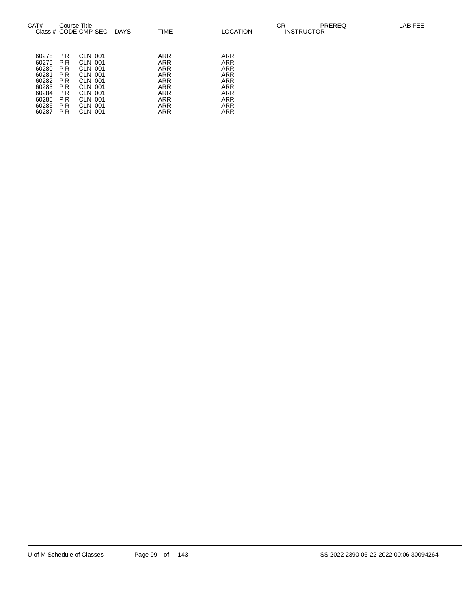| CAT#                                                                                   | Course Title                                                                             | Class # CODE CMP SEC                                                                                       | <b>DAYS</b> | <b>TIME</b>                                                                                                                       | <b>LOCATION</b>                                                                                                                   | СR<br><b>INSTRUCTOR</b> | <b>PREREQ</b> | LAB FEE |
|----------------------------------------------------------------------------------------|------------------------------------------------------------------------------------------|------------------------------------------------------------------------------------------------------------|-------------|-----------------------------------------------------------------------------------------------------------------------------------|-----------------------------------------------------------------------------------------------------------------------------------|-------------------------|---------------|---------|
| 60278<br>60279<br>60280<br>60281<br>60282<br>60283<br>60284<br>60285<br>60286<br>60287 | P R<br>P R<br>P R<br>P <sub>R</sub><br>P R<br>P R<br>P R<br>P R<br>P R<br>P <sub>R</sub> | CLN 001<br>CLN 001<br>CLN 001<br>CLN 001<br>CLN 001<br>CLN 001<br>CLN 001<br>CLN 001<br>CLN 001<br>CLN 001 |             | <b>ARR</b><br><b>ARR</b><br><b>ARR</b><br>ARR<br><b>ARR</b><br><b>ARR</b><br><b>ARR</b><br><b>ARR</b><br><b>ARR</b><br><b>ARR</b> | <b>ARR</b><br><b>ARR</b><br><b>ARR</b><br><b>ARR</b><br><b>ARR</b><br><b>ARR</b><br><b>ARR</b><br><b>ARR</b><br><b>ARR</b><br>ARR |                         |               |         |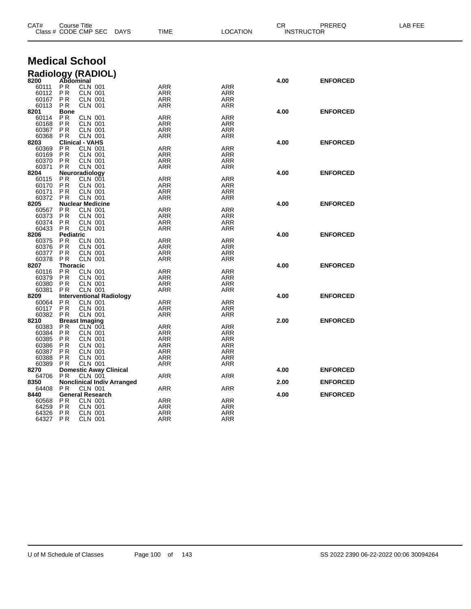| <b>Medical School</b><br>Radiology (RADIOL)<br>8200 Abdominal<br>4.00<br><b>ENFORCED</b><br>P <sub>R</sub><br><b>CLN 001</b><br>60111<br>ARR<br><b>ARR</b><br><b>PR</b><br>60112<br><b>ARR</b><br><b>ARR</b><br><b>CLN 001</b><br><b>PR</b><br><b>CLN 001</b><br><b>ARR</b><br><b>ARR</b><br>60167<br><b>CLN 001</b><br>60113<br><b>PR</b><br>ARR<br>ARR<br><b>Bone</b><br>4.00<br><b>ENFORCED</b><br>8201<br>P <sub>R</sub><br><b>CLN 001</b><br>ARR<br><b>ARR</b><br>60114<br><b>CLN 001</b><br>60168<br>P <sub>R</sub><br>ARR<br>ARR<br>P <sub>R</sub><br>60367<br><b>CLN 001</b><br>ARR<br><b>ARR</b><br>60368<br>P <sub>R</sub><br><b>CLN 001</b><br>ARR<br>ARR<br><b>Clinical - VAHS</b><br>8203<br>4.00<br><b>ENFORCED</b><br><b>PR</b><br><b>CLN 001</b><br><b>ARR</b><br><b>ARR</b><br>60369<br>60169<br>P <sub>R</sub><br><b>CLN 001</b><br>ARR<br>ARR<br>60370<br><b>CLN 001</b><br><b>ARR</b><br><b>ARR</b><br>P <sub>R</sub><br><b>CLN 001</b><br>60371<br>P <sub>R</sub><br>ARR<br><b>ARR</b><br>Neuroradiology<br>4.00<br><b>ENFORCED</b><br>8204<br>P <sub>R</sub><br>CLN 001<br><b>ARR</b><br><b>ARR</b><br>60115<br>P <sub>R</sub><br>60170<br><b>CLN 001</b><br>ARR<br>ARR<br>P <sub>R</sub><br><b>CLN 001</b><br><b>ARR</b><br><b>ARR</b><br>60171<br>60372<br>PR.<br><b>CLN 001</b><br>ARR<br>ARR<br><b>Nuclear Medicine</b><br>4.00<br><b>ENFORCED</b><br>8205<br><b>CLN 001</b><br>P <sub>R</sub><br>ARR<br><b>ARR</b><br>60567<br>P <sub>R</sub><br>60373<br><b>CLN 001</b><br>ARR<br>ARR<br>60374<br><b>CLN 001</b><br>P <sub>R</sub><br>ARR<br><b>ARR</b><br><b>CLN 001</b><br>60433<br><b>PR</b><br>ARR<br><b>ARR</b><br>4.00<br><b>ENFORCED</b><br>8206<br>Pediatric<br>P <sub>R</sub><br><b>CLN 001</b><br><b>ARR</b><br><b>ARR</b><br>60375<br>P <sub>R</sub><br><b>CLN 001</b><br>60376<br>ARR<br><b>ARR</b><br><b>PR</b><br><b>CLN 001</b><br>ARR<br><b>ARR</b><br>60377<br>P <sub>R</sub><br><b>CLN 001</b><br>60378<br>ARR<br><b>ARR</b><br>8207<br>Thoracic<br>4.00<br><b>ENFORCED</b><br>P <sub>R</sub><br><b>CLN 001</b><br>ARR<br><b>ARR</b><br>60116<br><b>CLN 001</b><br>60379<br>P <sub>R</sub><br>ARR<br><b>ARR</b><br>P <sub>R</sub><br><b>CLN 001</b><br><b>ARR</b><br>60380<br><b>ARR</b><br>P <sub>R</sub><br><b>CLN 001</b><br><b>ARR</b><br>60381<br><b>ARR</b><br><b>Interventional Radiology</b><br>8209<br>4.00<br><b>ENFORCED</b><br>P <sub>R</sub><br>CLN 001<br>CLN 001<br>60064<br>ARR<br><b>ARR</b><br>P <sub>R</sub><br>60117<br>ARR<br><b>ARR</b><br><b>CLN 001</b><br>60382<br>P <sub>R</sub><br>ARR<br><b>ARR</b><br>8210<br><b>Breast Imaging</b><br>2.00<br><b>ENFORCED</b><br>P <sub>R</sub><br>CLN 001<br>ARR<br><b>ARR</b><br>60383<br><b>PR</b><br>60384<br><b>CLN 001</b><br><b>ARR</b><br><b>ARR</b><br>60385<br>P <sub>R</sub><br><b>CLN 001</b><br><b>ARR</b><br><b>ARR</b><br><b>PR</b><br><b>CLN 001</b><br>60386<br>ARR<br><b>ARR</b><br>P <sub>R</sub><br><b>CLN 001</b><br>60387<br><b>ARR</b><br><b>ARR</b><br>60388<br>P <sub>R</sub><br><b>CLN 001</b><br>ARR<br><b>ARR</b><br><b>PR</b><br><b>CLN 001</b><br>60389<br>ARR<br>ARR<br><b>Domestic Away Clinical</b><br>4.00<br><b>ENFORCED</b><br>8270<br>P R<br><b>CLN 001</b><br>ARR<br><b>ARR</b><br>64706<br><b>Nonclinical Indiv Arranged</b><br>8350<br>2.00<br><b>ENFORCED</b><br><b>CLN 001</b><br>64408<br>P <sub>R</sub><br><b>ARR</b><br><b>ARR</b><br><b>General Research</b><br>8440<br>4.00<br><b>ENFORCED</b><br><b>CLN 001</b><br>P <sub>R</sub><br>ARR<br><b>ARR</b><br>60568<br><b>CLN 001</b><br>64259<br>P <sub>R</sub><br>ARR<br><b>ARR</b><br><b>PR</b><br><b>CLN 001</b><br>64326<br><b>ARR</b><br><b>ARR</b><br>64327<br>P <sub>R</sub><br><b>CLN 001</b><br>ARR<br><b>ARR</b> | Course Title<br>CAT#<br>Class # CODE CMP SEC<br><b>DAYS</b> |  | TIME | <b>LOCATION</b> |  | PREREQ<br>CR<br><b>INSTRUCTOR</b> |  |
|-------------------------------------------------------------------------------------------------------------------------------------------------------------------------------------------------------------------------------------------------------------------------------------------------------------------------------------------------------------------------------------------------------------------------------------------------------------------------------------------------------------------------------------------------------------------------------------------------------------------------------------------------------------------------------------------------------------------------------------------------------------------------------------------------------------------------------------------------------------------------------------------------------------------------------------------------------------------------------------------------------------------------------------------------------------------------------------------------------------------------------------------------------------------------------------------------------------------------------------------------------------------------------------------------------------------------------------------------------------------------------------------------------------------------------------------------------------------------------------------------------------------------------------------------------------------------------------------------------------------------------------------------------------------------------------------------------------------------------------------------------------------------------------------------------------------------------------------------------------------------------------------------------------------------------------------------------------------------------------------------------------------------------------------------------------------------------------------------------------------------------------------------------------------------------------------------------------------------------------------------------------------------------------------------------------------------------------------------------------------------------------------------------------------------------------------------------------------------------------------------------------------------------------------------------------------------------------------------------------------------------------------------------------------------------------------------------------------------------------------------------------------------------------------------------------------------------------------------------------------------------------------------------------------------------------------------------------------------------------------------------------------------------------------------------------------------------------------------------------------------------------------------------------------------------------------------------------------------------------------------------------------------------------------------------------------------------------------------------------------------------------------------------------------------------------------------------------------------------------------------------------------------------------------------------------------------------------------------------------------------------------------------------------------------------------------------------------------------------------|-------------------------------------------------------------|--|------|-----------------|--|-----------------------------------|--|
|                                                                                                                                                                                                                                                                                                                                                                                                                                                                                                                                                                                                                                                                                                                                                                                                                                                                                                                                                                                                                                                                                                                                                                                                                                                                                                                                                                                                                                                                                                                                                                                                                                                                                                                                                                                                                                                                                                                                                                                                                                                                                                                                                                                                                                                                                                                                                                                                                                                                                                                                                                                                                                                                                                                                                                                                                                                                                                                                                                                                                                                                                                                                                                                                                                                                                                                                                                                                                                                                                                                                                                                                                                                                                                                                     |                                                             |  |      |                 |  |                                   |  |
|                                                                                                                                                                                                                                                                                                                                                                                                                                                                                                                                                                                                                                                                                                                                                                                                                                                                                                                                                                                                                                                                                                                                                                                                                                                                                                                                                                                                                                                                                                                                                                                                                                                                                                                                                                                                                                                                                                                                                                                                                                                                                                                                                                                                                                                                                                                                                                                                                                                                                                                                                                                                                                                                                                                                                                                                                                                                                                                                                                                                                                                                                                                                                                                                                                                                                                                                                                                                                                                                                                                                                                                                                                                                                                                                     |                                                             |  |      |                 |  |                                   |  |
|                                                                                                                                                                                                                                                                                                                                                                                                                                                                                                                                                                                                                                                                                                                                                                                                                                                                                                                                                                                                                                                                                                                                                                                                                                                                                                                                                                                                                                                                                                                                                                                                                                                                                                                                                                                                                                                                                                                                                                                                                                                                                                                                                                                                                                                                                                                                                                                                                                                                                                                                                                                                                                                                                                                                                                                                                                                                                                                                                                                                                                                                                                                                                                                                                                                                                                                                                                                                                                                                                                                                                                                                                                                                                                                                     |                                                             |  |      |                 |  |                                   |  |
|                                                                                                                                                                                                                                                                                                                                                                                                                                                                                                                                                                                                                                                                                                                                                                                                                                                                                                                                                                                                                                                                                                                                                                                                                                                                                                                                                                                                                                                                                                                                                                                                                                                                                                                                                                                                                                                                                                                                                                                                                                                                                                                                                                                                                                                                                                                                                                                                                                                                                                                                                                                                                                                                                                                                                                                                                                                                                                                                                                                                                                                                                                                                                                                                                                                                                                                                                                                                                                                                                                                                                                                                                                                                                                                                     |                                                             |  |      |                 |  |                                   |  |
|                                                                                                                                                                                                                                                                                                                                                                                                                                                                                                                                                                                                                                                                                                                                                                                                                                                                                                                                                                                                                                                                                                                                                                                                                                                                                                                                                                                                                                                                                                                                                                                                                                                                                                                                                                                                                                                                                                                                                                                                                                                                                                                                                                                                                                                                                                                                                                                                                                                                                                                                                                                                                                                                                                                                                                                                                                                                                                                                                                                                                                                                                                                                                                                                                                                                                                                                                                                                                                                                                                                                                                                                                                                                                                                                     |                                                             |  |      |                 |  |                                   |  |
|                                                                                                                                                                                                                                                                                                                                                                                                                                                                                                                                                                                                                                                                                                                                                                                                                                                                                                                                                                                                                                                                                                                                                                                                                                                                                                                                                                                                                                                                                                                                                                                                                                                                                                                                                                                                                                                                                                                                                                                                                                                                                                                                                                                                                                                                                                                                                                                                                                                                                                                                                                                                                                                                                                                                                                                                                                                                                                                                                                                                                                                                                                                                                                                                                                                                                                                                                                                                                                                                                                                                                                                                                                                                                                                                     |                                                             |  |      |                 |  |                                   |  |
|                                                                                                                                                                                                                                                                                                                                                                                                                                                                                                                                                                                                                                                                                                                                                                                                                                                                                                                                                                                                                                                                                                                                                                                                                                                                                                                                                                                                                                                                                                                                                                                                                                                                                                                                                                                                                                                                                                                                                                                                                                                                                                                                                                                                                                                                                                                                                                                                                                                                                                                                                                                                                                                                                                                                                                                                                                                                                                                                                                                                                                                                                                                                                                                                                                                                                                                                                                                                                                                                                                                                                                                                                                                                                                                                     |                                                             |  |      |                 |  |                                   |  |
|                                                                                                                                                                                                                                                                                                                                                                                                                                                                                                                                                                                                                                                                                                                                                                                                                                                                                                                                                                                                                                                                                                                                                                                                                                                                                                                                                                                                                                                                                                                                                                                                                                                                                                                                                                                                                                                                                                                                                                                                                                                                                                                                                                                                                                                                                                                                                                                                                                                                                                                                                                                                                                                                                                                                                                                                                                                                                                                                                                                                                                                                                                                                                                                                                                                                                                                                                                                                                                                                                                                                                                                                                                                                                                                                     |                                                             |  |      |                 |  |                                   |  |
|                                                                                                                                                                                                                                                                                                                                                                                                                                                                                                                                                                                                                                                                                                                                                                                                                                                                                                                                                                                                                                                                                                                                                                                                                                                                                                                                                                                                                                                                                                                                                                                                                                                                                                                                                                                                                                                                                                                                                                                                                                                                                                                                                                                                                                                                                                                                                                                                                                                                                                                                                                                                                                                                                                                                                                                                                                                                                                                                                                                                                                                                                                                                                                                                                                                                                                                                                                                                                                                                                                                                                                                                                                                                                                                                     |                                                             |  |      |                 |  |                                   |  |
|                                                                                                                                                                                                                                                                                                                                                                                                                                                                                                                                                                                                                                                                                                                                                                                                                                                                                                                                                                                                                                                                                                                                                                                                                                                                                                                                                                                                                                                                                                                                                                                                                                                                                                                                                                                                                                                                                                                                                                                                                                                                                                                                                                                                                                                                                                                                                                                                                                                                                                                                                                                                                                                                                                                                                                                                                                                                                                                                                                                                                                                                                                                                                                                                                                                                                                                                                                                                                                                                                                                                                                                                                                                                                                                                     |                                                             |  |      |                 |  |                                   |  |
|                                                                                                                                                                                                                                                                                                                                                                                                                                                                                                                                                                                                                                                                                                                                                                                                                                                                                                                                                                                                                                                                                                                                                                                                                                                                                                                                                                                                                                                                                                                                                                                                                                                                                                                                                                                                                                                                                                                                                                                                                                                                                                                                                                                                                                                                                                                                                                                                                                                                                                                                                                                                                                                                                                                                                                                                                                                                                                                                                                                                                                                                                                                                                                                                                                                                                                                                                                                                                                                                                                                                                                                                                                                                                                                                     |                                                             |  |      |                 |  |                                   |  |
|                                                                                                                                                                                                                                                                                                                                                                                                                                                                                                                                                                                                                                                                                                                                                                                                                                                                                                                                                                                                                                                                                                                                                                                                                                                                                                                                                                                                                                                                                                                                                                                                                                                                                                                                                                                                                                                                                                                                                                                                                                                                                                                                                                                                                                                                                                                                                                                                                                                                                                                                                                                                                                                                                                                                                                                                                                                                                                                                                                                                                                                                                                                                                                                                                                                                                                                                                                                                                                                                                                                                                                                                                                                                                                                                     |                                                             |  |      |                 |  |                                   |  |
|                                                                                                                                                                                                                                                                                                                                                                                                                                                                                                                                                                                                                                                                                                                                                                                                                                                                                                                                                                                                                                                                                                                                                                                                                                                                                                                                                                                                                                                                                                                                                                                                                                                                                                                                                                                                                                                                                                                                                                                                                                                                                                                                                                                                                                                                                                                                                                                                                                                                                                                                                                                                                                                                                                                                                                                                                                                                                                                                                                                                                                                                                                                                                                                                                                                                                                                                                                                                                                                                                                                                                                                                                                                                                                                                     |                                                             |  |      |                 |  |                                   |  |
|                                                                                                                                                                                                                                                                                                                                                                                                                                                                                                                                                                                                                                                                                                                                                                                                                                                                                                                                                                                                                                                                                                                                                                                                                                                                                                                                                                                                                                                                                                                                                                                                                                                                                                                                                                                                                                                                                                                                                                                                                                                                                                                                                                                                                                                                                                                                                                                                                                                                                                                                                                                                                                                                                                                                                                                                                                                                                                                                                                                                                                                                                                                                                                                                                                                                                                                                                                                                                                                                                                                                                                                                                                                                                                                                     |                                                             |  |      |                 |  |                                   |  |
|                                                                                                                                                                                                                                                                                                                                                                                                                                                                                                                                                                                                                                                                                                                                                                                                                                                                                                                                                                                                                                                                                                                                                                                                                                                                                                                                                                                                                                                                                                                                                                                                                                                                                                                                                                                                                                                                                                                                                                                                                                                                                                                                                                                                                                                                                                                                                                                                                                                                                                                                                                                                                                                                                                                                                                                                                                                                                                                                                                                                                                                                                                                                                                                                                                                                                                                                                                                                                                                                                                                                                                                                                                                                                                                                     |                                                             |  |      |                 |  |                                   |  |
|                                                                                                                                                                                                                                                                                                                                                                                                                                                                                                                                                                                                                                                                                                                                                                                                                                                                                                                                                                                                                                                                                                                                                                                                                                                                                                                                                                                                                                                                                                                                                                                                                                                                                                                                                                                                                                                                                                                                                                                                                                                                                                                                                                                                                                                                                                                                                                                                                                                                                                                                                                                                                                                                                                                                                                                                                                                                                                                                                                                                                                                                                                                                                                                                                                                                                                                                                                                                                                                                                                                                                                                                                                                                                                                                     |                                                             |  |      |                 |  |                                   |  |
|                                                                                                                                                                                                                                                                                                                                                                                                                                                                                                                                                                                                                                                                                                                                                                                                                                                                                                                                                                                                                                                                                                                                                                                                                                                                                                                                                                                                                                                                                                                                                                                                                                                                                                                                                                                                                                                                                                                                                                                                                                                                                                                                                                                                                                                                                                                                                                                                                                                                                                                                                                                                                                                                                                                                                                                                                                                                                                                                                                                                                                                                                                                                                                                                                                                                                                                                                                                                                                                                                                                                                                                                                                                                                                                                     |                                                             |  |      |                 |  |                                   |  |
|                                                                                                                                                                                                                                                                                                                                                                                                                                                                                                                                                                                                                                                                                                                                                                                                                                                                                                                                                                                                                                                                                                                                                                                                                                                                                                                                                                                                                                                                                                                                                                                                                                                                                                                                                                                                                                                                                                                                                                                                                                                                                                                                                                                                                                                                                                                                                                                                                                                                                                                                                                                                                                                                                                                                                                                                                                                                                                                                                                                                                                                                                                                                                                                                                                                                                                                                                                                                                                                                                                                                                                                                                                                                                                                                     |                                                             |  |      |                 |  |                                   |  |
|                                                                                                                                                                                                                                                                                                                                                                                                                                                                                                                                                                                                                                                                                                                                                                                                                                                                                                                                                                                                                                                                                                                                                                                                                                                                                                                                                                                                                                                                                                                                                                                                                                                                                                                                                                                                                                                                                                                                                                                                                                                                                                                                                                                                                                                                                                                                                                                                                                                                                                                                                                                                                                                                                                                                                                                                                                                                                                                                                                                                                                                                                                                                                                                                                                                                                                                                                                                                                                                                                                                                                                                                                                                                                                                                     |                                                             |  |      |                 |  |                                   |  |
|                                                                                                                                                                                                                                                                                                                                                                                                                                                                                                                                                                                                                                                                                                                                                                                                                                                                                                                                                                                                                                                                                                                                                                                                                                                                                                                                                                                                                                                                                                                                                                                                                                                                                                                                                                                                                                                                                                                                                                                                                                                                                                                                                                                                                                                                                                                                                                                                                                                                                                                                                                                                                                                                                                                                                                                                                                                                                                                                                                                                                                                                                                                                                                                                                                                                                                                                                                                                                                                                                                                                                                                                                                                                                                                                     |                                                             |  |      |                 |  |                                   |  |
|                                                                                                                                                                                                                                                                                                                                                                                                                                                                                                                                                                                                                                                                                                                                                                                                                                                                                                                                                                                                                                                                                                                                                                                                                                                                                                                                                                                                                                                                                                                                                                                                                                                                                                                                                                                                                                                                                                                                                                                                                                                                                                                                                                                                                                                                                                                                                                                                                                                                                                                                                                                                                                                                                                                                                                                                                                                                                                                                                                                                                                                                                                                                                                                                                                                                                                                                                                                                                                                                                                                                                                                                                                                                                                                                     |                                                             |  |      |                 |  |                                   |  |
|                                                                                                                                                                                                                                                                                                                                                                                                                                                                                                                                                                                                                                                                                                                                                                                                                                                                                                                                                                                                                                                                                                                                                                                                                                                                                                                                                                                                                                                                                                                                                                                                                                                                                                                                                                                                                                                                                                                                                                                                                                                                                                                                                                                                                                                                                                                                                                                                                                                                                                                                                                                                                                                                                                                                                                                                                                                                                                                                                                                                                                                                                                                                                                                                                                                                                                                                                                                                                                                                                                                                                                                                                                                                                                                                     |                                                             |  |      |                 |  |                                   |  |
|                                                                                                                                                                                                                                                                                                                                                                                                                                                                                                                                                                                                                                                                                                                                                                                                                                                                                                                                                                                                                                                                                                                                                                                                                                                                                                                                                                                                                                                                                                                                                                                                                                                                                                                                                                                                                                                                                                                                                                                                                                                                                                                                                                                                                                                                                                                                                                                                                                                                                                                                                                                                                                                                                                                                                                                                                                                                                                                                                                                                                                                                                                                                                                                                                                                                                                                                                                                                                                                                                                                                                                                                                                                                                                                                     |                                                             |  |      |                 |  |                                   |  |
|                                                                                                                                                                                                                                                                                                                                                                                                                                                                                                                                                                                                                                                                                                                                                                                                                                                                                                                                                                                                                                                                                                                                                                                                                                                                                                                                                                                                                                                                                                                                                                                                                                                                                                                                                                                                                                                                                                                                                                                                                                                                                                                                                                                                                                                                                                                                                                                                                                                                                                                                                                                                                                                                                                                                                                                                                                                                                                                                                                                                                                                                                                                                                                                                                                                                                                                                                                                                                                                                                                                                                                                                                                                                                                                                     |                                                             |  |      |                 |  |                                   |  |
|                                                                                                                                                                                                                                                                                                                                                                                                                                                                                                                                                                                                                                                                                                                                                                                                                                                                                                                                                                                                                                                                                                                                                                                                                                                                                                                                                                                                                                                                                                                                                                                                                                                                                                                                                                                                                                                                                                                                                                                                                                                                                                                                                                                                                                                                                                                                                                                                                                                                                                                                                                                                                                                                                                                                                                                                                                                                                                                                                                                                                                                                                                                                                                                                                                                                                                                                                                                                                                                                                                                                                                                                                                                                                                                                     |                                                             |  |      |                 |  |                                   |  |
|                                                                                                                                                                                                                                                                                                                                                                                                                                                                                                                                                                                                                                                                                                                                                                                                                                                                                                                                                                                                                                                                                                                                                                                                                                                                                                                                                                                                                                                                                                                                                                                                                                                                                                                                                                                                                                                                                                                                                                                                                                                                                                                                                                                                                                                                                                                                                                                                                                                                                                                                                                                                                                                                                                                                                                                                                                                                                                                                                                                                                                                                                                                                                                                                                                                                                                                                                                                                                                                                                                                                                                                                                                                                                                                                     |                                                             |  |      |                 |  |                                   |  |
|                                                                                                                                                                                                                                                                                                                                                                                                                                                                                                                                                                                                                                                                                                                                                                                                                                                                                                                                                                                                                                                                                                                                                                                                                                                                                                                                                                                                                                                                                                                                                                                                                                                                                                                                                                                                                                                                                                                                                                                                                                                                                                                                                                                                                                                                                                                                                                                                                                                                                                                                                                                                                                                                                                                                                                                                                                                                                                                                                                                                                                                                                                                                                                                                                                                                                                                                                                                                                                                                                                                                                                                                                                                                                                                                     |                                                             |  |      |                 |  |                                   |  |
|                                                                                                                                                                                                                                                                                                                                                                                                                                                                                                                                                                                                                                                                                                                                                                                                                                                                                                                                                                                                                                                                                                                                                                                                                                                                                                                                                                                                                                                                                                                                                                                                                                                                                                                                                                                                                                                                                                                                                                                                                                                                                                                                                                                                                                                                                                                                                                                                                                                                                                                                                                                                                                                                                                                                                                                                                                                                                                                                                                                                                                                                                                                                                                                                                                                                                                                                                                                                                                                                                                                                                                                                                                                                                                                                     |                                                             |  |      |                 |  |                                   |  |
|                                                                                                                                                                                                                                                                                                                                                                                                                                                                                                                                                                                                                                                                                                                                                                                                                                                                                                                                                                                                                                                                                                                                                                                                                                                                                                                                                                                                                                                                                                                                                                                                                                                                                                                                                                                                                                                                                                                                                                                                                                                                                                                                                                                                                                                                                                                                                                                                                                                                                                                                                                                                                                                                                                                                                                                                                                                                                                                                                                                                                                                                                                                                                                                                                                                                                                                                                                                                                                                                                                                                                                                                                                                                                                                                     |                                                             |  |      |                 |  |                                   |  |
|                                                                                                                                                                                                                                                                                                                                                                                                                                                                                                                                                                                                                                                                                                                                                                                                                                                                                                                                                                                                                                                                                                                                                                                                                                                                                                                                                                                                                                                                                                                                                                                                                                                                                                                                                                                                                                                                                                                                                                                                                                                                                                                                                                                                                                                                                                                                                                                                                                                                                                                                                                                                                                                                                                                                                                                                                                                                                                                                                                                                                                                                                                                                                                                                                                                                                                                                                                                                                                                                                                                                                                                                                                                                                                                                     |                                                             |  |      |                 |  |                                   |  |
|                                                                                                                                                                                                                                                                                                                                                                                                                                                                                                                                                                                                                                                                                                                                                                                                                                                                                                                                                                                                                                                                                                                                                                                                                                                                                                                                                                                                                                                                                                                                                                                                                                                                                                                                                                                                                                                                                                                                                                                                                                                                                                                                                                                                                                                                                                                                                                                                                                                                                                                                                                                                                                                                                                                                                                                                                                                                                                                                                                                                                                                                                                                                                                                                                                                                                                                                                                                                                                                                                                                                                                                                                                                                                                                                     |                                                             |  |      |                 |  |                                   |  |
|                                                                                                                                                                                                                                                                                                                                                                                                                                                                                                                                                                                                                                                                                                                                                                                                                                                                                                                                                                                                                                                                                                                                                                                                                                                                                                                                                                                                                                                                                                                                                                                                                                                                                                                                                                                                                                                                                                                                                                                                                                                                                                                                                                                                                                                                                                                                                                                                                                                                                                                                                                                                                                                                                                                                                                                                                                                                                                                                                                                                                                                                                                                                                                                                                                                                                                                                                                                                                                                                                                                                                                                                                                                                                                                                     |                                                             |  |      |                 |  |                                   |  |
|                                                                                                                                                                                                                                                                                                                                                                                                                                                                                                                                                                                                                                                                                                                                                                                                                                                                                                                                                                                                                                                                                                                                                                                                                                                                                                                                                                                                                                                                                                                                                                                                                                                                                                                                                                                                                                                                                                                                                                                                                                                                                                                                                                                                                                                                                                                                                                                                                                                                                                                                                                                                                                                                                                                                                                                                                                                                                                                                                                                                                                                                                                                                                                                                                                                                                                                                                                                                                                                                                                                                                                                                                                                                                                                                     |                                                             |  |      |                 |  |                                   |  |
|                                                                                                                                                                                                                                                                                                                                                                                                                                                                                                                                                                                                                                                                                                                                                                                                                                                                                                                                                                                                                                                                                                                                                                                                                                                                                                                                                                                                                                                                                                                                                                                                                                                                                                                                                                                                                                                                                                                                                                                                                                                                                                                                                                                                                                                                                                                                                                                                                                                                                                                                                                                                                                                                                                                                                                                                                                                                                                                                                                                                                                                                                                                                                                                                                                                                                                                                                                                                                                                                                                                                                                                                                                                                                                                                     |                                                             |  |      |                 |  |                                   |  |
|                                                                                                                                                                                                                                                                                                                                                                                                                                                                                                                                                                                                                                                                                                                                                                                                                                                                                                                                                                                                                                                                                                                                                                                                                                                                                                                                                                                                                                                                                                                                                                                                                                                                                                                                                                                                                                                                                                                                                                                                                                                                                                                                                                                                                                                                                                                                                                                                                                                                                                                                                                                                                                                                                                                                                                                                                                                                                                                                                                                                                                                                                                                                                                                                                                                                                                                                                                                                                                                                                                                                                                                                                                                                                                                                     |                                                             |  |      |                 |  |                                   |  |
|                                                                                                                                                                                                                                                                                                                                                                                                                                                                                                                                                                                                                                                                                                                                                                                                                                                                                                                                                                                                                                                                                                                                                                                                                                                                                                                                                                                                                                                                                                                                                                                                                                                                                                                                                                                                                                                                                                                                                                                                                                                                                                                                                                                                                                                                                                                                                                                                                                                                                                                                                                                                                                                                                                                                                                                                                                                                                                                                                                                                                                                                                                                                                                                                                                                                                                                                                                                                                                                                                                                                                                                                                                                                                                                                     |                                                             |  |      |                 |  |                                   |  |
|                                                                                                                                                                                                                                                                                                                                                                                                                                                                                                                                                                                                                                                                                                                                                                                                                                                                                                                                                                                                                                                                                                                                                                                                                                                                                                                                                                                                                                                                                                                                                                                                                                                                                                                                                                                                                                                                                                                                                                                                                                                                                                                                                                                                                                                                                                                                                                                                                                                                                                                                                                                                                                                                                                                                                                                                                                                                                                                                                                                                                                                                                                                                                                                                                                                                                                                                                                                                                                                                                                                                                                                                                                                                                                                                     |                                                             |  |      |                 |  |                                   |  |
|                                                                                                                                                                                                                                                                                                                                                                                                                                                                                                                                                                                                                                                                                                                                                                                                                                                                                                                                                                                                                                                                                                                                                                                                                                                                                                                                                                                                                                                                                                                                                                                                                                                                                                                                                                                                                                                                                                                                                                                                                                                                                                                                                                                                                                                                                                                                                                                                                                                                                                                                                                                                                                                                                                                                                                                                                                                                                                                                                                                                                                                                                                                                                                                                                                                                                                                                                                                                                                                                                                                                                                                                                                                                                                                                     |                                                             |  |      |                 |  |                                   |  |
|                                                                                                                                                                                                                                                                                                                                                                                                                                                                                                                                                                                                                                                                                                                                                                                                                                                                                                                                                                                                                                                                                                                                                                                                                                                                                                                                                                                                                                                                                                                                                                                                                                                                                                                                                                                                                                                                                                                                                                                                                                                                                                                                                                                                                                                                                                                                                                                                                                                                                                                                                                                                                                                                                                                                                                                                                                                                                                                                                                                                                                                                                                                                                                                                                                                                                                                                                                                                                                                                                                                                                                                                                                                                                                                                     |                                                             |  |      |                 |  |                                   |  |
|                                                                                                                                                                                                                                                                                                                                                                                                                                                                                                                                                                                                                                                                                                                                                                                                                                                                                                                                                                                                                                                                                                                                                                                                                                                                                                                                                                                                                                                                                                                                                                                                                                                                                                                                                                                                                                                                                                                                                                                                                                                                                                                                                                                                                                                                                                                                                                                                                                                                                                                                                                                                                                                                                                                                                                                                                                                                                                                                                                                                                                                                                                                                                                                                                                                                                                                                                                                                                                                                                                                                                                                                                                                                                                                                     |                                                             |  |      |                 |  |                                   |  |
|                                                                                                                                                                                                                                                                                                                                                                                                                                                                                                                                                                                                                                                                                                                                                                                                                                                                                                                                                                                                                                                                                                                                                                                                                                                                                                                                                                                                                                                                                                                                                                                                                                                                                                                                                                                                                                                                                                                                                                                                                                                                                                                                                                                                                                                                                                                                                                                                                                                                                                                                                                                                                                                                                                                                                                                                                                                                                                                                                                                                                                                                                                                                                                                                                                                                                                                                                                                                                                                                                                                                                                                                                                                                                                                                     |                                                             |  |      |                 |  |                                   |  |
|                                                                                                                                                                                                                                                                                                                                                                                                                                                                                                                                                                                                                                                                                                                                                                                                                                                                                                                                                                                                                                                                                                                                                                                                                                                                                                                                                                                                                                                                                                                                                                                                                                                                                                                                                                                                                                                                                                                                                                                                                                                                                                                                                                                                                                                                                                                                                                                                                                                                                                                                                                                                                                                                                                                                                                                                                                                                                                                                                                                                                                                                                                                                                                                                                                                                                                                                                                                                                                                                                                                                                                                                                                                                                                                                     |                                                             |  |      |                 |  |                                   |  |
|                                                                                                                                                                                                                                                                                                                                                                                                                                                                                                                                                                                                                                                                                                                                                                                                                                                                                                                                                                                                                                                                                                                                                                                                                                                                                                                                                                                                                                                                                                                                                                                                                                                                                                                                                                                                                                                                                                                                                                                                                                                                                                                                                                                                                                                                                                                                                                                                                                                                                                                                                                                                                                                                                                                                                                                                                                                                                                                                                                                                                                                                                                                                                                                                                                                                                                                                                                                                                                                                                                                                                                                                                                                                                                                                     |                                                             |  |      |                 |  |                                   |  |
|                                                                                                                                                                                                                                                                                                                                                                                                                                                                                                                                                                                                                                                                                                                                                                                                                                                                                                                                                                                                                                                                                                                                                                                                                                                                                                                                                                                                                                                                                                                                                                                                                                                                                                                                                                                                                                                                                                                                                                                                                                                                                                                                                                                                                                                                                                                                                                                                                                                                                                                                                                                                                                                                                                                                                                                                                                                                                                                                                                                                                                                                                                                                                                                                                                                                                                                                                                                                                                                                                                                                                                                                                                                                                                                                     |                                                             |  |      |                 |  |                                   |  |
|                                                                                                                                                                                                                                                                                                                                                                                                                                                                                                                                                                                                                                                                                                                                                                                                                                                                                                                                                                                                                                                                                                                                                                                                                                                                                                                                                                                                                                                                                                                                                                                                                                                                                                                                                                                                                                                                                                                                                                                                                                                                                                                                                                                                                                                                                                                                                                                                                                                                                                                                                                                                                                                                                                                                                                                                                                                                                                                                                                                                                                                                                                                                                                                                                                                                                                                                                                                                                                                                                                                                                                                                                                                                                                                                     |                                                             |  |      |                 |  |                                   |  |
|                                                                                                                                                                                                                                                                                                                                                                                                                                                                                                                                                                                                                                                                                                                                                                                                                                                                                                                                                                                                                                                                                                                                                                                                                                                                                                                                                                                                                                                                                                                                                                                                                                                                                                                                                                                                                                                                                                                                                                                                                                                                                                                                                                                                                                                                                                                                                                                                                                                                                                                                                                                                                                                                                                                                                                                                                                                                                                                                                                                                                                                                                                                                                                                                                                                                                                                                                                                                                                                                                                                                                                                                                                                                                                                                     |                                                             |  |      |                 |  |                                   |  |
|                                                                                                                                                                                                                                                                                                                                                                                                                                                                                                                                                                                                                                                                                                                                                                                                                                                                                                                                                                                                                                                                                                                                                                                                                                                                                                                                                                                                                                                                                                                                                                                                                                                                                                                                                                                                                                                                                                                                                                                                                                                                                                                                                                                                                                                                                                                                                                                                                                                                                                                                                                                                                                                                                                                                                                                                                                                                                                                                                                                                                                                                                                                                                                                                                                                                                                                                                                                                                                                                                                                                                                                                                                                                                                                                     |                                                             |  |      |                 |  |                                   |  |
|                                                                                                                                                                                                                                                                                                                                                                                                                                                                                                                                                                                                                                                                                                                                                                                                                                                                                                                                                                                                                                                                                                                                                                                                                                                                                                                                                                                                                                                                                                                                                                                                                                                                                                                                                                                                                                                                                                                                                                                                                                                                                                                                                                                                                                                                                                                                                                                                                                                                                                                                                                                                                                                                                                                                                                                                                                                                                                                                                                                                                                                                                                                                                                                                                                                                                                                                                                                                                                                                                                                                                                                                                                                                                                                                     |                                                             |  |      |                 |  |                                   |  |
|                                                                                                                                                                                                                                                                                                                                                                                                                                                                                                                                                                                                                                                                                                                                                                                                                                                                                                                                                                                                                                                                                                                                                                                                                                                                                                                                                                                                                                                                                                                                                                                                                                                                                                                                                                                                                                                                                                                                                                                                                                                                                                                                                                                                                                                                                                                                                                                                                                                                                                                                                                                                                                                                                                                                                                                                                                                                                                                                                                                                                                                                                                                                                                                                                                                                                                                                                                                                                                                                                                                                                                                                                                                                                                                                     |                                                             |  |      |                 |  |                                   |  |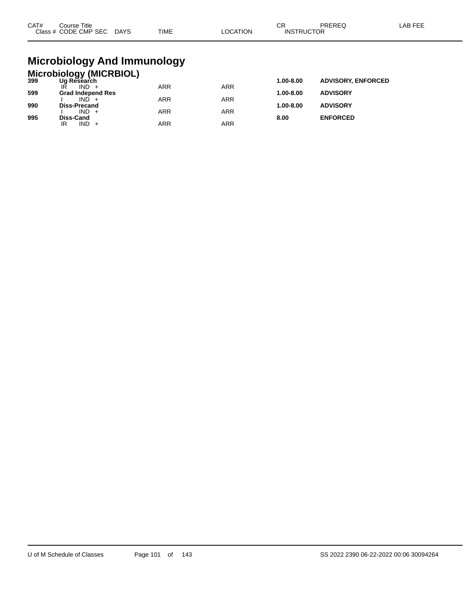| CAT# | Course Title<br>Class # CODE CMP SEC | <b>DAYS</b> | TIME | _OCATION | СR<br><b>INSTRUCTOR</b> | PREREQ | _AB FEE |
|------|--------------------------------------|-------------|------|----------|-------------------------|--------|---------|
|      |                                      |             |      |          |                         |        |         |

### **Microbiology And Immunology**

|     | <b>Microbiology (MICRBIOL)</b> |            |            |               |                           |
|-----|--------------------------------|------------|------------|---------------|---------------------------|
| 399 | Ug Research                    |            |            | 1.00-8.00     | <b>ADVISORY, ENFORCED</b> |
|     | $IND +$                        | <b>ARR</b> | <b>ARR</b> |               |                           |
| 599 | <b>Grad Independ Res</b>       |            |            | $1.00 - 8.00$ | <b>ADVISORY</b>           |
|     | $IND +$                        | <b>ARR</b> | <b>ARR</b> |               |                           |
| 990 | <b>Diss-Precand</b>            |            |            | $1.00 - 8.00$ | <b>ADVISORY</b>           |
|     | $IND +$                        | <b>ARR</b> | <b>ARR</b> |               |                           |
| 995 | Diss-Cand                      |            |            | 8.00          | <b>ENFORCED</b>           |
|     | IND<br>IR                      | ARR        | ARR        |               |                           |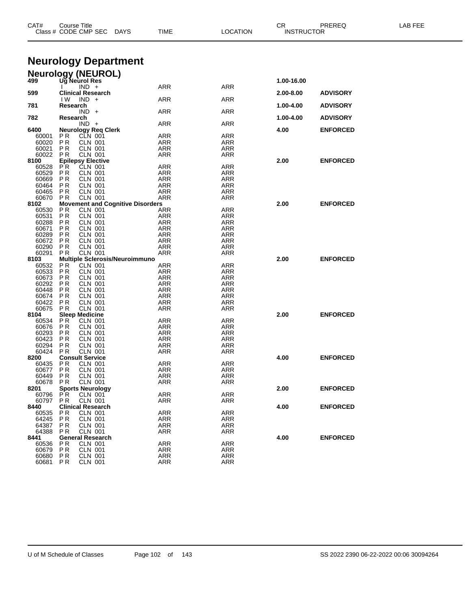| CAT#           | Course Title<br>Class # CODE CMP SEC                    | DAYS<br>TIME                                   | <b>LOCATION</b>          | СR<br><b>INSTRUCTOR</b> | PREREQ          | LAB FEE |
|----------------|---------------------------------------------------------|------------------------------------------------|--------------------------|-------------------------|-----------------|---------|
|                | <b>Neurology Department</b>                             |                                                |                          |                         |                 |         |
|                |                                                         |                                                |                          |                         |                 |         |
| 499            | <b>Neurology (NEUROL)</b><br>Ug Neurol Res              |                                                |                          | 1.00-16.00              |                 |         |
|                | $IND +$                                                 | ARR                                            | <b>ARR</b>               |                         |                 |         |
| 599            | <b>Clinical Research</b><br>$IND +$<br>IW.              | ARR                                            | ARR                      | 2.00-8.00               | <b>ADVISORY</b> |         |
| 781            | Research                                                |                                                |                          | 1.00-4.00               | <b>ADVISORY</b> |         |
| 782            | $IND +$<br>Research                                     | ARR                                            | <b>ARR</b>               | 1.00-4.00               | <b>ADVISORY</b> |         |
|                | $IND +$                                                 | ARR                                            | <b>ARR</b>               |                         |                 |         |
| 6400<br>60001  | <b>Neurology Req Clerk</b><br>CLN 001<br>P R            | ARR                                            | ARR                      | 4.00                    | <b>ENFORCED</b> |         |
| 60020          | P R<br>CLN 001                                          | ARR                                            | ARR                      |                         |                 |         |
| 60021          | ΡR<br><b>CLN 001</b>                                    | <b>ARR</b>                                     | <b>ARR</b>               |                         |                 |         |
| 60022<br>8100  | <b>CLN 001</b><br>P R<br><b>Epilepsy Elective</b>       | ARR                                            | ARR                      | 2.00                    | <b>ENFORCED</b> |         |
| 60528          | CLN 001<br>P R                                          | <b>ARR</b>                                     | <b>ARR</b>               |                         |                 |         |
| 60529<br>60669 | P R<br><b>CLN 001</b><br>P R<br>CLN 001                 | ARR<br>ARR                                     | ARR<br>ARR               |                         |                 |         |
| 60464          | <b>CLN 001</b><br>P R                                   | <b>ARR</b>                                     | <b>ARR</b>               |                         |                 |         |
| 60465          | <b>CLN 001</b><br>P R                                   | ARR                                            | ARR                      |                         |                 |         |
| 60670<br>8102  | <b>CLN 001</b><br>P R                                   | ARR<br><b>Movement and Cognitive Disorders</b> | ARR                      | 2.00                    | <b>ENFORCED</b> |         |
| 60530          | <b>CLN 001</b><br>ΡR                                    | ARR                                            | ARR                      |                         |                 |         |
| 60531<br>60288 | P R<br>CLN 001<br><b>CLN 001</b><br>ΡR                  | ARR<br><b>ARR</b>                              | ARR<br><b>ARR</b>        |                         |                 |         |
| 60671          | P R<br><b>CLN 001</b>                                   | ARR                                            | ARR                      |                         |                 |         |
| 60289          | P R<br>CLN 001                                          | ARR                                            | ARR                      |                         |                 |         |
| 60672<br>60290 | ΡR<br><b>CLN 001</b><br><b>CLN 001</b><br>P R           | ARR<br>ARR                                     | <b>ARR</b><br>ARR        |                         |                 |         |
| 60291          | <b>CLN 001</b><br>P R                                   | ARR                                            | ARR                      |                         |                 |         |
| 8103<br>60532  | Multiple Sclerosis/Neuroimmuno<br><b>CLN 001</b><br>P R | ARR                                            | ARR                      | 2.00                    | <b>ENFORCED</b> |         |
| 60533          | P R<br><b>CLN 001</b>                                   | ARR                                            | ARR                      |                         |                 |         |
| 60673<br>60292 | <b>CLN 001</b><br>ΡR<br>P R<br><b>CLN 001</b>           | <b>ARR</b><br>ARR                              | <b>ARR</b><br>ARR        |                         |                 |         |
| 60448          | P R<br>CLN 001                                          | ARR                                            | ARR                      |                         |                 |         |
| 60674          | ΡR<br><b>CLN 001</b>                                    | <b>ARR</b>                                     | <b>ARR</b>               |                         |                 |         |
| 60422<br>60675 | <b>CLN 001</b><br>P R<br><b>CLN 001</b><br>P R          | ARR<br>ARR                                     | ARR<br>ARR               |                         |                 |         |
| 8104           | <b>Sleep Medicine</b>                                   |                                                |                          | 2.00                    | <b>ENFORCED</b> |         |
| 60534<br>60676 | P <sub>R</sub><br><b>CLN 001</b><br>P R<br>CLN 001      | ARR<br>ARR                                     | ARR<br>ARR               |                         |                 |         |
| 60293          | ΡR<br><b>CLN 001</b>                                    | <b>ARR</b>                                     | <b>ARR</b>               |                         |                 |         |
| 60423<br>60294 | P R<br><b>CLN 001</b><br>P R<br><b>CLN 001</b>          | ARR<br>ARR                                     | ARR<br>ARR               |                         |                 |         |
| 60424          | P <sub>R</sub><br><b>CLN 001</b>                        | ARR                                            | ARR                      |                         |                 |         |
| 8200           | <b>Consult Service</b>                                  |                                                |                          | 4.00                    | <b>ENFORCED</b> |         |
| 60435<br>60677 | ΡR<br>CLN 001<br><b>PR</b><br><b>CLN 001</b>            | <b>ARR</b><br><b>ARR</b>                       | <b>ARR</b><br><b>ARR</b> |                         |                 |         |
| 60449          | P R<br>CLN 001                                          | ARR                                            | ARR                      |                         |                 |         |
| 60678<br>8201  | <b>CLN 001</b><br>P R<br><b>Sports Neurology</b>        | <b>ARR</b>                                     | ARR                      | 2.00                    | <b>ENFORCED</b> |         |
| 60796          | P <sup>R</sup><br><b>CLN 001</b>                        | ARR                                            | <b>ARR</b>               |                         |                 |         |
| 60797          | <b>CLN 001</b><br>P R                                   | ARR                                            | ARR                      |                         |                 |         |
| 8440<br>60535  | <b>Clinical Research</b><br><b>CLN 001</b><br>P R       | <b>ARR</b>                                     | <b>ARR</b>               | 4.00                    | <b>ENFORCED</b> |         |
| 64245          | P R<br>CLN 001                                          | ARR                                            | ARR                      |                         |                 |         |
| 64387<br>64388 | <b>CLN 001</b><br>P R<br><b>CLN 001</b><br>P R          | <b>ARR</b><br>ARR                              | <b>ARR</b><br>ARR        |                         |                 |         |
| 8441           | <b>General Research</b>                                 |                                                |                          | 4.00                    | <b>ENFORCED</b> |         |
| 60536          | ΡR<br><b>CLN 001</b>                                    | <b>ARR</b>                                     | <b>ARR</b>               |                         |                 |         |
| 60679<br>60680 | P <sub>R</sub><br><b>CLN 001</b><br>P R<br>CLN 001      | ARR<br>ARR                                     | ARR<br>ARR               |                         |                 |         |
| 60681          | <b>CLN 001</b><br>P <sub>R</sub>                        | ARR                                            | ARR                      |                         |                 |         |

U of M Schedule of Classes Page 102 of 143 SS 2022 2390 06-22-2022 00:06 30094264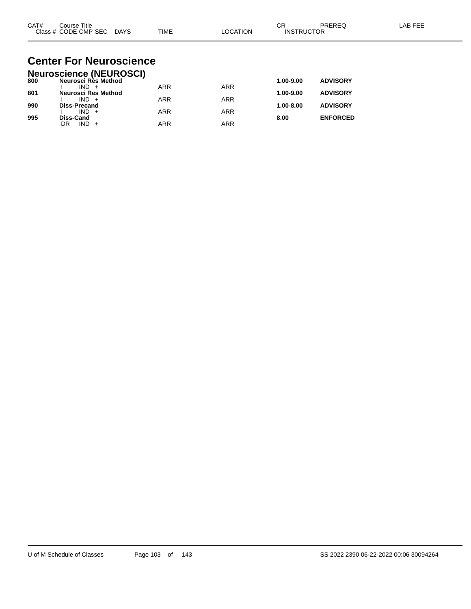| CAT# | Course Title         |             |             |          | ⌒г<br>◡           | PREREC | LAB FEF |
|------|----------------------|-------------|-------------|----------|-------------------|--------|---------|
|      | Class # CODE CMP SEC | <b>DAYS</b> | <b>TIME</b> | LOCATION | <b>INSTRUCTOR</b> |        |         |

#### **Center For Neuroscience Neuroscience (NEUROSCI)**

|     | <b>Neuroscience (NEUROSCI)</b> |            |            |               |                 |
|-----|--------------------------------|------------|------------|---------------|-----------------|
| 800 | Neurosci Rès Method            |            |            | 1.00-9.00     | <b>ADVISORY</b> |
|     | $IND +$                        | <b>ARR</b> | <b>ARR</b> |               |                 |
| 801 | <b>Neurosci Res Method</b>     |            |            | $1.00 - 9.00$ | <b>ADVISORY</b> |
|     | $IND +$                        | <b>ARR</b> | <b>ARR</b> |               |                 |
| 990 | Diss-Precand                   |            |            | $1.00 - 8.00$ | <b>ADVISORY</b> |
|     | $IND +$                        | <b>ARR</b> | ARR        |               |                 |
| 995 | <b>Diss-Cand</b>               |            |            | 8.00          | <b>ENFORCED</b> |
|     | $IND +$<br>DR                  | <b>ARR</b> | ARR        |               |                 |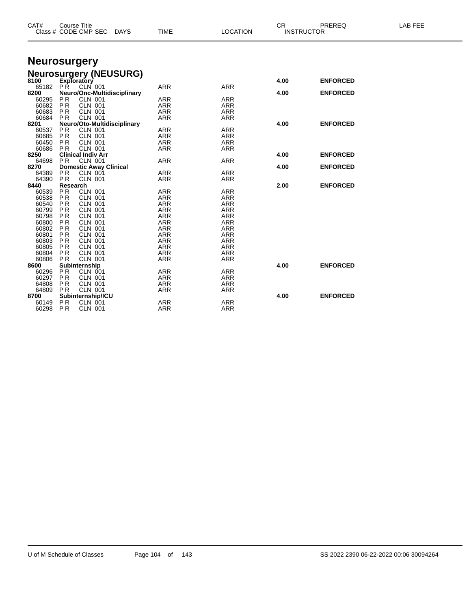| CAT#           | <b>Course Title</b><br>Class # CODE CMP SEC<br>DAYS        | <b>TIME</b>              | <b>LOCATION</b>          | <b>CR</b> | PREREQ<br><b>INSTRUCTOR</b> | <b>LAB FEE</b> |
|----------------|------------------------------------------------------------|--------------------------|--------------------------|-----------|-----------------------------|----------------|
|                | <b>Neurosurgery</b>                                        |                          |                          |           |                             |                |
|                | <b>Neurosurgery (NEUSURG)</b><br>8100 Exploratory          |                          |                          |           |                             |                |
|                |                                                            |                          |                          | 4.00      | <b>ENFORCED</b>             |                |
| 65182<br>8200  | <b>PR</b><br>CLN 001                                       | <b>ARR</b>               | <b>ARR</b>               |           |                             |                |
|                | Neuro/Onc-Multidisciplinary                                |                          |                          | 4.00      | <b>ENFORCED</b>             |                |
| 60295<br>60682 | <b>PR</b><br><b>CLN 001</b><br><b>PR</b><br><b>CLN 001</b> | <b>ARR</b><br><b>ARR</b> | <b>ARR</b>               |           |                             |                |
|                |                                                            |                          | <b>ARR</b>               |           |                             |                |
| 60683          | <b>PR</b><br><b>CLN 001</b>                                | <b>ARR</b>               | <b>ARR</b>               |           |                             |                |
| 60684          | <b>CLN 001</b><br><b>PR</b>                                | <b>ARR</b>               | <b>ARR</b>               |           | <b>ENFORCED</b>             |                |
| 8201           | Neuro/Oto-Multidisciplinary<br><b>CLN 001</b>              |                          |                          | 4.00      |                             |                |
| 60537<br>60685 | P <sub>R</sub><br><b>PR</b><br><b>CLN 001</b>              | ARR<br>ARR               | <b>ARR</b><br><b>ARR</b> |           |                             |                |
| 60450          | <b>CLN 001</b><br><b>PR</b>                                | <b>ARR</b>               | <b>ARR</b>               |           |                             |                |
| 60686          | <b>CLN 001</b>                                             | <b>ARR</b>               | <b>ARR</b>               |           |                             |                |
| 8250           | P <sub>R</sub><br><b>Clinical Indiv Arr</b>                |                          |                          | 4.00      | <b>ENFORCED</b>             |                |
| 64698          | P <sub>R</sub><br>CLN 001                                  | <b>ARR</b>               | <b>ARR</b>               |           |                             |                |
| 8270           |                                                            |                          |                          |           | <b>ENFORCED</b>             |                |
| 64389          | <b>Domestic Away Clinical</b><br>PR<br><b>CLN 001</b>      | <b>ARR</b>               | <b>ARR</b>               | 4.00      |                             |                |
| 64390          | <b>CLN 001</b><br><b>PR</b>                                | <b>ARR</b>               | <b>ARR</b>               |           |                             |                |
| 8440           | Research                                                   |                          |                          | 2.00      | <b>ENFORCED</b>             |                |
| 60539          | <b>PR</b><br><b>CLN 001</b>                                | <b>ARR</b>               | <b>ARR</b>               |           |                             |                |
| 60538          | <b>PR</b><br><b>CLN 001</b>                                | <b>ARR</b>               | <b>ARR</b>               |           |                             |                |
| 60540          | P <sub>R</sub><br><b>CLN 001</b>                           | <b>ARR</b>               | <b>ARR</b>               |           |                             |                |
| 60799          | P <sub>R</sub><br><b>CLN 001</b>                           | <b>ARR</b>               | <b>ARR</b>               |           |                             |                |
| 60798          | PR<br><b>CLN 001</b>                                       | <b>ARR</b>               | <b>ARR</b>               |           |                             |                |
| 60800          | P <sub>R</sub><br><b>CLN 001</b>                           | <b>ARR</b>               | <b>ARR</b>               |           |                             |                |
| 60802          | PR<br><b>CLN 001</b>                                       | <b>ARR</b>               | <b>ARR</b>               |           |                             |                |
| 60801          | P <sub>R</sub><br><b>CLN 001</b>                           | <b>ARR</b>               | <b>ARR</b>               |           |                             |                |
| 60803          | <b>PR</b><br><b>CLN 001</b>                                | <b>ARR</b>               | <b>ARR</b>               |           |                             |                |
| 60805          | <b>PR</b><br><b>CLN 001</b>                                | <b>ARR</b>               | <b>ARR</b>               |           |                             |                |
| 60804          | <b>CLN 001</b><br><b>PR</b>                                | <b>ARR</b>               | <b>ARR</b>               |           |                             |                |
| 60806          | <b>CLN 001</b><br>P <sub>R</sub>                           | <b>ARR</b>               | <b>ARR</b>               |           |                             |                |
| 8600           | Subinternship                                              |                          |                          | 4.00      | <b>ENFORCED</b>             |                |
| 60296          | P <sub>R</sub><br><b>CLN 001</b>                           | ARR                      | <b>ARR</b>               |           |                             |                |
| 60297          | P <sub>R</sub><br><b>CLN 001</b>                           | <b>ARR</b>               | <b>ARR</b>               |           |                             |                |
| 64808          | P <sub>R</sub><br><b>CLN 001</b>                           | ARR                      | <b>ARR</b>               |           |                             |                |
| 64809          | P <sub>R</sub><br><b>CLN 001</b>                           | <b>ARR</b>               | <b>ARR</b>               |           |                             |                |
| 8700           | Subinternship/ICU                                          |                          |                          | 4.00      | <b>ENFORCED</b>             |                |
| 60149          | P <sub>R</sub><br><b>CLN 001</b>                           | ARR                      | <b>ARR</b>               |           |                             |                |
| 60298          | P <sub>R</sub><br><b>CLN 001</b>                           | ARR                      | <b>ARR</b>               |           |                             |                |
|                |                                                            |                          |                          |           |                             |                |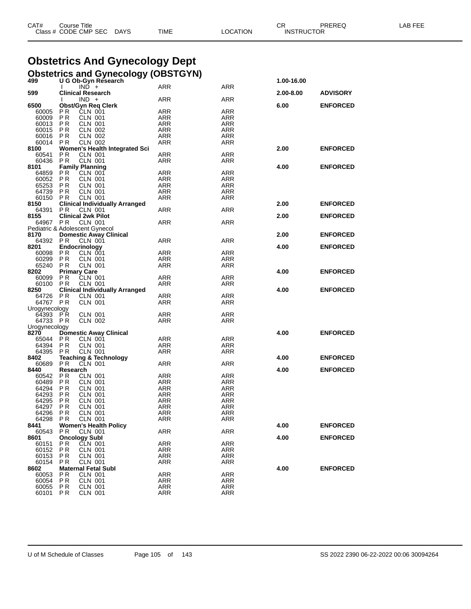| CAT# | Course Title              |      |          | СR                | PREREQ | LAB FEE |
|------|---------------------------|------|----------|-------------------|--------|---------|
|      | Class # CODE CMP SEC DAYS | TIME | LOCATION | <b>INSTRUCTOR</b> |        |         |

## **Obstetrics And Gynecology Dept**

|     | <b>Obstetrics and Gynecology (OBSTGYN)</b> |            |
|-----|--------------------------------------------|------------|
| 499 | U G Ob-Gyn Research                        | 1.00-16.00 |

|                                | $\mathbf{I}$              | $IND +$                               | ARR        | ARR        |           |                 |
|--------------------------------|---------------------------|---------------------------------------|------------|------------|-----------|-----------------|
| 599                            | <b>Clinical Research</b>  |                                       |            |            | 2.00-8.00 | <b>ADVISORY</b> |
|                                | I.                        | $IND +$                               | ARR        | ARR        |           |                 |
| 6500                           |                           | <b>Obst/Gyn Req Clerk</b>             |            |            | 6.00      | <b>ENFORCED</b> |
|                                |                           |                                       |            |            |           |                 |
| 60005 PR                       |                           | CLN 001                               | <b>ARR</b> | ARR        |           |                 |
| 60009                          | P R                       | CLN 001                               | ARR        | ARR        |           |                 |
| 60013                          | P R                       | <b>CLN 001</b>                        | ARR        | ARR        |           |                 |
| 60015 PR                       |                           | <b>CLN 002</b>                        | <b>ARR</b> | ARR        |           |                 |
| 60016 PR                       |                           | <b>CLN 002</b>                        | ARR        | ARR        |           |                 |
| 60014 PR                       |                           | <b>CLN 002</b>                        | ARR        | ARR        |           |                 |
| 8100                           |                           | Women's Health Integrated Sci         |            |            | 2.00      | <b>ENFORCED</b> |
| 60541 PR                       |                           | CLN 001                               | <b>ARR</b> | ARR        |           |                 |
| 60436 PR                       |                           | <b>CLN 001</b>                        | ARR        | ARR        |           |                 |
| 8101                           | <b>Family Planning</b>    |                                       |            |            | 4.00      | <b>ENFORCED</b> |
| 64859 PR                       |                           | CLN 001                               | <b>ARR</b> | ARR        |           |                 |
| 60052 PR                       |                           | CLN 001                               | ARR        | ARR        |           |                 |
| 65253 PR                       |                           | <b>CLN 001</b>                        | <b>ARR</b> | ARR        |           |                 |
| 64739 PR                       |                           | <b>CLN 001</b>                        | ARR        | ARR        |           |                 |
| 60150 PR                       |                           | <b>CLN 001</b>                        | ARR        | ARR        |           |                 |
| 8150                           |                           | <b>Clinical Individually Arranged</b> |            |            | 2.00      | <b>ENFORCED</b> |
| 64391                          | P R                       | CLN 001                               | <b>ARR</b> | ARR        |           |                 |
| 8155                           | <b>Clinical 2wk Pilot</b> |                                       |            |            | 2.00      | <b>ENFORCED</b> |
|                                |                           |                                       |            |            |           |                 |
| 64967 PR                       |                           | CLN 001                               | <b>ARR</b> | ARR        |           |                 |
| Pediatric & Adolescent Gynecol |                           |                                       |            |            |           |                 |
| 8170                           |                           | <b>Domestic Away Clinical</b>         |            |            | 2.00      | <b>ENFORCED</b> |
| 64392 PR                       |                           | CLN 001                               | <b>ARR</b> | ARR        |           |                 |
| 8201                           | Endocrinology             |                                       |            |            | 4.00      | <b>ENFORCED</b> |
| 60098 PR                       |                           | CLN 001                               | ARR        | ARR        |           |                 |
| 60299 PR                       |                           | CLN 001                               | ARR        | ARR        |           |                 |
| 65240 PR                       |                           | CLN 001                               | ARR        | ARR        |           |                 |
| 8202                           | <b>Primary Care</b>       |                                       |            |            | 4.00      | <b>ENFORCED</b> |
| 60099                          | P R                       | CLN 001                               | <b>ARR</b> | ARR        |           |                 |
| 60100 PR                       |                           | <b>CLN 001</b>                        | ARR        | ARR        |           |                 |
| 8250                           |                           | <b>Clinical Individually Arranged</b> |            |            | 4.00      | <b>ENFORCED</b> |
| 64726 PR                       |                           | CLN 001                               | ARR        | ARR        |           |                 |
| 64767 PR                       |                           | CLN 001                               | ARR        | ARR        |           |                 |
| Urogynecology                  |                           |                                       |            |            |           |                 |
| 64393 PR                       |                           | <b>CLN 001</b>                        | <b>ARR</b> | ARR        |           |                 |
| 64733 PR                       |                           | CLN 002                               | ARR        | ARR        |           |                 |
| Urogynecology                  |                           |                                       |            |            |           |                 |
|                                |                           |                                       |            |            | 4.00      |                 |
| 8270                           |                           | <b>Domestic Away Clinical</b>         |            |            |           | <b>ENFORCED</b> |
| 65044 PR                       |                           | CLN 001                               | <b>ARR</b> | ARR        |           |                 |
| 64394 PR                       |                           | <b>CLN 001</b>                        | ARR        | ARR        |           |                 |
| 64395 PR                       |                           | <b>CLN 001</b>                        | ARR        | ARR        |           |                 |
| 8402                           |                           | <b>Teaching &amp; Technology</b>      |            |            | 4.00      | <b>ENFORCED</b> |
| 60689 PR                       |                           | CLN 001                               | ARR        | ARR        |           |                 |
| 8440                           | Research                  |                                       |            |            | 4.00      | <b>ENFORCED</b> |
| 60542 PR                       |                           | CLN 001                               | ARR        | ARR        |           |                 |
| 60489 PR                       |                           | CLN 001                               | ARR        | ARR        |           |                 |
| 64294 PR                       |                           | <b>CLN 001</b>                        | ARR        | ARR        |           |                 |
| 64293 PR                       |                           | <b>CLN 001</b>                        | ARR        | ARR        |           |                 |
| 64295 PR                       |                           | <b>CLN 001</b>                        | ARR        | ARR        |           |                 |
| 64297 PR                       |                           | <b>CLN 001</b>                        | ARR        | ARR        |           |                 |
| 64296                          | P <sub>R</sub>            | <b>CLN 001</b>                        | ARR        | ARR        |           |                 |
| 64298                          | P R                       | <b>CLN 001</b>                        | ARR        | ARR        |           |                 |
| 8441                           |                           | <b>Women's Health Policy</b>          |            |            | 4.00      | <b>ENFORCED</b> |
| 60543                          | ΡR                        | CLN 001                               | ARR        | ARR        |           |                 |
| 8601                           | <b>Oncology Subl</b>      |                                       |            |            | 4.00      | <b>ENFORCED</b> |
| 60151                          | РR                        | CLN 001                               | ARR        | ARR        |           |                 |
| 60152                          | P R                       | <b>CLN 001</b>                        | ARR        | ARR        |           |                 |
| 60153                          |                           |                                       |            | ARR        |           |                 |
|                                | P R                       | CLN 001                               | ARR        |            |           |                 |
| 60154                          | P R                       | <b>CLN 001</b>                        | ARR        | ARR        |           |                 |
| 8602                           |                           | <b>Maternal Fetal Subl</b>            |            |            | 4.00      | <b>ENFORCED</b> |
| 60053                          | P R                       | CLN 001                               | ARR        | ARR        |           |                 |
| 60054                          | P <sub>R</sub>            | CLN 001                               | ARR        | ARR        |           |                 |
| 60055                          | P R                       | <b>CLN 001</b>                        | <b>ARR</b> | ARR        |           |                 |
| 60101                          | P R                       | <b>CLN 001</b>                        | <b>ARR</b> | <b>ARR</b> |           |                 |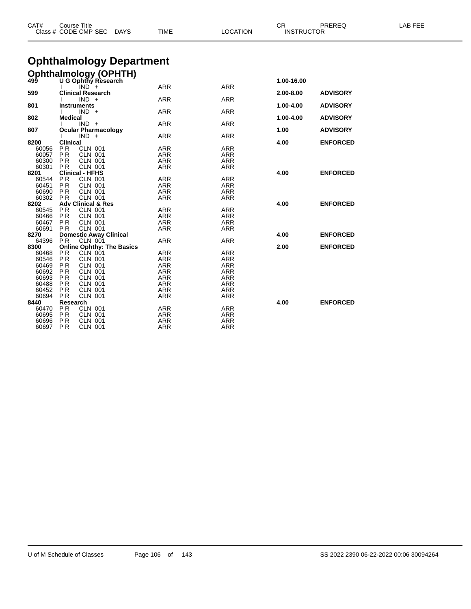| CAT#           | <b>Course Title</b><br>Class # CODE CMP SEC |                                  | <b>DAYS</b>                      | TIME                     | <b>LOCATION</b>          | CR<br><b>INSTRUCTOR</b> | PREREQ          | LAB FEE |
|----------------|---------------------------------------------|----------------------------------|----------------------------------|--------------------------|--------------------------|-------------------------|-----------------|---------|
|                |                                             |                                  | <b>Ophthalmology Department</b>  |                          |                          |                         |                 |         |
|                |                                             |                                  |                                  |                          |                          |                         |                 |         |
|                |                                             |                                  | <b>Ophthalmology (OPHTH)</b>     |                          |                          |                         |                 |         |
|                |                                             | $IND^+$                          |                                  | <b>ARR</b>               | <b>ARR</b>               | 1.00-16.00              |                 |         |
| 599            |                                             | <b>Clinical Research</b>         |                                  |                          |                          | 2.00-8.00               | <b>ADVISORY</b> |         |
|                |                                             | $IND +$                          |                                  | <b>ARR</b>               | <b>ARR</b>               |                         |                 |         |
| 801            | Instruments                                 |                                  |                                  |                          |                          | 1.00-4.00               | <b>ADVISORY</b> |         |
|                |                                             | $IND +$                          |                                  | <b>ARR</b>               | <b>ARR</b>               |                         |                 |         |
| 802            | <b>Medical</b>                              |                                  |                                  |                          |                          | 1.00-4.00               | <b>ADVISORY</b> |         |
|                |                                             | $IND +$                          |                                  | <b>ARR</b>               | <b>ARR</b>               |                         |                 |         |
| 807            |                                             | <b>Ocular Pharmacology</b>       |                                  |                          |                          | 1.00                    | <b>ADVISORY</b> |         |
| 8200           | <b>Clinical</b>                             | $IND +$                          |                                  | <b>ARR</b>               | <b>ARR</b>               | 4.00                    | <b>ENFORCED</b> |         |
| 60056          | PR.                                         | <b>CLN 001</b>                   |                                  | <b>ARR</b>               | <b>ARR</b>               |                         |                 |         |
| 60057          | <b>PR</b>                                   | <b>CLN 001</b>                   |                                  | <b>ARR</b>               | <b>ARR</b>               |                         |                 |         |
| 60300          | PR.                                         | <b>CLN 001</b>                   |                                  | <b>ARR</b>               | <b>ARR</b>               |                         |                 |         |
| 60301          | <b>PR</b>                                   | <b>CLN 001</b>                   |                                  | <b>ARR</b>               | <b>ARR</b>               |                         |                 |         |
| 8201           |                                             | <b>Clinical - HFHS</b>           |                                  |                          |                          | 4.00                    | <b>ENFORCED</b> |         |
| 60544          | <b>PR</b>                                   | <b>CLN 001</b>                   |                                  | <b>ARR</b>               | <b>ARR</b>               |                         |                 |         |
| 60451          | P R                                         | <b>CLN 001</b>                   |                                  | <b>ARR</b>               | ARR                      |                         |                 |         |
| 60690          | <b>PR</b>                                   | <b>CLN 001</b>                   |                                  | <b>ARR</b>               | <b>ARR</b>               |                         |                 |         |
| 60302          | PR.                                         | <b>CLN 001</b>                   |                                  | <b>ARR</b>               | ARR                      |                         |                 |         |
| 8202           |                                             | <b>Adv Clinical &amp; Res</b>    |                                  |                          | <b>ARR</b>               | 4.00                    | <b>ENFORCED</b> |         |
| 60545<br>60466 | P R<br>PR.                                  | <b>CLN 001</b><br><b>CLN 001</b> |                                  | <b>ARR</b><br><b>ARR</b> | <b>ARR</b>               |                         |                 |         |
| 60467          | PR.                                         | <b>CLN 001</b>                   |                                  | <b>ARR</b>               | <b>ARR</b>               |                         |                 |         |
| 60691          | PR.                                         | <b>CLN 001</b>                   |                                  | <b>ARR</b>               | <b>ARR</b>               |                         |                 |         |
| 8270           |                                             | <b>Domestic Away Clinical</b>    |                                  |                          |                          | 4.00                    | <b>ENFORCED</b> |         |
| 64396          | <b>PR</b>                                   | <b>CLN 001</b>                   |                                  | <b>ARR</b>               | <b>ARR</b>               |                         |                 |         |
| 8300           |                                             |                                  | <b>Online Ophthy: The Basics</b> |                          |                          | 2.00                    | <b>ENFORCED</b> |         |
| 60468          | <b>PR</b>                                   | CLN 001                          |                                  | <b>ARR</b>               | <b>ARR</b>               |                         |                 |         |
| 60546          | <b>PR</b>                                   | <b>CLN 001</b>                   |                                  | <b>ARR</b>               | <b>ARR</b>               |                         |                 |         |
| 60469          | PR.                                         | <b>CLN 001</b>                   |                                  | <b>ARR</b>               | <b>ARR</b>               |                         |                 |         |
| 60692          | <b>PR</b>                                   | <b>CLN 001</b>                   |                                  | <b>ARR</b>               | <b>ARR</b><br><b>ARR</b> |                         |                 |         |
| 60693<br>60488 | PR.<br>PR.                                  | <b>CLN 001</b><br><b>CLN 001</b> |                                  | <b>ARR</b><br><b>ARR</b> | <b>ARR</b>               |                         |                 |         |
| 60452          | PR.                                         | <b>CLN 001</b>                   |                                  | <b>ARR</b>               | <b>ARR</b>               |                         |                 |         |
| 60694          | <b>PR</b>                                   | <b>CLN 001</b>                   |                                  | <b>ARR</b>               | <b>ARR</b>               |                         |                 |         |
| 8440           | Research                                    |                                  |                                  |                          |                          | 4.00                    | <b>ENFORCED</b> |         |
| 60470          | P <sub>R</sub>                              | <b>CLN 001</b>                   |                                  | <b>ARR</b>               | <b>ARR</b>               |                         |                 |         |
| 60695          | <b>PR</b>                                   | <b>CLN 001</b>                   |                                  | <b>ARR</b>               | <b>ARR</b>               |                         |                 |         |
| 60696          | P <sub>R</sub>                              | <b>CLN 001</b>                   |                                  | <b>ARR</b>               | <b>ARR</b>               |                         |                 |         |
| 60697          | <b>PR</b>                                   | <b>CLN 001</b>                   |                                  | <b>ARR</b>               | <b>ARR</b>               |                         |                 |         |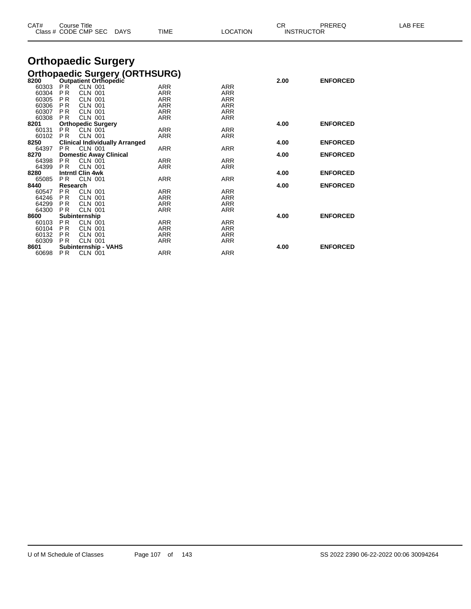|               |                        | Class # CODE CMP SEC DAYS                                    | TIME                     | LOCATION   |      | <b>INSTRUCTOR</b> |  |
|---------------|------------------------|--------------------------------------------------------------|--------------------------|------------|------|-------------------|--|
|               |                        | <b>Orthopaedic Surgery</b>                                   |                          |            |      |                   |  |
|               |                        | Orthopaedic Surgery (ORTHSURG)<br>8200 Outpatient Orthopedic |                          |            |      |                   |  |
|               |                        |                                                              |                          |            | 2.00 | <b>ENFORCED</b>   |  |
| 60303         | PR                     | <b>CLN 001</b>                                               | <b>ARR</b>               | <b>ARR</b> |      |                   |  |
| 60304         | <b>PR</b>              | <b>CLN 001</b>                                               | <b>ARR</b>               | <b>ARR</b> |      |                   |  |
| 60305         | <b>PR</b>              | <b>CLN 001</b>                                               | <b>ARR</b>               | <b>ARR</b> |      |                   |  |
| 60306         | <b>PR</b>              | <b>CLN 001</b>                                               | <b>ARR</b>               | <b>ARR</b> |      |                   |  |
| 60307         | <b>PR</b>              | <b>CLN 001</b>                                               | <b>ARR</b>               | <b>ARR</b> |      |                   |  |
| 60308         | <b>PR</b>              | <b>CLN 001</b>                                               | <b>ARR</b>               | <b>ARR</b> |      |                   |  |
| 8201          |                        | <b>Orthopedic Surgery</b>                                    |                          |            | 4.00 | <b>ENFORCED</b>   |  |
| 60131         | <b>PR</b>              | <b>CLN 001</b>                                               | <b>ARR</b>               | <b>ARR</b> |      |                   |  |
| 60102         | <b>PR</b>              | <b>CLN 001</b>                                               | <b>ARR</b>               | <b>ARR</b> |      |                   |  |
| 8250          |                        | <b>Clinical Individually Arranged</b>                        |                          |            | 4.00 | <b>ENFORCED</b>   |  |
| 64397         | <b>PR</b>              | <b>CLN 001</b>                                               | <b>ARR</b>               | <b>ARR</b> |      |                   |  |
| 8270          |                        | <b>Domestic Away Clinical</b>                                |                          |            | 4.00 | <b>ENFORCED</b>   |  |
| 64398         | <b>PR</b><br><b>PR</b> | CLN 001                                                      | <b>ARR</b><br><b>ARR</b> | <b>ARR</b> |      |                   |  |
| 64399<br>8280 |                        | <b>CLN 001</b><br><b>Intrntl Clin 4wk</b>                    |                          | <b>ARR</b> | 4.00 | <b>ENFORCED</b>   |  |
| 65085         | <b>PR</b>              | <b>CLN 001</b>                                               | <b>ARR</b>               | <b>ARR</b> |      |                   |  |
| 8440          | Research               |                                                              |                          |            | 4.00 | <b>ENFORCED</b>   |  |
| 60547         | <b>PR</b>              | <b>CLN 001</b>                                               | <b>ARR</b>               | <b>ARR</b> |      |                   |  |
| 64246         | <b>PR</b>              | <b>CLN 001</b>                                               | <b>ARR</b>               | <b>ARR</b> |      |                   |  |
| 64299         | <b>PR</b>              | <b>CLN 001</b>                                               | <b>ARR</b>               | <b>ARR</b> |      |                   |  |
| 64300         | <b>PR</b>              | <b>CLN 001</b>                                               | <b>ARR</b>               | <b>ARR</b> |      |                   |  |
| 8600          |                        | Subinternship                                                |                          |            | 4.00 | <b>ENFORCED</b>   |  |
| 60103         | P <sub>R</sub>         | <b>CLN 001</b>                                               | <b>ARR</b>               | <b>ARR</b> |      |                   |  |
| 60104         | <b>PR</b>              | <b>CLN 001</b>                                               | <b>ARR</b>               | <b>ARR</b> |      |                   |  |
| 60132         | <b>PR</b>              | <b>CLN 001</b>                                               | <b>ARR</b>               | <b>ARR</b> |      |                   |  |
| 60309         | <b>PR</b>              | <b>CLN 001</b>                                               | <b>ARR</b>               | <b>ARR</b> |      |                   |  |
| 8601          |                        | <b>Subinternship - VAHS</b>                                  |                          |            | 4.00 | <b>ENFORCED</b>   |  |
| 60698         | <b>PR</b>              | <b>CLN 001</b>                                               | <b>ARR</b>               | <b>ARR</b> |      |                   |  |

CAT# Course Title Case CR PREREQ LAB FEE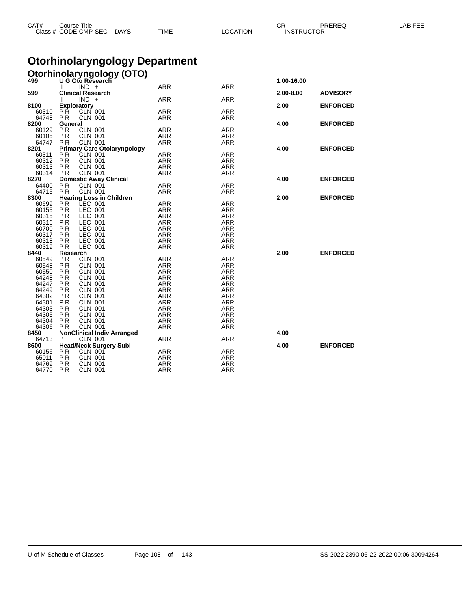| CAT#           | Course Title<br>Class # CODE CMP SEC | <b>DAYS</b>                                       | <b>TIME</b>                           | <b>LOCATION</b>   | CR.<br><b>PREREQ</b><br><b>INSTRUCTOR</b> |                 | <b>LAB FEE</b> |
|----------------|--------------------------------------|---------------------------------------------------|---------------------------------------|-------------------|-------------------------------------------|-----------------|----------------|
|                |                                      |                                                   | <b>Otorhinolaryngology Department</b> |                   |                                           |                 |                |
|                |                                      | <b>Otorhinolaryngology (OTO)</b>                  |                                       |                   |                                           |                 |                |
|                |                                      |                                                   |                                       |                   | 1.00-16.00                                |                 |                |
|                | $IND +$                              |                                                   | ARR                                   | ARR               |                                           |                 |                |
| 599            | Clinical Research                    |                                                   |                                       |                   | 2.00-8.00                                 | <b>ADVISORY</b> |                |
|                | $IND +$                              |                                                   | <b>ARR</b>                            | <b>ARR</b>        |                                           |                 |                |
| 8100           | <b>Exploratory</b>                   |                                                   |                                       |                   | 2.00                                      | <b>ENFORCED</b> |                |
| 60310<br>64748 | P <sub>R</sub>                       | <b>CLN 001</b><br><b>CLN 001</b>                  | ARR                                   | ARR               |                                           |                 |                |
| 8200           | P <sub>R</sub><br>General            |                                                   | ARR                                   | ARR               | 4.00                                      | <b>ENFORCED</b> |                |
| 60129          | P <sub>R</sub>                       | <b>CLN 001</b>                                    | ARR                                   | ARR               |                                           |                 |                |
| 60105          | <b>PR</b>                            | <b>CLN 001</b>                                    | <b>ARR</b>                            | <b>ARR</b>        |                                           |                 |                |
| 64747          | P <sub>R</sub>                       | <b>CLN 001</b>                                    | ARR                                   | ARR               |                                           |                 |                |
| 8201           |                                      | <b>Primary Care Otolaryngology</b>                |                                       | 4.00              | <b>ENFORCED</b>                           |                 |                |
| 60311          | P <sub>R</sub>                       | CLN 001                                           | <b>ARR</b>                            | <b>ARR</b>        |                                           |                 |                |
| 60312          | <b>PR</b>                            | <b>CLN 001</b>                                    | <b>ARR</b>                            | ARR               |                                           |                 |                |
| 60313          | <b>PR</b>                            | <b>CLN 001</b>                                    | <b>ARR</b>                            | ARR               |                                           |                 |                |
| 60314          | P <sub>R</sub>                       | <b>CLN 001</b>                                    | ARR                                   | <b>ARR</b>        |                                           |                 |                |
| 8270           |                                      | <b>Domestic Away Clinical</b>                     |                                       |                   | 4.00                                      | <b>ENFORCED</b> |                |
| 64400          | <b>PR</b>                            | <b>CLN 001</b>                                    | <b>ARR</b>                            | ARR               |                                           |                 |                |
| 64715          | PR.                                  | <b>CLN 001</b><br><b>Hearing Loss in Children</b> | ARR                                   | ARR               |                                           |                 |                |
| 8300<br>60699  | <b>PR</b>                            | LEC 001                                           | <b>ARR</b>                            | <b>ARR</b>        | 2.00                                      | <b>ENFORCED</b> |                |
| 60155          | P <sub>R</sub>                       | LEC 001                                           | <b>ARR</b>                            | <b>ARR</b>        |                                           |                 |                |
| 60315          | P <sub>R</sub>                       | LEC 001                                           | ARR                                   | ARR               |                                           |                 |                |
| 60316          | P <sub>R</sub>                       | LEC 001                                           | <b>ARR</b>                            | <b>ARR</b>        |                                           |                 |                |
| 60700          | P R                                  | LEC 001                                           | ARR                                   | <b>ARR</b>        |                                           |                 |                |
| 60317          | <b>PR</b>                            | LEC 001                                           | ARR                                   | <b>ARR</b>        |                                           |                 |                |
| 60318          | <b>PR</b>                            | LEC 001                                           | <b>ARR</b>                            | <b>ARR</b>        |                                           |                 |                |
| 60319          | <b>PR</b>                            | LEC 001                                           | ARR                                   | ARR               |                                           |                 |                |
| 8440           | Research                             |                                                   |                                       |                   | 2.00                                      | <b>ENFORCED</b> |                |
| 60549          | <b>PR</b>                            | <b>CLN 001</b>                                    | <b>ARR</b>                            | ARR               |                                           |                 |                |
| 60548          | P R                                  | <b>CLN 001</b>                                    | ARR                                   | ARR               |                                           |                 |                |
| 60550<br>64248 | P <sub>R</sub><br>P <sub>R</sub>     | <b>CLN 001</b><br><b>CLN 001</b>                  | ARR<br><b>ARR</b>                     | <b>ARR</b><br>ARR |                                           |                 |                |
| 64247          | P R                                  | <b>CLN 001</b>                                    | ARR                                   | ARR               |                                           |                 |                |
| 64249          | P <sub>R</sub>                       | <b>CLN 001</b>                                    | ARR                                   | <b>ARR</b>        |                                           |                 |                |
| 64302          | P <sub>R</sub>                       | <b>CLN 001</b>                                    | <b>ARR</b>                            | <b>ARR</b>        |                                           |                 |                |
| 64301          | <b>PR</b>                            | <b>CLN 001</b>                                    | ARR                                   | ARR               |                                           |                 |                |
| 64303          | <b>PR</b>                            | <b>CLN 001</b>                                    | <b>ARR</b>                            | <b>ARR</b>        |                                           |                 |                |
| 64305          | <b>PR</b>                            | <b>CLN 001</b>                                    | ARR                                   | <b>ARR</b>        |                                           |                 |                |
| 64304          | <b>PR</b>                            | <b>CLN 001</b>                                    | ARR                                   | ARR               |                                           |                 |                |
| 64306          | <b>PR</b>                            | <b>CLN 001</b>                                    | ARR                                   | <b>ARR</b>        |                                           |                 |                |
| 8450           |                                      | <b>NonClinical Indiv Arranged</b>                 |                                       |                   | 4.00                                      |                 |                |
| 64713          | P                                    | <b>CLN 001</b>                                    | ARR                                   | ARR               |                                           |                 |                |
| 8600<br>60156  | P <sub>R</sub>                       | <b>Head/Neck Surgery Subl</b><br><b>CLN 001</b>   |                                       | <b>ARR</b>        | 4.00                                      | <b>ENFORCED</b> |                |
| 65011          | P <sub>R</sub>                       | <b>CLN 001</b>                                    | ARR<br>ARR                            | ARR               |                                           |                 |                |
| 64769          | P <sub>R</sub>                       | <b>CLN 001</b>                                    | ARR                                   | <b>ARR</b>        |                                           |                 |                |

P R CLN 001 ARR ARR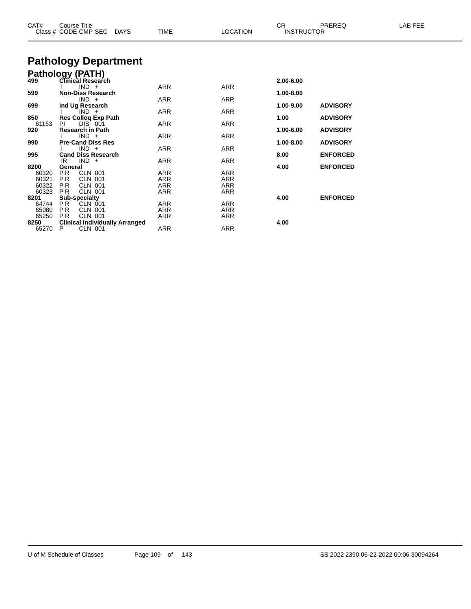| CAT#  | <b>Course Title</b><br>Class # CODE CMP SEC DAYS | <b>TIME</b> | <b>LOCATION</b> | CR.<br>PREREQ<br><b>INSTRUCTOR</b> |                 | LAB FEE |
|-------|--------------------------------------------------|-------------|-----------------|------------------------------------|-----------------|---------|
|       | <b>Pathology Department</b>                      |             |                 |                                    |                 |         |
|       |                                                  |             |                 |                                    |                 |         |
|       | <b>Pathology (PATH)</b><br>499 Clinical Research |             |                 | 2.00-6.00                          |                 |         |
|       | $IND +$                                          | <b>ARR</b>  | <b>ARR</b>      |                                    |                 |         |
| 599   | <b>Non-Diss Research</b>                         |             |                 | 1.00-8.00                          |                 |         |
|       | $IND +$                                          | <b>ARR</b>  | ARR             |                                    |                 |         |
| 699   | Ind Ug Research                                  |             |                 | 1.00-9.00                          | <b>ADVISORY</b> |         |
| 850   | $IND +$<br>Res Colloq Exp Path                   | <b>ARR</b>  | ARR             | 1.00                               | <b>ADVISORY</b> |         |
| 61163 | DIS 001<br>PI.                                   | <b>ARR</b>  | ARR             |                                    |                 |         |
| 920   | <b>Research in Path</b>                          |             |                 | 1.00-6.00                          | <b>ADVISORY</b> |         |
|       | $IND +$                                          | ARR         | <b>ARR</b>      |                                    |                 |         |
| 990   | <b>Pre-Cand Diss Res</b>                         |             |                 | 1.00-8.00                          | <b>ADVISORY</b> |         |
|       | $IND +$                                          | <b>ARR</b>  | ARR             |                                    |                 |         |
| 995   | <b>Cand Diss Research</b>                        |             |                 | 8.00                               | <b>ENFORCED</b> |         |
| 8200  | $IND +$<br>IR                                    | <b>ARR</b>  | ARR             |                                    | <b>ENFORCED</b> |         |
| 60320 | General<br>PR.<br><b>CLN 001</b>                 | ARR         | <b>ARR</b>      | 4.00                               |                 |         |
| 60321 | P <sub>R</sub><br><b>CLN 001</b>                 | <b>ARR</b>  | <b>ARR</b>      |                                    |                 |         |
| 60322 | <b>CLN 001</b><br><b>PR</b>                      | <b>ARR</b>  | ARR             |                                    |                 |         |
| 60323 | <b>CLN 001</b><br><b>PR</b>                      | <b>ARR</b>  | <b>ARR</b>      |                                    |                 |         |
| 8201  | <b>Sub-specialty</b>                             |             |                 | 4.00                               | <b>ENFORCED</b> |         |
| 64744 | PR.<br><b>CLN 001</b>                            | <b>ARR</b>  | ARR             |                                    |                 |         |
| 65080 | <b>CLN 001</b><br>P <sub>R</sub>                 | <b>ARR</b>  | ARR             |                                    |                 |         |
| 65250 | <b>CLN 001</b><br><b>PR</b>                      | ARR         | ARR             |                                    |                 |         |
| 8250  | <b>Clinical Individually Arranged</b>            |             |                 | 4.00                               |                 |         |
| 65270 | <b>CLN 001</b><br>P                              | ARR         | <b>ARR</b>      |                                    |                 |         |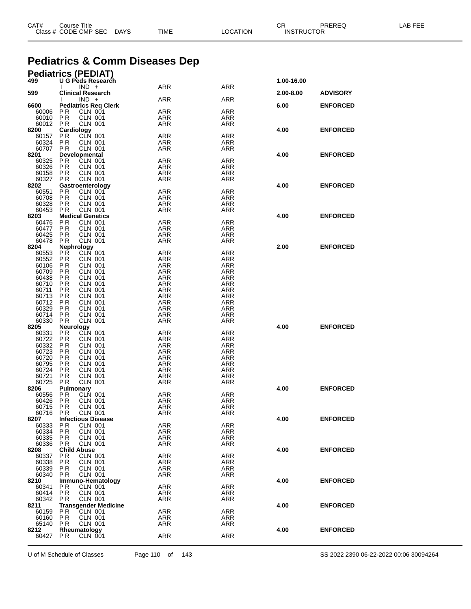| CAT# | Course Title              |      |          | ◠◻<br>◡ጙ          | PREREQ | LAB FEE |
|------|---------------------------|------|----------|-------------------|--------|---------|
|      | Class # CODE CMP SEC DAYS | TIME | LOCATION | <b>INSTRUCTOR</b> |        |         |
|      |                           |      |          |                   |        |         |

# **Pediatrics & Comm Diseases Dep**

## **Pediatrics (PEDIAT)**

| 499            | U G Peds Research                                        |                   |                          | 1.00-16.00 |                 |
|----------------|----------------------------------------------------------|-------------------|--------------------------|------------|-----------------|
| 599            | $IND +$<br><b>Clinical Research</b>                      | <b>ARR</b>        | <b>ARR</b>               | 2.00-8.00  | <b>ADVISORY</b> |
|                | $IND +$                                                  | ARR               | ARR                      |            |                 |
| 6600           | <b>Pediatrics Req Clerk</b>                              |                   |                          | 6.00       | <b>ENFORCED</b> |
| 60006          | P <sub>R</sub><br>CLN 001                                | <b>ARR</b>        | <b>ARR</b>               |            |                 |
| 60010<br>60012 | P <sub>R</sub><br>CLN 001                                | ARR<br>ARR        | <b>ARR</b>               |            |                 |
| 8200           | P R<br><b>CLN 001</b><br>Cardiology                      |                   | ARR                      | 4.00       | <b>ENFORCED</b> |
| 60157          | CLN 001<br>P R                                           | <b>ARR</b>        | <b>ARR</b>               |            |                 |
| 60324          | <b>PR</b><br><b>CLN 001</b>                              | <b>ARR</b>        | ARR                      |            |                 |
| 60707          | P <sub>R</sub><br><b>CLN 001</b>                         | ARR               | <b>ARR</b>               |            |                 |
| 8201           | <b>Developmental</b>                                     |                   |                          | 4.00       | <b>ENFORCED</b> |
| 60325<br>60326 | <b>PR</b><br><b>CLN 001</b><br>PR<br>CLN 001             | <b>ARR</b><br>ARR | <b>ARR</b><br>ARR        |            |                 |
| 60158          | P <sub>R</sub><br><b>CLN 001</b>                         | ARR               | <b>ARR</b>               |            |                 |
| 60327          | <b>CLN 001</b><br>P R                                    | ARR               | ARR                      |            |                 |
| 8202           | Gastroenterology                                         |                   |                          | 4.00       | <b>ENFORCED</b> |
| 60551          | P R<br>CLN 001                                           | <b>ARR</b>        | ARR                      |            |                 |
| 60708<br>60328 | PR<br><b>CLN 001</b><br>P <sub>R</sub><br><b>CLN 001</b> | <b>ARR</b><br>ARR | ARR<br><b>ARR</b>        |            |                 |
| 60453          | P <sub>R</sub><br><b>CLN 001</b>                         | ARR               | ARR                      |            |                 |
| 8203           | <b>Medical Genetics</b>                                  |                   |                          | 4.00       | <b>ENFORCED</b> |
| 60476          | P <sub>R</sub><br><b>CLN 001</b>                         | <b>ARR</b>        | <b>ARR</b>               |            |                 |
| 60477          | P <sub>R</sub><br><b>CLN 001</b>                         | ARR               | ARR                      |            |                 |
| 60425<br>60478 | <b>PR</b><br><b>CLN 001</b>                              | <b>ARR</b>        | ARR                      |            |                 |
| 8204           | P <sub>R</sub><br><b>CLN 001</b><br>Nephrology           | ARR               | <b>ARR</b>               | 2.00       | <b>ENFORCED</b> |
| 60553          | <b>PR</b><br>CLN 001                                     | <b>ARR</b>        | <b>ARR</b>               |            |                 |
| 60552          | <b>PR</b><br>CLN 001                                     | ARR               | <b>ARR</b>               |            |                 |
| 60106          | P R<br>CLN 001                                           | ARR               | <b>ARR</b>               |            |                 |
| 60709          | <b>CLN 001</b><br>P R                                    | ARR               | ARR                      |            |                 |
| 60438<br>60710 | P R<br><b>CLN 001</b><br><b>CLN 001</b><br>P R           | <b>ARR</b><br>ARR | <b>ARR</b><br><b>ARR</b> |            |                 |
| 60711          | <b>PR</b><br><b>CLN 001</b>                              | ARR               | <b>ARR</b>               |            |                 |
| 60713          | <b>PR</b><br><b>CLN 001</b>                              | <b>ARR</b>        | <b>ARR</b>               |            |                 |
| 60712          | <b>CLN 001</b><br>P R                                    | ARR               | <b>ARR</b>               |            |                 |
| 60329          | PR<br><b>CLN 001</b>                                     | ARR               | ARR                      |            |                 |
| 60714          | <b>PR</b><br><b>CLN 001</b>                              | ARR               | <b>ARR</b>               |            |                 |
| 60330<br>8205  | P <sub>R</sub><br><b>CLN 001</b><br>Neurology            | ARR               | ARR                      | 4.00       | <b>ENFORCED</b> |
| 60331          | ΡR<br><b>CLN 001</b>                                     | <b>ARR</b>        | <b>ARR</b>               |            |                 |
| 60722          | PR<br>CLN 001                                            | ARR               | ARR                      |            |                 |
| 60332          | P R<br><b>CLN 001</b>                                    | <b>ARR</b>        | ARR                      |            |                 |
| 60723          | <b>PR</b><br><b>CLN 001</b>                              | <b>ARR</b>        | <b>ARR</b>               |            |                 |
| 60720<br>60795 | <b>CLN 001</b><br>P R<br>PR<br><b>CLN 001</b>            | ARR<br>ARR        | ARR<br>ARR               |            |                 |
| 60724          | <b>PR</b><br><b>CLN 001</b>                              | <b>ARR</b>        | <b>ARR</b>               |            |                 |
| 60721          | ΡR<br><b>CLN 001</b>                                     | ARR               | ARR                      |            |                 |
| 60725          | <b>PR</b><br><b>CLN 001</b>                              | ARR               | ARR                      |            |                 |
| 8206           | <b>Pulmonary</b>                                         |                   |                          | 4.00       | <b>ENFORCED</b> |
| 60556          | CLN 001<br>P R                                           | ARR               | ARR                      |            |                 |
| 60426<br>60715 | PR<br><b>CLN 001</b><br>P <sub>R</sub><br><b>CLN 001</b> | ARR<br><b>ARR</b> | <b>ARR</b><br><b>ARR</b> |            |                 |
| 60716          | <b>CLN 001</b><br>P R                                    | ARR               | ARR                      |            |                 |
| 8207           | <b>Infectious Disease</b>                                |                   |                          | 4.00       | <b>ENFORCED</b> |
| 60333          | PR<br><b>CLN 001</b>                                     | ARR               | <b>ARR</b>               |            |                 |
| 60334          | P R<br><b>CLN 001</b>                                    | ARR               | ARR                      |            |                 |
| 60335<br>60336 | PR.<br><b>CLN 001</b><br><b>PR</b><br><b>CLN 001</b>     | ARR<br>ARR        | <b>ARR</b><br><b>ARR</b> |            |                 |
| 8208           | <b>Child Abuse</b>                                       |                   |                          | 4.00       | <b>ENFORCED</b> |
| 60337          | <b>CLN 001</b><br>P R                                    | <b>ARR</b>        | <b>ARR</b>               |            |                 |
| 60338          | <b>PR</b><br>CLN 001                                     | ARR               | ARR                      |            |                 |
| 60339          | P R<br>CLN 001                                           | ARR               | ARR                      |            |                 |
| 60340          | P R<br>CLN 001                                           | ARR               | ARR                      | 4.00       |                 |
| 8210<br>60341  | Immuno-Hematology<br>ΡR<br>CLN 001                       | ARR               | <b>ARR</b>               |            | <b>ENFORCED</b> |
| 60414          | P R<br>CLN 001                                           | ARR               | ARR                      |            |                 |
| 60342          | P R<br>CLN 001                                           | ARR               | ARR                      |            |                 |
| 8211           | <b>Transgender Medicine</b>                              |                   |                          | 4.00       | <b>ENFORCED</b> |
| 60159          | PR.<br>CLN 001                                           | <b>ARR</b>        | <b>ARR</b>               |            |                 |
| 60160<br>65140 | P R<br><b>CLN 001</b><br>P R<br>CLN 001                  | ARR<br>ARR        | ARR<br>ARR               |            |                 |
| 8212           | Rheumatology                                             |                   |                          | 4.00       | <b>ENFORCED</b> |
| 60427 PR       | CLN 001                                                  | <b>ARR</b>        | <b>ARR</b>               |            |                 |
|                |                                                          |                   |                          |            |                 |

U of M Schedule of Classes Page 110 of 143 SS 2022 2390 06-22-2022 00:06 30094264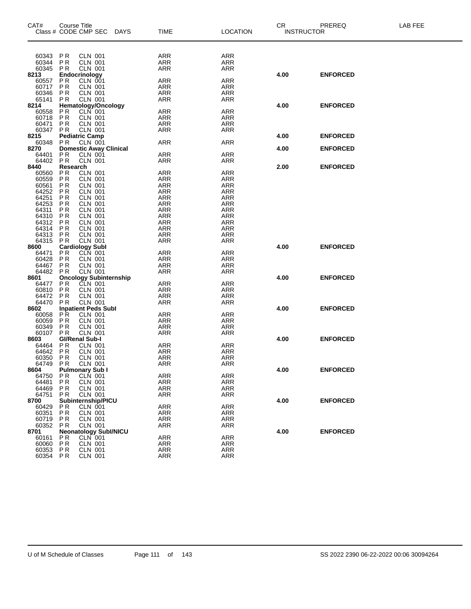| CAT#           | Course Title<br>Class # CODE CMP SEC |                                  | <b>DAYS</b> | <b>TIME</b>              | <b>LOCATION</b>          | <b>CR</b> | PREREQ<br><b>INSTRUCTOR</b> | LAB FEE |
|----------------|--------------------------------------|----------------------------------|-------------|--------------------------|--------------------------|-----------|-----------------------------|---------|
|                |                                      |                                  |             |                          |                          |           |                             |         |
|                |                                      |                                  |             |                          |                          |           |                             |         |
| 60343          | PR                                   | CLN 001                          |             | ARR                      | <b>ARR</b>               |           |                             |         |
| 60344          | <b>PR</b>                            | <b>CLN 001</b>                   |             | <b>ARR</b>               | <b>ARR</b>               |           |                             |         |
| 60345          | <b>PR</b>                            | <b>CLN 001</b>                   |             | <b>ARR</b>               | ARR                      |           |                             |         |
| 8213           | Endocrinology                        |                                  |             |                          |                          | 4.00      | <b>ENFORCED</b>             |         |
| 60557          | <b>PR</b>                            | CLN 001                          |             | <b>ARR</b>               | <b>ARR</b>               |           |                             |         |
| 60717          | <b>PR</b>                            | CLN 001                          |             | <b>ARR</b>               | <b>ARR</b>               |           |                             |         |
| 60346          | <b>PR</b>                            | <b>CLN 001</b><br><b>CLN 001</b> |             | <b>ARR</b>               | <b>ARR</b>               |           |                             |         |
| 65141<br>8214  | <b>PR</b>                            | <b>Hematology/Oncology</b>       |             | <b>ARR</b>               | <b>ARR</b>               | 4.00      | <b>ENFORCED</b>             |         |
| 60558          | PR                                   | CLN 001                          |             | <b>ARR</b>               | <b>ARR</b>               |           |                             |         |
| 60718          | PR                                   | CLN 001                          |             | <b>ARR</b>               | ARR                      |           |                             |         |
| 60471          | <b>PR</b>                            | <b>CLN 001</b>                   |             | <b>ARR</b>               | <b>ARR</b>               |           |                             |         |
| 60347          | <b>PR</b>                            | <b>CLN 001</b>                   |             | <b>ARR</b>               | <b>ARR</b>               |           |                             |         |
| 8215           | <b>Pediatric Camp</b>                |                                  |             |                          |                          | 4.00      | <b>ENFORCED</b>             |         |
| 60348          | <b>PR</b>                            | <b>CLN 001</b>                   |             | <b>ARR</b>               | ARR                      |           |                             |         |
| 8270           |                                      | <b>Domestic Away Clinical</b>    |             |                          |                          | 4.00      | <b>ENFORCED</b>             |         |
| 64401          | P R                                  | CLN 001                          |             | <b>ARR</b>               | <b>ARR</b>               |           |                             |         |
| 64402          | PR                                   | CLN 001                          |             | ARR                      | ARR                      |           |                             |         |
| 8440           | Research                             |                                  |             |                          |                          | 2.00      | <b>ENFORCED</b>             |         |
| 60560          | <b>PR</b>                            | <b>CLN 001</b>                   |             | <b>ARR</b>               | <b>ARR</b>               |           |                             |         |
| 60559          | <b>PR</b>                            | CLN 001                          |             | <b>ARR</b>               | <b>ARR</b>               |           |                             |         |
| 60561          | P <sub>R</sub><br><b>PR</b>          | <b>CLN 001</b><br><b>CLN 001</b> |             | <b>ARR</b><br><b>ARR</b> | <b>ARR</b>               |           |                             |         |
| 64252<br>64251 | <b>PR</b>                            | <b>CLN 001</b>                   |             | <b>ARR</b>               | <b>ARR</b><br><b>ARR</b> |           |                             |         |
| 64253          | <b>PR</b>                            | <b>CLN 001</b>                   |             | <b>ARR</b>               | <b>ARR</b>               |           |                             |         |
| 64311          | P <sub>R</sub>                       | <b>CLN 001</b>                   |             | <b>ARR</b>               | <b>ARR</b>               |           |                             |         |
| 64310          | PR                                   | <b>CLN 001</b>                   |             | <b>ARR</b>               | <b>ARR</b>               |           |                             |         |
| 64312          | <b>PR</b>                            | <b>CLN 001</b>                   |             | <b>ARR</b>               | <b>ARR</b>               |           |                             |         |
| 64314          | <b>PR</b>                            | <b>CLN 001</b>                   |             | <b>ARR</b>               | <b>ARR</b>               |           |                             |         |
| 64313          | <b>PR</b>                            | <b>CLN 001</b>                   |             | <b>ARR</b>               | <b>ARR</b>               |           |                             |         |
| 64315          | <b>PR</b>                            | <b>CLN 001</b>                   |             | <b>ARR</b>               | <b>ARR</b>               |           |                             |         |
| 8600           | <b>Cardiology Subl</b>               |                                  |             |                          |                          | 4.00      | <b>ENFORCED</b>             |         |
| 64471          | <b>PR</b>                            | CLN 001                          |             | <b>ARR</b>               | <b>ARR</b>               |           |                             |         |
| 60428          | <b>PR</b>                            | <b>CLN 001</b>                   |             | <b>ARR</b>               | <b>ARR</b>               |           |                             |         |
| 64467<br>64482 | P <sub>R</sub><br><b>PR</b>          | <b>CLN 001</b><br>CLN 001        |             | <b>ARR</b><br><b>ARR</b> | <b>ARR</b><br><b>ARR</b> |           |                             |         |
| 8601           |                                      | <b>Oncology Subinternship</b>    |             |                          |                          | 4.00      | <b>ENFORCED</b>             |         |
| 64477          | P R                                  | CLN 001                          |             | <b>ARR</b>               | <b>ARR</b>               |           |                             |         |
| 60810          | <b>PR</b>                            | <b>CLN 001</b>                   |             | <b>ARR</b>               | <b>ARR</b>               |           |                             |         |
| 64472          | P <sub>R</sub>                       | <b>CLN 001</b>                   |             | <b>ARR</b>               | <b>ARR</b>               |           |                             |         |
| 64470          | <b>PR</b>                            | <b>CLN 001</b>                   |             | <b>ARR</b>               | <b>ARR</b>               |           |                             |         |
| 8602           |                                      | <b>Inpatient Peds Subl</b>       |             |                          |                          | 4.00      | <b>ENFORCED</b>             |         |
| 60058          | PR.                                  | <b>CLN 001</b>                   |             | <b>ARR</b>               | <b>ARR</b>               |           |                             |         |
| 60059          | P <sub>R</sub>                       | <b>CLN 001</b>                   |             | <b>ARR</b>               | ARR                      |           |                             |         |
| 60349          | <b>PR</b>                            | <b>CLN 001</b>                   |             | <b>ARR</b>               | <b>ARR</b>               |           |                             |         |
| 60107          | <b>PR</b>                            | <b>CLN 001</b>                   |             | <b>ARR</b>               | <b>ARR</b>               |           |                             |         |
| 8603           | <b>GI/Renal Sub-I</b>                |                                  |             |                          |                          | 4.00      | <b>ENFORCED</b>             |         |
| 64464          | <b>PR</b><br><b>PR</b>               | <b>CLN 001</b><br><b>CLN 001</b> |             | ARR<br><b>ARR</b>        | <b>ARR</b><br><b>ARR</b> |           |                             |         |
| 64642<br>60350 | <b>PR</b>                            | CLN 001                          |             | ARR                      | ARR                      |           |                             |         |
| 64749          | <b>PR</b>                            | <b>CLN 001</b>                   |             | <b>ARR</b>               | <b>ARR</b>               |           |                             |         |
| 8604           |                                      | <b>Pulmonary Sub I</b>           |             |                          |                          | 4.00      | <b>ENFORCED</b>             |         |
| 64750          | <b>PR</b>                            | CLN 001                          |             | ARR                      | ARR                      |           |                             |         |
| 64481          | P R                                  | <b>CLN 001</b>                   |             | ARR                      | <b>ARR</b>               |           |                             |         |
| 64469          | P R                                  | CLN 001                          |             | <b>ARR</b>               | <b>ARR</b>               |           |                             |         |
| 64751          | P R                                  | <b>CLN 001</b>                   |             | ARR                      | ARR                      |           |                             |         |
| 8700           |                                      | Subinternship/PICU               |             |                          |                          | 4.00      | <b>ENFORCED</b>             |         |
| 60429          | P R                                  | <b>CLN 001</b>                   |             | ARR                      | <b>ARR</b>               |           |                             |         |
| 60351          | P R                                  | CLN 001                          |             | ARR                      | ARR                      |           |                             |         |
| 60719          | P R                                  | <b>CLN 001</b>                   |             | ARR                      | ARR                      |           |                             |         |
| 60352          | P R                                  | CLN 001                          |             | ARR                      | <b>ARR</b>               |           |                             |         |
| 8701           |                                      | <b>Neonatology SubI/NICU</b>     |             |                          |                          | 4.00      | <b>ENFORCED</b>             |         |
| 60161          | P R                                  | CLN 001<br>CLN 001               |             | ARR<br><b>ARR</b>        | ARR<br><b>ARR</b>        |           |                             |         |
| 60060<br>60353 | P R<br>P R                           | <b>CLN 001</b>                   |             | ARR                      | ARR                      |           |                             |         |
| 60354 PR       |                                      | <b>CLN 001</b>                   |             | ARR                      | ARR                      |           |                             |         |
|                |                                      |                                  |             |                          |                          |           |                             |         |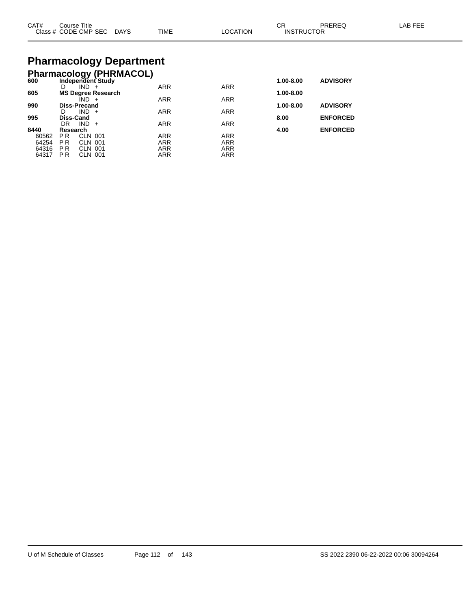| CAT# | Course Title<br>Class # CODE CMP SEC | <b>DAYS</b> | <b>TIME</b> | LOCATION | $\cap$<br>◡◠<br><b>INSTRUCTOR</b> | PREREQ | LAB FEE |
|------|--------------------------------------|-------------|-------------|----------|-----------------------------------|--------|---------|
|      |                                      |             |             |          |                                   |        |         |

# **Pharmacology Department**

|       |                     |         | <b>Pharmacology (PHRMACOL)</b> |            |            |           |                 |
|-------|---------------------|---------|--------------------------------|------------|------------|-----------|-----------------|
| 600   |                     |         | Independent Study              |            |            | 1.00-8.00 | <b>ADVISORY</b> |
|       | D                   | $IND +$ |                                | <b>ARR</b> | <b>ARR</b> |           |                 |
| 605   |                     |         | <b>MS Degree Research</b>      |            |            | 1.00-8.00 |                 |
|       |                     | IND +   |                                | <b>ARR</b> | <b>ARR</b> |           |                 |
| 990   | <b>Diss-Precand</b> |         |                                |            |            | 1.00-8.00 | <b>ADVISORY</b> |
|       | D                   | $IND +$ |                                | <b>ARR</b> | <b>ARR</b> |           |                 |
| 995   | Diss-Cand           |         |                                |            |            | 8.00      | <b>ENFORCED</b> |
|       | DR                  | IND.    | $+$                            | <b>ARR</b> | <b>ARR</b> |           |                 |
| 8440  | Research            |         |                                |            |            | 4.00      | <b>ENFORCED</b> |
| 60562 | P <sub>R</sub>      | CLN 001 |                                | <b>ARR</b> | <b>ARR</b> |           |                 |
| 64254 | <b>PR</b>           | CLN 001 |                                | <b>ARR</b> | <b>ARR</b> |           |                 |
| 64316 | <b>PR</b>           | CLN 001 |                                | <b>ARR</b> | <b>ARR</b> |           |                 |
| 64317 | P R                 | CLN 001 |                                | <b>ARR</b> | <b>ARR</b> |           |                 |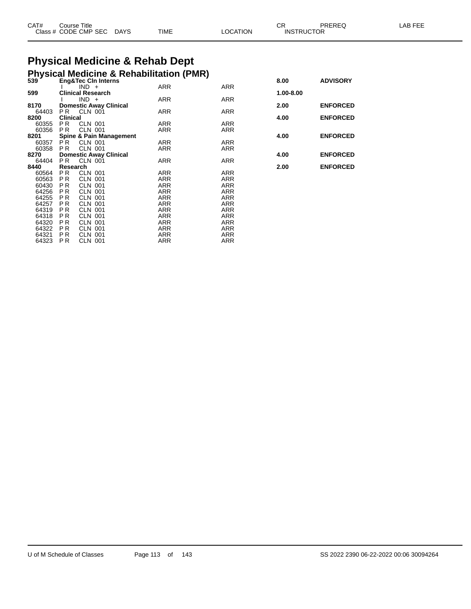| CAT# | Title<br>Course      |             |             |                | ົ<br>◡            | PREREG | . AB FF <sup>r</sup> |
|------|----------------------|-------------|-------------|----------------|-------------------|--------|----------------------|
|      | Class # CODE CMP SEC | <b>DAYS</b> | <b>TIME</b> | <b>OCATION</b> | <b>INSTRUCTOR</b> |        |                      |

# **Physical Medicine & Rehab Dept**

|       |                 |                                    | <b>Physical Medicine &amp; Rehabilitation (PMR)</b><br>539 Eng&Tec CIn Interns |            |           |                 |
|-------|-----------------|------------------------------------|--------------------------------------------------------------------------------|------------|-----------|-----------------|
|       |                 |                                    |                                                                                |            | 8.00      | <b>ADVISORY</b> |
|       |                 | $IND +$                            | ARR                                                                            | ARR        |           |                 |
| 599   |                 | <b>Clinical Research</b>           |                                                                                |            | 1.00-8.00 |                 |
|       |                 | $IND +$                            | ARR                                                                            | <b>ARR</b> |           |                 |
| 8170  |                 | <b>Domestic Away Clinical</b>      |                                                                                |            | 2.00      | <b>ENFORCED</b> |
| 64403 | PR.             | CLN 001                            | ARR                                                                            | ARR        |           |                 |
| 8200  | <b>Clinical</b> |                                    |                                                                                |            | 4.00      | <b>ENFORCED</b> |
| 60355 | PR.             | <b>CLN 001</b>                     | ARR                                                                            | <b>ARR</b> |           |                 |
| 60356 | P <sub>R</sub>  | <b>CLN 001</b>                     | ARR                                                                            | ARR        |           |                 |
| 8201  |                 | <b>Spine &amp; Pain Management</b> |                                                                                |            | 4.00      | <b>ENFORCED</b> |
| 60357 | PR.             | CLN 001                            | ARR                                                                            | ARR        |           |                 |
| 60358 | P <sub>R</sub>  | <b>CLN 001</b>                     | ARR                                                                            | ARR        |           |                 |
| 8270  |                 | <b>Domestic Away Clinical</b>      |                                                                                |            | 4.00      | <b>ENFORCED</b> |
| 64404 | PR.             | CLN 001                            | ARR                                                                            | ARR        |           |                 |
| 8440  | Research        |                                    |                                                                                |            | 2.00      | <b>ENFORCED</b> |
| 60564 | PR.             | <b>CLN 001</b>                     | ARR                                                                            | ARR        |           |                 |
| 60563 | PR.             | CLN 001                            | ARR                                                                            | <b>ARR</b> |           |                 |
| 60430 | P <sub>R</sub>  | <b>CLN 001</b>                     | ARR                                                                            | ARR        |           |                 |
| 64256 | PR.             | <b>CLN 001</b>                     | ARR                                                                            | ARR        |           |                 |
| 64255 | PR.             | <b>CLN 001</b>                     | ARR                                                                            | ARR        |           |                 |
| 64257 | <b>PR</b>       | <b>CLN 001</b>                     | ARR                                                                            | ARR        |           |                 |
| 64319 | PR.             | <b>CLN 001</b>                     | ARR                                                                            | ARR        |           |                 |
| 64318 | P <sub>R</sub>  | <b>CLN 001</b>                     | ARR                                                                            | ARR        |           |                 |
| 64320 | P <sub>R</sub>  | <b>CLN 001</b>                     | ARR                                                                            | ARR        |           |                 |
| 64322 | PR.             | <b>CLN 001</b>                     | ARR                                                                            | ARR        |           |                 |
| 64321 | P <sub>R</sub>  | CLN 001                            | ARR                                                                            | ARR        |           |                 |
| 64323 | P <sub>R</sub>  | <b>CLN 001</b>                     | <b>ARR</b>                                                                     | <b>ARR</b> |           |                 |

| 8.00      | <b>ADVISORY</b> |
|-----------|-----------------|
| 1.00-8.00 |                 |
| 2.00      | <b>ENFORCED</b> |
| 4.00      | <b>ENFORCED</b> |
| 4.00      | <b>ENFORCED</b> |
| 4.00      | <b>ENFORCED</b> |
| 2.00      | <b>ENFORCED</b> |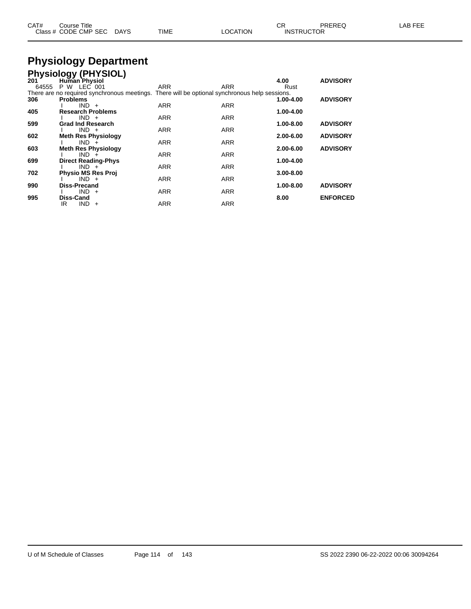| CAT# | Course Title              |      |          | Ωn<br>◡◚          | PREREQ | LAB FEE |
|------|---------------------------|------|----------|-------------------|--------|---------|
|      | Class # CODE CMP SEC DAYS | TIME | LOCATION | <b>INSTRUCTOR</b> |        |         |

# **Physiology Department**

|       | <b>Physiology (PHYSIOL)</b> |                                                                                               |            |               |                 |
|-------|-----------------------------|-----------------------------------------------------------------------------------------------|------------|---------------|-----------------|
| 201   | <b>Human Physiol</b>        |                                                                                               |            | 4.00          | <b>ADVISORY</b> |
| 64555 | P W LEC 001                 | ARR                                                                                           | ARR        | Rust          |                 |
|       |                             | There are no required synchronous meetings. There will be optional synchronous help sessions. |            |               |                 |
| 306   | <b>Problems</b>             |                                                                                               |            | 1.00-4.00     | <b>ADVISORY</b> |
|       | $IND +$                     | <b>ARR</b>                                                                                    | <b>ARR</b> |               |                 |
| 405   | <b>Research Problems</b>    |                                                                                               |            | 1.00-4.00     |                 |
|       | $IND +$                     | <b>ARR</b>                                                                                    | <b>ARR</b> |               |                 |
| 599   | <b>Grad Ind Research</b>    |                                                                                               |            | 1.00-8.00     | <b>ADVISORY</b> |
|       | $IND +$                     | <b>ARR</b>                                                                                    | <b>ARR</b> |               |                 |
| 602   | <b>Meth Res Physiology</b>  |                                                                                               |            | 2.00-6.00     | <b>ADVISORY</b> |
|       | $IND +$                     | <b>ARR</b>                                                                                    | <b>ARR</b> |               |                 |
| 603   | <b>Meth Res Physiology</b>  |                                                                                               |            | $2.00 - 6.00$ | <b>ADVISORY</b> |
|       | $IND +$                     | <b>ARR</b>                                                                                    | <b>ARR</b> |               |                 |
| 699   | <b>Direct Reading-Phys</b>  |                                                                                               |            | 1.00-4.00     |                 |
|       | $IND +$                     | <b>ARR</b>                                                                                    | <b>ARR</b> |               |                 |
| 702   | <b>Physio MS Res Proj</b>   |                                                                                               |            | $3.00 - 8.00$ |                 |
|       | $IND +$                     | <b>ARR</b>                                                                                    | <b>ARR</b> |               |                 |
| 990   | Diss-Precand                |                                                                                               |            | 1.00-8.00     | <b>ADVISORY</b> |
|       | $IND +$                     | <b>ARR</b>                                                                                    | <b>ARR</b> |               |                 |
| 995   | <b>Diss-Cand</b>            |                                                                                               |            | 8.00          | <b>ENFORCED</b> |
|       | $IND +$<br>IR               | <b>ARR</b>                                                                                    | <b>ARR</b> |               |                 |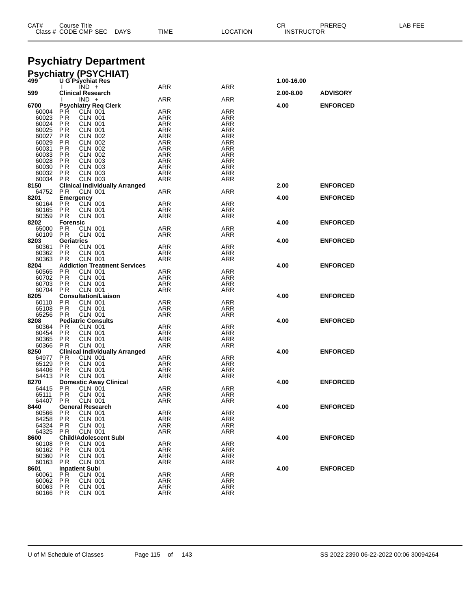|                  | Class # CODE CMP SEC<br><b>DAYS</b>                                | TIME              | <b>LOCATION</b>   | INSTRUCTOR |                 |  |
|------------------|--------------------------------------------------------------------|-------------------|-------------------|------------|-----------------|--|
|                  |                                                                    |                   |                   |            |                 |  |
|                  | <b>Psychiatry Department</b>                                       |                   |                   |            |                 |  |
| 499              | <b>Psychiatry (PSYCHIAT)</b><br><b>U G Psychiat Res</b><br>$IND +$ | ARR               |                   | 1.00-16.00 |                 |  |
| 599              | <b>Clinical Research</b>                                           |                   | ARR               | 2.00-8.00  | <b>ADVISORY</b> |  |
| 6700             | $IND +$<br><b>Psychiatry Reg Clerk</b>                             | <b>ARR</b>        | <b>ARR</b>        | 4.00       | <b>ENFORCED</b> |  |
| 60004<br>60023   | PR.<br><b>CLN 001</b><br><b>PR</b><br>CLN 001                      | ARR<br>ARR        | ARR<br>ARR        |            |                 |  |
| 60024            | <b>CLN 001</b><br>PR                                               | ARR               | ARR               |            |                 |  |
| 60025            | <b>CLN 001</b><br>P R<br><b>PR</b>                                 | <b>ARR</b>        | <b>ARR</b>        |            |                 |  |
| 60027<br>60029   | CLN 002<br><b>CLN 002</b><br>P R                                   | ARR<br>ARR        | ARR<br>ARR        |            |                 |  |
| 60031            | <b>PR</b><br><b>CLN 002</b>                                        | <b>ARR</b>        | <b>ARR</b>        |            |                 |  |
| 60033<br>60028   | <b>PR</b><br>CLN 002<br><b>CLN 003</b><br>P R                      | ARR<br>ARR        | ARR<br>ARR        |            |                 |  |
| 60030            | <b>PR</b><br><b>CLN 003</b>                                        | ARR               | ARR               |            |                 |  |
| 60032<br>60034   | <b>PR</b><br><b>CLN 003</b><br><b>CLN 003</b><br>P R               | ARR<br>ARR        | ARR<br>ARR        |            |                 |  |
| 8150             | <b>Clinical Individually Arranged</b>                              |                   |                   | 2.00       | <b>ENFORCED</b> |  |
| 64752<br>8201    | P R<br>CLN 001<br>Emergency                                        | <b>ARR</b>        | <b>ARR</b>        | 4.00       | <b>ENFORCED</b> |  |
| 60164            | <b>CLN 001</b><br>P R                                              | ARR               | ARR               |            |                 |  |
| 60165            | P R<br><b>CLN 001</b>                                              | ARR               | ARR               |            |                 |  |
| 60359<br>8202    | <b>CLN 001</b><br>P R<br><b>Forensic</b>                           | ARR               | ARR               | 4.00       | <b>ENFORCED</b> |  |
| 65000            | P R<br><b>CLN 001</b>                                              | ARR               | <b>ARR</b>        |            |                 |  |
| 60109<br>8203    | <b>CLN 001</b><br>P R<br><b>Geriatrics</b>                         | ARR               | ARR               | 4.00       | <b>ENFORCED</b> |  |
| 60361            | P R<br><b>CLN 001</b>                                              | <b>ARR</b>        | <b>ARR</b>        |            |                 |  |
| 60362<br>60363   | <b>PR</b><br><b>CLN 001</b><br><b>CLN 001</b><br>P R               | ARR<br>ARR        | ARR<br>ARR        |            |                 |  |
| 8204             | <b>Addiction Treatment Services</b>                                |                   |                   | 4.00       | <b>ENFORCED</b> |  |
| 60565<br>60702   | P R<br><b>CLN 001</b><br><b>PR</b><br><b>CLN 001</b>               | ARR<br><b>ARR</b> | ARR<br>ARR        |            |                 |  |
| 60703            | <b>PR</b><br><b>CLN 001</b>                                        | ARR               | ARR               |            |                 |  |
| 60704<br>8205    | <b>CLN 001</b><br>P R                                              | ARR               | ARR               |            |                 |  |
| 60110            | <b>Consultation/Liaison</b><br>P R<br><b>CLN 001</b>               | <b>ARR</b>        | <b>ARR</b>        | 4.00       | <b>ENFORCED</b> |  |
| 65108            | <b>CLN 001</b><br>P R                                              | ARR               | ARR               |            |                 |  |
| 65256<br>8208    | <b>CLN 001</b><br>P <sub>R</sub><br><b>Pediatric Consults</b>      | ARR               | ARR               | 4.00       | <b>ENFORCED</b> |  |
| 60364            | P R<br><b>CLN 001</b>                                              | ARR               | ARR               |            |                 |  |
| 60454<br>60365   | <b>PR</b><br><b>CLN 001</b><br><b>PR</b><br><b>CLN 001</b>         | ARR<br>ARR        | ARR<br>ARR        |            |                 |  |
| 60366            | <b>CLN 001</b><br>P R                                              | ARR               | ARR               |            |                 |  |
| 8250<br>64977    | <b>Clinical Individually Arranged</b><br>P R<br>CLN 001            | <b>ARR</b>        | <b>ARR</b>        | 4.00       | <b>ENFORCED</b> |  |
| 65129            | P R<br><b>CLN 001</b>                                              | ARR               | ARR               |            |                 |  |
| 64406            | P R<br><b>CLN 001</b>                                              | ARR               | ARR               |            |                 |  |
| 64413 PR<br>8270 | CLN 001<br><b>Domestic Away Clinical</b>                           | ARR               | ARR               | 4.00       | <b>ENFORCED</b> |  |
| 64415            | PR<br><b>CLN 001</b>                                               | <b>ARR</b>        | <b>ARR</b>        |            |                 |  |
| 65111<br>64407   | <b>PR</b><br><b>CLN 001</b><br><b>CLN 001</b><br>P R               | <b>ARR</b><br>ARR | <b>ARR</b><br>ARR |            |                 |  |
| 8440             | <b>General Research</b>                                            |                   |                   | 4.00       | <b>ENFORCED</b> |  |
| 60566<br>64258   | P R<br><b>CLN 001</b><br><b>CLN 001</b><br>P R                     | <b>ARR</b><br>ARR | <b>ARR</b><br>ARR |            |                 |  |
| 64324            | <b>PR</b><br><b>CLN 001</b>                                        | ARR               | ARR               |            |                 |  |
| 64325<br>8600    | <b>PR</b><br><b>CLN 001</b><br><b>Child/Adolescent Subl</b>        | ARR               | ARR               | 4.00       | <b>ENFORCED</b> |  |
| 60108            | <b>CLN 001</b><br>P R                                              | <b>ARR</b>        | <b>ARR</b>        |            |                 |  |
| 60162<br>60360   | <b>PR</b><br><b>CLN 001</b><br>P R<br>CLN 001                      | ARR<br>ARR        | ARR<br>ARR        |            |                 |  |
| 60163            | <b>PR</b><br><b>CLN 001</b>                                        | ARR               | ARR               |            |                 |  |
| 8601             | <b>Inpatient Subl</b><br>PR.<br>CLN 001                            | <b>ARR</b>        |                   | 4.00       | <b>ENFORCED</b> |  |
| 60061<br>60062   | PR<br><b>CLN 001</b>                                               | <b>ARR</b>        | ARR<br>ARR        |            |                 |  |
| 60063            | <b>PR</b><br><b>CLN 001</b>                                        | <b>ARR</b>        | ARR               |            |                 |  |
| 60166 PR         | <b>CLN 001</b>                                                     | ARR               | ARR               |            |                 |  |

CAT# Course Title Case CR PREREQ LAB FEE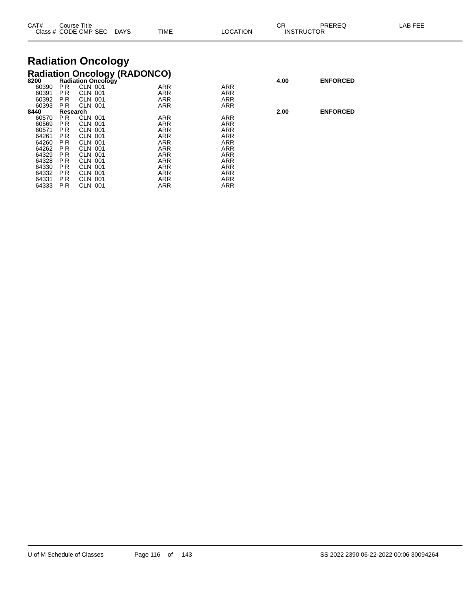| CAT#           |                | Course Title<br>Class # CODE CMP SEC DAYS                        | <b>TIME</b> | LOCATION                 | СR   | <b>PREREQ</b><br><b>INSTRUCTOR</b> | LAB FEE |
|----------------|----------------|------------------------------------------------------------------|-------------|--------------------------|------|------------------------------------|---------|
|                |                | <b>Radiation Oncology</b>                                        |             |                          |      |                                    |         |
| 8200           |                | <b>Radiation Oncology (RADONCO)</b><br><b>Radiation Oncology</b> |             |                          | 4.00 | <b>ENFORCED</b>                    |         |
| 60390          | PR.            | <b>CLN 001</b><br><b>CLN 001</b>                                 | ARR         | <b>ARR</b>               |      |                                    |         |
| 60391<br>60392 | P R<br>PR.     | CLN 001                                                          | ARR<br>ARR  | <b>ARR</b><br><b>ARR</b> |      |                                    |         |
| 60393          | PR.            | <b>CLN 001</b>                                                   | ARR         | <b>ARR</b>               |      |                                    |         |
| 8440           | Research       |                                                                  |             |                          | 2.00 | <b>ENFORCED</b>                    |         |
| 60570          | PR.            | <b>CLN 001</b>                                                   | ARR         | <b>ARR</b>               |      |                                    |         |
| 60569          | PR.            | CLN 001                                                          | ARR         | ARR                      |      |                                    |         |
| 60571          | P <sub>R</sub> | <b>CLN 001</b>                                                   | ARR         | <b>ARR</b>               |      |                                    |         |
| 64261          | P <sub>R</sub> | CLN 001                                                          | ARR         | <b>ARR</b>               |      |                                    |         |
| 64260          | P <sub>R</sub> | CLN 001                                                          | <b>ARR</b>  | ARR                      |      |                                    |         |
| 64262          | P R            | <b>CLN 001</b>                                                   | ARR         | <b>ARR</b>               |      |                                    |         |
| 64329          | P R            | CLN 001                                                          | ARR         | ARR                      |      |                                    |         |
| 64328          | P <sub>R</sub> | <b>CLN 001</b>                                                   | ARR         | <b>ARR</b>               |      |                                    |         |
| 64330<br>64332 | P R<br>P R     | <b>CLN 001</b><br>CLN 001                                        | ARR<br>ARR  | <b>ARR</b><br><b>ARR</b> |      |                                    |         |
| 64331          | P R            | CLN 001                                                          | ARR         | ARR                      |      |                                    |         |
| 64333          | P R            | <b>CLN 001</b>                                                   | ARR         | ARR                      |      |                                    |         |
|                |                |                                                                  |             |                          |      |                                    |         |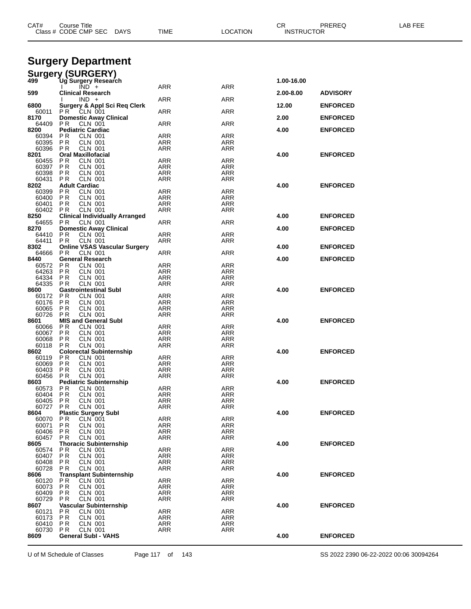| CAT#           | Course Title<br>Class # CODE CMP SEC DAYS                       | TIME              | <b>LOCATION</b>          | CR<br><b>INSTRUCTOR</b> | PREREQ          | LAB FEE |
|----------------|-----------------------------------------------------------------|-------------------|--------------------------|-------------------------|-----------------|---------|
|                | <b>Surgery Department</b>                                       |                   |                          |                         |                 |         |
|                | <b>Surgery (SURGERY)</b>                                        |                   |                          |                         |                 |         |
| 499            | Ug Surgery Research<br>$\overline{IND}$ +                       | <b>ARR</b>        | <b>ARR</b>               | 1.00-16.00              |                 |         |
| 599            | <b>Clinical Research</b>                                        |                   |                          | 2.00-8.00               | <b>ADVISORY</b> |         |
| 6800           | $IND +$<br><b>Surgery &amp; Appl Sci Reg Clerk</b>              | ARR               | ARR                      | 12.00                   | <b>ENFORCED</b> |         |
| 60011<br>8170  | <b>PR CLN 001</b><br><b>Domestic Away Clinical</b>              | ARR               | <b>ARR</b>               | 2.00                    | <b>ENFORCED</b> |         |
| 64409          | P R<br>CLN 001                                                  | ARR               | <b>ARR</b>               |                         |                 |         |
| 8200<br>60394  | <b>Pediatric Cardiac</b><br>P R<br>CLN 001                      | ARR               | ARR                      | 4.00                    | <b>ENFORCED</b> |         |
| 60395<br>60396 | <b>CLN 001</b><br>P R<br>P R                                    | <b>ARR</b><br>ARR | <b>ARR</b><br>ARR        |                         |                 |         |
| 8201           | <b>CLN 001</b><br><b>Oral Maxillofacial</b>                     |                   |                          | 4.00                    | <b>ENFORCED</b> |         |
| 60455<br>60397 | <b>CLN 001</b><br>P R<br>ΡR<br>CLN 001                          | ARR<br>ARR        | ARR<br>ARR               |                         |                 |         |
| 60398          | <b>CLN 001</b><br>P R                                           | ARR               | ARR                      |                         |                 |         |
| 60431          | <b>PR</b><br><b>CLN 001</b>                                     | ARR               | <b>ARR</b>               |                         |                 |         |
| 8202<br>60399  | <b>Adult Cardiac</b><br><b>PR</b><br><b>CLN 001</b>             | ARR               | ARR                      | 4.00                    | <b>ENFORCED</b> |         |
| 60400          | <b>PR</b><br><b>CLN 001</b>                                     | ARR               | <b>ARR</b>               |                         |                 |         |
| 60401          | P R<br>CLN 001                                                  | ARR               | ARR                      |                         |                 |         |
| 60402<br>8250  | CLN 001<br>P R<br><b>Clinical Individually Arranged</b>         | ARR               | ARR                      | 4.00                    | <b>ENFORCED</b> |         |
| 64655          | P R<br><b>CLN 001</b>                                           | ARR               | <b>ARR</b>               |                         |                 |         |
| 8270<br>64410  | <b>Domestic Away Clinical</b><br>CLN 001                        |                   |                          | 4.00                    | <b>ENFORCED</b> |         |
| 64411          | P R<br>ΡR<br>CLN 001                                            | ARR<br>ARR        | ARR<br>ARR               |                         |                 |         |
| 8302           | <b>Online VSAS Vascular Surgery</b>                             |                   |                          | 4.00                    | <b>ENFORCED</b> |         |
| 64666<br>8440  | <b>CLN 001</b><br>P R<br><b>General Research</b>                | ARR               | <b>ARR</b>               | 4.00                    | <b>ENFORCED</b> |         |
| 60572          | P <sub>R</sub><br><b>CLN 001</b>                                | ARR               | ARR                      |                         |                 |         |
| 64263          | P R<br><b>CLN 001</b>                                           | ARR               | <b>ARR</b>               |                         |                 |         |
| 64334<br>64335 | P R<br>CLN 001<br><b>CLN 001</b><br>P R                         | ARR<br>ARR        | ARR<br>ARR               |                         |                 |         |
| 8600           | <b>Gastrointestinal Subl</b>                                    |                   |                          | 4.00                    | <b>ENFORCED</b> |         |
| 60172<br>60176 | ΡR<br><b>CLN 001</b><br>P <sub>R</sub><br><b>CLN 001</b>        | ARR<br>ARR        | <b>ARR</b><br>ARR        |                         |                 |         |
| 60065          | <b>CLN 001</b><br>P R                                           | ARR               | <b>ARR</b>               |                         |                 |         |
| 60726          | P R<br><b>CLN 001</b>                                           | ARR               | ARR                      |                         |                 |         |
| 8601<br>60066  | <b>MIS and General Subl</b><br>P R<br>CLN 001                   | ARR               | ARR                      | 4.00                    | <b>ENFORCED</b> |         |
| 60067          | P R<br>CLN 001                                                  | ARR               | ARR                      |                         |                 |         |
| 60068          | <b>CLN 001</b><br>P R                                           | ARR               | ARR                      |                         |                 |         |
| 60118<br>8602  | <b>PR</b><br>CLN 001<br><b>Colorectal Subinternship</b>         | ARR               | ARR                      | 4.00                    | <b>ENFORCED</b> |         |
| 60119          | P <sub>R</sub><br>CLN 001                                       | ARR               | ARR                      |                         |                 |         |
| 60069          | P R<br>CLN 001                                                  | ARR               | ARR                      |                         |                 |         |
| 60403<br>60456 | P R<br>CLN 001<br>P R<br><b>CLN 001</b>                         | ARR<br>ARR        | ARR<br>ARR               |                         |                 |         |
| 8603           | <b>Pediatric Subinternship</b>                                  |                   |                          | 4.00                    | <b>ENFORCED</b> |         |
| 60573<br>60404 | ΡR<br>CLN 001<br><b>CLN 001</b><br>P <sub>R</sub>               | <b>ARR</b><br>ARR | <b>ARR</b><br><b>ARR</b> |                         |                 |         |
| 60405          | <b>CLN 001</b><br>P R                                           | <b>ARR</b>        | <b>ARR</b>               |                         |                 |         |
| 60727          | P R<br>CLN 001                                                  | ARR               | <b>ARR</b>               |                         |                 |         |
| 8604<br>60070  | <b>Plastic Surgery Subl</b><br>P R<br>CLN 001                   | <b>ARR</b>        | <b>ARR</b>               | 4.00                    | <b>ENFORCED</b> |         |
| 60071          | ΡR<br>CLN 001                                                   | ARR               | ARR                      |                         |                 |         |
| 60406<br>60457 | P <sub>R</sub><br><b>CLN 001</b><br><b>PR</b><br><b>CLN 001</b> | ARR               | <b>ARR</b><br><b>ARR</b> |                         |                 |         |
| 8605           | <b>Thoracic Subinternship</b>                                   | ARR               |                          | 4.00                    | <b>ENFORCED</b> |         |
| 60574          | ΡR<br><b>CLN 001</b>                                            | ARR               | <b>ARR</b>               |                         |                 |         |
| 60407<br>60408 | P <sub>R</sub><br><b>CLN 001</b><br>ΡR<br>CLN 001               | <b>ARR</b><br>ARR | <b>ARR</b><br>ARR        |                         |                 |         |
| 60728          | P <sub>R</sub><br><b>CLN 001</b>                                | ARR               | <b>ARR</b>               |                         |                 |         |
| 8606           | <b>Transplant Subinternship</b>                                 |                   |                          | 4.00                    | <b>ENFORCED</b> |         |
| 60120<br>60073 | ΡR<br>CLN 001<br>PR<br><b>CLN 001</b>                           | ARR<br>ARR        | <b>ARR</b><br>ARR        |                         |                 |         |
| 60409          | <b>CLN 001</b><br>P R                                           | ARR               | <b>ARR</b>               |                         |                 |         |
| 60729          | P R<br>CLN 001                                                  | ARR               | <b>ARR</b>               |                         |                 |         |
| 8607<br>60121  | Vascular Subinternship<br>P R<br>CLN 001                        | ARR               | <b>ARR</b>               | 4.00                    | <b>ENFORCED</b> |         |
| 60173          | P R<br>CLN 001                                                  | ARR               | ARR                      |                         |                 |         |
| 60410<br>60730 | P <sub>R</sub><br><b>CLN 001</b><br><b>CLN 001</b><br>P R       | ARR<br><b>ARR</b> | <b>ARR</b><br><b>ARR</b> |                         |                 |         |
| 8609           | <b>General Subl - VAHS</b>                                      |                   |                          | 4.00                    | <b>ENFORCED</b> |         |
|                |                                                                 |                   |                          |                         |                 |         |

U of M Schedule of Classes Page 117 of 143 SS 2022 2390 06-22-2022 00:06 30094264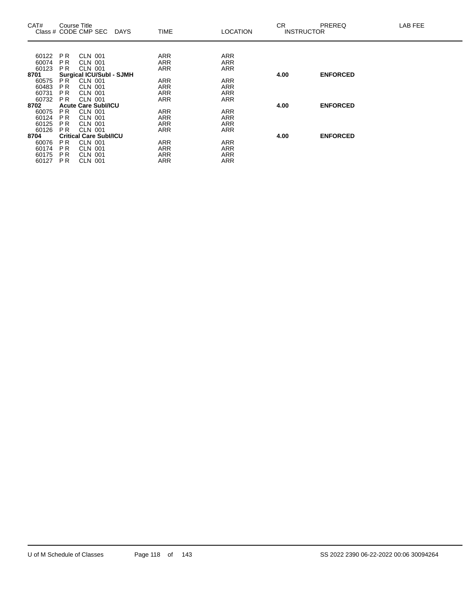| CAT#  | Course Title    | Class # CODE CMP SEC            | <b>DAYS</b> | <b>TIME</b> | <b>LOCATION</b> | CR.<br><b>INSTRUCTOR</b> | <b>PREREQ</b>   | LAB FEE |
|-------|-----------------|---------------------------------|-------------|-------------|-----------------|--------------------------|-----------------|---------|
|       |                 |                                 |             |             |                 |                          |                 |         |
| 60122 | PR.             | <b>CLN 001</b>                  |             | ARR         | <b>ARR</b>      |                          |                 |         |
| 60074 | <b>PR</b>       | <b>CLN 001</b>                  |             | <b>ARR</b>  | <b>ARR</b>      |                          |                 |         |
| 60123 | PR.             | <b>CLN 001</b>                  |             | <b>ARR</b>  | <b>ARR</b>      |                          |                 |         |
| 8701  |                 | <b>Surgical ICU/SubI - SJMH</b> |             |             |                 | 4.00                     | <b>ENFORCED</b> |         |
| 60575 | PR <sup>1</sup> | <b>CLN 001</b>                  |             | <b>ARR</b>  | <b>ARR</b>      |                          |                 |         |
| 60483 | <b>PR</b>       | <b>CLN 001</b>                  |             | ARR         | <b>ARR</b>      |                          |                 |         |
| 60731 | P <sub>R</sub>  | <b>CLN 001</b>                  |             | ARR         | <b>ARR</b>      |                          |                 |         |
| 60732 | <b>PR</b>       | <b>CLN 001</b>                  |             | <b>ARR</b>  | <b>ARR</b>      |                          |                 |         |
| 8702  |                 | <b>Acute Care SubI/ICU</b>      |             |             |                 | 4.00                     | <b>ENFORCED</b> |         |
| 60075 | PR.             | <b>CLN 001</b>                  |             | <b>ARR</b>  | <b>ARR</b>      |                          |                 |         |
| 60124 | P R             | <b>CLN 001</b>                  |             | ARR         | <b>ARR</b>      |                          |                 |         |
| 60125 | <b>PR</b>       | CLN 001                         |             | ARR         | <b>ARR</b>      |                          |                 |         |
| 60126 | <b>PR</b>       | <b>CLN 001</b>                  |             | <b>ARR</b>  | <b>ARR</b>      |                          |                 |         |
| 8704  |                 | <b>Critical Care Subl/ICU</b>   |             |             |                 | 4.00                     | <b>ENFORCED</b> |         |
| 60076 | PR.             | <b>CLN 001</b>                  |             | <b>ARR</b>  | <b>ARR</b>      |                          |                 |         |
| 60174 | <b>PR</b>       | <b>CLN 001</b>                  |             | ARR         | <b>ARR</b>      |                          |                 |         |
| 60175 | <b>PR</b>       | <b>CLN 001</b>                  |             | ARR         | <b>ARR</b>      |                          |                 |         |
| 60127 | <b>PR</b>       | <b>CLN 001</b>                  |             | <b>ARR</b>  | <b>ARR</b>      |                          |                 |         |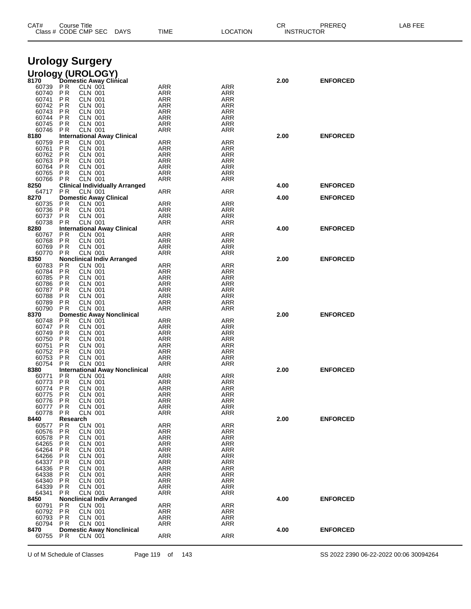| CAT#           | Course Title          | Class # CODE CMP SEC                                | <b>DAYS</b>                           | TIME              | LOCATION          | СR   | PREREQ<br><b>INSTRUCTOR</b> | LAB FEE |
|----------------|-----------------------|-----------------------------------------------------|---------------------------------------|-------------------|-------------------|------|-----------------------------|---------|
|                |                       | <b>Urology Surgery</b>                              |                                       |                   |                   |      |                             |         |
|                |                       |                                                     |                                       |                   |                   |      |                             |         |
|                |                       | Urology (UROLOGY)<br>8170 Domestic Away Clinical    |                                       |                   |                   | 2.00 | <b>ENFORCED</b>             |         |
| 60739 PR       |                       | <b>CLN 001</b>                                      |                                       | ARR               | ARR               |      |                             |         |
| 60740<br>60741 | PR<br>P R             | CLN 001<br><b>CLN 001</b>                           |                                       | ARR<br>ARR        | ARR<br>ARR        |      |                             |         |
| 60742          | P R                   | CLN 001                                             |                                       | <b>ARR</b>        | ARR               |      |                             |         |
| 60743          | P R                   | CLN 001                                             |                                       | ARR               | ARR               |      |                             |         |
| 60744<br>60745 | P R<br>P R            | <b>CLN 001</b><br>CLN 001                           |                                       | ARR<br><b>ARR</b> | ARR<br>ARR        |      |                             |         |
| 60746          | P R                   | CLN 001                                             |                                       | ARR               | ARR               |      |                             |         |
| 8180<br>60759  | ΡR                    | <b>International Away Clinical</b><br>CLN 001       |                                       | ARR               | ARR               | 2.00 | <b>ENFORCED</b>             |         |
| 60761          | ΡR                    | CLN 001                                             |                                       | ARR               | ARR               |      |                             |         |
| 60762          | P R                   | <b>CLN 001</b>                                      |                                       | ARR               | ARR               |      |                             |         |
| 60763          | P R<br>P R            | CLN 001                                             |                                       | <b>ARR</b>        | ARR               |      |                             |         |
| 60764<br>60765 | P R                   | CLN 001<br><b>CLN 001</b>                           |                                       | ARR<br>ARR        | ARR<br>ARR        |      |                             |         |
| 60766          | P R                   | CLN 001                                             |                                       | ARR               | ARR               |      |                             |         |
| 8250<br>64717  | <b>PR</b>             | <b>CLN 001</b>                                      | <b>Clinical Individually Arranged</b> | ARR               | ARR               | 4.00 | <b>ENFORCED</b>             |         |
| 8270           |                       | <b>Domestic Away Clinical</b>                       |                                       |                   |                   | 4.00 | <b>ENFORCED</b>             |         |
| 60735          | P R                   | CLN 001                                             |                                       | <b>ARR</b>        | <b>ARR</b>        |      |                             |         |
| 60736<br>60737 | P R<br>P <sub>R</sub> | <b>CLN 001</b><br><b>CLN 001</b>                    |                                       | ARR<br><b>ARR</b> | ARR<br>ARR        |      |                             |         |
| 60738          | P R                   | CLN 001                                             |                                       | ARR               | ARR               |      |                             |         |
| 8280           |                       | <b>International Away Clinical</b>                  |                                       |                   |                   | 4.00 | <b>ENFORCED</b>             |         |
| 60767<br>60768 | P <sub>R</sub><br>ΡR  | CLN 001<br>CLN 001                                  |                                       | ARR<br><b>ARR</b> | ARR<br>ARR        |      |                             |         |
| 60769          | P R                   | <b>CLN 001</b>                                      |                                       | ARR               | ARR               |      |                             |         |
| 60770          | P <sub>R</sub>        | CLN 001                                             |                                       | ARR               | ARR               |      |                             |         |
| 8350<br>60783  | P R                   | <b>Nonclinical Indiv Arranged</b><br><b>CLN 001</b> |                                       | ARR               | ARR               | 2.00 | <b>ENFORCED</b>             |         |
| 60784          | P <sub>R</sub>        | CLN 001                                             |                                       | <b>ARR</b>        | ARR               |      |                             |         |
| 60785          | P R                   | CLN 001                                             |                                       | ARR               | ARR               |      |                             |         |
| 60786<br>60787 | P R<br>P <sub>R</sub> | <b>CLN 001</b><br>CLN 001                           |                                       | ARR<br><b>ARR</b> | ARR<br>ARR        |      |                             |         |
| 60788          | ΡR                    | <b>CLN 001</b>                                      |                                       | ARR               | ARR               |      |                             |         |
| 60789<br>60790 | P R                   | <b>CLN 001</b>                                      |                                       | ARR               | ARR               |      |                             |         |
| 8370           | P <sub>R</sub>        | CLN 001<br><b>Domestic Away Nonclinical</b>         |                                       | ARR               | ARR               | 2.00 | <b>ENFORCED</b>             |         |
| 60748          | P R                   | <b>CLN 001</b>                                      |                                       | ARR               | ARR               |      |                             |         |
| 60747<br>60749 | P R<br>P R            | CLN 001<br>CLN 001                                  |                                       | <b>ARR</b><br>ARR | ARR<br>ARR        |      |                             |         |
| 60750          | P R                   | <b>CLN 001</b>                                      |                                       | ARR               | ARR               |      |                             |         |
| 60751          | ΡR                    | <b>CLN 001</b>                                      |                                       | <b>ARR</b>        | ARR               |      |                             |         |
| 60752<br>60753 | ΡR<br>P R             | <b>CLN 001</b><br><b>CLN 001</b>                    |                                       | ARR<br>ARR        | ARR<br>ARR        |      |                             |         |
| 60754          | P R                   | <b>CLN 001</b>                                      |                                       | ARR               | ARR               |      |                             |         |
| 8380           |                       |                                                     | <b>International Away Nonclinical</b> |                   |                   | 2.00 | <b>ENFORCED</b>             |         |
| 60771<br>60773 | ΡR<br>P <sub>R</sub>  | CLN 001<br>CLN 001                                  |                                       | <b>ARR</b><br>ARR | <b>ARR</b><br>ARR |      |                             |         |
| 60774          | P R                   | CLN 001                                             |                                       | ARR               | ARR               |      |                             |         |
| 60775          | P R                   | <b>CLN 001</b>                                      |                                       | ARR               | ARR               |      |                             |         |
| 60776<br>60777 | P R<br>ΡR             | CLN 001<br>CLN 001                                  |                                       | <b>ARR</b><br>ARR | ARR<br>ARR        |      |                             |         |
| 60778          | P R                   | <b>CLN 001</b>                                      |                                       | ARR               | ARR               |      |                             |         |
| 8440           | Research              | <b>CLN 001</b>                                      |                                       |                   |                   | 2.00 | <b>ENFORCED</b>             |         |
| 60577<br>60576 | P R<br>P R            | <b>CLN 001</b>                                      |                                       | <b>ARR</b><br>ARR | <b>ARR</b><br>ARR |      |                             |         |
| 60578          | P R                   | <b>CLN 001</b>                                      |                                       | <b>ARR</b>        | ARR               |      |                             |         |
| 64265<br>64264 | P R<br>P R            | CLN 001<br><b>CLN 001</b>                           |                                       | ARR<br>ARR        | ARR<br>ARR        |      |                             |         |
| 64266          | P R                   | CLN 001                                             |                                       | ARR               | ARR               |      |                             |         |
| 64337          | P <sub>R</sub>        | CLN 001                                             |                                       | ARR               | <b>ARR</b>        |      |                             |         |
| 64336<br>64338 | P R<br>P R            | <b>CLN 001</b><br>CLN 001                           |                                       | ARR<br>ARR        | ARR<br>ARR        |      |                             |         |
| 64340          | P R                   | CLN 001                                             |                                       | ARR               | ARR               |      |                             |         |
| 64339          | P R                   | <b>CLN 001</b>                                      |                                       | ARR               | ARR               |      |                             |         |
| 64341<br>8450  | <b>PR</b>             | <b>CLN 001</b><br><b>Nonclinical Indiv Arranged</b> |                                       | <b>ARR</b>        | ARR               | 4.00 | <b>ENFORCED</b>             |         |
| 60791          | P R                   | CLN 001                                             |                                       | <b>ARR</b>        | <b>ARR</b>        |      |                             |         |
| 60792          | <b>PR</b>             | <b>CLN 001</b>                                      |                                       | ARR               | ARR               |      |                             |         |
| 60793<br>60794 | P R<br>P R            | CLN 001<br><b>CLN 001</b>                           |                                       | ARR<br>ARR        | ARR<br>ARR        |      |                             |         |
| 8470           |                       | <b>Domestic Away Nonclinical</b>                    |                                       |                   |                   | 4.00 | <b>ENFORCED</b>             |         |
| 60755 PR       |                       | <b>CLN 001</b>                                      |                                       | <b>ARR</b>        | ARR               |      |                             |         |
|                |                       |                                                     |                                       |                   |                   |      |                             |         |

U of M Schedule of Classes Page 119 of 143 SS 2022 2390 06-22-2022 00:06 30094264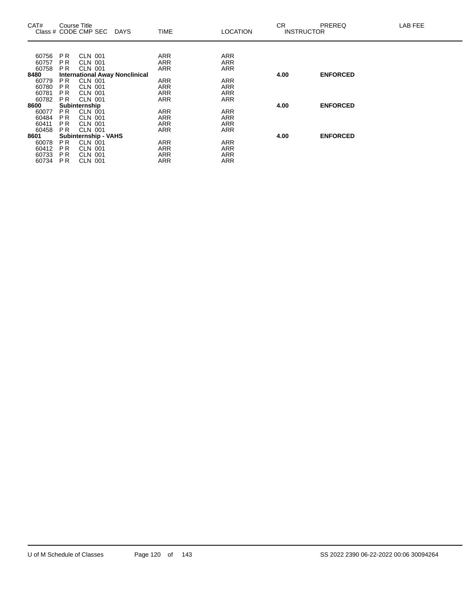| CAT#  | Course Title   | Class # CODE CMP SEC | <b>DAYS</b>                           | <b>TIME</b> | <b>LOCATION</b> | <b>CR</b><br><b>INSTRUCTOR</b> | <b>PREREQ</b>   | LAB FEE |
|-------|----------------|----------------------|---------------------------------------|-------------|-----------------|--------------------------------|-----------------|---------|
|       |                |                      |                                       |             |                 |                                |                 |         |
| 60756 | P <sub>R</sub> | <b>CLN 001</b>       |                                       | ARR         | <b>ARR</b>      |                                |                 |         |
| 60757 | P <sub>R</sub> | <b>CLN 001</b>       |                                       | <b>ARR</b>  | <b>ARR</b>      |                                |                 |         |
| 60758 | <b>PR</b>      | <b>CLN 001</b>       |                                       | ARR         | <b>ARR</b>      |                                |                 |         |
| 8480  |                |                      | <b>International Away Nonclinical</b> |             |                 | 4.00                           | <b>ENFORCED</b> |         |
| 60779 | P <sub>R</sub> | <b>CLN 001</b>       |                                       | <b>ARR</b>  | <b>ARR</b>      |                                |                 |         |
| 60780 | P <sub>R</sub> | <b>CLN 001</b>       |                                       | ARR         | <b>ARR</b>      |                                |                 |         |
| 60781 | <b>PR</b>      | <b>CLN 001</b>       |                                       | <b>ARR</b>  | <b>ARR</b>      |                                |                 |         |
| 60782 | P <sub>R</sub> | <b>CLN 001</b>       |                                       | <b>ARR</b>  | <b>ARR</b>      |                                |                 |         |
| 8600  |                | Subinternship        |                                       |             |                 | 4.00                           | <b>ENFORCED</b> |         |
| 60077 | <b>PR</b>      | <b>CLN 001</b>       |                                       | <b>ARR</b>  | <b>ARR</b>      |                                |                 |         |
| 60484 | P <sub>R</sub> | <b>CLN 001</b>       |                                       | ARR         | <b>ARR</b>      |                                |                 |         |
| 60411 | <b>PR</b>      | <b>CLN 001</b>       |                                       | <b>ARR</b>  | <b>ARR</b>      |                                |                 |         |
| 60458 | <b>PR</b>      | <b>CLN 001</b>       |                                       | <b>ARR</b>  | <b>ARR</b>      |                                |                 |         |
| 8601  |                | Subinternship - VAHS |                                       |             |                 | 4.00                           | <b>ENFORCED</b> |         |
| 60078 | PR.            | CLN 001              |                                       | <b>ARR</b>  | <b>ARR</b>      |                                |                 |         |
| 60412 | <b>PR</b>      | <b>CLN 001</b>       |                                       | ARR         | <b>ARR</b>      |                                |                 |         |
| 60733 | <b>PR</b>      | <b>CLN 001</b>       |                                       | <b>ARR</b>  | <b>ARR</b>      |                                |                 |         |
| 60734 | P <sub>R</sub> | <b>CLN 001</b>       |                                       | <b>ARR</b>  | <b>ARR</b>      |                                |                 |         |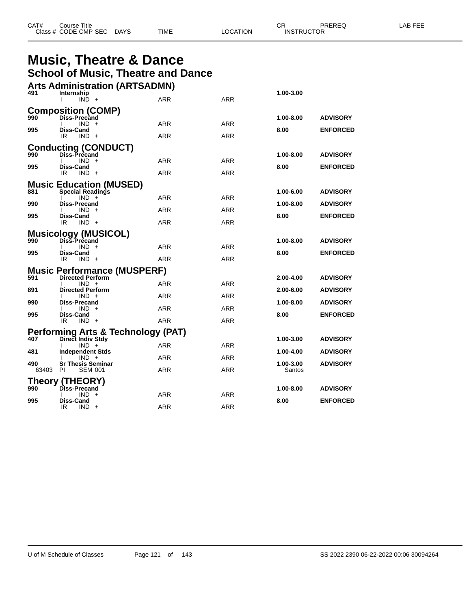| CAT# | Title<br>Course      |             |      |          | ◠г<br>◡⊓ | PREREQ            | AR FFF |
|------|----------------------|-------------|------|----------|----------|-------------------|--------|
|      | Class # CODE CMP SEC | <b>DAYS</b> | TIME | LOCATION |          | <b>INSTRUCTOR</b> |        |

## **Music, Theatre & Dance School of Music, Theatre and Dance**

|       | <b>Arts Administration (ARTSADMN)</b>                   |            |            |           |                 |
|-------|---------------------------------------------------------|------------|------------|-----------|-----------------|
| 491   | Internship<br>$IND +$                                   | <b>ARR</b> | <b>ARR</b> | 1.00-3.00 |                 |
|       | <b>Composition (COMP)</b>                               |            |            |           |                 |
| 990   | <b>Diss-Precand</b><br>$IND +$                          | <b>ARR</b> | <b>ARR</b> | 1.00-8.00 | <b>ADVISORY</b> |
| 995   | <b>Diss-Cand</b><br>IR<br>$IND +$                       | <b>ARR</b> | <b>ARR</b> | 8.00      | <b>ENFORCED</b> |
|       | <b>Conducting (CONDUCT)</b>                             |            |            |           |                 |
| 990   | Diss-Precand<br>IND.<br>$+$                             | ARR        | <b>ARR</b> | 1.00-8.00 | <b>ADVISORY</b> |
| 995   | <b>Diss-Cand</b><br>IR<br>$IND +$                       | ARR        | ARR        | 8.00      | <b>ENFORCED</b> |
|       | <b>Music Education (MUSED)</b>                          |            |            |           |                 |
| 881   | <b>Special Readings</b><br>$IND +$                      | <b>ARR</b> | <b>ARR</b> | 1.00-6.00 | <b>ADVISORY</b> |
| 990   | <b>Diss-Precand</b>                                     |            |            | 1.00-8.00 | <b>ADVISORY</b> |
| 995   | $IND +$<br><b>Diss-Cand</b>                             | <b>ARR</b> | <b>ARR</b> | 8.00      | <b>ENFORCED</b> |
|       | IR<br>$IND +$                                           | ARR        | ARR        |           |                 |
| 990   | <b>Musicology (MUSICOL)</b><br>Diss-Precand             |            |            | 1.00-8.00 | <b>ADVISORY</b> |
| 995   | IND.<br>Diss-Cand                                       | ARR        | <b>ARR</b> | 8.00      | <b>ENFORCED</b> |
|       | IR<br>$IND +$                                           | ARR        | <b>ARR</b> |           |                 |
|       | <b>Music Performance (MUSPERF)</b>                      |            |            |           |                 |
| 591   | <b>Directed Perform</b><br>$IND +$                      | ARR        | ARR        | 2.00-4.00 | <b>ADVISORY</b> |
| 891   | <b>Directed Perform</b><br>$IND +$                      | <b>ARR</b> | <b>ARR</b> | 2.00-6.00 | <b>ADVISORY</b> |
| 990   | Diss-Precand<br><b>IND</b>                              | <b>ARR</b> | <b>ARR</b> | 1.00-8.00 | <b>ADVISORY</b> |
| 995   | <b>Diss-Cand</b><br>IR                                  | ARR        | <b>ARR</b> | 8.00      | <b>ENFORCED</b> |
|       | $IND +$                                                 |            |            |           |                 |
| 407   | Performing Arts & Technology (PAT)<br>Direct Indiv Stdy |            |            | 1.00-3.00 | <b>ADVISORY</b> |
| 481   | $IND +$<br><b>Independent Stds</b>                      | ARR        | <b>ARR</b> | 1.00-4.00 | <b>ADVISORY</b> |
| 490   | $IND +$<br><b>Sr Thesis Seminar</b>                     | <b>ARR</b> | <b>ARR</b> | 1.00-3.00 | <b>ADVISORY</b> |
| 63403 | <b>PI</b><br><b>SEM 001</b>                             | <b>ARR</b> | <b>ARR</b> | Santos    |                 |
|       | Theory (THEORY)                                         |            |            |           |                 |
| 990   | Diss-Precand<br>IND.<br>$+$                             | ARR        | ARR        | 1.00-8.00 | <b>ADVISORY</b> |
| 995   | <b>Diss-Cand</b><br>IR<br>IND.<br>$+$                   | ARR        | <b>ARR</b> | 8.00      | <b>ENFORCED</b> |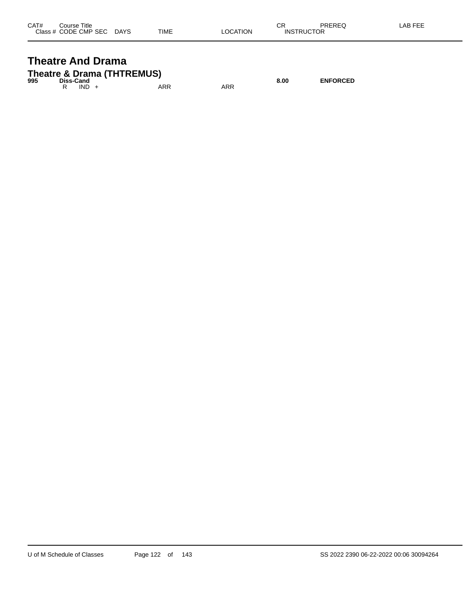| CAT# | Title<br>Course      |             |             |          | СR                | PREREQ | _AB FEE |
|------|----------------------|-------------|-------------|----------|-------------------|--------|---------|
|      | Class # CODE CMP SEC | <b>DAYS</b> | <b>TIME</b> | _OCATION | <b>INSTRUCTOR</b> |        |         |

## **Theatre And Drama Theatre & Drama (THTREMUS)**

| 995 | <b>Diss-Cand</b> |         |     |     | 8.00 | <b>ENFORCED</b> |
|-----|------------------|---------|-----|-----|------|-----------------|
|     |                  | $IND +$ | ARR | ARR |      |                 |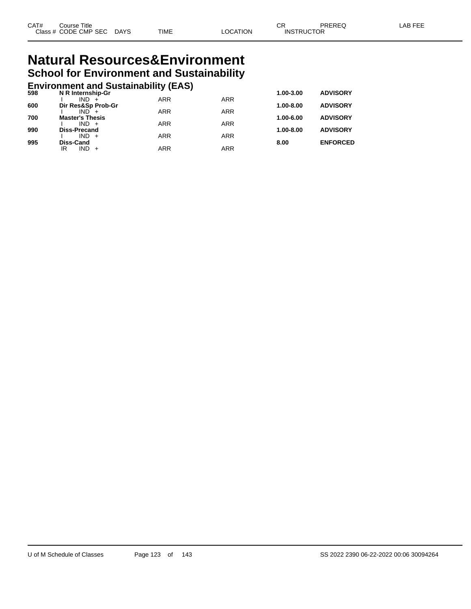# **Natural Resources&Environment School for Environment and Sustainability**

# **Environment and Sustainability (EAS) 598 N R Internship-Gr 1.00-3.00 ADVISORY**

| 598 | N R Internship-Gr             |            |            | 1.00-3.00     | <b>ADVISORY</b> |
|-----|-------------------------------|------------|------------|---------------|-----------------|
| 600 | $IND +$<br>Dir Res&Sp Prob-Gr | <b>ARR</b> | <b>ARR</b> | $1.00 - 8.00$ | <b>ADVISORY</b> |
|     | $IND +$                       | <b>ARR</b> | <b>ARR</b> |               |                 |
| 700 | <b>Master's Thesis</b>        |            |            | 1.00-6.00     | <b>ADVISORY</b> |
|     | $IND +$                       | <b>ARR</b> | <b>ARR</b> |               |                 |
| 990 | <b>Diss-Precand</b>           |            |            | $1.00 - 8.00$ | <b>ADVISORY</b> |
|     | $IND +$                       | <b>ARR</b> | <b>ARR</b> |               |                 |
| 995 | <b>Diss-Cand</b>              |            |            | 8.00          | <b>ENFORCED</b> |
|     | IR<br>$IND +$                 | <b>ARR</b> | <b>ARR</b> |               |                 |
|     |                               |            |            |               |                 |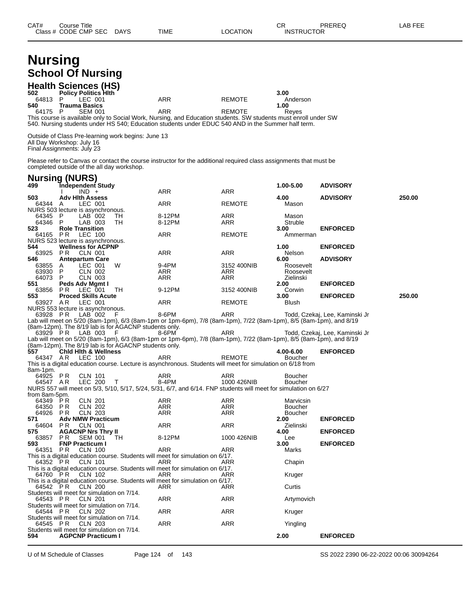# **Nursing School Of Nursing**

|         | <b>Health Sciences (HS)</b> |                                                                                                                 |        |          |
|---------|-----------------------------|-----------------------------------------------------------------------------------------------------------------|--------|----------|
| 502     | <b>Policy Politics Hith</b> |                                                                                                                 |        | 3.00     |
| 64813 P | LEC 001                     | ARR                                                                                                             | REMOTE | Anderson |
| 540     | Trauma Basics               |                                                                                                                 |        | 1.00     |
| 64175 P | SFM 001                     | ARR                                                                                                             | REMOTE | Reves    |
|         |                             | This course is available only to Social Work, Nursing, and Education students. SW students must enroll under SW |        |          |
|         |                             | 540. Nursing students under HS 540; Education students under EDUC 540 AND in the Summer half term.              |        |          |

Outside of Class Pre-learning work begins: June 13 All Day Workshop: July 16 Final Assignments: July 23

Please refer to Canvas or contact the course instructor for the additional required class assignments that must be completed outside of the all day workshop.

| <b>Nursing (NURS)</b>                                  |                |                                                   |                                                       |                                                                                                                            |               |      |                      |                                |        |
|--------------------------------------------------------|----------------|---------------------------------------------------|-------------------------------------------------------|----------------------------------------------------------------------------------------------------------------------------|---------------|------|----------------------|--------------------------------|--------|
| 499                                                    |                | Tndependent Study                                 |                                                       |                                                                                                                            |               |      | 1.00-5.00            | <b>ADVISORY</b>                |        |
| 503                                                    |                | $IND +$<br><b>Adv Hith Assess</b>                 |                                                       | <b>ARR</b>                                                                                                                 | <b>ARR</b>    | 4.00 |                      | <b>ADVISORY</b>                | 250.00 |
| 64344 A                                                |                | LEC 001                                           |                                                       | <b>ARR</b>                                                                                                                 | <b>REMOTE</b> |      | Mason                |                                |        |
| NURS 503 lecture is asynchronous.<br>64345             | P              | $LAB$ 002                                         | TН                                                    | 8-12PM                                                                                                                     | ARR           |      | Mason                |                                |        |
| 64346<br>523                                           | P              | LAB 003<br><b>Role Transition</b>                 | TH                                                    | 8-12PM                                                                                                                     | ARR           | 3.00 | Struble              |                                |        |
| 64165 PR                                               |                | LEC 100                                           |                                                       | ARR                                                                                                                        | <b>REMOTE</b> |      | Ammerman             | <b>ENFORCED</b>                |        |
| NURS 523 lecture is asynchronous.<br>544               |                | <b>Wellness for ACPNP</b>                         |                                                       |                                                                                                                            |               | 1.00 |                      | <b>ENFORCED</b>                |        |
| 63925 PR                                               |                | CLN 001                                           |                                                       | ARR                                                                                                                        | <b>ARR</b>    |      | Nelson               |                                |        |
| 546                                                    |                | <b>Antepartum Care</b>                            |                                                       |                                                                                                                            |               | 6.00 |                      | <b>ADVISORY</b>                |        |
| 63855                                                  | A              | LEC 001                                           | W                                                     | 9-4PM                                                                                                                      | 3152 400NIB   |      | Roosevelt            |                                |        |
| 63930                                                  | P              | <b>CLN 002</b>                                    |                                                       | ARR                                                                                                                        | ARR           |      | Roosevelt            |                                |        |
| 64073                                                  | P              | CLN 003                                           |                                                       | ARR                                                                                                                        | ARR           |      | Zielinski            |                                |        |
| 551<br>63856                                           | PR.            | Peds Adv Mgmt I<br>LEC 001                        | TH                                                    | 9-12PM                                                                                                                     | 3152 400NIB   | 2.00 | Corwin               | <b>ENFORCED</b>                |        |
| 553                                                    |                | <b>Proced Skills Acute</b>                        |                                                       |                                                                                                                            |               | 3.00 |                      | <b>ENFORCED</b>                | 250.00 |
| 63927 AR                                               |                | LEC 001                                           |                                                       | ARR                                                                                                                        | <b>REMOTE</b> |      | Blush                |                                |        |
| NURS 553 lecture is asynchronous.                      |                |                                                   |                                                       |                                                                                                                            |               |      |                      |                                |        |
| 63928 PR                                               |                | LAB 002                                           | F                                                     | 8-6PM<br>Lab will meet on 5/20 (8am-1pm), 6/3 (8am-1pm or 1pm-6pm), 7/8 (8am-1pm), 7/22 (8am-1pm), 8/5 (8am-1pm), and 8/19 | ARR           |      |                      | Todd, Czekaj, Lee, Kaminski Jr |        |
|                                                        |                |                                                   | (8am-12pm). The 8/19 lab is for AGACNP students only. |                                                                                                                            |               |      |                      |                                |        |
| 63929 PR                                               |                | LAB 003                                           | F                                                     | 8-6PM                                                                                                                      | ARR           |      |                      | Todd, Czekaj, Lee, Kaminski Jr |        |
|                                                        |                |                                                   |                                                       | Lab will meet on 5/20 (8am-1pm), 6/3 (8am-1pm or 1pm-6pm), 7/8 (8am-1pm), 7/22 (8am-1pm), 8/5 (8am-1pm), and 8/19          |               |      |                      |                                |        |
|                                                        |                |                                                   | (8am-12pm). The 8/19 lab is for AGACNP students only. |                                                                                                                            |               |      |                      |                                |        |
| 557<br>64347 AR                                        |                | <b>Chid Hith &amp; Wellness</b><br><b>LEC 100</b> |                                                       | <b>ARR</b>                                                                                                                 |               |      | 4.00-6.00<br>Boucher | <b>ENFORCED</b>                |        |
|                                                        |                |                                                   |                                                       | This is a digital education course. Lecture is asynchronous. Students will meet for simulation on 6/18 from                | <b>REMOTE</b> |      |                      |                                |        |
| 8am-1pm.                                               |                |                                                   |                                                       |                                                                                                                            |               |      |                      |                                |        |
| 64925 PR                                               |                | <b>CLN 101</b>                                    |                                                       | ARR                                                                                                                        | ARR           |      | Boucher              |                                |        |
| 64547 AR                                               |                | LEC 200                                           | $\mathsf{T}$                                          | 8-4PM                                                                                                                      | 1000 426NIB   |      | <b>Boucher</b>       |                                |        |
|                                                        |                |                                                   |                                                       | NURS 557 will meet on 5/3, 5/10, 5/17, 5/24, 5/31, 6/7, and 6/14. FNP students will meet for simulation on 6/27            |               |      |                      |                                |        |
| from 8am-5pm.<br>64349                                 | ΡR             | <b>CLN 201</b>                                    |                                                       | ARR                                                                                                                        | ARR           |      | Marvicsin            |                                |        |
| 64350                                                  | <b>PR</b>      | <b>CLN 202</b>                                    |                                                       | <b>ARR</b>                                                                                                                 | <b>ARR</b>    |      | <b>Boucher</b>       |                                |        |
| 64926                                                  | PR             | <b>CLN 203</b>                                    |                                                       | <b>ARR</b>                                                                                                                 | <b>ARR</b>    |      | <b>Boucher</b>       |                                |        |
| 571                                                    |                | <b>Adv NMW Practicum</b>                          |                                                       |                                                                                                                            |               | 2.00 |                      | <b>ENFORCED</b>                |        |
| 64604                                                  | P <sub>R</sub> | <b>CLN 001</b>                                    |                                                       | <b>ARR</b>                                                                                                                 | <b>ARR</b>    |      | Zielinski            |                                |        |
| 575<br>63857                                           | P <sub>R</sub> | <b>AGACNP Nrs Thry II</b><br><b>SEM 001</b>       | TH                                                    | 8-12PM                                                                                                                     | 1000 426NIB   | 4.00 | Lee                  | <b>ENFORCED</b>                |        |
| 593                                                    |                | <b>FNP Practicum I</b>                            |                                                       |                                                                                                                            |               | 3.00 |                      | <b>ENFORCED</b>                |        |
| 64351                                                  | <b>PR</b>      | <b>CLN 100</b>                                    |                                                       | ARR                                                                                                                        | ARR           |      | Marks                |                                |        |
| 64352 PR                                               |                |                                                   |                                                       | This is a digital education course. Students will meet for simulation on 6/17.                                             |               |      |                      |                                |        |
|                                                        |                | <b>CLN 101</b>                                    |                                                       | ARR<br>This is a digital education course. Students will meet for simulation on 6/17.                                      | ARR           |      | Chapin               |                                |        |
| 64760                                                  | PR             | CLN 102                                           |                                                       | ARR<br>This is a digital education course. Students will meet for simulation on 6/17.                                      | ARR           |      | Kruger               |                                |        |
| 64542 PR                                               |                | <b>CLN 200</b>                                    |                                                       | ARR                                                                                                                        | ARR           |      | Curtis               |                                |        |
| Students will meet for simulation on 7/14.<br>64543 PR |                | CLN 201                                           |                                                       | ARR                                                                                                                        | ARR           |      | Artymovich           |                                |        |
| Students will meet for simulation on 7/14.             |                |                                                   |                                                       |                                                                                                                            |               |      |                      |                                |        |
| 64544 PR<br>Students will meet for simulation on 7/14. |                | <b>CLN 202</b>                                    |                                                       | ARR                                                                                                                        | ARR           |      | Kruger               |                                |        |
| 64545 PR                                               |                | <b>CLN 203</b>                                    |                                                       | ARR                                                                                                                        | ARR           |      | Yingling             |                                |        |
| Students will meet for simulation on 7/14.<br>594      |                | <b>AGPCNP Practicum I</b>                         |                                                       |                                                                                                                            |               | 2.00 |                      | <b>ENFORCED</b>                |        |
|                                                        |                |                                                   |                                                       |                                                                                                                            |               |      |                      |                                |        |

U of M Schedule of Classes Page 124 of 143 SS 2022 2390 06-22-2022 00:06 30094264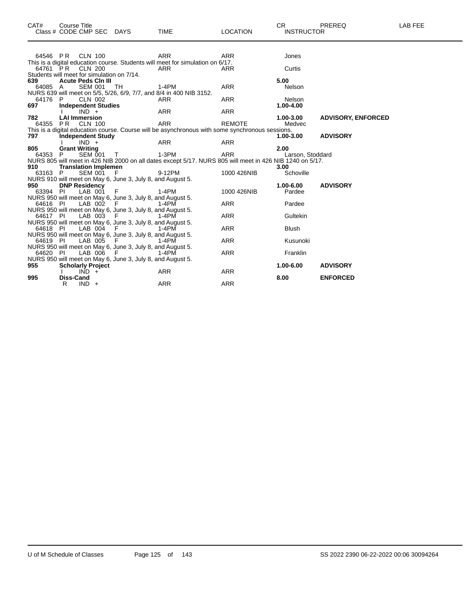| CAT#           | <b>Course Title</b>                                                   |        |                                                                                                          |                 | <b>CR</b>                | PREREQ                    | LAB FEE |
|----------------|-----------------------------------------------------------------------|--------|----------------------------------------------------------------------------------------------------------|-----------------|--------------------------|---------------------------|---------|
|                | Class # CODE CMP SEC DAYS                                             |        | <b>TIME</b>                                                                                              | <b>LOCATION</b> | <b>INSTRUCTOR</b>        |                           |         |
|                | 64546 PR CLN 100                                                      |        | <b>ARR</b>                                                                                               | <b>ARR</b>      | Jones                    |                           |         |
|                |                                                                       |        | This is a digital education course. Students will meet for simulation on 6/17.                           |                 |                          |                           |         |
|                | 64761 PR CLN 200                                                      |        | <b>ARR</b>                                                                                               | <b>ARR</b>      | Curtis                   |                           |         |
|                | Students will meet for simulation on 7/14.                            |        |                                                                                                          |                 |                          |                           |         |
| 639            | <b>Acute Peds Cin III</b>                                             |        |                                                                                                          |                 | 5.00                     |                           |         |
| 64085 A        | <b>SEM 001</b>                                                        | - TH   | $1-4PM$<br>NURS 639 will meet on 5/5, 5/26, 6/9, 7/7, and 8/4 in 400 NIB 3152.                           | <b>ARR</b>      | Nelson                   |                           |         |
| 64176 P        | CLN 002                                                               |        | ARR                                                                                                      | <b>ARR</b>      | Nelson                   |                           |         |
| 697            | <b>Independent Studies</b>                                            |        |                                                                                                          |                 | 1.00-4.00                |                           |         |
|                | $IND +$                                                               |        | <b>ARR</b>                                                                                               | <b>ARR</b>      |                          |                           |         |
| 782            | <b>LAI Immersion</b>                                                  |        |                                                                                                          |                 | 1.00-3.00                | <b>ADVISORY, ENFORCED</b> |         |
|                | 64355 PR CLN 100                                                      |        | <b>ARR</b>                                                                                               | <b>REMOTE</b>   | Medvec                   |                           |         |
|                |                                                                       |        | This is a digital education course. Course will be asynchronous with some synchronous sessions.          |                 |                          |                           |         |
| 797            | <b>Independent Study</b>                                              |        |                                                                                                          |                 | 1.00-3.00                | <b>ADVISORY</b>           |         |
|                | $IND +$                                                               |        | ARR                                                                                                      | <b>ARR</b>      |                          |                           |         |
| 805<br>64353 P | <b>Grant Writing</b><br><b>SEM 001</b>                                | $\top$ | 1-3PM                                                                                                    | <b>ARR</b>      | 2.00<br>Larson, Stoddard |                           |         |
|                |                                                                       |        | NURS 805 will meet in 426 NIB 2000 on all dates except 5/17. NURS 805 will meet in 426 NIB 1240 on 5/17. |                 |                          |                           |         |
| 910            | <b>Translation Implemen</b>                                           |        |                                                                                                          |                 | 3.00                     |                           |         |
| 63163 P        | SEM 001 F                                                             |        | 9-12PM                                                                                                   | 1000 426NIB     | Schoville                |                           |         |
|                | NURS 910 will meet on May 6, June 3, July 8, and August 5.            |        |                                                                                                          |                 |                          |                           |         |
| 950            | <b>DNP Residency</b>                                                  |        |                                                                                                          |                 | 1.00-6.00                | <b>ADVISORY</b>           |         |
| 63394 PI       | LAB 001                                                               | - F    | 1-4PM                                                                                                    | 1000 426NIB     | Pardee                   |                           |         |
|                | NURS 950 will meet on May 6, June 3, July 8, and August 5.            |        |                                                                                                          |                 |                          |                           |         |
| 64616 PI       | LAB 002                                                               |        | 1-4PM                                                                                                    | <b>ARR</b>      | Pardee                   |                           |         |
| 64617 PI       | NURS 950 will meet on May 6, June 3, July 8, and August 5.<br>LAB 003 | - F    | 1-4PM                                                                                                    | <b>ARR</b>      | Gultekin                 |                           |         |
|                | NURS 950 will meet on May 6, June 3, July 8, and August 5.            |        |                                                                                                          |                 |                          |                           |         |
| 64618 PI       | LAB 004 F                                                             |        | 1-4PM                                                                                                    | <b>ARR</b>      | <b>Blush</b>             |                           |         |
|                | NURS 950 will meet on May 6, June 3, July 8, and August 5.            |        |                                                                                                          |                 |                          |                           |         |
| 64619 PI       | LAB 005 F                                                             |        | 1-4PM                                                                                                    | <b>ARR</b>      | Kusunoki                 |                           |         |
|                | NURS 950 will meet on May 6, June 3, July 8, and August 5.            |        |                                                                                                          |                 |                          |                           |         |
| 64620 PI       | LAB 006                                                               | - F    | 1-4PM                                                                                                    | <b>ARR</b>      | Franklin                 |                           |         |
|                | NURS 950 will meet on May 6, June 3, July 8, and August 5.            |        |                                                                                                          |                 |                          |                           |         |
| 955            | <b>Scholarly Project</b><br>$IND +$                                   |        | ARR                                                                                                      | <b>ARR</b>      | 1.00-6.00                | <b>ADVISORY</b>           |         |
| 995            | <b>Diss-Cand</b>                                                      |        |                                                                                                          |                 | 8.00                     | <b>ENFORCED</b>           |         |
|                | R<br>$IND +$                                                          |        | <b>ARR</b>                                                                                               | <b>ARR</b>      |                          |                           |         |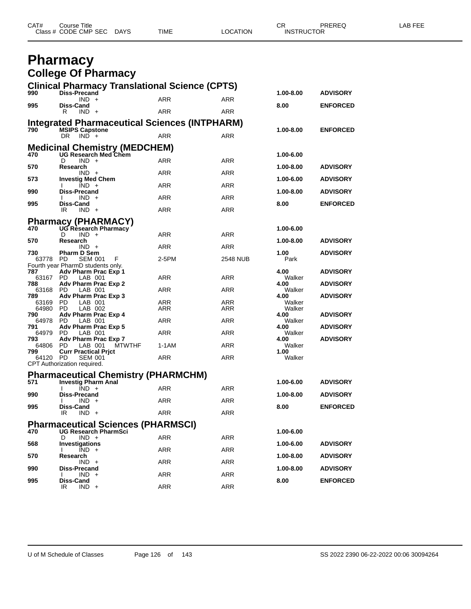| CAT#<br>Course Title |                     |          | $\cap$<br><b>UN</b> | _AB FEE<br>PREREQ |
|----------------------|---------------------|----------|---------------------|-------------------|
| Class # CODE CMP SEC | <b>DAYS</b><br>TIME | LOCATION | <b>INSTRUCTOR</b>   |                   |

## **Pharmacy College Of Pharmacy**

| 990             | <b>Clinical Pharmacy Translational Science (CPTS)</b><br><b>Diss-Precand</b> |            |                 | 1.00-8.00      | <b>ADVISORY</b> |
|-----------------|------------------------------------------------------------------------------|------------|-----------------|----------------|-----------------|
|                 | $IND +$                                                                      | ARR        | ARR             |                |                 |
| 995             | Diss-Cand<br>R<br>$IND +$                                                    | ARR        | ARR             | 8.00           | <b>ENFORCED</b> |
|                 | <b>Integrated Pharmaceutical Sciences (INTPHARM)</b>                         |            |                 |                |                 |
| 790             | <b>MSIPS Capstone</b>                                                        |            |                 | 1.00-8.00      | <b>ENFORCED</b> |
|                 | DR.<br>$IND +$                                                               | ARR        | <b>ARR</b>      |                |                 |
|                 | Medicinal Chemistry (MEDCHEM)<br>470 UG Research Med Chem                    |            |                 |                |                 |
|                 | D<br>$IND +$                                                                 | ARR        | <b>ARR</b>      | 1.00-6.00      |                 |
| 570             | Research                                                                     |            |                 | 1.00-8.00      | <b>ADVISORY</b> |
| 573             | $IND +$<br><b>Investig Med Chem</b>                                          | <b>ARR</b> | ARR             | 1.00-6.00      | <b>ADVISORY</b> |
| 990             | $IND +$<br><b>Diss-Precand</b>                                               | ARR        | ARR             | 1.00-8.00      | <b>ADVISORY</b> |
|                 | $IND +$                                                                      | <b>ARR</b> | <b>ARR</b>      |                |                 |
| 995             | Diss-Cand<br>IR.<br>$IND +$                                                  | ARR        | <b>ARR</b>      | 8.00           | <b>ENFORCED</b> |
|                 |                                                                              |            |                 |                |                 |
|                 | <b>Pharmacy (PHARMACY)</b><br>470 UG Research Pharmacy                       |            |                 | 1.00-6.00      |                 |
|                 | D<br>$IND +$                                                                 | ARR        | <b>ARR</b>      |                |                 |
| 570             | Research<br>$IND +$                                                          | <b>ARR</b> | <b>ARR</b>      | 1.00-8.00      | <b>ADVISORY</b> |
| 730             | <b>Pharm D Sem</b>                                                           |            |                 | 1.00           | <b>ADVISORY</b> |
| 63778 PD        | <b>SEM 001</b><br>F<br>Fourth year PharmD students only.                     | 2-5PM      | <b>2548 NUB</b> | Park           |                 |
| 787             | Adv Pharm Prac Exp 1                                                         |            |                 | 4.00           | <b>ADVISORY</b> |
| 63167<br>788    | PD.<br>LAB 001<br>Adv Pharm Prac Exp 2                                       | ARR        | ARR             | Walker<br>4.00 | <b>ADVISORY</b> |
| 63168 PD<br>789 | LAB 001<br>Adv Pharm Prac Exp 3                                              | ARR        | ARR             | Walker<br>4.00 | <b>ADVISORY</b> |
| 63169 PD        | LAB 001                                                                      | ARR        | ARR             | Walker         |                 |
| 64980 PD<br>790 | LAB 002<br>Adv Pharm Prac Exp 4                                              | ARR        | ARR             | Walker<br>4.00 | <b>ADVISORY</b> |
| 64978 PD        | LAB 001                                                                      | ARR        | ARR             | Walker         |                 |
| 791<br>64979    | Adv Pharm Prac Exp 5<br>PD.<br>LAB 001                                       | ARR        | ARR             | 4.00<br>Walker | <b>ADVISORY</b> |
| 793             | Adv Pharm Prac Exp 7                                                         |            |                 | 4.00           | <b>ADVISORY</b> |
| 64806 PD<br>799 | <b>MTWTHF</b><br>LAB 001<br><b>Curr Practical Prict</b>                      | $1-1AM$    | ARR             | Walker<br>1.00 |                 |
| 64120 PD        | <b>SEM 001</b>                                                               | ARR        | ARR             | Walker         |                 |
|                 | CPT Authorization required.                                                  |            |                 |                |                 |
|                 | <b>Pharmaceutical Chemistry (PHARMCHM)</b>                                   |            |                 |                |                 |
| 571             | <b>Investig Pharm Anal</b><br>$IND +$<br>I.                                  | ARR        | ARR             | 1.00-6.00      | <b>ADVISORY</b> |
| 990             | <b>Diss-Precand</b><br>$IND +$                                               | ARR        | ARR             | 1.00-8.00      | <b>ADVISORY</b> |
| 995             | I.<br>Diss-Cand                                                              |            |                 | 8.00           | <b>ENFORCED</b> |
|                 | IR.<br>$IND +$                                                               | <b>ARR</b> | ARR             |                |                 |
|                 | <b>Pharmaceutical Sciences (PHARMSCI)</b>                                    |            |                 |                |                 |
| 470             | UG Research PharmSci<br>$IND +$<br>D                                         | ARR        | ARR             | 1.00-6.00      |                 |
| 568             | <b>Investigations</b>                                                        |            |                 | 1.00-6.00      | <b>ADVISORY</b> |
| 570             | $IND +$<br>Research                                                          | ARR        | ARR             | 1.00-8.00      | <b>ADVISORY</b> |
|                 | $IND +$                                                                      | ARR        | ARR             |                |                 |
| 990             | Diss-Precand<br>$IND +$                                                      | <b>ARR</b> | <b>ARR</b>      | 1.00-8.00      | <b>ADVISORY</b> |
| 995             | Diss-Cand                                                                    |            |                 | 8.00           | <b>ENFORCED</b> |
|                 | $IND +$<br>IR                                                                | <b>ARR</b> | ARR             |                |                 |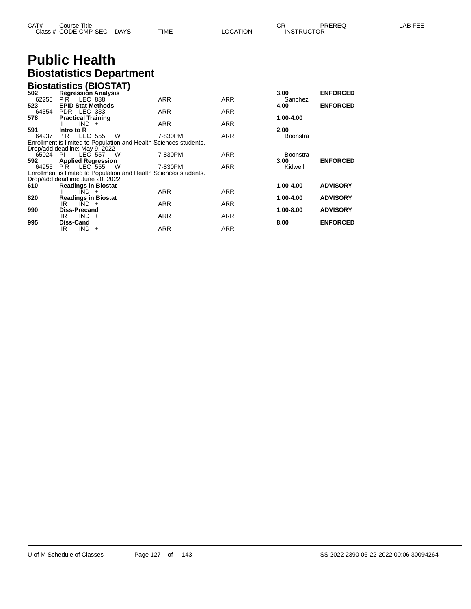| CAT# | Course Title              |             |          | ∼⊏                | PREREQ | LAB FEE |
|------|---------------------------|-------------|----------|-------------------|--------|---------|
|      | Class # CODE CMP SEC DAYS | <b>TIME</b> | ∟OCATION | <b>INSTRUCTOR</b> |        |         |

# **Public Health Biostatistics Department**

|       |                                      | <b>Biostatistics (BIOSTAT)</b>                                    |            |            |                   |                 |
|-------|--------------------------------------|-------------------------------------------------------------------|------------|------------|-------------------|-----------------|
| 502   | <b>Regression Analysis</b>           |                                                                   |            |            | 3.00 <sub>1</sub> | <b>ENFORCED</b> |
| 62255 | <b>PR LEC 888</b>                    |                                                                   | <b>ARR</b> | <b>ARR</b> | Sanchez           |                 |
| 523   | <b>EPID Stat Methods</b>             |                                                                   |            |            | 4.00              | <b>ENFORCED</b> |
| 64354 | PDR LEC 333                          |                                                                   | <b>ARR</b> | <b>ARR</b> |                   |                 |
| 578   | <b>Practical Training</b>            |                                                                   | <b>ARR</b> | <b>ARR</b> | 1.00-4.00         |                 |
| 591   | $IND +$<br>Intro to R                |                                                                   |            |            | 2.00              |                 |
|       | 64937 PR LEC 555 W                   |                                                                   | 7-830PM    | ARR        | <b>Boonstra</b>   |                 |
|       |                                      | Enrollment is limited to Population and Health Sciences students. |            |            |                   |                 |
|       | Drop/add deadline: May 9, 2022       |                                                                   |            |            |                   |                 |
|       | 65024 PI LEC 557 W                   |                                                                   | 7-830PM    | <b>ARR</b> | <b>Boonstra</b>   |                 |
| 592   | <b>Applied Regression</b>            |                                                                   |            |            | 3.00 <sub>1</sub> | <b>ENFORCED</b> |
|       | 64955 PR LEC 555 W                   |                                                                   | 7-830PM    | <b>ARR</b> | Kidwell           |                 |
|       |                                      | Enrollment is limited to Population and Health Sciences students. |            |            |                   |                 |
|       | Drop/add deadline: June 20, 2022     |                                                                   |            |            |                   |                 |
| 610   | <b>Readings in Biostat</b>           |                                                                   |            |            | 1.00-4.00         | <b>ADVISORY</b> |
|       | $IND +$                              |                                                                   | ARR        | <b>ARR</b> |                   |                 |
| 820   | <b>Readings in Biostat</b>           |                                                                   |            |            | 1.00-4.00         | <b>ADVISORY</b> |
| 990   | $IND +$<br>IR<br><b>Diss-Precand</b> |                                                                   | <b>ARR</b> | <b>ARR</b> | 1.00-8.00         | <b>ADVISORY</b> |
|       | $IND +$<br>IR                        |                                                                   | ARR        | <b>ARR</b> |                   |                 |
| 995   | Diss-Cand                            |                                                                   |            |            | 8.00              | <b>ENFORCED</b> |
|       | IR<br>$IND +$                        |                                                                   | ARR        | <b>ARR</b> |                   |                 |
|       |                                      |                                                                   |            |            |                   |                 |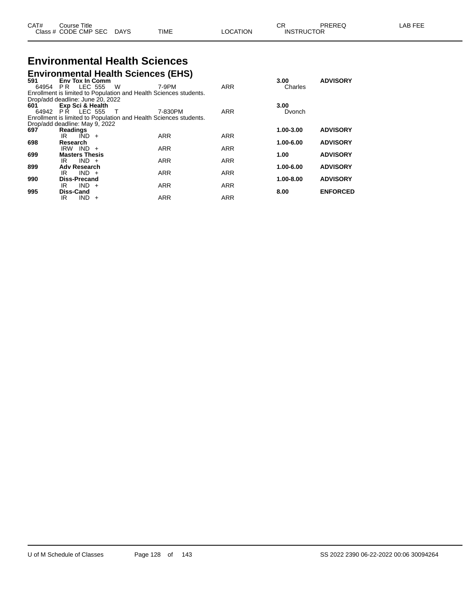| CAT# | Title<br>Course<br>Class # CODE CMP SEC | DAYS | TIME | LOCATION | ΩD.<br>◡<br><b>INSTRUCTOR</b> | PREREQ | . EEF<br>AR |
|------|-----------------------------------------|------|------|----------|-------------------------------|--------|-------------|
|      |                                         |      |      |          |                               |        |             |

## **Environmental Health Sciences Environmental Health Sciences (EHS)**

|                                  |                        |            |                    | Elivil Ohinchtal Hoaith Ocionoco (EHO) |                                                                   |            |           |                 |
|----------------------------------|------------------------|------------|--------------------|----------------------------------------|-------------------------------------------------------------------|------------|-----------|-----------------|
| 591                              | <b>Env Tox In Comm</b> |            |                    |                                        |                                                                   |            | 3.00      | <b>ADVISORY</b> |
|                                  |                        |            | 64954 PR LEC 555 W |                                        | 7-9PM                                                             | ARR        | Charles   |                 |
|                                  |                        |            |                    |                                        | Enrollment is limited to Population and Health Sciences students. |            |           |                 |
| Drop/add deadline: June 20, 2022 |                        |            |                    |                                        |                                                                   |            |           |                 |
| 601                              | Exp Sci & Health       |            |                    |                                        |                                                                   |            | 3.00      |                 |
|                                  | 64942 PR LEC 555       |            | $\top$             |                                        | 7-830PM                                                           | <b>ARR</b> | Dvonch    |                 |
|                                  |                        |            |                    |                                        | Enrollment is limited to Population and Health Sciences students. |            |           |                 |
| Drop/add deadline: May 9, 2022   |                        |            |                    |                                        |                                                                   |            |           |                 |
| 697                              | Readings               |            |                    |                                        |                                                                   |            | 1.00-3.00 | <b>ADVISORY</b> |
|                                  | IR                     | $IND +$    |                    |                                        | <b>ARR</b>                                                        | <b>ARR</b> |           |                 |
| 698                              | Research               |            |                    |                                        |                                                                   |            | 1.00-6.00 | <b>ADVISORY</b> |
|                                  | $IRW$ IND $+$          |            |                    |                                        | <b>ARR</b>                                                        | <b>ARR</b> |           |                 |
| 699                              | <b>Masters Thesis</b>  |            |                    |                                        |                                                                   |            | 1.00      | <b>ADVISORY</b> |
|                                  | IR                     | $IND +$    |                    |                                        | <b>ARR</b>                                                        | <b>ARR</b> |           |                 |
| 899                              | <b>Adv Research</b>    |            |                    |                                        |                                                                   |            | 1.00-6.00 | <b>ADVISORY</b> |
|                                  | IR.                    | $IND +$    |                    |                                        | <b>ARR</b>                                                        | <b>ARR</b> |           |                 |
| 990                              | <b>Diss-Precand</b>    |            |                    |                                        |                                                                   |            | 1.00-8.00 | <b>ADVISORY</b> |
|                                  | IR                     | $IND +$    |                    |                                        | <b>ARR</b>                                                        | <b>ARR</b> |           |                 |
| 995                              | <b>Diss-Cand</b>       |            |                    |                                        |                                                                   |            | 8.00      | <b>ENFORCED</b> |
|                                  | IR                     | <b>IND</b> | $+$                |                                        | <b>ARR</b>                                                        | <b>ARR</b> |           |                 |
|                                  |                        |            |                    |                                        |                                                                   |            |           |                 |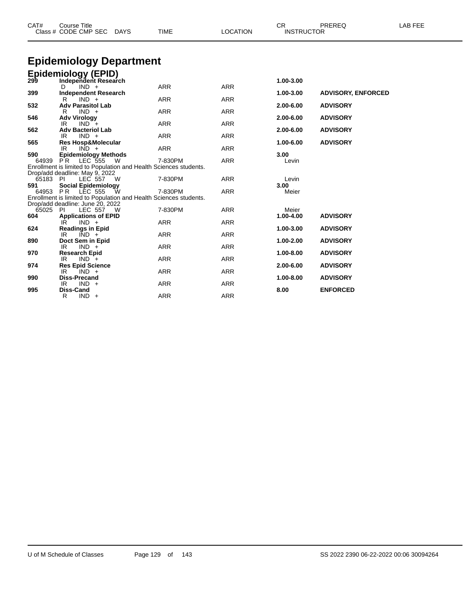| <b>Epidemiology Department</b><br><b>Epidemiology (EPID)</b><br>299<br>1.00-3.00<br>Independent Research<br><b>ARR</b><br><b>ARR</b><br>$IND +$<br>D<br>399<br><b>Independent Research</b><br><b>ADVISORY, ENFORCED</b><br>1.00-3.00<br><b>ARR</b><br><b>ARR</b><br>$IND +$<br>R<br>532<br><b>Adv Parasitol Lab</b><br>2.00-6.00<br><b>ADVISORY</b><br>$IND +$<br><b>ARR</b><br><b>ARR</b><br>R<br>546<br><b>Adv Virology</b><br>2.00-6.00<br><b>ADVISORY</b><br><b>ARR</b><br><b>ARR</b><br>$IND^-+$<br>IR<br>562<br><b>Adv Bacteriol Lab</b><br>2.00-6.00<br><b>ADVISORY</b><br><b>ARR</b><br><b>ARR</b><br>$IND +$<br>IR.<br>565<br>1.00-6.00<br><b>ADVISORY</b><br><b>Res Hosp&amp;Molecular</b><br><b>ARR</b><br><b>ARR</b><br>IR<br>$IND +$<br>590<br><b>Epidemiology Methods</b><br>3.00<br><b>ARR</b><br>7-830PM<br>64939<br>PR.<br>LEC 555<br>Levin<br>W<br>Enrollment is limited to Population and Health Sciences students.<br>Drop/add deadline: May 9, 2022<br><b>ARR</b><br>65183 PI<br><b>LEC 557</b><br>7-830PM<br>Levin<br>- W<br><b>Social Epidemiology</b><br>591<br>3.00<br>64953 PR LEC 555<br><b>ARR</b><br>7-830PM<br>Meier<br>W<br>Enrollment is limited to Population and Health Sciences students.<br>Drop/add deadline: June 20, 2022<br>65025<br>7-830PM<br><b>ARR</b><br>- PI<br>LEC 557<br>Meier<br>- W<br><b>ADVISORY</b><br>604<br>1.00-4.00<br><b>Applications of EPID</b><br><b>ARR</b><br><b>ARR</b><br>IR<br>$IND +$<br>624<br><b>Readings in Epid</b><br>1.00-3.00<br><b>ADVISORY</b><br><b>ARR</b><br>ARR<br>IR<br>$IND +$<br>Doct Sem in Epid<br>890<br>1.00-2.00<br><b>ADVISORY</b><br><b>ARR</b><br><b>ARR</b><br>IR<br>$IND +$<br>970<br>1.00-8.00<br><b>ADVISORY</b><br><b>Research Epid</b><br><b>ARR</b><br>IR<br>$IND +$<br><b>ARR</b><br>974<br><b>Res Epid Science</b><br>2.00-6.00<br><b>ADVISORY</b><br><b>ARR</b><br><b>ARR</b><br>IR<br>$IND +$<br><b>Diss-Precand</b><br>1.00-8.00<br>990<br><b>ADVISORY</b><br><b>ARR</b><br><b>ARR</b><br>IR<br>$IND +$ | CAT# | <b>Course Title</b><br>Class # CODE CMP SEC<br><b>DAYS</b> | <b>TIME</b> | <b>LOCATION</b> | CR.<br><b>INSTRUCTOR</b> | PREREQ | LAB FEE |
|----------------------------------------------------------------------------------------------------------------------------------------------------------------------------------------------------------------------------------------------------------------------------------------------------------------------------------------------------------------------------------------------------------------------------------------------------------------------------------------------------------------------------------------------------------------------------------------------------------------------------------------------------------------------------------------------------------------------------------------------------------------------------------------------------------------------------------------------------------------------------------------------------------------------------------------------------------------------------------------------------------------------------------------------------------------------------------------------------------------------------------------------------------------------------------------------------------------------------------------------------------------------------------------------------------------------------------------------------------------------------------------------------------------------------------------------------------------------------------------------------------------------------------------------------------------------------------------------------------------------------------------------------------------------------------------------------------------------------------------------------------------------------------------------------------------------------------------------------------------------------------------------------------------------------------------------------------------------------------------------------------------|------|------------------------------------------------------------|-------------|-----------------|--------------------------|--------|---------|
|                                                                                                                                                                                                                                                                                                                                                                                                                                                                                                                                                                                                                                                                                                                                                                                                                                                                                                                                                                                                                                                                                                                                                                                                                                                                                                                                                                                                                                                                                                                                                                                                                                                                                                                                                                                                                                                                                                                                                                                                                |      |                                                            |             |                 |                          |        |         |
|                                                                                                                                                                                                                                                                                                                                                                                                                                                                                                                                                                                                                                                                                                                                                                                                                                                                                                                                                                                                                                                                                                                                                                                                                                                                                                                                                                                                                                                                                                                                                                                                                                                                                                                                                                                                                                                                                                                                                                                                                |      |                                                            |             |                 |                          |        |         |
|                                                                                                                                                                                                                                                                                                                                                                                                                                                                                                                                                                                                                                                                                                                                                                                                                                                                                                                                                                                                                                                                                                                                                                                                                                                                                                                                                                                                                                                                                                                                                                                                                                                                                                                                                                                                                                                                                                                                                                                                                |      |                                                            |             |                 |                          |        |         |
|                                                                                                                                                                                                                                                                                                                                                                                                                                                                                                                                                                                                                                                                                                                                                                                                                                                                                                                                                                                                                                                                                                                                                                                                                                                                                                                                                                                                                                                                                                                                                                                                                                                                                                                                                                                                                                                                                                                                                                                                                |      |                                                            |             |                 |                          |        |         |
|                                                                                                                                                                                                                                                                                                                                                                                                                                                                                                                                                                                                                                                                                                                                                                                                                                                                                                                                                                                                                                                                                                                                                                                                                                                                                                                                                                                                                                                                                                                                                                                                                                                                                                                                                                                                                                                                                                                                                                                                                |      |                                                            |             |                 |                          |        |         |
|                                                                                                                                                                                                                                                                                                                                                                                                                                                                                                                                                                                                                                                                                                                                                                                                                                                                                                                                                                                                                                                                                                                                                                                                                                                                                                                                                                                                                                                                                                                                                                                                                                                                                                                                                                                                                                                                                                                                                                                                                |      |                                                            |             |                 |                          |        |         |
|                                                                                                                                                                                                                                                                                                                                                                                                                                                                                                                                                                                                                                                                                                                                                                                                                                                                                                                                                                                                                                                                                                                                                                                                                                                                                                                                                                                                                                                                                                                                                                                                                                                                                                                                                                                                                                                                                                                                                                                                                |      |                                                            |             |                 |                          |        |         |
|                                                                                                                                                                                                                                                                                                                                                                                                                                                                                                                                                                                                                                                                                                                                                                                                                                                                                                                                                                                                                                                                                                                                                                                                                                                                                                                                                                                                                                                                                                                                                                                                                                                                                                                                                                                                                                                                                                                                                                                                                |      |                                                            |             |                 |                          |        |         |
|                                                                                                                                                                                                                                                                                                                                                                                                                                                                                                                                                                                                                                                                                                                                                                                                                                                                                                                                                                                                                                                                                                                                                                                                                                                                                                                                                                                                                                                                                                                                                                                                                                                                                                                                                                                                                                                                                                                                                                                                                |      |                                                            |             |                 |                          |        |         |
|                                                                                                                                                                                                                                                                                                                                                                                                                                                                                                                                                                                                                                                                                                                                                                                                                                                                                                                                                                                                                                                                                                                                                                                                                                                                                                                                                                                                                                                                                                                                                                                                                                                                                                                                                                                                                                                                                                                                                                                                                |      |                                                            |             |                 |                          |        |         |
|                                                                                                                                                                                                                                                                                                                                                                                                                                                                                                                                                                                                                                                                                                                                                                                                                                                                                                                                                                                                                                                                                                                                                                                                                                                                                                                                                                                                                                                                                                                                                                                                                                                                                                                                                                                                                                                                                                                                                                                                                |      |                                                            |             |                 |                          |        |         |
|                                                                                                                                                                                                                                                                                                                                                                                                                                                                                                                                                                                                                                                                                                                                                                                                                                                                                                                                                                                                                                                                                                                                                                                                                                                                                                                                                                                                                                                                                                                                                                                                                                                                                                                                                                                                                                                                                                                                                                                                                |      |                                                            |             |                 |                          |        |         |
|                                                                                                                                                                                                                                                                                                                                                                                                                                                                                                                                                                                                                                                                                                                                                                                                                                                                                                                                                                                                                                                                                                                                                                                                                                                                                                                                                                                                                                                                                                                                                                                                                                                                                                                                                                                                                                                                                                                                                                                                                |      |                                                            |             |                 |                          |        |         |
|                                                                                                                                                                                                                                                                                                                                                                                                                                                                                                                                                                                                                                                                                                                                                                                                                                                                                                                                                                                                                                                                                                                                                                                                                                                                                                                                                                                                                                                                                                                                                                                                                                                                                                                                                                                                                                                                                                                                                                                                                |      |                                                            |             |                 |                          |        |         |
|                                                                                                                                                                                                                                                                                                                                                                                                                                                                                                                                                                                                                                                                                                                                                                                                                                                                                                                                                                                                                                                                                                                                                                                                                                                                                                                                                                                                                                                                                                                                                                                                                                                                                                                                                                                                                                                                                                                                                                                                                |      |                                                            |             |                 |                          |        |         |
|                                                                                                                                                                                                                                                                                                                                                                                                                                                                                                                                                                                                                                                                                                                                                                                                                                                                                                                                                                                                                                                                                                                                                                                                                                                                                                                                                                                                                                                                                                                                                                                                                                                                                                                                                                                                                                                                                                                                                                                                                |      |                                                            |             |                 |                          |        |         |
|                                                                                                                                                                                                                                                                                                                                                                                                                                                                                                                                                                                                                                                                                                                                                                                                                                                                                                                                                                                                                                                                                                                                                                                                                                                                                                                                                                                                                                                                                                                                                                                                                                                                                                                                                                                                                                                                                                                                                                                                                |      |                                                            |             |                 |                          |        |         |
|                                                                                                                                                                                                                                                                                                                                                                                                                                                                                                                                                                                                                                                                                                                                                                                                                                                                                                                                                                                                                                                                                                                                                                                                                                                                                                                                                                                                                                                                                                                                                                                                                                                                                                                                                                                                                                                                                                                                                                                                                |      |                                                            |             |                 |                          |        |         |
|                                                                                                                                                                                                                                                                                                                                                                                                                                                                                                                                                                                                                                                                                                                                                                                                                                                                                                                                                                                                                                                                                                                                                                                                                                                                                                                                                                                                                                                                                                                                                                                                                                                                                                                                                                                                                                                                                                                                                                                                                |      |                                                            |             |                 |                          |        |         |
|                                                                                                                                                                                                                                                                                                                                                                                                                                                                                                                                                                                                                                                                                                                                                                                                                                                                                                                                                                                                                                                                                                                                                                                                                                                                                                                                                                                                                                                                                                                                                                                                                                                                                                                                                                                                                                                                                                                                                                                                                |      |                                                            |             |                 |                          |        |         |
|                                                                                                                                                                                                                                                                                                                                                                                                                                                                                                                                                                                                                                                                                                                                                                                                                                                                                                                                                                                                                                                                                                                                                                                                                                                                                                                                                                                                                                                                                                                                                                                                                                                                                                                                                                                                                                                                                                                                                                                                                |      |                                                            |             |                 |                          |        |         |
|                                                                                                                                                                                                                                                                                                                                                                                                                                                                                                                                                                                                                                                                                                                                                                                                                                                                                                                                                                                                                                                                                                                                                                                                                                                                                                                                                                                                                                                                                                                                                                                                                                                                                                                                                                                                                                                                                                                                                                                                                |      |                                                            |             |                 |                          |        |         |
|                                                                                                                                                                                                                                                                                                                                                                                                                                                                                                                                                                                                                                                                                                                                                                                                                                                                                                                                                                                                                                                                                                                                                                                                                                                                                                                                                                                                                                                                                                                                                                                                                                                                                                                                                                                                                                                                                                                                                                                                                |      |                                                            |             |                 |                          |        |         |
|                                                                                                                                                                                                                                                                                                                                                                                                                                                                                                                                                                                                                                                                                                                                                                                                                                                                                                                                                                                                                                                                                                                                                                                                                                                                                                                                                                                                                                                                                                                                                                                                                                                                                                                                                                                                                                                                                                                                                                                                                |      |                                                            |             |                 |                          |        |         |
|                                                                                                                                                                                                                                                                                                                                                                                                                                                                                                                                                                                                                                                                                                                                                                                                                                                                                                                                                                                                                                                                                                                                                                                                                                                                                                                                                                                                                                                                                                                                                                                                                                                                                                                                                                                                                                                                                                                                                                                                                |      |                                                            |             |                 |                          |        |         |
|                                                                                                                                                                                                                                                                                                                                                                                                                                                                                                                                                                                                                                                                                                                                                                                                                                                                                                                                                                                                                                                                                                                                                                                                                                                                                                                                                                                                                                                                                                                                                                                                                                                                                                                                                                                                                                                                                                                                                                                                                |      |                                                            |             |                 |                          |        |         |
|                                                                                                                                                                                                                                                                                                                                                                                                                                                                                                                                                                                                                                                                                                                                                                                                                                                                                                                                                                                                                                                                                                                                                                                                                                                                                                                                                                                                                                                                                                                                                                                                                                                                                                                                                                                                                                                                                                                                                                                                                |      |                                                            |             |                 |                          |        |         |
|                                                                                                                                                                                                                                                                                                                                                                                                                                                                                                                                                                                                                                                                                                                                                                                                                                                                                                                                                                                                                                                                                                                                                                                                                                                                                                                                                                                                                                                                                                                                                                                                                                                                                                                                                                                                                                                                                                                                                                                                                |      |                                                            |             |                 |                          |        |         |
|                                                                                                                                                                                                                                                                                                                                                                                                                                                                                                                                                                                                                                                                                                                                                                                                                                                                                                                                                                                                                                                                                                                                                                                                                                                                                                                                                                                                                                                                                                                                                                                                                                                                                                                                                                                                                                                                                                                                                                                                                |      |                                                            |             |                 |                          |        |         |
|                                                                                                                                                                                                                                                                                                                                                                                                                                                                                                                                                                                                                                                                                                                                                                                                                                                                                                                                                                                                                                                                                                                                                                                                                                                                                                                                                                                                                                                                                                                                                                                                                                                                                                                                                                                                                                                                                                                                                                                                                |      | <b>Diss-Cand</b>                                           |             |                 |                          |        |         |
| <b>ENFORCED</b><br>995<br>8.00<br><b>ARR</b><br><b>ARR</b><br>R<br>$IND +$                                                                                                                                                                                                                                                                                                                                                                                                                                                                                                                                                                                                                                                                                                                                                                                                                                                                                                                                                                                                                                                                                                                                                                                                                                                                                                                                                                                                                                                                                                                                                                                                                                                                                                                                                                                                                                                                                                                                     |      |                                                            |             |                 |                          |        |         |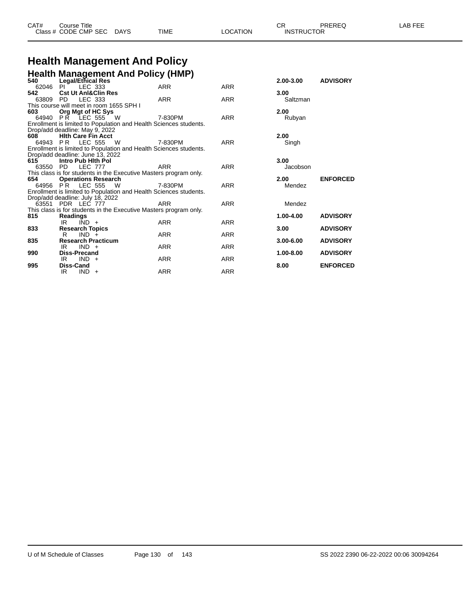| CAT# | Title<br>Course      |      |      |          | ⌒冖<br>- UN        | PREREQ | . EEF<br>A <sub>R</sub> |
|------|----------------------|------|------|----------|-------------------|--------|-------------------------|
|      | Class # CODE CMP SEC | DAYS | TIME | LOCATION | <b>INSTRUCTOR</b> |        |                         |

# **Health Management And Policy**

|          | Health Management And Policy (HMP)<br>540 Legal/Ethical Res       |            |            |               |                 |
|----------|-------------------------------------------------------------------|------------|------------|---------------|-----------------|
|          |                                                                   |            |            | $2.00 - 3.00$ | <b>ADVISORY</b> |
| 62046 PI | LEC 333                                                           | <b>ARR</b> | <b>ARR</b> |               |                 |
| 542      | <b>Cst Ut Anl&amp;Clin Res</b>                                    |            |            | 3.00          |                 |
| 63809 PD | LEC 333                                                           | <b>ARR</b> | <b>ARR</b> | Saltzman      |                 |
|          | This course will meet in room 1655 SPH I                          |            |            |               |                 |
| 603      | Org Mgt of HC Sys                                                 |            |            | 2.00          |                 |
|          | 64940 PR LEC 555 W                                                | 7-830PM    | <b>ARR</b> | Rubyan        |                 |
|          | Enrollment is limited to Population and Health Sciences students. |            |            |               |                 |
|          | Drop/add deadline: May 9, 2022                                    |            |            |               |                 |
| 608      | <b>Hith Care Fin Acct</b>                                         |            |            | 2.00          |                 |
|          | 64943 PR LEC 555<br>W                                             | 7-830PM    | <b>ARR</b> | Singh         |                 |
|          | Enrollment is limited to Population and Health Sciences students. |            |            |               |                 |
|          | Drop/add deadline: June 13, 2022                                  |            |            |               |                 |
| 615      | Intro Pub Hith Pol                                                |            |            | 3.00          |                 |
| 63550 PD | <b>LEC 777</b>                                                    | <b>ARR</b> | <b>ARR</b> | Jacobson      |                 |
|          | This class is for students in the Executive Masters program only. |            |            |               |                 |
| 654      | <b>Operations Research</b>                                        |            |            | 2.00          | <b>ENFORCED</b> |
|          | 64956 PR LEC 555<br><b>W</b>                                      | 7-830PM    | <b>ARR</b> | Mendez        |                 |
|          | Enrollment is limited to Population and Health Sciences students. |            |            |               |                 |
|          | Drop/add deadline: July 18, 2022                                  |            |            |               |                 |
|          | 63551 PDR LEC 777                                                 | ARR        | <b>ARR</b> | Mendez        |                 |
|          | This class is for students in the Executive Masters program only. |            |            |               |                 |
| 815      | <b>Readings</b>                                                   |            |            | 1.00-4.00     | <b>ADVISORY</b> |
|          | $IND +$<br>IR                                                     | <b>ARR</b> | <b>ARR</b> |               |                 |
| 833      | <b>Research Topics</b>                                            |            |            | 3.00          | <b>ADVISORY</b> |
|          | R.<br>$IND +$                                                     | <b>ARR</b> | <b>ARR</b> |               |                 |
| 835      | <b>Research Practicum</b>                                         |            |            | $3.00 - 6.00$ | <b>ADVISORY</b> |
|          | $IND +$<br>IR                                                     | <b>ARR</b> | <b>ARR</b> |               |                 |
| 990      | Diss-Precand                                                      |            |            | $1.00 - 8.00$ | <b>ADVISORY</b> |
|          | $IND +$<br>IR                                                     | <b>ARR</b> | <b>ARR</b> |               |                 |
| 995      | Diss-Cand                                                         |            |            | 8.00          | <b>ENFORCED</b> |
|          | $IND +$<br>IR.                                                    | <b>ARR</b> | <b>ARR</b> |               |                 |
|          |                                                                   |            |            |               |                 |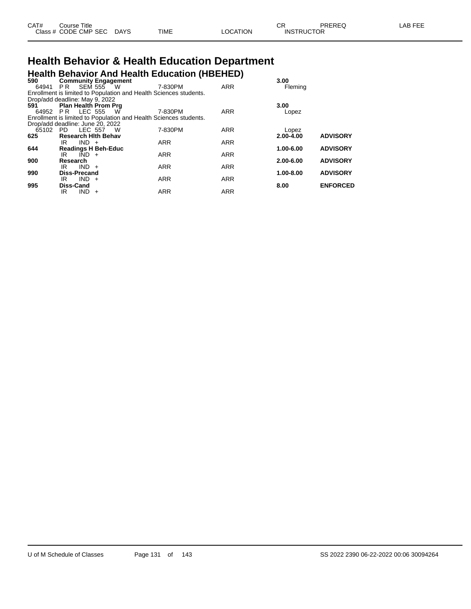| CAT# | ourse Titleٽ         |             |      |          | CD.<br>◡⊓         | PREREQ | _AB FEE |
|------|----------------------|-------------|------|----------|-------------------|--------|---------|
|      | Class # CODE CMP SEC | <b>DAYS</b> | TIME | ∟OCATION | <b>INSTRUCTOR</b> |        |         |

## **Health Behavior & Health Education Department Health Behavior And Health Education (HBEHED)**

| 590                              |                     |         | <b>Community Engagement</b>                                       |            |            | 3.00          |                 |
|----------------------------------|---------------------|---------|-------------------------------------------------------------------|------------|------------|---------------|-----------------|
| 64941                            |                     |         | <b>PR SEM 555 W</b>                                               | 7-830PM    | <b>ARR</b> | Fleming       |                 |
|                                  |                     |         | Enrollment is limited to Population and Health Sciences students. |            |            |               |                 |
| Drop/add deadline: May 9, 2022   |                     |         |                                                                   |            |            |               |                 |
| 591                              |                     |         | <b>Plan Health Prom Prg</b>                                       |            |            | 3.00          |                 |
|                                  |                     |         | 64952 PR LEC 555 W                                                | 7-830PM    | <b>ARR</b> | Lopez         |                 |
|                                  |                     |         | Enrollment is limited to Population and Health Sciences students. |            |            |               |                 |
| Drop/add deadline: June 20, 2022 |                     |         |                                                                   |            |            |               |                 |
|                                  |                     |         | 65102 PD LEC 557 W                                                | 7-830PM    | <b>ARR</b> | Lopez         |                 |
| 625                              |                     |         | <b>Research Hith Behav</b>                                        |            |            | $2.00 - 4.00$ | <b>ADVISORY</b> |
|                                  | IRI                 | $IND +$ |                                                                   | <b>ARR</b> | <b>ARR</b> |               |                 |
| 644                              |                     |         | <b>Readings H Beh-Educ</b>                                        |            |            | 1.00-6.00     | <b>ADVISORY</b> |
|                                  | IR                  | $IND +$ |                                                                   | <b>ARR</b> | <b>ARR</b> |               |                 |
| 900                              | Research            |         |                                                                   |            |            | 2.00-6.00     | <b>ADVISORY</b> |
|                                  | IR                  | $IND +$ |                                                                   | <b>ARR</b> | <b>ARR</b> |               |                 |
| 990                              | <b>Diss-Precand</b> |         |                                                                   |            |            | 1.00-8.00     | <b>ADVISORY</b> |
|                                  | IR                  | $IND +$ |                                                                   | <b>ARR</b> | <b>ARR</b> |               |                 |
| 995                              | Diss-Cand           |         |                                                                   |            |            | 8.00          | <b>ENFORCED</b> |
|                                  | IR                  | $IND +$ |                                                                   | <b>ARR</b> | <b>ARR</b> |               |                 |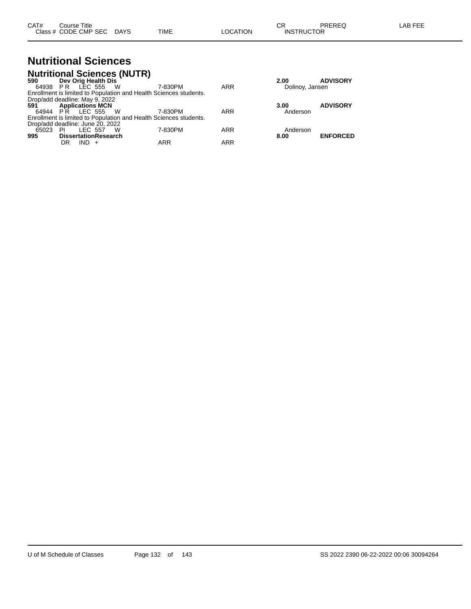|                                  |                         |                             | <b>Nutritional Sciences (NUTR)</b> |                                                                   |     |                 |                 |
|----------------------------------|-------------------------|-----------------------------|------------------------------------|-------------------------------------------------------------------|-----|-----------------|-----------------|
| 590 —                            |                         | Dev Orig Health Dis         |                                    |                                                                   |     | 2.00            | <b>ADVISORY</b> |
|                                  |                         | 64938 PR LEC 555 W          |                                    | 7-830PM                                                           | ARR | Dolinoy, Jansen |                 |
|                                  |                         |                             |                                    | Enrollment is limited to Population and Health Sciences students. |     |                 |                 |
| Drop/add deadline: May 9, 2022   |                         |                             |                                    |                                                                   |     |                 |                 |
| 591 —                            | <b>Applications MCN</b> |                             |                                    |                                                                   |     | 3.00            | <b>ADVISORY</b> |
|                                  |                         | 64944 PR LEC 555 W          |                                    | 7-830PM                                                           | ARR | Anderson        |                 |
|                                  |                         |                             |                                    | Enrollment is limited to Population and Health Sciences students. |     |                 |                 |
| Drop/add deadline: June 20, 2022 |                         |                             |                                    |                                                                   |     |                 |                 |
| 65023 PI                         |                         | LEC 557                     | - W                                | 7-830PM                                                           | ARR | Anderson        |                 |
| 995                              |                         | <b>DissertationResearch</b> |                                    |                                                                   |     | 8.00            | <b>ENFORCED</b> |
|                                  | DR                      | $IND +$                     |                                    | ARR                                                               | ARR |                 |                 |

**Nutritional Sciences**

| Dolinoy, Jansen  | .               |
|------------------|-----------------|
| 3.00<br>Anderson | <b>ADVISORY</b> |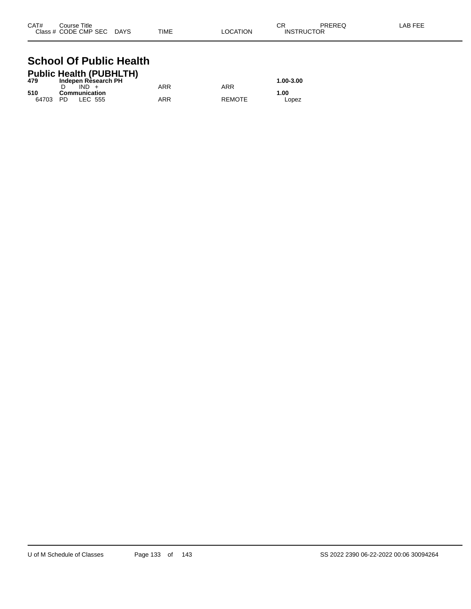| CAT# | Course Title              |      |          | СR                | PREREQ | LAB FEE |
|------|---------------------------|------|----------|-------------------|--------|---------|
|      | Class # CODE CMP SEC DAYS | TIME | LOCATION | <b>INSTRUCTOR</b> |        |         |

#### **School Of Public Health Public Health (PUBHLTH)**

|       | Public Health (PUBHLIH)        |     |               |           |
|-------|--------------------------------|-----|---------------|-----------|
| 479   | Indepen Rèsearch PH<br>$IND +$ | ARR | ARR           | 1.00-3.00 |
| 510   | Communication                  |     |               | 1.00      |
| 64703 | LEC 555<br>- PD.               | ARR | <b>REMOTE</b> | Lopez     |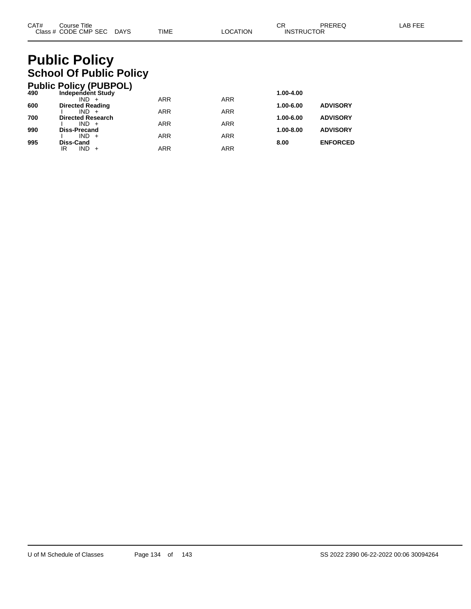# **Public Policy School Of Public Policy**

|     | <b>Public Policy (PUBPOL)</b>      |            |            |           |                 |
|-----|------------------------------------|------------|------------|-----------|-----------------|
| 490 | <b>Independent Study</b>           |            |            | 1.00-4.00 |                 |
|     | IND.                               | <b>ARR</b> | <b>ARR</b> |           |                 |
| 600 | <b>Directed Reading</b><br>$IND +$ | <b>ARR</b> | <b>ARR</b> | 1.00-6.00 | <b>ADVISORY</b> |
| 700 | <b>Directed Research</b>           |            |            | 1.00-6.00 | <b>ADVISORY</b> |
|     | $IND +$                            | <b>ARR</b> | <b>ARR</b> |           |                 |
| 990 | <b>Diss-Precand</b>                |            |            | 1.00-8.00 | <b>ADVISORY</b> |
|     | $IND +$                            | <b>ARR</b> | <b>ARR</b> |           |                 |
| 995 | Diss-Cand                          |            |            | 8.00      | <b>ENFORCED</b> |
|     | $IND +$<br>ΙR                      | <b>ARR</b> | ARR        |           |                 |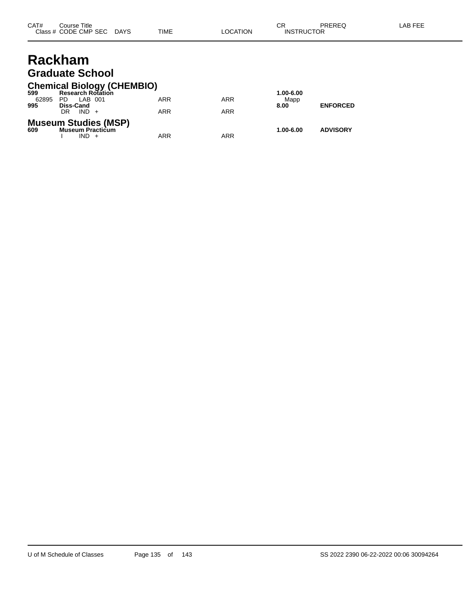## **Rackham Graduate School**

### **Chemical Biology (CHEMBIO)**

| 599   | <b>Research Rotation</b>                                      |            |            | 1.00-6.00 |                 |
|-------|---------------------------------------------------------------|------------|------------|-----------|-----------------|
| 62895 | PD<br>LAB 001                                                 | ARR        | <b>ARR</b> | Mapp      |                 |
| 995   | <b>Diss-Cand</b>                                              |            |            | 8.00      | <b>ENFORCED</b> |
|       | $IND +$<br>DR                                                 | <b>ARR</b> | ARR        |           |                 |
| 609   | <b>Museum Studies (MSP)</b><br><b>Museum Practicum</b><br>IND | ARR        | ARR        | 1.00-6.00 | <b>ADVISORY</b> |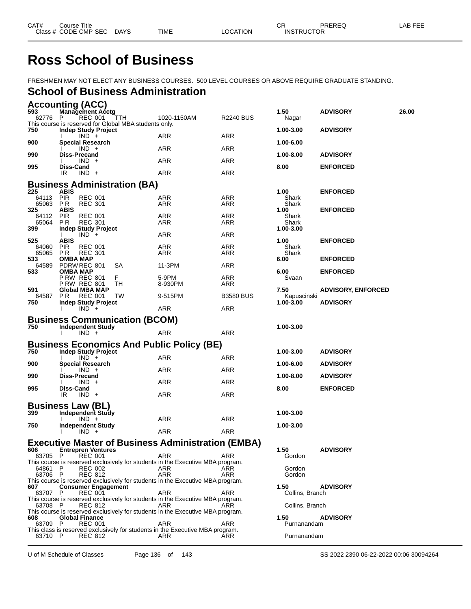# **Ross School of Business**

FRESHMEN MAY NOT ELECT ANY BUSINESS COURSES. 500 LEVEL COURSES OR ABOVE REQUIRE GRADUATE STANDING.

## **School of Business Administration**

| 62776<br>REC 001<br>1020-1150AM<br><b>R2240 BUS</b><br>P<br><b>TTH</b><br>Nagar<br>This course is reserved for Global MBA students only.<br><b>Indep Study Project</b><br>1.00-3.00<br><b>ADVISORY</b><br>ARR<br>ARR<br>$IND +$<br>900<br>Special Research<br>1.00-6.00<br>ARR<br>ARR<br>$IND +$<br>Diss-Precand<br>1.00-8.00<br><b>ADVISORY</b><br>ARR<br>$IND +$<br>ARR<br>995<br>Diss-Cand<br>8.00<br><b>ENFORCED</b><br><b>ARR</b><br>ARR<br>IR<br>$IND +$<br><b>Business Administration (BA)</b><br>225<br><b>ABIS</b><br>1.00<br><b>ENFORCED</b><br><b>PIR</b><br><b>REC 001</b><br>ARR<br>64113<br>ARR<br>Shark<br>65063<br><b>REC 301</b><br><b>ARR</b><br>ARR<br>PR.<br>Shark<br><b>ABIS</b><br>1.00<br><b>ENFORCED</b><br>325<br>ARR<br>ARR<br><b>PIR</b><br><b>REC 001</b><br>Shark<br>64112<br><b>REC 301</b><br><b>ARR</b><br>ARR<br>65064<br>P R<br>Shark<br>399<br><b>Indep Study Project</b><br>1.00-3.00<br>ARR<br>$IND +$<br>ARR<br>525<br><b>ABIS</b><br>1.00<br><b>ENFORCED</b><br>64060<br>PIR<br><b>REC 001</b><br>ARR<br>ARR<br>Shark<br>65065<br>P R<br><b>REC 301</b><br>ARR<br>ARR<br>Shark<br><b>OMBA MAP</b><br>533<br>6.00<br><b>ENFORCED</b><br>64589<br>PDRW REC 801<br>ARR<br>11-3PM<br>SА<br>OMBA MAP<br>6.00<br><b>ENFORCED</b><br><b>P RW REC 801</b><br>ARR<br>F.<br>5-9PM<br>Svaan<br>TН<br><b>P RW REC 801</b><br>8-930PM<br>ARR<br><b>Global MBA MAP</b><br>7.50<br><b>ADVISORY, ENFORCED</b><br><b>REC 001</b><br>64587 PR<br>TW<br>9-515PM<br><b>B3580 BUS</b><br>Kapuscinski<br><b>ADVISORY</b><br><b>Indep Study Project</b><br>750<br>1.00-3.00<br>ARR<br>$IND +$<br>ARR<br><b>Business Communication (BCOM)</b><br><b>Independent Study</b><br>1.00-3.00<br>$IND +$<br>ARR<br>ARR<br>$\mathbf{I}$<br><b>Business Economics And Public Policy (BE)</b><br><b>Indep Study Project</b><br>1.00-3.00<br><b>ADVISORY</b><br><b>ARR</b><br>ARR<br>$IND +$<br>Special Research<br>1.00-6.00<br><b>ADVISORY</b><br>ARR<br>ARR<br>$IND +$<br>990<br>Diss-Precand<br>1.00-8.00<br><b>ADVISORY</b><br>ARR<br>ARR<br>$IND +$<br>995<br>Diss-Cand<br>8.00<br><b>ENFORCED</b><br><b>ARR</b><br>ARR<br>IR<br>$IND +$<br><b>Business Law (BL)</b><br>Independent Study<br>1.00-3.00<br>ARR<br>$IND +$<br>ARR<br><b>Independent Study</b><br>1.00-3.00<br>ARR<br>ARR<br>$IND +$<br><b>Executive Master of Business Administration (EMBA)</b><br>1.50<br><b>Entrepren Ventures</b><br><b>ADVISORY</b><br>ARR<br>REC 001<br>ARR<br>Gordon<br>63705 P<br>This course is reserved exclusively for students in the Executive MBA program.<br>64861<br><b>REC 002</b><br>ARR<br>Gordon<br>P<br>ARR<br>63706 P<br><b>REC 812</b><br>ARR<br>ARR<br>Gordon<br>This course is reserved exclusively for students in the Executive MBA program.<br>1.50<br><b>ADVISORY</b><br><b>Consumer Engagement</b><br>ARR<br>63707 P<br>REC 001<br>ARR<br>Collins, Branch<br>This course is reserved exclusively for students in the Executive MBA program.<br>Collins, Branch<br>63708 P<br>REC 812<br>ARR<br>ARR<br>This course is reserved exclusively for students in the Executive MBA program.<br><b>Global Finance</b><br>1.50<br><b>ADVISORY</b><br>ARR<br>63709 P<br><b>REC 001</b><br>ARR<br>Purnanandam<br>This class is reserved exclusively for students in the Executive MBA program.<br>ARR<br>Purnanandam<br>63710 P<br><b>REC 812</b><br>ARR |     | <b>Accounting (ACC)</b> |  |      |                 |       |
|---------------------------------------------------------------------------------------------------------------------------------------------------------------------------------------------------------------------------------------------------------------------------------------------------------------------------------------------------------------------------------------------------------------------------------------------------------------------------------------------------------------------------------------------------------------------------------------------------------------------------------------------------------------------------------------------------------------------------------------------------------------------------------------------------------------------------------------------------------------------------------------------------------------------------------------------------------------------------------------------------------------------------------------------------------------------------------------------------------------------------------------------------------------------------------------------------------------------------------------------------------------------------------------------------------------------------------------------------------------------------------------------------------------------------------------------------------------------------------------------------------------------------------------------------------------------------------------------------------------------------------------------------------------------------------------------------------------------------------------------------------------------------------------------------------------------------------------------------------------------------------------------------------------------------------------------------------------------------------------------------------------------------------------------------------------------------------------------------------------------------------------------------------------------------------------------------------------------------------------------------------------------------------------------------------------------------------------------------------------------------------------------------------------------------------------------------------------------------------------------------------------------------------------------------------------------------------------------------------------------------------------------------------------------------------------------------------------------------------------------------------------------------------------------------------------------------------------------------------------------------------------------------------------------------------------------------------------------------------------------------------------------------------------------------------------------------------------------------------------------------------------------------------------------------------------------------------------------------------------------------------------------------------------------------------------------------------------------------------------------|-----|-------------------------|--|------|-----------------|-------|
|                                                                                                                                                                                                                                                                                                                                                                                                                                                                                                                                                                                                                                                                                                                                                                                                                                                                                                                                                                                                                                                                                                                                                                                                                                                                                                                                                                                                                                                                                                                                                                                                                                                                                                                                                                                                                                                                                                                                                                                                                                                                                                                                                                                                                                                                                                                                                                                                                                                                                                                                                                                                                                                                                                                                                                                                                                                                                                                                                                                                                                                                                                                                                                                                                                                                                                                                                                     | 593 | <b>Management Acctg</b> |  | 1.50 | <b>ADVISORY</b> | 26.00 |
|                                                                                                                                                                                                                                                                                                                                                                                                                                                                                                                                                                                                                                                                                                                                                                                                                                                                                                                                                                                                                                                                                                                                                                                                                                                                                                                                                                                                                                                                                                                                                                                                                                                                                                                                                                                                                                                                                                                                                                                                                                                                                                                                                                                                                                                                                                                                                                                                                                                                                                                                                                                                                                                                                                                                                                                                                                                                                                                                                                                                                                                                                                                                                                                                                                                                                                                                                                     |     |                         |  |      |                 |       |
|                                                                                                                                                                                                                                                                                                                                                                                                                                                                                                                                                                                                                                                                                                                                                                                                                                                                                                                                                                                                                                                                                                                                                                                                                                                                                                                                                                                                                                                                                                                                                                                                                                                                                                                                                                                                                                                                                                                                                                                                                                                                                                                                                                                                                                                                                                                                                                                                                                                                                                                                                                                                                                                                                                                                                                                                                                                                                                                                                                                                                                                                                                                                                                                                                                                                                                                                                                     | 750 |                         |  |      |                 |       |
|                                                                                                                                                                                                                                                                                                                                                                                                                                                                                                                                                                                                                                                                                                                                                                                                                                                                                                                                                                                                                                                                                                                                                                                                                                                                                                                                                                                                                                                                                                                                                                                                                                                                                                                                                                                                                                                                                                                                                                                                                                                                                                                                                                                                                                                                                                                                                                                                                                                                                                                                                                                                                                                                                                                                                                                                                                                                                                                                                                                                                                                                                                                                                                                                                                                                                                                                                                     |     |                         |  |      |                 |       |
|                                                                                                                                                                                                                                                                                                                                                                                                                                                                                                                                                                                                                                                                                                                                                                                                                                                                                                                                                                                                                                                                                                                                                                                                                                                                                                                                                                                                                                                                                                                                                                                                                                                                                                                                                                                                                                                                                                                                                                                                                                                                                                                                                                                                                                                                                                                                                                                                                                                                                                                                                                                                                                                                                                                                                                                                                                                                                                                                                                                                                                                                                                                                                                                                                                                                                                                                                                     | 990 |                         |  |      |                 |       |
|                                                                                                                                                                                                                                                                                                                                                                                                                                                                                                                                                                                                                                                                                                                                                                                                                                                                                                                                                                                                                                                                                                                                                                                                                                                                                                                                                                                                                                                                                                                                                                                                                                                                                                                                                                                                                                                                                                                                                                                                                                                                                                                                                                                                                                                                                                                                                                                                                                                                                                                                                                                                                                                                                                                                                                                                                                                                                                                                                                                                                                                                                                                                                                                                                                                                                                                                                                     |     |                         |  |      |                 |       |
|                                                                                                                                                                                                                                                                                                                                                                                                                                                                                                                                                                                                                                                                                                                                                                                                                                                                                                                                                                                                                                                                                                                                                                                                                                                                                                                                                                                                                                                                                                                                                                                                                                                                                                                                                                                                                                                                                                                                                                                                                                                                                                                                                                                                                                                                                                                                                                                                                                                                                                                                                                                                                                                                                                                                                                                                                                                                                                                                                                                                                                                                                                                                                                                                                                                                                                                                                                     |     |                         |  |      |                 |       |
|                                                                                                                                                                                                                                                                                                                                                                                                                                                                                                                                                                                                                                                                                                                                                                                                                                                                                                                                                                                                                                                                                                                                                                                                                                                                                                                                                                                                                                                                                                                                                                                                                                                                                                                                                                                                                                                                                                                                                                                                                                                                                                                                                                                                                                                                                                                                                                                                                                                                                                                                                                                                                                                                                                                                                                                                                                                                                                                                                                                                                                                                                                                                                                                                                                                                                                                                                                     |     |                         |  |      |                 |       |
|                                                                                                                                                                                                                                                                                                                                                                                                                                                                                                                                                                                                                                                                                                                                                                                                                                                                                                                                                                                                                                                                                                                                                                                                                                                                                                                                                                                                                                                                                                                                                                                                                                                                                                                                                                                                                                                                                                                                                                                                                                                                                                                                                                                                                                                                                                                                                                                                                                                                                                                                                                                                                                                                                                                                                                                                                                                                                                                                                                                                                                                                                                                                                                                                                                                                                                                                                                     |     |                         |  |      |                 |       |
|                                                                                                                                                                                                                                                                                                                                                                                                                                                                                                                                                                                                                                                                                                                                                                                                                                                                                                                                                                                                                                                                                                                                                                                                                                                                                                                                                                                                                                                                                                                                                                                                                                                                                                                                                                                                                                                                                                                                                                                                                                                                                                                                                                                                                                                                                                                                                                                                                                                                                                                                                                                                                                                                                                                                                                                                                                                                                                                                                                                                                                                                                                                                                                                                                                                                                                                                                                     |     |                         |  |      |                 |       |
|                                                                                                                                                                                                                                                                                                                                                                                                                                                                                                                                                                                                                                                                                                                                                                                                                                                                                                                                                                                                                                                                                                                                                                                                                                                                                                                                                                                                                                                                                                                                                                                                                                                                                                                                                                                                                                                                                                                                                                                                                                                                                                                                                                                                                                                                                                                                                                                                                                                                                                                                                                                                                                                                                                                                                                                                                                                                                                                                                                                                                                                                                                                                                                                                                                                                                                                                                                     |     |                         |  |      |                 |       |
|                                                                                                                                                                                                                                                                                                                                                                                                                                                                                                                                                                                                                                                                                                                                                                                                                                                                                                                                                                                                                                                                                                                                                                                                                                                                                                                                                                                                                                                                                                                                                                                                                                                                                                                                                                                                                                                                                                                                                                                                                                                                                                                                                                                                                                                                                                                                                                                                                                                                                                                                                                                                                                                                                                                                                                                                                                                                                                                                                                                                                                                                                                                                                                                                                                                                                                                                                                     |     |                         |  |      |                 |       |
|                                                                                                                                                                                                                                                                                                                                                                                                                                                                                                                                                                                                                                                                                                                                                                                                                                                                                                                                                                                                                                                                                                                                                                                                                                                                                                                                                                                                                                                                                                                                                                                                                                                                                                                                                                                                                                                                                                                                                                                                                                                                                                                                                                                                                                                                                                                                                                                                                                                                                                                                                                                                                                                                                                                                                                                                                                                                                                                                                                                                                                                                                                                                                                                                                                                                                                                                                                     |     |                         |  |      |                 |       |
|                                                                                                                                                                                                                                                                                                                                                                                                                                                                                                                                                                                                                                                                                                                                                                                                                                                                                                                                                                                                                                                                                                                                                                                                                                                                                                                                                                                                                                                                                                                                                                                                                                                                                                                                                                                                                                                                                                                                                                                                                                                                                                                                                                                                                                                                                                                                                                                                                                                                                                                                                                                                                                                                                                                                                                                                                                                                                                                                                                                                                                                                                                                                                                                                                                                                                                                                                                     |     |                         |  |      |                 |       |
|                                                                                                                                                                                                                                                                                                                                                                                                                                                                                                                                                                                                                                                                                                                                                                                                                                                                                                                                                                                                                                                                                                                                                                                                                                                                                                                                                                                                                                                                                                                                                                                                                                                                                                                                                                                                                                                                                                                                                                                                                                                                                                                                                                                                                                                                                                                                                                                                                                                                                                                                                                                                                                                                                                                                                                                                                                                                                                                                                                                                                                                                                                                                                                                                                                                                                                                                                                     |     |                         |  |      |                 |       |
|                                                                                                                                                                                                                                                                                                                                                                                                                                                                                                                                                                                                                                                                                                                                                                                                                                                                                                                                                                                                                                                                                                                                                                                                                                                                                                                                                                                                                                                                                                                                                                                                                                                                                                                                                                                                                                                                                                                                                                                                                                                                                                                                                                                                                                                                                                                                                                                                                                                                                                                                                                                                                                                                                                                                                                                                                                                                                                                                                                                                                                                                                                                                                                                                                                                                                                                                                                     |     |                         |  |      |                 |       |
|                                                                                                                                                                                                                                                                                                                                                                                                                                                                                                                                                                                                                                                                                                                                                                                                                                                                                                                                                                                                                                                                                                                                                                                                                                                                                                                                                                                                                                                                                                                                                                                                                                                                                                                                                                                                                                                                                                                                                                                                                                                                                                                                                                                                                                                                                                                                                                                                                                                                                                                                                                                                                                                                                                                                                                                                                                                                                                                                                                                                                                                                                                                                                                                                                                                                                                                                                                     | 533 |                         |  |      |                 |       |
|                                                                                                                                                                                                                                                                                                                                                                                                                                                                                                                                                                                                                                                                                                                                                                                                                                                                                                                                                                                                                                                                                                                                                                                                                                                                                                                                                                                                                                                                                                                                                                                                                                                                                                                                                                                                                                                                                                                                                                                                                                                                                                                                                                                                                                                                                                                                                                                                                                                                                                                                                                                                                                                                                                                                                                                                                                                                                                                                                                                                                                                                                                                                                                                                                                                                                                                                                                     |     |                         |  |      |                 |       |
|                                                                                                                                                                                                                                                                                                                                                                                                                                                                                                                                                                                                                                                                                                                                                                                                                                                                                                                                                                                                                                                                                                                                                                                                                                                                                                                                                                                                                                                                                                                                                                                                                                                                                                                                                                                                                                                                                                                                                                                                                                                                                                                                                                                                                                                                                                                                                                                                                                                                                                                                                                                                                                                                                                                                                                                                                                                                                                                                                                                                                                                                                                                                                                                                                                                                                                                                                                     | 591 |                         |  |      |                 |       |
|                                                                                                                                                                                                                                                                                                                                                                                                                                                                                                                                                                                                                                                                                                                                                                                                                                                                                                                                                                                                                                                                                                                                                                                                                                                                                                                                                                                                                                                                                                                                                                                                                                                                                                                                                                                                                                                                                                                                                                                                                                                                                                                                                                                                                                                                                                                                                                                                                                                                                                                                                                                                                                                                                                                                                                                                                                                                                                                                                                                                                                                                                                                                                                                                                                                                                                                                                                     |     |                         |  |      |                 |       |
|                                                                                                                                                                                                                                                                                                                                                                                                                                                                                                                                                                                                                                                                                                                                                                                                                                                                                                                                                                                                                                                                                                                                                                                                                                                                                                                                                                                                                                                                                                                                                                                                                                                                                                                                                                                                                                                                                                                                                                                                                                                                                                                                                                                                                                                                                                                                                                                                                                                                                                                                                                                                                                                                                                                                                                                                                                                                                                                                                                                                                                                                                                                                                                                                                                                                                                                                                                     |     |                         |  |      |                 |       |
|                                                                                                                                                                                                                                                                                                                                                                                                                                                                                                                                                                                                                                                                                                                                                                                                                                                                                                                                                                                                                                                                                                                                                                                                                                                                                                                                                                                                                                                                                                                                                                                                                                                                                                                                                                                                                                                                                                                                                                                                                                                                                                                                                                                                                                                                                                                                                                                                                                                                                                                                                                                                                                                                                                                                                                                                                                                                                                                                                                                                                                                                                                                                                                                                                                                                                                                                                                     |     |                         |  |      |                 |       |
|                                                                                                                                                                                                                                                                                                                                                                                                                                                                                                                                                                                                                                                                                                                                                                                                                                                                                                                                                                                                                                                                                                                                                                                                                                                                                                                                                                                                                                                                                                                                                                                                                                                                                                                                                                                                                                                                                                                                                                                                                                                                                                                                                                                                                                                                                                                                                                                                                                                                                                                                                                                                                                                                                                                                                                                                                                                                                                                                                                                                                                                                                                                                                                                                                                                                                                                                                                     | 750 |                         |  |      |                 |       |
|                                                                                                                                                                                                                                                                                                                                                                                                                                                                                                                                                                                                                                                                                                                                                                                                                                                                                                                                                                                                                                                                                                                                                                                                                                                                                                                                                                                                                                                                                                                                                                                                                                                                                                                                                                                                                                                                                                                                                                                                                                                                                                                                                                                                                                                                                                                                                                                                                                                                                                                                                                                                                                                                                                                                                                                                                                                                                                                                                                                                                                                                                                                                                                                                                                                                                                                                                                     |     |                         |  |      |                 |       |
|                                                                                                                                                                                                                                                                                                                                                                                                                                                                                                                                                                                                                                                                                                                                                                                                                                                                                                                                                                                                                                                                                                                                                                                                                                                                                                                                                                                                                                                                                                                                                                                                                                                                                                                                                                                                                                                                                                                                                                                                                                                                                                                                                                                                                                                                                                                                                                                                                                                                                                                                                                                                                                                                                                                                                                                                                                                                                                                                                                                                                                                                                                                                                                                                                                                                                                                                                                     |     |                         |  |      |                 |       |
|                                                                                                                                                                                                                                                                                                                                                                                                                                                                                                                                                                                                                                                                                                                                                                                                                                                                                                                                                                                                                                                                                                                                                                                                                                                                                                                                                                                                                                                                                                                                                                                                                                                                                                                                                                                                                                                                                                                                                                                                                                                                                                                                                                                                                                                                                                                                                                                                                                                                                                                                                                                                                                                                                                                                                                                                                                                                                                                                                                                                                                                                                                                                                                                                                                                                                                                                                                     | 750 |                         |  |      |                 |       |
|                                                                                                                                                                                                                                                                                                                                                                                                                                                                                                                                                                                                                                                                                                                                                                                                                                                                                                                                                                                                                                                                                                                                                                                                                                                                                                                                                                                                                                                                                                                                                                                                                                                                                                                                                                                                                                                                                                                                                                                                                                                                                                                                                                                                                                                                                                                                                                                                                                                                                                                                                                                                                                                                                                                                                                                                                                                                                                                                                                                                                                                                                                                                                                                                                                                                                                                                                                     | 900 |                         |  |      |                 |       |
|                                                                                                                                                                                                                                                                                                                                                                                                                                                                                                                                                                                                                                                                                                                                                                                                                                                                                                                                                                                                                                                                                                                                                                                                                                                                                                                                                                                                                                                                                                                                                                                                                                                                                                                                                                                                                                                                                                                                                                                                                                                                                                                                                                                                                                                                                                                                                                                                                                                                                                                                                                                                                                                                                                                                                                                                                                                                                                                                                                                                                                                                                                                                                                                                                                                                                                                                                                     |     |                         |  |      |                 |       |
|                                                                                                                                                                                                                                                                                                                                                                                                                                                                                                                                                                                                                                                                                                                                                                                                                                                                                                                                                                                                                                                                                                                                                                                                                                                                                                                                                                                                                                                                                                                                                                                                                                                                                                                                                                                                                                                                                                                                                                                                                                                                                                                                                                                                                                                                                                                                                                                                                                                                                                                                                                                                                                                                                                                                                                                                                                                                                                                                                                                                                                                                                                                                                                                                                                                                                                                                                                     |     |                         |  |      |                 |       |
|                                                                                                                                                                                                                                                                                                                                                                                                                                                                                                                                                                                                                                                                                                                                                                                                                                                                                                                                                                                                                                                                                                                                                                                                                                                                                                                                                                                                                                                                                                                                                                                                                                                                                                                                                                                                                                                                                                                                                                                                                                                                                                                                                                                                                                                                                                                                                                                                                                                                                                                                                                                                                                                                                                                                                                                                                                                                                                                                                                                                                                                                                                                                                                                                                                                                                                                                                                     |     |                         |  |      |                 |       |
|                                                                                                                                                                                                                                                                                                                                                                                                                                                                                                                                                                                                                                                                                                                                                                                                                                                                                                                                                                                                                                                                                                                                                                                                                                                                                                                                                                                                                                                                                                                                                                                                                                                                                                                                                                                                                                                                                                                                                                                                                                                                                                                                                                                                                                                                                                                                                                                                                                                                                                                                                                                                                                                                                                                                                                                                                                                                                                                                                                                                                                                                                                                                                                                                                                                                                                                                                                     |     |                         |  |      |                 |       |
|                                                                                                                                                                                                                                                                                                                                                                                                                                                                                                                                                                                                                                                                                                                                                                                                                                                                                                                                                                                                                                                                                                                                                                                                                                                                                                                                                                                                                                                                                                                                                                                                                                                                                                                                                                                                                                                                                                                                                                                                                                                                                                                                                                                                                                                                                                                                                                                                                                                                                                                                                                                                                                                                                                                                                                                                                                                                                                                                                                                                                                                                                                                                                                                                                                                                                                                                                                     |     |                         |  |      |                 |       |
|                                                                                                                                                                                                                                                                                                                                                                                                                                                                                                                                                                                                                                                                                                                                                                                                                                                                                                                                                                                                                                                                                                                                                                                                                                                                                                                                                                                                                                                                                                                                                                                                                                                                                                                                                                                                                                                                                                                                                                                                                                                                                                                                                                                                                                                                                                                                                                                                                                                                                                                                                                                                                                                                                                                                                                                                                                                                                                                                                                                                                                                                                                                                                                                                                                                                                                                                                                     |     |                         |  |      |                 |       |
|                                                                                                                                                                                                                                                                                                                                                                                                                                                                                                                                                                                                                                                                                                                                                                                                                                                                                                                                                                                                                                                                                                                                                                                                                                                                                                                                                                                                                                                                                                                                                                                                                                                                                                                                                                                                                                                                                                                                                                                                                                                                                                                                                                                                                                                                                                                                                                                                                                                                                                                                                                                                                                                                                                                                                                                                                                                                                                                                                                                                                                                                                                                                                                                                                                                                                                                                                                     | 399 |                         |  |      |                 |       |
|                                                                                                                                                                                                                                                                                                                                                                                                                                                                                                                                                                                                                                                                                                                                                                                                                                                                                                                                                                                                                                                                                                                                                                                                                                                                                                                                                                                                                                                                                                                                                                                                                                                                                                                                                                                                                                                                                                                                                                                                                                                                                                                                                                                                                                                                                                                                                                                                                                                                                                                                                                                                                                                                                                                                                                                                                                                                                                                                                                                                                                                                                                                                                                                                                                                                                                                                                                     | 750 |                         |  |      |                 |       |
|                                                                                                                                                                                                                                                                                                                                                                                                                                                                                                                                                                                                                                                                                                                                                                                                                                                                                                                                                                                                                                                                                                                                                                                                                                                                                                                                                                                                                                                                                                                                                                                                                                                                                                                                                                                                                                                                                                                                                                                                                                                                                                                                                                                                                                                                                                                                                                                                                                                                                                                                                                                                                                                                                                                                                                                                                                                                                                                                                                                                                                                                                                                                                                                                                                                                                                                                                                     |     |                         |  |      |                 |       |
|                                                                                                                                                                                                                                                                                                                                                                                                                                                                                                                                                                                                                                                                                                                                                                                                                                                                                                                                                                                                                                                                                                                                                                                                                                                                                                                                                                                                                                                                                                                                                                                                                                                                                                                                                                                                                                                                                                                                                                                                                                                                                                                                                                                                                                                                                                                                                                                                                                                                                                                                                                                                                                                                                                                                                                                                                                                                                                                                                                                                                                                                                                                                                                                                                                                                                                                                                                     |     |                         |  |      |                 |       |
|                                                                                                                                                                                                                                                                                                                                                                                                                                                                                                                                                                                                                                                                                                                                                                                                                                                                                                                                                                                                                                                                                                                                                                                                                                                                                                                                                                                                                                                                                                                                                                                                                                                                                                                                                                                                                                                                                                                                                                                                                                                                                                                                                                                                                                                                                                                                                                                                                                                                                                                                                                                                                                                                                                                                                                                                                                                                                                                                                                                                                                                                                                                                                                                                                                                                                                                                                                     | 606 |                         |  |      |                 |       |
|                                                                                                                                                                                                                                                                                                                                                                                                                                                                                                                                                                                                                                                                                                                                                                                                                                                                                                                                                                                                                                                                                                                                                                                                                                                                                                                                                                                                                                                                                                                                                                                                                                                                                                                                                                                                                                                                                                                                                                                                                                                                                                                                                                                                                                                                                                                                                                                                                                                                                                                                                                                                                                                                                                                                                                                                                                                                                                                                                                                                                                                                                                                                                                                                                                                                                                                                                                     |     |                         |  |      |                 |       |
|                                                                                                                                                                                                                                                                                                                                                                                                                                                                                                                                                                                                                                                                                                                                                                                                                                                                                                                                                                                                                                                                                                                                                                                                                                                                                                                                                                                                                                                                                                                                                                                                                                                                                                                                                                                                                                                                                                                                                                                                                                                                                                                                                                                                                                                                                                                                                                                                                                                                                                                                                                                                                                                                                                                                                                                                                                                                                                                                                                                                                                                                                                                                                                                                                                                                                                                                                                     |     |                         |  |      |                 |       |
|                                                                                                                                                                                                                                                                                                                                                                                                                                                                                                                                                                                                                                                                                                                                                                                                                                                                                                                                                                                                                                                                                                                                                                                                                                                                                                                                                                                                                                                                                                                                                                                                                                                                                                                                                                                                                                                                                                                                                                                                                                                                                                                                                                                                                                                                                                                                                                                                                                                                                                                                                                                                                                                                                                                                                                                                                                                                                                                                                                                                                                                                                                                                                                                                                                                                                                                                                                     |     |                         |  |      |                 |       |
|                                                                                                                                                                                                                                                                                                                                                                                                                                                                                                                                                                                                                                                                                                                                                                                                                                                                                                                                                                                                                                                                                                                                                                                                                                                                                                                                                                                                                                                                                                                                                                                                                                                                                                                                                                                                                                                                                                                                                                                                                                                                                                                                                                                                                                                                                                                                                                                                                                                                                                                                                                                                                                                                                                                                                                                                                                                                                                                                                                                                                                                                                                                                                                                                                                                                                                                                                                     | 607 |                         |  |      |                 |       |
|                                                                                                                                                                                                                                                                                                                                                                                                                                                                                                                                                                                                                                                                                                                                                                                                                                                                                                                                                                                                                                                                                                                                                                                                                                                                                                                                                                                                                                                                                                                                                                                                                                                                                                                                                                                                                                                                                                                                                                                                                                                                                                                                                                                                                                                                                                                                                                                                                                                                                                                                                                                                                                                                                                                                                                                                                                                                                                                                                                                                                                                                                                                                                                                                                                                                                                                                                                     |     |                         |  |      |                 |       |
|                                                                                                                                                                                                                                                                                                                                                                                                                                                                                                                                                                                                                                                                                                                                                                                                                                                                                                                                                                                                                                                                                                                                                                                                                                                                                                                                                                                                                                                                                                                                                                                                                                                                                                                                                                                                                                                                                                                                                                                                                                                                                                                                                                                                                                                                                                                                                                                                                                                                                                                                                                                                                                                                                                                                                                                                                                                                                                                                                                                                                                                                                                                                                                                                                                                                                                                                                                     |     |                         |  |      |                 |       |
|                                                                                                                                                                                                                                                                                                                                                                                                                                                                                                                                                                                                                                                                                                                                                                                                                                                                                                                                                                                                                                                                                                                                                                                                                                                                                                                                                                                                                                                                                                                                                                                                                                                                                                                                                                                                                                                                                                                                                                                                                                                                                                                                                                                                                                                                                                                                                                                                                                                                                                                                                                                                                                                                                                                                                                                                                                                                                                                                                                                                                                                                                                                                                                                                                                                                                                                                                                     | 608 |                         |  |      |                 |       |
|                                                                                                                                                                                                                                                                                                                                                                                                                                                                                                                                                                                                                                                                                                                                                                                                                                                                                                                                                                                                                                                                                                                                                                                                                                                                                                                                                                                                                                                                                                                                                                                                                                                                                                                                                                                                                                                                                                                                                                                                                                                                                                                                                                                                                                                                                                                                                                                                                                                                                                                                                                                                                                                                                                                                                                                                                                                                                                                                                                                                                                                                                                                                                                                                                                                                                                                                                                     |     |                         |  |      |                 |       |

U of M Schedule of Classes Page 136 of 143 SS 2022 2390 06-22-2022 00:06 30094264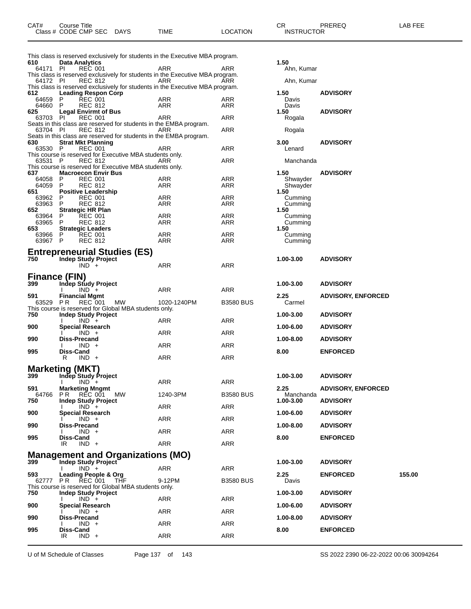| CAT# | Course Title         |             |      |          | ⌒冖<br>◡           | PREREQ | _AB FEE |
|------|----------------------|-------------|------|----------|-------------------|--------|---------|
|      | Class # CODE CMP SEC | <b>DAYS</b> | TIME | LOCATION | <b>INSTRUCTOR</b> |        |         |

| 610                         | <b>Data Analytics</b>   | This class is reserved exclusively for students in the Executive MBA program.                   |             |                  | 1.50                   |                           |        |
|-----------------------------|-------------------------|-------------------------------------------------------------------------------------------------|-------------|------------------|------------------------|---------------------------|--------|
| 64171 PI                    |                         | REC 001<br>This class is reserved exclusively for students in the Executive MBA program.        | ARR         | ARR              | Ahn, Kumar             |                           |        |
| 64172 PI                    |                         | <b>REC 812</b><br>This class is reserved exclusively for students in the Executive MBA program. | ARR         | ARR              | Ahn, Kumar             |                           |        |
| 612<br>64659 P              |                         | <b>Leading Respon Corp</b><br><b>REC 001</b>                                                    | ARR         | ARR              | 1.50<br>Davis          | <b>ADVISORY</b>           |        |
| 64660 P<br>625              |                         | <b>REC 812</b><br><b>Legal Envirmt of Bus</b>                                                   | ARR         | ARR              | Davis<br>1.50          | <b>ADVISORY</b>           |        |
| 63703 PI                    |                         | <b>REC 001</b><br>Seats in this class are reserved for students in the EMBA program.            | ARR         | ARR              | Rogala                 |                           |        |
| 63704 PI                    |                         | <b>REC 812</b><br>Seats in this class are reserved for students in the EMBA program.            | ARR         | ARR              | Rogala                 |                           |        |
| 630                         |                         | <b>Strat Mkt Planning</b>                                                                       |             |                  | 3.00                   | <b>ADVISORY</b>           |        |
| 63530 P                     |                         | <b>REC 001</b><br>This course is reserved for Executive MBA students only.                      | ARR         | ARR              | Lenard                 |                           |        |
| 63531 P                     |                         | <b>REC 812</b><br>This course is reserved for Executive MBA students only.                      | ARR         | ARR              | Manchanda              |                           |        |
| 637<br>64058 P              |                         | <b>Macroecon Envir Bus</b><br><b>REC 001</b>                                                    | ARR         | ARR              | 1.50<br>Shwayder       | <b>ADVISORY</b>           |        |
| 64059 P<br>651              |                         | <b>REC 812</b><br><b>Positive Leadership</b>                                                    | ARR         | ARR              | Shwayder<br>1.50       |                           |        |
| 63962 P<br>63963 P          |                         | <b>REC 001</b><br><b>REC 812</b>                                                                | ARR<br>ARR  | ARR<br>ARR       | Cumming<br>Cumming     |                           |        |
| 652<br>63964 P              |                         | <b>Strategic HR Plan</b><br>REC 001                                                             | ARR         | ARR              | 1.50<br>Cumming        |                           |        |
| 63965 P<br>653              |                         | <b>REC 812</b><br><b>Strategic Leaders</b>                                                      | ARR         | ARR              | Cumming<br>1.50        |                           |        |
| 63966 P                     |                         | REC 001                                                                                         | ARR         | ARR              | Cumming                |                           |        |
| 63967 P                     |                         | <b>REC 812</b>                                                                                  | ARR         | ARR              | Cumming                |                           |        |
| 750                         |                         | <b>Entrepreneurial Studies (ES)</b><br><b>Indep Study Project</b>                               |             |                  | 1.00-3.00              | <b>ADVISORY</b>           |        |
|                             |                         | $IND +$                                                                                         | ARR         | ARR              |                        |                           |        |
| <b>Finance (FIN)</b><br>399 |                         | <b>Indep Study Project</b>                                                                      |             |                  | 1.00-3.00              | <b>ADVISORY</b>           |        |
| 591                         | <b>Financial Mgmt</b>   | $IND +$                                                                                         | ARR         | ARR              | 2.25                   | <b>ADVISORY, ENFORCED</b> |        |
| 63529 PR                    |                         | REC 001<br>MW<br>This course is reserved for Global MBA students only.                          | 1020-1240PM | <b>B3580 BUS</b> | Carmel                 |                           |        |
| 750                         |                         | <b>Indep Study Project</b><br>$IND +$                                                           | ARR         | ARR              | 1.00-3.00              | <b>ADVISORY</b>           |        |
| 900                         |                         | Special Research<br>$IND +$                                                                     | ARR         | ARR              | 1.00-6.00              | <b>ADVISORY</b>           |        |
| 990                         | Diss-Precand            | $IND +$                                                                                         | ARR         | ARR              | $1.00 - 8.00$          | <b>ADVISORY</b>           |        |
| 995                         | Diss-Cand<br>R          | $IND +$                                                                                         | ARR         | ARR              | 8.00                   | <b>ENFORCED</b>           |        |
| <b>Marketing (MKT)</b>      |                         |                                                                                                 |             |                  |                        |                           |        |
| 399                         |                         | Indep Study Project                                                                             |             |                  | 1.00-3.00              | <b>ADVISORY</b>           |        |
| 591                         |                         | $IND +$<br><b>Marketing Mngmt</b>                                                               | ARR         | ARR              | 2.25                   | <b>ADVISORY, ENFORCED</b> |        |
| 750                         |                         | 64766 PR REC 001 MW<br>Indep Study Project                                                      | 1240-3PM    | <b>B3580 BUS</b> | Manchanda<br>1.00-3.00 | <b>ADVISORY</b>           |        |
| 900                         |                         | $IND +$<br><b>Special Research</b>                                                              | ARR         | ARR              | 1.00-6.00              | <b>ADVISORY</b>           |        |
| 990                         | <b>Diss-Precand</b>     | $IND +$                                                                                         | ARR         | ARR              | 1.00-8.00              | <b>ADVISORY</b>           |        |
| 995                         | Diss-Cand               | $IND +$                                                                                         | ARR         | ARR              | 8.00                   | <b>ENFORCED</b>           |        |
|                             | IR                      | $IND +$                                                                                         | ARR         | ARR              |                        |                           |        |
| 399                         |                         | <b>Management and Organizations (MO)</b><br>Indep Study Project                                 |             |                  | 1.00-3.00              | <b>ADVISORY</b>           |        |
| 593                         |                         | $IND +$<br>Leading People & Org                                                                 | ARR         | ARR              | 2.25                   | <b>ENFORCED</b>           | 155.00 |
|                             | 62777 PR REC 001        | <b>THF</b><br>This course is reserved for Global MBA students only.                             | 9-12PM      | <b>B3580 BUS</b> | Davis                  |                           |        |
| 750                         |                         | Indep Study Project<br>$IND +$                                                                  |             | ARR              | 1.00-3.00              | <b>ADVISORY</b>           |        |
| 900                         |                         |                                                                                                 | ARR         |                  | 1.00-6.00              | <b>ADVISORY</b>           |        |
|                             | <b>Special Research</b> |                                                                                                 |             |                  |                        |                           |        |
| 990                         | Diss-Precand            | $IND +$                                                                                         | ARR         | ARR              | 1.00-8.00              | <b>ADVISORY</b>           |        |
| 995                         | Diss-Cand<br>IR.        | $IND +$<br>$IND +$                                                                              | ARR<br>ARR  | ARR<br>ARR       | 8.00                   | <b>ENFORCED</b>           |        |

U of M Schedule of Classes Page 137 of 143 SS 2022 2390 06-22-2022 00:06 30094264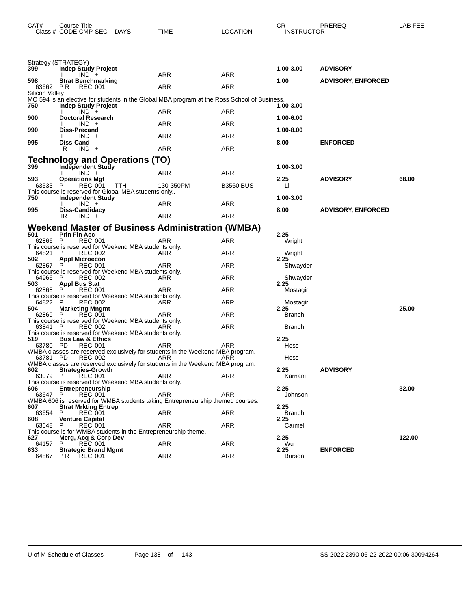| CAT#                       | Course Title<br>Class # CODE CMP SEC DAYS                                               |            | TIME                                                                                         | <b>LOCATION</b>  | CR.<br><b>INSTRUCTOR</b> | PREREQ                    | LAB FEE |
|----------------------------|-----------------------------------------------------------------------------------------|------------|----------------------------------------------------------------------------------------------|------------------|--------------------------|---------------------------|---------|
|                            | Strategy (STRATEGY)                                                                     |            |                                                                                              |                  |                          |                           |         |
| 399                        | <b>Indep Study Project</b>                                                              |            |                                                                                              |                  | 1.00-3.00                | <b>ADVISORY</b>           |         |
| 598                        | $IND +$<br>Strat Benchmarking                                                           |            | ARR                                                                                          | <b>ARR</b>       | 1.00                     | <b>ADVISORY, ENFORCED</b> |         |
| 63662 PR<br>Silicon Valley | REC 001                                                                                 |            | ARR                                                                                          | ARR              |                          |                           |         |
|                            |                                                                                         |            | MO 594 is an elective for students in the Global MBA program at the Ross School of Business. |                  |                          |                           |         |
| 750                        | <b>Indep Study Project</b><br>$IND +$                                                   |            | ARR                                                                                          | ARR              | 1.00-3.00                |                           |         |
| 900                        | Doctoral Research<br>$IND +$                                                            |            | ARR                                                                                          | ARR              | 1.00-6.00                |                           |         |
| 990                        | Diss-Precand<br>$IND +$                                                                 |            | ARR                                                                                          | ARR              | 1.00-8.00                |                           |         |
| 995                        | Diss-Cand                                                                               |            |                                                                                              |                  | 8.00                     | <b>ENFORCED</b>           |         |
|                            | $IND +$<br>R                                                                            |            | ARR                                                                                          | <b>ARR</b>       |                          |                           |         |
| 399                        | Technology and Operations (TO)<br><b>Independent Study</b>                              |            |                                                                                              |                  | 1.00-3.00                |                           |         |
|                            | $IND +$                                                                                 |            | ARR                                                                                          | <b>ARR</b>       |                          |                           |         |
| 593<br>63533               | <b>Operations Mgt</b><br>P<br>REC 001                                                   | <b>TTH</b> | 130-350PM                                                                                    | <b>B3560 BUS</b> | 2.25<br>Li               | <b>ADVISORY</b>           | 68.00   |
| 750                        | This course is reserved for Global MBA students only<br><b>Independent Study</b>        |            |                                                                                              |                  | 1.00-3.00                |                           |         |
|                            | $IND +$                                                                                 |            | ARR                                                                                          | <b>ARR</b>       |                          |                           |         |
| 995                        | Diss-Candidacy<br>IR.<br>$IND +$                                                        |            | ARR                                                                                          | ARR              | 8.00                     | <b>ADVISORY, ENFORCED</b> |         |
|                            |                                                                                         |            | <b>Weekend Master of Business Administration (WMBA)</b>                                      |                  |                          |                           |         |
| 501<br>62866 P             | <b>Prin Fin Acc</b><br><b>REC 001</b>                                                   |            | ARR                                                                                          | <b>ARR</b>       | 2.25<br>Wright           |                           |         |
|                            | This course is reserved for Weekend MBA students only.                                  |            |                                                                                              |                  |                          |                           |         |
| 64821 P<br>502             | <b>REC 002</b><br><b>Appl Microecon</b>                                                 |            | ARR                                                                                          | ARR              | Wright<br>2.25           |                           |         |
| 62867 P                    | <b>REC 001</b><br>This course is reserved for Weekend MBA students only.                |            | ARR                                                                                          | ARR              | Shwayder                 |                           |         |
| 64966 P                    | <b>REC 002</b>                                                                          |            | ARR                                                                                          | ARR              | Shwayder<br>2.25         |                           |         |
| 503<br>62868 P             | Appl Bus Stat<br><b>REC 001</b>                                                         |            | ARR                                                                                          | ARR              | Mostagir                 |                           |         |
| 64822 P                    | This course is reserved for Weekend MBA students only.<br><b>REC 002</b>                |            | ARR                                                                                          | ARR              | Mostagir                 |                           |         |
| 504<br>62869 P             | <b>Marketing Mngmt</b><br><b>REC 001</b>                                                |            | ARR                                                                                          | ARR              | 2.25<br>Branch           |                           | 25.00   |
|                            | This course is reserved for Weekend MBA students only.                                  |            |                                                                                              |                  |                          |                           |         |
| 63841 P                    | <b>REC 002</b><br>This course is reserved for Weekend MBA students only.                |            | ARR                                                                                          | <b>ARR</b>       | <b>Branch</b>            |                           |         |
| 519<br>63780 PD            | <b>Bus Law &amp; Ethics</b><br>REC 001                                                  |            | ARR                                                                                          | ARR              | 2.25<br>Hess             |                           |         |
|                            | <b>REC 002</b>                                                                          |            | WMBA classes are reserved exclusively for students in the Weekend MBA program.               |                  |                          |                           |         |
| 63781 PD                   |                                                                                         |            | ARR<br>WMBA classes are reserved exclusively for students in the Weekend MBA program.        | ARR              | Hess                     |                           |         |
| 602<br>63079 P             | Strategies-Growth<br><b>REC 001</b>                                                     |            | ARR                                                                                          | ARR              | 2.25<br>Karnani          | <b>ADVISORY</b>           |         |
| 606                        | This course is reserved for Weekend MBA students only.<br>Entrepreneurship              |            |                                                                                              |                  | 2.25                     |                           | 32.00   |
| 63647                      | <b>REC 001</b><br>P                                                                     |            | ARR                                                                                          | ARR              | Johnson                  |                           |         |
| 607                        | Strat Mrkting Entrep                                                                    |            | WMBA 606 is reserved for WMBA students taking Entrepreneurship themed courses.               |                  | 2.25                     |                           |         |
| 63654<br>608               | P<br><b>REC 001</b><br><b>Venture Capital</b>                                           |            | ARR                                                                                          | ARR              | <b>Branch</b><br>2.25    |                           |         |
| 63648                      | <b>REC 001</b><br>P                                                                     |            | ARR                                                                                          | ARR              | Carmel                   |                           |         |
| 627                        | This course is for WMBA students in the Entrepreneurship theme.<br>Merg, Acq & Corp Dev |            |                                                                                              |                  | 2.25                     |                           | 122.00  |
| 64157<br>633               | P<br><b>REC 001</b><br><b>Strategic Brand Mgmt</b>                                      |            | ARR                                                                                          | ARR              | Wu<br>2.25               | <b>ENFORCED</b>           |         |
| 64867                      | PR.<br>REC 001                                                                          |            | ARR                                                                                          | ARR              | Burson                   |                           |         |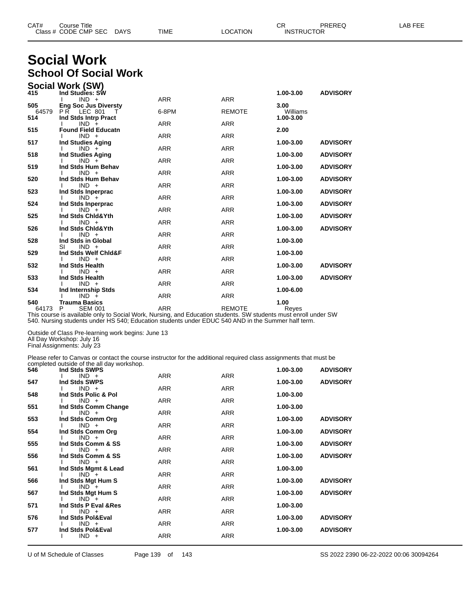| CAT# | Title<br>∴ourse            |             |      |          | Ωm<br>، اب                    | PREREC | $- - -$<br>ΔP<br>--- |
|------|----------------------------|-------------|------|----------|-------------------------------|--------|----------------------|
|      | Class # CODE CMP SEC<br>__ | <b>DAYS</b> | TIME | LOCATION | <b>INSTRUCTOR</b><br>________ |        |                      |

# **Social Work School Of Social Work**

|              | Social Work (SW)                               |            |               |                       |                 |
|--------------|------------------------------------------------|------------|---------------|-----------------------|-----------------|
| 415          | Ind Studies: SW                                |            |               | 1.00-3.00             | <b>ADVISORY</b> |
|              | $IND +$                                        | <b>ARR</b> | <b>ARR</b>    |                       |                 |
| 505          | <b>Eng Soc Jus Diversty</b>                    |            |               | 3.00                  |                 |
| 64579<br>514 | <b>PR LEC 801</b><br>T<br>Ind Stds Intrp Pract | 6-8PM      | <b>REMOTE</b> | Williams<br>1.00-3.00 |                 |
|              | $IND +$                                        | <b>ARR</b> | <b>ARR</b>    |                       |                 |
| 515          | <b>Found Field Educatn</b>                     |            |               | 2.00                  |                 |
|              | $IND +$                                        | <b>ARR</b> | <b>ARR</b>    |                       |                 |
| 517          | <b>Ind Studies Aging</b>                       |            |               | 1.00-3.00             | <b>ADVISORY</b> |
|              | $IND +$                                        | <b>ARR</b> | <b>ARR</b>    |                       |                 |
| 518          | Ind Studies Aging                              |            |               | 1.00-3.00             | <b>ADVISORY</b> |
| 519          | $IND +$<br>Ind Stds Hum Behav                  | <b>ARR</b> | <b>ARR</b>    | 1.00-3.00             | <b>ADVISORY</b> |
|              | $IND +$                                        | <b>ARR</b> | <b>ARR</b>    |                       |                 |
| 520          | Ind Stds Hum Behav                             |            |               | 1.00-3.00             | <b>ADVISORY</b> |
|              | $IND +$                                        | <b>ARR</b> | <b>ARR</b>    |                       |                 |
| 523          | Ind Stds Inperprac                             |            |               | 1.00-3.00             | <b>ADVISORY</b> |
|              | $IND +$                                        | <b>ARR</b> | <b>ARR</b>    |                       |                 |
| 524          | Ind Stds Inperprac                             |            |               | 1.00-3.00             | <b>ADVISORY</b> |
|              | $IND +$                                        | <b>ARR</b> | <b>ARR</b>    |                       |                 |
| 525          | Ind Stds Chid&Yth<br>$IND +$                   | <b>ARR</b> | <b>ARR</b>    | 1.00-3.00             | <b>ADVISORY</b> |
| 526          | Ind Stds Chid&Yth                              |            |               | 1.00-3.00             | <b>ADVISORY</b> |
|              | $IND +$                                        | <b>ARR</b> | <b>ARR</b>    |                       |                 |
| 528          | Ind Stds in Global                             |            |               | 1.00-3.00             |                 |
|              | $IND +$<br>SI                                  | <b>ARR</b> | <b>ARR</b>    |                       |                 |
| 529          | Ind Stds Welf Chid&F                           |            |               | 1.00-3.00             |                 |
|              | $IND +$                                        | <b>ARR</b> | <b>ARR</b>    |                       |                 |
| 532          | Ind Stds Health                                |            |               | 1.00-3.00             | <b>ADVISORY</b> |
|              | $IND +$                                        | <b>ARR</b> | <b>ARR</b>    |                       |                 |
| 533          | Ind Stds Health<br>$IND +$                     | <b>ARR</b> | <b>ARR</b>    | 1.00-3.00             | <b>ADVISORY</b> |
| 534          | Ind Internship Stds                            |            |               | 1.00-6.00             |                 |
|              | $IND +$                                        | <b>ARR</b> | <b>ARR</b>    |                       |                 |
| 540          | <b>Trauma Basics</b>                           |            |               | 1.00                  |                 |
| 64173        | <b>SEM 001</b><br>P                            | <b>ARR</b> | <b>REMOTE</b> | Reyes                 |                 |

This course is available only to Social Work, Nursing, and Education students. SW students must enroll under SW 540. Nursing students under HS 540; Education students under EDUC 540 AND in the Summer half term.

Outside of Class Pre-learning work begins: June 13 All Day Workshop: July 16

Final Assignments: July 23

Please refer to Canvas or contact the course instructor for the additional required class assignments that must be completed outside of the all day workshop.

| 546 | Ind Stds SWPS                    |            |            | 1.00-3.00 | <b>ADVISORY</b> |
|-----|----------------------------------|------------|------------|-----------|-----------------|
| 547 | $IND +$<br>Ind Stds SWPS         | <b>ARR</b> | <b>ARR</b> | 1.00-3.00 | <b>ADVISORY</b> |
|     | $IND +$                          | ARR        | ARR        |           |                 |
| 548 | Ind Stds Polic & Pol             |            |            | 1.00-3.00 |                 |
| 551 | $IND +$<br>Ind Stds Comm Change  | <b>ARR</b> | ARR        | 1.00-3.00 |                 |
|     | $IND +$                          | <b>ARR</b> | <b>ARR</b> |           |                 |
| 553 | Ind Stds Comm Org                |            |            | 1.00-3.00 | <b>ADVISORY</b> |
|     | $IND +$                          | ARR        | ARR        |           |                 |
| 554 | Ind Stds Comm Org<br>$IND +$     | <b>ARR</b> | <b>ARR</b> | 1.00-3.00 | <b>ADVISORY</b> |
| 555 | Ind Stds Comm & SS               |            |            | 1.00-3.00 | <b>ADVISORY</b> |
|     | $IND +$                          | <b>ARR</b> | ARR        |           |                 |
| 556 | Ind Stds Comm & SS               |            |            | 1.00-3.00 | <b>ADVISORY</b> |
| 561 | $IND +$                          | ARR        | <b>ARR</b> | 1.00-3.00 |                 |
|     | Ind Stds Mgmt & Lead<br>$IND +$  | <b>ARR</b> | <b>ARR</b> |           |                 |
| 566 | Ind Stds Mgt Hum S               |            |            | 1.00-3.00 | <b>ADVISORY</b> |
|     | $IND^-+$                         | <b>ARR</b> | <b>ARR</b> |           |                 |
| 567 | Ind Stds Mgt Hum S               |            |            | 1.00-3.00 | <b>ADVISORY</b> |
| 571 | $IND +$<br>Ind Stds P Eval & Res | ARR        | ARR        | 1.00-3.00 |                 |
|     | $IND +$                          | <b>ARR</b> | <b>ARR</b> |           |                 |
| 576 | Ind Stds Pol&Eval                |            |            | 1.00-3.00 | <b>ADVISORY</b> |
|     | $IND +$                          | <b>ARR</b> | ARR        |           |                 |
| 577 | Ind Stds Pol&Eval<br>$IND +$     | ARR        | <b>ARR</b> | 1.00-3.00 | <b>ADVISORY</b> |
|     |                                  |            |            |           |                 |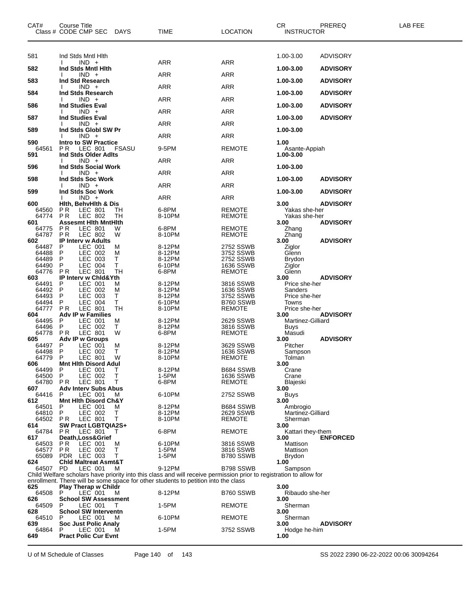| CAT#<br>Class # CODE CMP SEC | Course Title                           |                           | <b>DAYS</b>  | TIME                                                                                                                                                                                                      | <b>LOCATION</b>            | CR.<br><b>INSTRUCTOR</b>       | PREREQ          | LAB FEE |
|------------------------------|----------------------------------------|---------------------------|--------------|-----------------------------------------------------------------------------------------------------------------------------------------------------------------------------------------------------------|----------------------------|--------------------------------|-----------------|---------|
| 581                          | Ind Stds Mntl Hith                     |                           |              |                                                                                                                                                                                                           |                            | 1.00-3.00                      | <b>ADVISORY</b> |         |
| 582                          | Ind Stds Mntl Hith                     | $IND +$                   |              | ARR                                                                                                                                                                                                       | ARR                        | 1.00-3.00                      | <b>ADVISORY</b> |         |
| 583                          |                                        | $IND +$                   |              | ARR                                                                                                                                                                                                       | ARR                        |                                |                 |         |
|                              | Ind Std Research                       | $IND +$                   |              | <b>ARR</b>                                                                                                                                                                                                | ARR                        | 1.00-3.00                      | <b>ADVISORY</b> |         |
| 584                          | Ind Stds Research                      | $IND +$                   |              | ARR                                                                                                                                                                                                       | ARR                        | 1.00-3.00                      | <b>ADVISORY</b> |         |
| 586                          | <b>Ind Studies Eval</b>                | $IND +$                   |              | ARR                                                                                                                                                                                                       | ARR                        | 1.00-3.00                      | <b>ADVISORY</b> |         |
| 587                          | <b>Ind Studies Eval</b>                | $IND +$                   |              | <b>ARR</b>                                                                                                                                                                                                | ARR                        | 1.00-3.00                      | <b>ADVISORY</b> |         |
| 589                          | Ind Stds Globl SW Pr                   |                           |              |                                                                                                                                                                                                           |                            | 1.00-3.00                      |                 |         |
| 590                          | <b>Intro to SW Practice</b>            | $IND +$                   |              | <b>ARR</b>                                                                                                                                                                                                | ARR                        | 1.00                           |                 |         |
| 64561<br>591                 | P R<br>Ind Stds Older Adlts            | LEC 801                   | <b>FSASU</b> | 9-5PM                                                                                                                                                                                                     | <b>REMOTE</b>              | Asante-Appiah<br>1.00-3.00     |                 |         |
| 596                          | Ind Stds Social Work                   | $IND +$                   |              | ARR                                                                                                                                                                                                       | ARR                        | 1.00-3.00                      |                 |         |
|                              |                                        | $IND +$                   |              | ARR                                                                                                                                                                                                       | ARR                        |                                |                 |         |
| 598                          | Ind Stds Soc Work                      | $IND +$                   |              | ARR                                                                                                                                                                                                       | ARR                        | 1.00-3.00                      | <b>ADVISORY</b> |         |
| 599                          | Ind Stds Soc Work                      | $IND +$                   |              | <b>ARR</b>                                                                                                                                                                                                | <b>ARR</b>                 | 1.00-3.00                      | <b>ADVISORY</b> |         |
| 600                          | <b>Hith. BehvHith &amp; Dis</b><br>P R |                           |              | 6-8PM                                                                                                                                                                                                     | <b>REMOTE</b>              | 3.00                           | <b>ADVISORY</b> |         |
| 64560<br>64774               | P R                                    | LEC 801<br>LEC 802        | TН<br>TН     | 8-10PM                                                                                                                                                                                                    | REMOTE                     | Yakas she-her<br>Yakas she-her |                 |         |
| 601<br>64775                 | <b>Assesmt Hith MntHith</b><br>P R     | <b>LEC 801</b>            | W            | 6-8PM                                                                                                                                                                                                     | <b>REMOTE</b>              | 3.00<br>Zhang                  | <b>ADVISORY</b> |         |
| 64787                        | P <sub>R</sub>                         | LEC 802                   | W            | 8-10PM                                                                                                                                                                                                    | REMOTE                     | Zhang                          |                 |         |
| 602                          | <b>IP Interv w Adults</b><br>P         | LEC 001                   | M            | 8-12PM                                                                                                                                                                                                    | 2752 SSWB                  | 3.00<br>Ziglor                 | <b>ADVISORY</b> |         |
| 64487<br>64488               | P                                      | LEC 002                   | M            | 8-12PM                                                                                                                                                                                                    | 3752 SSWB                  | Glenn                          |                 |         |
| 64489                        | P                                      | LEC 003                   | т            | 8-12PM                                                                                                                                                                                                    | 2752 SSWB                  | Brydon                         |                 |         |
| 64490<br>64776               | P<br>P <sub>R</sub>                    | <b>LEC 004</b><br>LEC 801 | Т<br>TН      | 6-10PM<br>6-8PM                                                                                                                                                                                           | 1636 SSWB<br><b>REMOTE</b> | Ziglor<br>Glenn                |                 |         |
| 603                          | <b>IP Intery w Chid&amp;Yth</b>        |                           |              |                                                                                                                                                                                                           |                            | 3.00                           | <b>ADVISORY</b> |         |
| 64491                        | P                                      | LEC 001                   | M            | 8-12PM                                                                                                                                                                                                    | 3816 SSWB                  | Price she-her                  |                 |         |
| 64492                        | P                                      | LEC 002                   | M            | 8-12PM                                                                                                                                                                                                    | 1636 SSWB                  | Sanders                        |                 |         |
| 64493<br>64494               | P<br>P                                 | LEC 003<br><b>LEC 004</b> | т<br>т       | 8-12PM<br>6-10PM                                                                                                                                                                                          | 3752 SSWB<br>B760 SSWB     | Price she-her<br>Towns         |                 |         |
| 64777                        | P R                                    | LEC 801                   | TН           | 8-10PM                                                                                                                                                                                                    | <b>REMOTE</b>              | Price she-her                  |                 |         |
| 604                          | <b>Adv IP w Families</b>               |                           |              |                                                                                                                                                                                                           |                            | 3.00                           | <b>ADVISORY</b> |         |
| 64495<br>64496               | P<br>P                                 | LEC 001<br>LEC 002        | M<br>Τ       | 8-12PM<br>8-12PM                                                                                                                                                                                          | 2629 SSWB<br>3816 SSWB     | Martinez-Gilliard<br>Buys      |                 |         |
| 64778                        | P <sub>R</sub>                         | LEC 801                   | W            | 6-8PM                                                                                                                                                                                                     | <b>REMOTE</b>              | Masudi                         |                 |         |
| 605                          | <b>Adv IP w Groups</b>                 |                           |              |                                                                                                                                                                                                           |                            | 3.00                           | <b>ADVISORY</b> |         |
| 64497                        | P<br>P                                 | LEC 001                   | M            | 8-12PM                                                                                                                                                                                                    | 3629 SSWB                  | Pitcher                        |                 |         |
| 64498<br>64779               | P                                      | LEC 002<br><b>LEC 801</b> | т<br>W       | 8-12PM<br>8-10PM                                                                                                                                                                                          | 1636 SSWB<br><b>REMOTE</b> | Sampson<br>Tolman              |                 |         |
| 606                          | <b>Mnt Hith Disord Adul</b>            |                           |              |                                                                                                                                                                                                           |                            | 3.00                           |                 |         |
| 64499                        | P<br>P                                 | LEC 001                   | Т<br>Т       | 8-12PM<br>1-5PM                                                                                                                                                                                           | B684 SSWB<br>1636 SSWB     | Crane                          |                 |         |
| 64500<br>64780               | PR.                                    | LEC 002<br>LEC 801        | Т            | 6-8PM                                                                                                                                                                                                     | <b>REMOTE</b>              | Crane<br>Blajeski              |                 |         |
| 607                          | <b>Adv Interv Subs Abus</b>            |                           |              |                                                                                                                                                                                                           |                            | 3.00                           |                 |         |
| 64416<br>612                 | P<br><b>Mnt Hith Disord Ch&amp;Y</b>   | LEC 001                   | м            | 6-10PM                                                                                                                                                                                                    | 2752 SSWB                  | Buys                           |                 |         |
| 64501                        | P                                      | LEC 001                   | м            | 8-12PM                                                                                                                                                                                                    | B684 SSWB                  | 3.00<br>Ambrogio               |                 |         |
| 64810                        | P                                      | LEC 002                   | Τ            | 8-12PM                                                                                                                                                                                                    | 2629 SSWB                  | Martinez-Gilliard              |                 |         |
| 64502                        | PR -                                   | LEC 801                   | Т            | 8-10PM                                                                                                                                                                                                    | <b>REMOTE</b>              | Sherman                        |                 |         |
| 614<br>64784                 | <b>SW Pract LGBTQIA2S+</b><br>PR.      | LEC 801                   | T            | 6-8PM                                                                                                                                                                                                     | <b>REMOTE</b>              | 3.00<br>Kattari they-them      |                 |         |
| 617                          | Death, Loss& Grief                     |                           |              |                                                                                                                                                                                                           |                            | 3.00                           | <b>ENFORCED</b> |         |
| 64503                        | PR.                                    | LEC 001                   | M            | 6-10PM                                                                                                                                                                                                    | 3816 SSWB                  | Mattison                       |                 |         |
| 64577<br>65089               | PR.<br>PDR LEC 003                     | LEC 002                   | Τ<br>T       | 1-5PM<br>1-5PM                                                                                                                                                                                            | 3816 SSWB<br>B780 SSWB     | Mattison<br>Brydon             |                 |         |
| 624                          | <b>Chid Maltreat Asmt&amp;T</b>        |                           |              |                                                                                                                                                                                                           |                            | 1.00                           |                 |         |
| 64507 PD                     |                                        | LEC 001                   | м            | 9-12PM                                                                                                                                                                                                    | B798 SSWB                  | Sampson                        |                 |         |
|                              |                                        |                           |              | Child Welfare scholars have priority into this class and will receive permission prior to registration to allow for<br>enrollment. There will be some space for other students to petition into the class |                            |                                |                 |         |
| 625                          | Play Therap w Childr                   |                           |              |                                                                                                                                                                                                           |                            | 3.00                           |                 |         |
| 64508                        | P                                      | LEC 001                   | M            | 8-12PM                                                                                                                                                                                                    | B760 SSWB                  | Ribaudo she-her                |                 |         |
| 626<br>64509                 | <b>School SW Assessment</b><br>P       | LEC 001                   | T            | 1-5PM                                                                                                                                                                                                     | <b>REMOTE</b>              | 3.00<br>Sherman                |                 |         |
| 628                          | <b>School SW Interventn</b>            |                           |              |                                                                                                                                                                                                           |                            | 3.00                           |                 |         |
| 64510<br>639                 | P<br>Soc Just Polic Analy              | LEC 001                   | м            | 6-10PM                                                                                                                                                                                                    | <b>REMOTE</b>              | Sherman<br>3.00                | <b>ADVISORY</b> |         |
| 64864                        | P                                      | LEC 001                   | м            | 1-5PM                                                                                                                                                                                                     | 3752 SSWB                  | Hodge he-him                   |                 |         |
| 649                          | <b>Pract Polic Cur Evnt</b>            |                           |              |                                                                                                                                                                                                           |                            | 1.00                           |                 |         |

U of M Schedule of Classes Page 140 of 143 SS 2022 2390 06-22-2022 00:06 30094264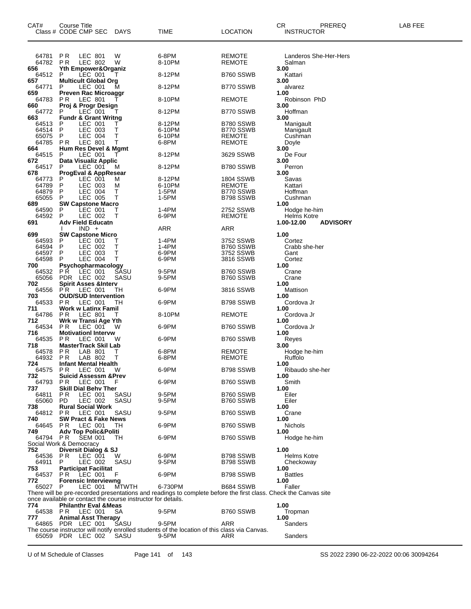| LEC 801<br>6-8PM<br>64781<br>P R<br><b>REMOTE</b><br>Landeros She-Her-Hers<br>W<br><b>LEC 802</b><br>64782<br>P R<br>W<br>8-10PM<br><b>REMOTE</b><br>Salman<br><b>Yth Empower&amp;Organiz</b><br>3.00<br>656<br>64512<br>LEC 001<br>8-12PM<br>B760 SSWB<br>P<br>т<br>Kattari<br>657<br><b>Multicult Global Org</b><br>3.00<br>64771<br>LEC 001<br>M<br>8-12PM<br>B770 SSWB<br>P<br>alvarez<br><b>Preven Rac Microaggr</b><br>659<br>1.00<br>64783<br>PR.<br>LEC 801<br>8-10PM<br><b>REMOTE</b><br>Robinson PhD<br>Proj & Progr Design<br>3.00<br>660<br>64772<br>LEC 001<br>8-12PM<br>B770 SSWB<br>Hoffman<br>P<br>Т<br><b>Fundr &amp; Grant Writng</b><br>3.00<br>663<br>LEC 001<br>64513<br>8-12PM<br>B780 SSWB<br>P<br>Manigault<br>Ι.<br>64514<br>LEC 003<br>т<br>6-10PM<br>B770 SSWB<br>P<br>Manigault<br>LEC 004<br>65075<br>P<br>Т<br>6-10PM<br><b>REMOTE</b><br>Cushman<br>64785<br>LEC 801<br>6-8PM<br>P R<br>Т<br><b>REMOTE</b><br>Doyle<br>Hum Res Devel & Mgmt<br>664<br>3.00<br>LEC 001<br>64515<br>8-12PM<br>3629 SSWB<br>De Four<br>P<br>Data Visualiz Applic<br>3.00<br>672<br>64517<br>LEC 001<br>8-12PM<br>B780 SSWB<br>P<br>Perron<br>M<br>678<br><b>ProgEval &amp; AppResear</b><br>3.00<br>LEC 001<br>8-12PM<br><b>1804 SSWB</b><br>Savas<br>64773<br>M<br>P<br>64789<br>LEC 003<br>6-10PM<br><b>REMOTE</b><br>Kattari<br>P<br>M<br><b>LEC 004</b><br>1-5PM<br>64879<br>P<br>т<br>B770 SSWB<br>Hoffman<br>LEC 005<br>т<br>1-5PM<br>65055<br>P<br>B798 SSWB<br>Cushman<br><b>SW Capstone Macro</b><br>689<br>1.00<br>64590<br>P<br>LEC 001<br>1-4PM<br>2752 SSWB<br>Hodge he-him<br>т<br>64592<br>LEC 002<br>6-9PM<br>P<br>т<br><b>REMOTE</b><br>Helms Kotre<br><b>Adv Field Educatn</b><br>1.00-12.00<br><b>ADVISORY</b><br>691<br>ARR<br>$IND +$<br>ARR<br>1.00<br>699<br><b>SW Capstone Micro</b><br>1-4PM<br>64593<br>LEC 001<br>3752 SSWB<br>P<br>Т<br>Cortez<br>64594<br>P<br>LEC 002<br>Т<br>1-4PM<br>B760 SSWB<br>Crabb she-her<br>64597<br>LEC 003<br>т<br>3752 SSWB<br>P<br>6-9PM<br>Gant<br>т<br>64598<br>LEC 004<br>6-9PM<br>3816 SSWB<br>Cortez<br>P<br>700<br>Psychopharmacology<br>1.00<br>PŔ.<br>LEC 001<br>64532<br>SASU<br>9-5PM<br>B760 SSWB<br>Crane<br>65056<br>PDR LEC 002<br>SASU<br>9-5PM<br>B760 SSWB<br>Crane<br>702<br><b>Spirit Asses &amp;Interv</b><br>1.00<br>LEC 001<br>64556<br>PR.<br>6-9PM<br>3816 SSWB<br>Mattison<br>TН<br><b>OUD/SUD Intervention</b><br>703<br>1.00<br>LEC 001<br>64533<br>PR.<br>6-9PM<br>B798 SSWB<br>Cordova Jr<br>TН<br><b>Work w Latinx Famil</b><br>711<br>1.00<br>64786<br>LEC 801<br>P <sub>R</sub><br>8-10PM<br><b>REMOTE</b><br>Cordova Jr<br>Τ<br>712<br>Wrk w Transi Age Yth<br>1.00<br>64534<br>P R<br>LEC 001<br>6-9PM<br>B760 SSWB<br>w<br>Cordova Jr<br>716<br><b>Motivationl Intervw</b><br>1.00<br>64535<br>P R<br>LEC 001<br>6-9PM<br>w<br>B760 SSWB<br>Reyes<br><b>MasterTrack Skil Lab</b><br>718<br>3.00<br>LAB 801<br>6-8PM<br><b>REMOTE</b><br>64578<br>P R<br>Hodge he-him<br>Т<br>т<br>64932<br>P R<br>LAB 802<br><b>REMOTE</b><br>Ruffolo<br>6-8PM<br>724<br><b>Infant Mental Health</b><br>1.00<br>64575 PR LEC 001<br>6-9PM<br>B798 SSWB<br>Ribaudo she-her<br>- W<br>732<br><b>Suicid Assessm &amp;Prev</b><br>1.00<br>6-9PM<br>Smith<br>64793<br>P R<br>LEC 001<br>B760 SSWB<br>F<br>737<br><b>Skill Dial Behv Ther</b><br>1.00<br>64811<br>P R<br>LEC 001<br>SASU<br>9-5PM<br>B760 SSWB<br>Eiler<br>LEC 002<br>65060<br>PD.<br>SASU<br>9-5PM<br>B760 SSWB<br>Eiler<br><b>Rural Social Work</b><br>1.00<br>738<br>64812<br>P R<br>LEC 001<br>SASU<br>9-5PM<br>B760 SSWB<br>Crane<br><b>SW Pract &amp; Fake News</b><br>740<br>1.00<br>6-9PM<br>Nichols<br>64645<br><b>PR LEC 001</b><br>B760 SSWB<br>TH.<br><b>Adv Top Polic&amp;Politi</b><br>749<br>1.00<br>6-9PM<br>64794 PR<br>SEM 001<br>B760 SSWB<br>Hodge he-him<br>TН<br>Social Work & Democracy<br>752<br>Diversit Dialog & SJ<br>1.00<br>6-9PM<br><b>Helms Kotre</b><br>64536<br>P R<br>LEC 001<br>B798 SSWB<br>W<br>64911<br>9-5PM<br>SASU<br>B798 SSWB<br>P<br>LEC 002<br>Checkoway<br>753<br><b>Participat Facilitat</b><br>1.00<br>F<br>6-9PM<br><b>Battles</b><br>64537<br>P R<br>LEC 001<br>B798 SSWB<br><b>Forensic Interviewng</b><br>772<br>1.00<br><b>MTWTH</b><br>65027 P<br>LEC 001<br>6-730PM<br>B684 SSWB<br>Faller<br>There will be pre-recorded presentations and readings to complete before the first class. Check the Canvas site<br>once available or contact the course instructor for details.<br>774<br><b>Philanthr Eval &amp; Meas</b><br>1.00<br>B760 SSWB<br>64538 PR<br>LEC 001<br>9-5PM<br>Tropman<br>SA<br>777<br><b>Animal Asst Therapy</b><br>1.00<br>SASU<br>64865 PDR LEC 001<br>9-5PM<br>ARR<br>Sanders<br>The course instructor will notify enrolled students of the location of this class via Canvas.<br>65059 PDR LEC 002<br>Sanders<br>SASU<br>9-5PM<br>ARR | CAT# | Course Title<br>Class # CODE CMP SEC | DAYS | TIME | <b>LOCATION</b> | СR | <b>INSTRUCTOR</b> | PREREQ | LAB FEE |
|-------------------------------------------------------------------------------------------------------------------------------------------------------------------------------------------------------------------------------------------------------------------------------------------------------------------------------------------------------------------------------------------------------------------------------------------------------------------------------------------------------------------------------------------------------------------------------------------------------------------------------------------------------------------------------------------------------------------------------------------------------------------------------------------------------------------------------------------------------------------------------------------------------------------------------------------------------------------------------------------------------------------------------------------------------------------------------------------------------------------------------------------------------------------------------------------------------------------------------------------------------------------------------------------------------------------------------------------------------------------------------------------------------------------------------------------------------------------------------------------------------------------------------------------------------------------------------------------------------------------------------------------------------------------------------------------------------------------------------------------------------------------------------------------------------------------------------------------------------------------------------------------------------------------------------------------------------------------------------------------------------------------------------------------------------------------------------------------------------------------------------------------------------------------------------------------------------------------------------------------------------------------------------------------------------------------------------------------------------------------------------------------------------------------------------------------------------------------------------------------------------------------------------------------------------------------------------------------------------------------------------------------------------------------------------------------------------------------------------------------------------------------------------------------------------------------------------------------------------------------------------------------------------------------------------------------------------------------------------------------------------------------------------------------------------------------------------------------------------------------------------------------------------------------------------------------------------------------------------------------------------------------------------------------------------------------------------------------------------------------------------------------------------------------------------------------------------------------------------------------------------------------------------------------------------------------------------------------------------------------------------------------------------------------------------------------------------------------------------------------------------------------------------------------------------------------------------------------------------------------------------------------------------------------------------------------------------------------------------------------------------------------------------------------------------------------------------------------------------------------------------------------------------------------------------------------------------------------------------------------------------------------------------------------------------------------------------------------------------------------------------------------------------------------------------------------------------------------------------------------------------------------------------------------------------------------------------------------------------------------------------------------------------------------------------------------------------------------------------------------------------------------------------------------------------------------------------------------------------------------------|------|--------------------------------------|------|------|-----------------|----|-------------------|--------|---------|
|                                                                                                                                                                                                                                                                                                                                                                                                                                                                                                                                                                                                                                                                                                                                                                                                                                                                                                                                                                                                                                                                                                                                                                                                                                                                                                                                                                                                                                                                                                                                                                                                                                                                                                                                                                                                                                                                                                                                                                                                                                                                                                                                                                                                                                                                                                                                                                                                                                                                                                                                                                                                                                                                                                                                                                                                                                                                                                                                                                                                                                                                                                                                                                                                                                                                                                                                                                                                                                                                                                                                                                                                                                                                                                                                                                                                                                                                                                                                                                                                                                                                                                                                                                                                                                                                                                                                                                                                                                                                                                                                                                                                                                                                                                                                                                                                                                                                         |      |                                      |      |      |                 |    |                   |        |         |
|                                                                                                                                                                                                                                                                                                                                                                                                                                                                                                                                                                                                                                                                                                                                                                                                                                                                                                                                                                                                                                                                                                                                                                                                                                                                                                                                                                                                                                                                                                                                                                                                                                                                                                                                                                                                                                                                                                                                                                                                                                                                                                                                                                                                                                                                                                                                                                                                                                                                                                                                                                                                                                                                                                                                                                                                                                                                                                                                                                                                                                                                                                                                                                                                                                                                                                                                                                                                                                                                                                                                                                                                                                                                                                                                                                                                                                                                                                                                                                                                                                                                                                                                                                                                                                                                                                                                                                                                                                                                                                                                                                                                                                                                                                                                                                                                                                                                         |      |                                      |      |      |                 |    |                   |        |         |
|                                                                                                                                                                                                                                                                                                                                                                                                                                                                                                                                                                                                                                                                                                                                                                                                                                                                                                                                                                                                                                                                                                                                                                                                                                                                                                                                                                                                                                                                                                                                                                                                                                                                                                                                                                                                                                                                                                                                                                                                                                                                                                                                                                                                                                                                                                                                                                                                                                                                                                                                                                                                                                                                                                                                                                                                                                                                                                                                                                                                                                                                                                                                                                                                                                                                                                                                                                                                                                                                                                                                                                                                                                                                                                                                                                                                                                                                                                                                                                                                                                                                                                                                                                                                                                                                                                                                                                                                                                                                                                                                                                                                                                                                                                                                                                                                                                                                         |      |                                      |      |      |                 |    |                   |        |         |
|                                                                                                                                                                                                                                                                                                                                                                                                                                                                                                                                                                                                                                                                                                                                                                                                                                                                                                                                                                                                                                                                                                                                                                                                                                                                                                                                                                                                                                                                                                                                                                                                                                                                                                                                                                                                                                                                                                                                                                                                                                                                                                                                                                                                                                                                                                                                                                                                                                                                                                                                                                                                                                                                                                                                                                                                                                                                                                                                                                                                                                                                                                                                                                                                                                                                                                                                                                                                                                                                                                                                                                                                                                                                                                                                                                                                                                                                                                                                                                                                                                                                                                                                                                                                                                                                                                                                                                                                                                                                                                                                                                                                                                                                                                                                                                                                                                                                         |      |                                      |      |      |                 |    |                   |        |         |
|                                                                                                                                                                                                                                                                                                                                                                                                                                                                                                                                                                                                                                                                                                                                                                                                                                                                                                                                                                                                                                                                                                                                                                                                                                                                                                                                                                                                                                                                                                                                                                                                                                                                                                                                                                                                                                                                                                                                                                                                                                                                                                                                                                                                                                                                                                                                                                                                                                                                                                                                                                                                                                                                                                                                                                                                                                                                                                                                                                                                                                                                                                                                                                                                                                                                                                                                                                                                                                                                                                                                                                                                                                                                                                                                                                                                                                                                                                                                                                                                                                                                                                                                                                                                                                                                                                                                                                                                                                                                                                                                                                                                                                                                                                                                                                                                                                                                         |      |                                      |      |      |                 |    |                   |        |         |
|                                                                                                                                                                                                                                                                                                                                                                                                                                                                                                                                                                                                                                                                                                                                                                                                                                                                                                                                                                                                                                                                                                                                                                                                                                                                                                                                                                                                                                                                                                                                                                                                                                                                                                                                                                                                                                                                                                                                                                                                                                                                                                                                                                                                                                                                                                                                                                                                                                                                                                                                                                                                                                                                                                                                                                                                                                                                                                                                                                                                                                                                                                                                                                                                                                                                                                                                                                                                                                                                                                                                                                                                                                                                                                                                                                                                                                                                                                                                                                                                                                                                                                                                                                                                                                                                                                                                                                                                                                                                                                                                                                                                                                                                                                                                                                                                                                                                         |      |                                      |      |      |                 |    |                   |        |         |
|                                                                                                                                                                                                                                                                                                                                                                                                                                                                                                                                                                                                                                                                                                                                                                                                                                                                                                                                                                                                                                                                                                                                                                                                                                                                                                                                                                                                                                                                                                                                                                                                                                                                                                                                                                                                                                                                                                                                                                                                                                                                                                                                                                                                                                                                                                                                                                                                                                                                                                                                                                                                                                                                                                                                                                                                                                                                                                                                                                                                                                                                                                                                                                                                                                                                                                                                                                                                                                                                                                                                                                                                                                                                                                                                                                                                                                                                                                                                                                                                                                                                                                                                                                                                                                                                                                                                                                                                                                                                                                                                                                                                                                                                                                                                                                                                                                                                         |      |                                      |      |      |                 |    |                   |        |         |
|                                                                                                                                                                                                                                                                                                                                                                                                                                                                                                                                                                                                                                                                                                                                                                                                                                                                                                                                                                                                                                                                                                                                                                                                                                                                                                                                                                                                                                                                                                                                                                                                                                                                                                                                                                                                                                                                                                                                                                                                                                                                                                                                                                                                                                                                                                                                                                                                                                                                                                                                                                                                                                                                                                                                                                                                                                                                                                                                                                                                                                                                                                                                                                                                                                                                                                                                                                                                                                                                                                                                                                                                                                                                                                                                                                                                                                                                                                                                                                                                                                                                                                                                                                                                                                                                                                                                                                                                                                                                                                                                                                                                                                                                                                                                                                                                                                                                         |      |                                      |      |      |                 |    |                   |        |         |
|                                                                                                                                                                                                                                                                                                                                                                                                                                                                                                                                                                                                                                                                                                                                                                                                                                                                                                                                                                                                                                                                                                                                                                                                                                                                                                                                                                                                                                                                                                                                                                                                                                                                                                                                                                                                                                                                                                                                                                                                                                                                                                                                                                                                                                                                                                                                                                                                                                                                                                                                                                                                                                                                                                                                                                                                                                                                                                                                                                                                                                                                                                                                                                                                                                                                                                                                                                                                                                                                                                                                                                                                                                                                                                                                                                                                                                                                                                                                                                                                                                                                                                                                                                                                                                                                                                                                                                                                                                                                                                                                                                                                                                                                                                                                                                                                                                                                         |      |                                      |      |      |                 |    |                   |        |         |
|                                                                                                                                                                                                                                                                                                                                                                                                                                                                                                                                                                                                                                                                                                                                                                                                                                                                                                                                                                                                                                                                                                                                                                                                                                                                                                                                                                                                                                                                                                                                                                                                                                                                                                                                                                                                                                                                                                                                                                                                                                                                                                                                                                                                                                                                                                                                                                                                                                                                                                                                                                                                                                                                                                                                                                                                                                                                                                                                                                                                                                                                                                                                                                                                                                                                                                                                                                                                                                                                                                                                                                                                                                                                                                                                                                                                                                                                                                                                                                                                                                                                                                                                                                                                                                                                                                                                                                                                                                                                                                                                                                                                                                                                                                                                                                                                                                                                         |      |                                      |      |      |                 |    |                   |        |         |
|                                                                                                                                                                                                                                                                                                                                                                                                                                                                                                                                                                                                                                                                                                                                                                                                                                                                                                                                                                                                                                                                                                                                                                                                                                                                                                                                                                                                                                                                                                                                                                                                                                                                                                                                                                                                                                                                                                                                                                                                                                                                                                                                                                                                                                                                                                                                                                                                                                                                                                                                                                                                                                                                                                                                                                                                                                                                                                                                                                                                                                                                                                                                                                                                                                                                                                                                                                                                                                                                                                                                                                                                                                                                                                                                                                                                                                                                                                                                                                                                                                                                                                                                                                                                                                                                                                                                                                                                                                                                                                                                                                                                                                                                                                                                                                                                                                                                         |      |                                      |      |      |                 |    |                   |        |         |
|                                                                                                                                                                                                                                                                                                                                                                                                                                                                                                                                                                                                                                                                                                                                                                                                                                                                                                                                                                                                                                                                                                                                                                                                                                                                                                                                                                                                                                                                                                                                                                                                                                                                                                                                                                                                                                                                                                                                                                                                                                                                                                                                                                                                                                                                                                                                                                                                                                                                                                                                                                                                                                                                                                                                                                                                                                                                                                                                                                                                                                                                                                                                                                                                                                                                                                                                                                                                                                                                                                                                                                                                                                                                                                                                                                                                                                                                                                                                                                                                                                                                                                                                                                                                                                                                                                                                                                                                                                                                                                                                                                                                                                                                                                                                                                                                                                                                         |      |                                      |      |      |                 |    |                   |        |         |
|                                                                                                                                                                                                                                                                                                                                                                                                                                                                                                                                                                                                                                                                                                                                                                                                                                                                                                                                                                                                                                                                                                                                                                                                                                                                                                                                                                                                                                                                                                                                                                                                                                                                                                                                                                                                                                                                                                                                                                                                                                                                                                                                                                                                                                                                                                                                                                                                                                                                                                                                                                                                                                                                                                                                                                                                                                                                                                                                                                                                                                                                                                                                                                                                                                                                                                                                                                                                                                                                                                                                                                                                                                                                                                                                                                                                                                                                                                                                                                                                                                                                                                                                                                                                                                                                                                                                                                                                                                                                                                                                                                                                                                                                                                                                                                                                                                                                         |      |                                      |      |      |                 |    |                   |        |         |
|                                                                                                                                                                                                                                                                                                                                                                                                                                                                                                                                                                                                                                                                                                                                                                                                                                                                                                                                                                                                                                                                                                                                                                                                                                                                                                                                                                                                                                                                                                                                                                                                                                                                                                                                                                                                                                                                                                                                                                                                                                                                                                                                                                                                                                                                                                                                                                                                                                                                                                                                                                                                                                                                                                                                                                                                                                                                                                                                                                                                                                                                                                                                                                                                                                                                                                                                                                                                                                                                                                                                                                                                                                                                                                                                                                                                                                                                                                                                                                                                                                                                                                                                                                                                                                                                                                                                                                                                                                                                                                                                                                                                                                                                                                                                                                                                                                                                         |      |                                      |      |      |                 |    |                   |        |         |
|                                                                                                                                                                                                                                                                                                                                                                                                                                                                                                                                                                                                                                                                                                                                                                                                                                                                                                                                                                                                                                                                                                                                                                                                                                                                                                                                                                                                                                                                                                                                                                                                                                                                                                                                                                                                                                                                                                                                                                                                                                                                                                                                                                                                                                                                                                                                                                                                                                                                                                                                                                                                                                                                                                                                                                                                                                                                                                                                                                                                                                                                                                                                                                                                                                                                                                                                                                                                                                                                                                                                                                                                                                                                                                                                                                                                                                                                                                                                                                                                                                                                                                                                                                                                                                                                                                                                                                                                                                                                                                                                                                                                                                                                                                                                                                                                                                                                         |      |                                      |      |      |                 |    |                   |        |         |
|                                                                                                                                                                                                                                                                                                                                                                                                                                                                                                                                                                                                                                                                                                                                                                                                                                                                                                                                                                                                                                                                                                                                                                                                                                                                                                                                                                                                                                                                                                                                                                                                                                                                                                                                                                                                                                                                                                                                                                                                                                                                                                                                                                                                                                                                                                                                                                                                                                                                                                                                                                                                                                                                                                                                                                                                                                                                                                                                                                                                                                                                                                                                                                                                                                                                                                                                                                                                                                                                                                                                                                                                                                                                                                                                                                                                                                                                                                                                                                                                                                                                                                                                                                                                                                                                                                                                                                                                                                                                                                                                                                                                                                                                                                                                                                                                                                                                         |      |                                      |      |      |                 |    |                   |        |         |
|                                                                                                                                                                                                                                                                                                                                                                                                                                                                                                                                                                                                                                                                                                                                                                                                                                                                                                                                                                                                                                                                                                                                                                                                                                                                                                                                                                                                                                                                                                                                                                                                                                                                                                                                                                                                                                                                                                                                                                                                                                                                                                                                                                                                                                                                                                                                                                                                                                                                                                                                                                                                                                                                                                                                                                                                                                                                                                                                                                                                                                                                                                                                                                                                                                                                                                                                                                                                                                                                                                                                                                                                                                                                                                                                                                                                                                                                                                                                                                                                                                                                                                                                                                                                                                                                                                                                                                                                                                                                                                                                                                                                                                                                                                                                                                                                                                                                         |      |                                      |      |      |                 |    |                   |        |         |
|                                                                                                                                                                                                                                                                                                                                                                                                                                                                                                                                                                                                                                                                                                                                                                                                                                                                                                                                                                                                                                                                                                                                                                                                                                                                                                                                                                                                                                                                                                                                                                                                                                                                                                                                                                                                                                                                                                                                                                                                                                                                                                                                                                                                                                                                                                                                                                                                                                                                                                                                                                                                                                                                                                                                                                                                                                                                                                                                                                                                                                                                                                                                                                                                                                                                                                                                                                                                                                                                                                                                                                                                                                                                                                                                                                                                                                                                                                                                                                                                                                                                                                                                                                                                                                                                                                                                                                                                                                                                                                                                                                                                                                                                                                                                                                                                                                                                         |      |                                      |      |      |                 |    |                   |        |         |
|                                                                                                                                                                                                                                                                                                                                                                                                                                                                                                                                                                                                                                                                                                                                                                                                                                                                                                                                                                                                                                                                                                                                                                                                                                                                                                                                                                                                                                                                                                                                                                                                                                                                                                                                                                                                                                                                                                                                                                                                                                                                                                                                                                                                                                                                                                                                                                                                                                                                                                                                                                                                                                                                                                                                                                                                                                                                                                                                                                                                                                                                                                                                                                                                                                                                                                                                                                                                                                                                                                                                                                                                                                                                                                                                                                                                                                                                                                                                                                                                                                                                                                                                                                                                                                                                                                                                                                                                                                                                                                                                                                                                                                                                                                                                                                                                                                                                         |      |                                      |      |      |                 |    |                   |        |         |
|                                                                                                                                                                                                                                                                                                                                                                                                                                                                                                                                                                                                                                                                                                                                                                                                                                                                                                                                                                                                                                                                                                                                                                                                                                                                                                                                                                                                                                                                                                                                                                                                                                                                                                                                                                                                                                                                                                                                                                                                                                                                                                                                                                                                                                                                                                                                                                                                                                                                                                                                                                                                                                                                                                                                                                                                                                                                                                                                                                                                                                                                                                                                                                                                                                                                                                                                                                                                                                                                                                                                                                                                                                                                                                                                                                                                                                                                                                                                                                                                                                                                                                                                                                                                                                                                                                                                                                                                                                                                                                                                                                                                                                                                                                                                                                                                                                                                         |      |                                      |      |      |                 |    |                   |        |         |
|                                                                                                                                                                                                                                                                                                                                                                                                                                                                                                                                                                                                                                                                                                                                                                                                                                                                                                                                                                                                                                                                                                                                                                                                                                                                                                                                                                                                                                                                                                                                                                                                                                                                                                                                                                                                                                                                                                                                                                                                                                                                                                                                                                                                                                                                                                                                                                                                                                                                                                                                                                                                                                                                                                                                                                                                                                                                                                                                                                                                                                                                                                                                                                                                                                                                                                                                                                                                                                                                                                                                                                                                                                                                                                                                                                                                                                                                                                                                                                                                                                                                                                                                                                                                                                                                                                                                                                                                                                                                                                                                                                                                                                                                                                                                                                                                                                                                         |      |                                      |      |      |                 |    |                   |        |         |
|                                                                                                                                                                                                                                                                                                                                                                                                                                                                                                                                                                                                                                                                                                                                                                                                                                                                                                                                                                                                                                                                                                                                                                                                                                                                                                                                                                                                                                                                                                                                                                                                                                                                                                                                                                                                                                                                                                                                                                                                                                                                                                                                                                                                                                                                                                                                                                                                                                                                                                                                                                                                                                                                                                                                                                                                                                                                                                                                                                                                                                                                                                                                                                                                                                                                                                                                                                                                                                                                                                                                                                                                                                                                                                                                                                                                                                                                                                                                                                                                                                                                                                                                                                                                                                                                                                                                                                                                                                                                                                                                                                                                                                                                                                                                                                                                                                                                         |      |                                      |      |      |                 |    |                   |        |         |
|                                                                                                                                                                                                                                                                                                                                                                                                                                                                                                                                                                                                                                                                                                                                                                                                                                                                                                                                                                                                                                                                                                                                                                                                                                                                                                                                                                                                                                                                                                                                                                                                                                                                                                                                                                                                                                                                                                                                                                                                                                                                                                                                                                                                                                                                                                                                                                                                                                                                                                                                                                                                                                                                                                                                                                                                                                                                                                                                                                                                                                                                                                                                                                                                                                                                                                                                                                                                                                                                                                                                                                                                                                                                                                                                                                                                                                                                                                                                                                                                                                                                                                                                                                                                                                                                                                                                                                                                                                                                                                                                                                                                                                                                                                                                                                                                                                                                         |      |                                      |      |      |                 |    |                   |        |         |
|                                                                                                                                                                                                                                                                                                                                                                                                                                                                                                                                                                                                                                                                                                                                                                                                                                                                                                                                                                                                                                                                                                                                                                                                                                                                                                                                                                                                                                                                                                                                                                                                                                                                                                                                                                                                                                                                                                                                                                                                                                                                                                                                                                                                                                                                                                                                                                                                                                                                                                                                                                                                                                                                                                                                                                                                                                                                                                                                                                                                                                                                                                                                                                                                                                                                                                                                                                                                                                                                                                                                                                                                                                                                                                                                                                                                                                                                                                                                                                                                                                                                                                                                                                                                                                                                                                                                                                                                                                                                                                                                                                                                                                                                                                                                                                                                                                                                         |      |                                      |      |      |                 |    |                   |        |         |
|                                                                                                                                                                                                                                                                                                                                                                                                                                                                                                                                                                                                                                                                                                                                                                                                                                                                                                                                                                                                                                                                                                                                                                                                                                                                                                                                                                                                                                                                                                                                                                                                                                                                                                                                                                                                                                                                                                                                                                                                                                                                                                                                                                                                                                                                                                                                                                                                                                                                                                                                                                                                                                                                                                                                                                                                                                                                                                                                                                                                                                                                                                                                                                                                                                                                                                                                                                                                                                                                                                                                                                                                                                                                                                                                                                                                                                                                                                                                                                                                                                                                                                                                                                                                                                                                                                                                                                                                                                                                                                                                                                                                                                                                                                                                                                                                                                                                         |      |                                      |      |      |                 |    |                   |        |         |
|                                                                                                                                                                                                                                                                                                                                                                                                                                                                                                                                                                                                                                                                                                                                                                                                                                                                                                                                                                                                                                                                                                                                                                                                                                                                                                                                                                                                                                                                                                                                                                                                                                                                                                                                                                                                                                                                                                                                                                                                                                                                                                                                                                                                                                                                                                                                                                                                                                                                                                                                                                                                                                                                                                                                                                                                                                                                                                                                                                                                                                                                                                                                                                                                                                                                                                                                                                                                                                                                                                                                                                                                                                                                                                                                                                                                                                                                                                                                                                                                                                                                                                                                                                                                                                                                                                                                                                                                                                                                                                                                                                                                                                                                                                                                                                                                                                                                         |      |                                      |      |      |                 |    |                   |        |         |
|                                                                                                                                                                                                                                                                                                                                                                                                                                                                                                                                                                                                                                                                                                                                                                                                                                                                                                                                                                                                                                                                                                                                                                                                                                                                                                                                                                                                                                                                                                                                                                                                                                                                                                                                                                                                                                                                                                                                                                                                                                                                                                                                                                                                                                                                                                                                                                                                                                                                                                                                                                                                                                                                                                                                                                                                                                                                                                                                                                                                                                                                                                                                                                                                                                                                                                                                                                                                                                                                                                                                                                                                                                                                                                                                                                                                                                                                                                                                                                                                                                                                                                                                                                                                                                                                                                                                                                                                                                                                                                                                                                                                                                                                                                                                                                                                                                                                         |      |                                      |      |      |                 |    |                   |        |         |
|                                                                                                                                                                                                                                                                                                                                                                                                                                                                                                                                                                                                                                                                                                                                                                                                                                                                                                                                                                                                                                                                                                                                                                                                                                                                                                                                                                                                                                                                                                                                                                                                                                                                                                                                                                                                                                                                                                                                                                                                                                                                                                                                                                                                                                                                                                                                                                                                                                                                                                                                                                                                                                                                                                                                                                                                                                                                                                                                                                                                                                                                                                                                                                                                                                                                                                                                                                                                                                                                                                                                                                                                                                                                                                                                                                                                                                                                                                                                                                                                                                                                                                                                                                                                                                                                                                                                                                                                                                                                                                                                                                                                                                                                                                                                                                                                                                                                         |      |                                      |      |      |                 |    |                   |        |         |
|                                                                                                                                                                                                                                                                                                                                                                                                                                                                                                                                                                                                                                                                                                                                                                                                                                                                                                                                                                                                                                                                                                                                                                                                                                                                                                                                                                                                                                                                                                                                                                                                                                                                                                                                                                                                                                                                                                                                                                                                                                                                                                                                                                                                                                                                                                                                                                                                                                                                                                                                                                                                                                                                                                                                                                                                                                                                                                                                                                                                                                                                                                                                                                                                                                                                                                                                                                                                                                                                                                                                                                                                                                                                                                                                                                                                                                                                                                                                                                                                                                                                                                                                                                                                                                                                                                                                                                                                                                                                                                                                                                                                                                                                                                                                                                                                                                                                         |      |                                      |      |      |                 |    |                   |        |         |
|                                                                                                                                                                                                                                                                                                                                                                                                                                                                                                                                                                                                                                                                                                                                                                                                                                                                                                                                                                                                                                                                                                                                                                                                                                                                                                                                                                                                                                                                                                                                                                                                                                                                                                                                                                                                                                                                                                                                                                                                                                                                                                                                                                                                                                                                                                                                                                                                                                                                                                                                                                                                                                                                                                                                                                                                                                                                                                                                                                                                                                                                                                                                                                                                                                                                                                                                                                                                                                                                                                                                                                                                                                                                                                                                                                                                                                                                                                                                                                                                                                                                                                                                                                                                                                                                                                                                                                                                                                                                                                                                                                                                                                                                                                                                                                                                                                                                         |      |                                      |      |      |                 |    |                   |        |         |
|                                                                                                                                                                                                                                                                                                                                                                                                                                                                                                                                                                                                                                                                                                                                                                                                                                                                                                                                                                                                                                                                                                                                                                                                                                                                                                                                                                                                                                                                                                                                                                                                                                                                                                                                                                                                                                                                                                                                                                                                                                                                                                                                                                                                                                                                                                                                                                                                                                                                                                                                                                                                                                                                                                                                                                                                                                                                                                                                                                                                                                                                                                                                                                                                                                                                                                                                                                                                                                                                                                                                                                                                                                                                                                                                                                                                                                                                                                                                                                                                                                                                                                                                                                                                                                                                                                                                                                                                                                                                                                                                                                                                                                                                                                                                                                                                                                                                         |      |                                      |      |      |                 |    |                   |        |         |
|                                                                                                                                                                                                                                                                                                                                                                                                                                                                                                                                                                                                                                                                                                                                                                                                                                                                                                                                                                                                                                                                                                                                                                                                                                                                                                                                                                                                                                                                                                                                                                                                                                                                                                                                                                                                                                                                                                                                                                                                                                                                                                                                                                                                                                                                                                                                                                                                                                                                                                                                                                                                                                                                                                                                                                                                                                                                                                                                                                                                                                                                                                                                                                                                                                                                                                                                                                                                                                                                                                                                                                                                                                                                                                                                                                                                                                                                                                                                                                                                                                                                                                                                                                                                                                                                                                                                                                                                                                                                                                                                                                                                                                                                                                                                                                                                                                                                         |      |                                      |      |      |                 |    |                   |        |         |
|                                                                                                                                                                                                                                                                                                                                                                                                                                                                                                                                                                                                                                                                                                                                                                                                                                                                                                                                                                                                                                                                                                                                                                                                                                                                                                                                                                                                                                                                                                                                                                                                                                                                                                                                                                                                                                                                                                                                                                                                                                                                                                                                                                                                                                                                                                                                                                                                                                                                                                                                                                                                                                                                                                                                                                                                                                                                                                                                                                                                                                                                                                                                                                                                                                                                                                                                                                                                                                                                                                                                                                                                                                                                                                                                                                                                                                                                                                                                                                                                                                                                                                                                                                                                                                                                                                                                                                                                                                                                                                                                                                                                                                                                                                                                                                                                                                                                         |      |                                      |      |      |                 |    |                   |        |         |
|                                                                                                                                                                                                                                                                                                                                                                                                                                                                                                                                                                                                                                                                                                                                                                                                                                                                                                                                                                                                                                                                                                                                                                                                                                                                                                                                                                                                                                                                                                                                                                                                                                                                                                                                                                                                                                                                                                                                                                                                                                                                                                                                                                                                                                                                                                                                                                                                                                                                                                                                                                                                                                                                                                                                                                                                                                                                                                                                                                                                                                                                                                                                                                                                                                                                                                                                                                                                                                                                                                                                                                                                                                                                                                                                                                                                                                                                                                                                                                                                                                                                                                                                                                                                                                                                                                                                                                                                                                                                                                                                                                                                                                                                                                                                                                                                                                                                         |      |                                      |      |      |                 |    |                   |        |         |
|                                                                                                                                                                                                                                                                                                                                                                                                                                                                                                                                                                                                                                                                                                                                                                                                                                                                                                                                                                                                                                                                                                                                                                                                                                                                                                                                                                                                                                                                                                                                                                                                                                                                                                                                                                                                                                                                                                                                                                                                                                                                                                                                                                                                                                                                                                                                                                                                                                                                                                                                                                                                                                                                                                                                                                                                                                                                                                                                                                                                                                                                                                                                                                                                                                                                                                                                                                                                                                                                                                                                                                                                                                                                                                                                                                                                                                                                                                                                                                                                                                                                                                                                                                                                                                                                                                                                                                                                                                                                                                                                                                                                                                                                                                                                                                                                                                                                         |      |                                      |      |      |                 |    |                   |        |         |
|                                                                                                                                                                                                                                                                                                                                                                                                                                                                                                                                                                                                                                                                                                                                                                                                                                                                                                                                                                                                                                                                                                                                                                                                                                                                                                                                                                                                                                                                                                                                                                                                                                                                                                                                                                                                                                                                                                                                                                                                                                                                                                                                                                                                                                                                                                                                                                                                                                                                                                                                                                                                                                                                                                                                                                                                                                                                                                                                                                                                                                                                                                                                                                                                                                                                                                                                                                                                                                                                                                                                                                                                                                                                                                                                                                                                                                                                                                                                                                                                                                                                                                                                                                                                                                                                                                                                                                                                                                                                                                                                                                                                                                                                                                                                                                                                                                                                         |      |                                      |      |      |                 |    |                   |        |         |
|                                                                                                                                                                                                                                                                                                                                                                                                                                                                                                                                                                                                                                                                                                                                                                                                                                                                                                                                                                                                                                                                                                                                                                                                                                                                                                                                                                                                                                                                                                                                                                                                                                                                                                                                                                                                                                                                                                                                                                                                                                                                                                                                                                                                                                                                                                                                                                                                                                                                                                                                                                                                                                                                                                                                                                                                                                                                                                                                                                                                                                                                                                                                                                                                                                                                                                                                                                                                                                                                                                                                                                                                                                                                                                                                                                                                                                                                                                                                                                                                                                                                                                                                                                                                                                                                                                                                                                                                                                                                                                                                                                                                                                                                                                                                                                                                                                                                         |      |                                      |      |      |                 |    |                   |        |         |
|                                                                                                                                                                                                                                                                                                                                                                                                                                                                                                                                                                                                                                                                                                                                                                                                                                                                                                                                                                                                                                                                                                                                                                                                                                                                                                                                                                                                                                                                                                                                                                                                                                                                                                                                                                                                                                                                                                                                                                                                                                                                                                                                                                                                                                                                                                                                                                                                                                                                                                                                                                                                                                                                                                                                                                                                                                                                                                                                                                                                                                                                                                                                                                                                                                                                                                                                                                                                                                                                                                                                                                                                                                                                                                                                                                                                                                                                                                                                                                                                                                                                                                                                                                                                                                                                                                                                                                                                                                                                                                                                                                                                                                                                                                                                                                                                                                                                         |      |                                      |      |      |                 |    |                   |        |         |
|                                                                                                                                                                                                                                                                                                                                                                                                                                                                                                                                                                                                                                                                                                                                                                                                                                                                                                                                                                                                                                                                                                                                                                                                                                                                                                                                                                                                                                                                                                                                                                                                                                                                                                                                                                                                                                                                                                                                                                                                                                                                                                                                                                                                                                                                                                                                                                                                                                                                                                                                                                                                                                                                                                                                                                                                                                                                                                                                                                                                                                                                                                                                                                                                                                                                                                                                                                                                                                                                                                                                                                                                                                                                                                                                                                                                                                                                                                                                                                                                                                                                                                                                                                                                                                                                                                                                                                                                                                                                                                                                                                                                                                                                                                                                                                                                                                                                         |      |                                      |      |      |                 |    |                   |        |         |
|                                                                                                                                                                                                                                                                                                                                                                                                                                                                                                                                                                                                                                                                                                                                                                                                                                                                                                                                                                                                                                                                                                                                                                                                                                                                                                                                                                                                                                                                                                                                                                                                                                                                                                                                                                                                                                                                                                                                                                                                                                                                                                                                                                                                                                                                                                                                                                                                                                                                                                                                                                                                                                                                                                                                                                                                                                                                                                                                                                                                                                                                                                                                                                                                                                                                                                                                                                                                                                                                                                                                                                                                                                                                                                                                                                                                                                                                                                                                                                                                                                                                                                                                                                                                                                                                                                                                                                                                                                                                                                                                                                                                                                                                                                                                                                                                                                                                         |      |                                      |      |      |                 |    |                   |        |         |
|                                                                                                                                                                                                                                                                                                                                                                                                                                                                                                                                                                                                                                                                                                                                                                                                                                                                                                                                                                                                                                                                                                                                                                                                                                                                                                                                                                                                                                                                                                                                                                                                                                                                                                                                                                                                                                                                                                                                                                                                                                                                                                                                                                                                                                                                                                                                                                                                                                                                                                                                                                                                                                                                                                                                                                                                                                                                                                                                                                                                                                                                                                                                                                                                                                                                                                                                                                                                                                                                                                                                                                                                                                                                                                                                                                                                                                                                                                                                                                                                                                                                                                                                                                                                                                                                                                                                                                                                                                                                                                                                                                                                                                                                                                                                                                                                                                                                         |      |                                      |      |      |                 |    |                   |        |         |
|                                                                                                                                                                                                                                                                                                                                                                                                                                                                                                                                                                                                                                                                                                                                                                                                                                                                                                                                                                                                                                                                                                                                                                                                                                                                                                                                                                                                                                                                                                                                                                                                                                                                                                                                                                                                                                                                                                                                                                                                                                                                                                                                                                                                                                                                                                                                                                                                                                                                                                                                                                                                                                                                                                                                                                                                                                                                                                                                                                                                                                                                                                                                                                                                                                                                                                                                                                                                                                                                                                                                                                                                                                                                                                                                                                                                                                                                                                                                                                                                                                                                                                                                                                                                                                                                                                                                                                                                                                                                                                                                                                                                                                                                                                                                                                                                                                                                         |      |                                      |      |      |                 |    |                   |        |         |
|                                                                                                                                                                                                                                                                                                                                                                                                                                                                                                                                                                                                                                                                                                                                                                                                                                                                                                                                                                                                                                                                                                                                                                                                                                                                                                                                                                                                                                                                                                                                                                                                                                                                                                                                                                                                                                                                                                                                                                                                                                                                                                                                                                                                                                                                                                                                                                                                                                                                                                                                                                                                                                                                                                                                                                                                                                                                                                                                                                                                                                                                                                                                                                                                                                                                                                                                                                                                                                                                                                                                                                                                                                                                                                                                                                                                                                                                                                                                                                                                                                                                                                                                                                                                                                                                                                                                                                                                                                                                                                                                                                                                                                                                                                                                                                                                                                                                         |      |                                      |      |      |                 |    |                   |        |         |
|                                                                                                                                                                                                                                                                                                                                                                                                                                                                                                                                                                                                                                                                                                                                                                                                                                                                                                                                                                                                                                                                                                                                                                                                                                                                                                                                                                                                                                                                                                                                                                                                                                                                                                                                                                                                                                                                                                                                                                                                                                                                                                                                                                                                                                                                                                                                                                                                                                                                                                                                                                                                                                                                                                                                                                                                                                                                                                                                                                                                                                                                                                                                                                                                                                                                                                                                                                                                                                                                                                                                                                                                                                                                                                                                                                                                                                                                                                                                                                                                                                                                                                                                                                                                                                                                                                                                                                                                                                                                                                                                                                                                                                                                                                                                                                                                                                                                         |      |                                      |      |      |                 |    |                   |        |         |
|                                                                                                                                                                                                                                                                                                                                                                                                                                                                                                                                                                                                                                                                                                                                                                                                                                                                                                                                                                                                                                                                                                                                                                                                                                                                                                                                                                                                                                                                                                                                                                                                                                                                                                                                                                                                                                                                                                                                                                                                                                                                                                                                                                                                                                                                                                                                                                                                                                                                                                                                                                                                                                                                                                                                                                                                                                                                                                                                                                                                                                                                                                                                                                                                                                                                                                                                                                                                                                                                                                                                                                                                                                                                                                                                                                                                                                                                                                                                                                                                                                                                                                                                                                                                                                                                                                                                                                                                                                                                                                                                                                                                                                                                                                                                                                                                                                                                         |      |                                      |      |      |                 |    |                   |        |         |

U of M Schedule of Classes Page 141 of 143 SS 2022 2390 06-22-2022 00:06 30094264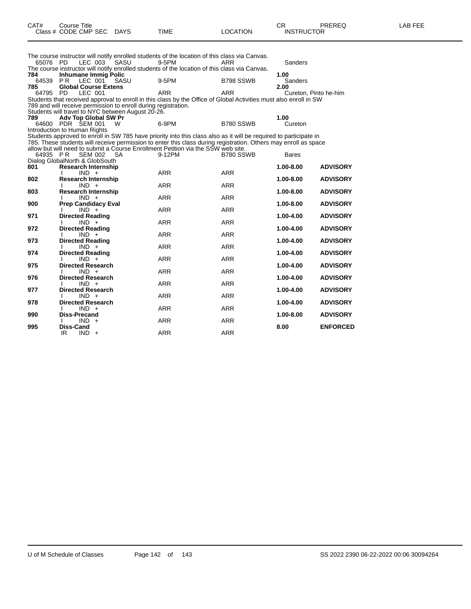|          | Class # CODE CMP SEC                                           | <b>DAYS</b> | TIME                                                                                                              | LOCATION   | <b>INSTRUCTOR</b>     |                 |
|----------|----------------------------------------------------------------|-------------|-------------------------------------------------------------------------------------------------------------------|------------|-----------------------|-----------------|
|          |                                                                |             | The course instructor will notify enrolled students of the location of this class via Canvas.                     |            |                       |                 |
| 65076 PD | LEC 003                                                        | SASU        | 9-5PM                                                                                                             | ARR        | Sanders               |                 |
|          |                                                                |             | The course instructor will notify enrolled students of the location of this class via Canvas.                     |            |                       |                 |
| 784      | <b>Inhumane Immig Polic</b>                                    |             |                                                                                                                   |            | 1.00                  |                 |
| 64539    | LEC 001<br>PR.                                                 | SASU        | 9-5PM                                                                                                             | B798 SSWB  | Sanders               |                 |
| 785      | <b>Global Course Extens</b>                                    |             |                                                                                                                   |            | 2.00                  |                 |
| 64795    | <b>PD</b><br>LEC 001                                           |             | ARR                                                                                                               | <b>ARR</b> | Cureton, Pinto he-him |                 |
|          |                                                                |             | Students that received approval to enroll in this class by the Office of Global Activities must also enroll in SW |            |                       |                 |
|          | 789 and will receive permission to enroll during registration. |             |                                                                                                                   |            |                       |                 |
|          | Students will travel to NYC between August 20-26.              |             |                                                                                                                   |            |                       |                 |
| 789      | Adv Top Global SW Pr                                           |             |                                                                                                                   |            | 1.00                  |                 |
|          | 64600 PDR SEM 001                                              | W           | 6-9PM                                                                                                             | B780 SSWB  | Cureton               |                 |
|          | Introduction to Human Rights                                   |             |                                                                                                                   |            |                       |                 |
|          |                                                                |             | Students approved to enroll in SW 785 have priority into this class also as it will be required to participate in |            |                       |                 |
|          |                                                                |             | 785. These students will receive permission to enter this class during registration. Others may enroll as space   |            |                       |                 |
|          |                                                                |             | allow but will need to submit a Course Enrollment Petition via the SSW web site.                                  |            |                       |                 |
| 64935 PR | <b>SEM 002</b>                                                 | <b>SA</b>   | 9-12PM                                                                                                            | B780 SSWB  | <b>Bares</b>          |                 |
|          | Dialog GlobalNorth & GlobSouth                                 |             |                                                                                                                   |            |                       |                 |
| 801      | <b>Research Internship</b>                                     |             |                                                                                                                   |            | 1.00-8.00             | <b>ADVISORY</b> |
|          | $IND +$                                                        |             | <b>ARR</b>                                                                                                        | <b>ARR</b> |                       |                 |
| 802      | <b>Research Internship</b>                                     |             |                                                                                                                   |            | 1.00-8.00             | <b>ADVISORY</b> |
|          | $IND +$                                                        |             | <b>ARR</b>                                                                                                        | <b>ARR</b> |                       |                 |
| 803      | <b>Research Internship</b>                                     |             |                                                                                                                   |            | 1.00-8.00             | <b>ADVISORY</b> |
|          | $IND +$                                                        |             | <b>ARR</b>                                                                                                        | <b>ARR</b> |                       |                 |
| 900      | <b>Prep Candidacy Eval</b>                                     |             |                                                                                                                   | <b>ARR</b> | 1.00-8.00             | <b>ADVISORY</b> |
| 971      | $IND +$<br><b>Directed Reading</b>                             |             | <b>ARR</b>                                                                                                        |            |                       | <b>ADVISORY</b> |
|          |                                                                |             | <b>ARR</b>                                                                                                        | <b>ARR</b> | 1.00-4.00             |                 |
| 972      | $IND +$<br><b>Directed Reading</b>                             |             |                                                                                                                   |            | 1.00-4.00             | <b>ADVISORY</b> |
|          | $IND +$                                                        |             | <b>ARR</b>                                                                                                        | <b>ARR</b> |                       |                 |
| 973      | <b>Directed Reading</b>                                        |             |                                                                                                                   |            | 1.00-4.00             | <b>ADVISORY</b> |
|          | $IND +$                                                        |             | <b>ARR</b>                                                                                                        | <b>ARR</b> |                       |                 |
| 974      | <b>Directed Reading</b>                                        |             |                                                                                                                   |            | 1.00-4.00             | <b>ADVISORY</b> |
|          | $IND +$                                                        |             | <b>ARR</b>                                                                                                        | <b>ARR</b> |                       |                 |
| 975      | <b>Directed Research</b>                                       |             |                                                                                                                   |            | 1.00-4.00             | <b>ADVISORY</b> |
|          | $IND +$                                                        |             | <b>ARR</b>                                                                                                        | <b>ARR</b> |                       |                 |
| 976      | <b>Directed Research</b>                                       |             |                                                                                                                   |            | 1.00-4.00             | <b>ADVISORY</b> |
|          | $IND +$                                                        |             | <b>ARR</b>                                                                                                        | <b>ARR</b> |                       |                 |
| 977      | <b>Directed Research</b>                                       |             |                                                                                                                   |            | 1.00-4.00             | <b>ADVISORY</b> |
|          | $IND +$                                                        |             | <b>ARR</b>                                                                                                        | <b>ARR</b> |                       |                 |
| 978      | <b>Directed Research</b>                                       |             |                                                                                                                   |            | 1.00-4.00             | <b>ADVISORY</b> |
|          | $IND +$                                                        |             | <b>ARR</b>                                                                                                        | <b>ARR</b> |                       |                 |
| 990      | <b>Diss-Precand</b>                                            |             |                                                                                                                   |            | 1.00-8.00             | <b>ADVISORY</b> |
|          | $IND +$                                                        |             | <b>ARR</b>                                                                                                        | <b>ARR</b> |                       |                 |
| 995      | Diss-Cand                                                      |             |                                                                                                                   |            | 8.00                  | <b>ENFORCED</b> |
|          | $IND +$<br>IR                                                  |             | <b>ARR</b>                                                                                                        | <b>ARR</b> |                       |                 |
|          |                                                                |             |                                                                                                                   |            |                       |                 |